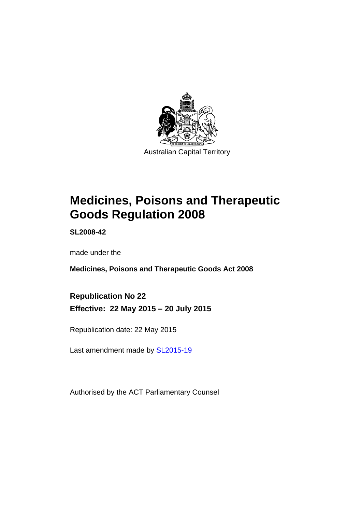

# **Medicines, Poisons and Therapeutic Goods Regulation 2008**

**SL2008-42** 

made under the

**Medicines, Poisons and Therapeutic Goods Act 2008** 

**Republication No 22 Effective: 22 May 2015 – 20 July 2015** 

Republication date: 22 May 2015

Last amendment made by [SL2015-19](http://www.legislation.act.gov.au/sl/2015-19)

Authorised by the ACT Parliamentary Counsel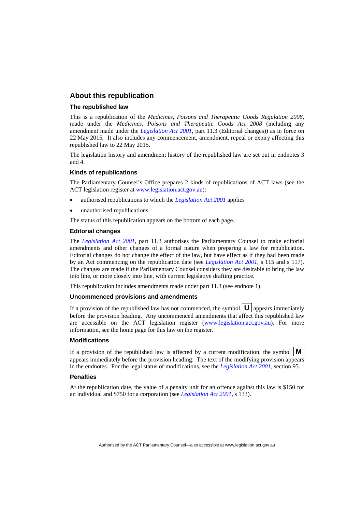### **About this republication**

#### **The republished law**

This is a republication of the *Medicines, Poisons and Therapeutic Goods Regulation 2008*, made under the *Medicines, Poisons and Therapeutic Goods Act 2008* (including any amendment made under the *[Legislation Act 2001](http://www.legislation.act.gov.au/a/2001-14)*, part 11.3 (Editorial changes)) as in force on 22 May 2015*.* It also includes any commencement, amendment, repeal or expiry affecting this republished law to 22 May 2015.

The legislation history and amendment history of the republished law are set out in endnotes 3 and 4.

#### **Kinds of republications**

The Parliamentary Counsel's Office prepares 2 kinds of republications of ACT laws (see the ACT legislation register at [www.legislation.act.gov.au](http://www.legislation.act.gov.au/)):

- authorised republications to which the *[Legislation Act 2001](http://www.legislation.act.gov.au/a/2001-14)* applies
- unauthorised republications.

The status of this republication appears on the bottom of each page.

#### **Editorial changes**

The *[Legislation Act 2001](http://www.legislation.act.gov.au/a/2001-14)*, part 11.3 authorises the Parliamentary Counsel to make editorial amendments and other changes of a formal nature when preparing a law for republication. Editorial changes do not change the effect of the law, but have effect as if they had been made by an Act commencing on the republication date (see *[Legislation Act 2001](http://www.legislation.act.gov.au/a/2001-14)*, s 115 and s 117). The changes are made if the Parliamentary Counsel considers they are desirable to bring the law into line, or more closely into line, with current legislative drafting practice.

This republication includes amendments made under part 11.3 (see endnote 1).

#### **Uncommenced provisions and amendments**

If a provision of the republished law has not commenced, the symbol  $\mathbf{U}$  appears immediately before the provision heading. Any uncommenced amendments that affect this republished law are accessible on the ACT legislation register [\(www.legislation.act.gov.au\)](http://www.legislation.act.gov.au/). For more information, see the home page for this law on the register.

#### **Modifications**

If a provision of the republished law is affected by a current modification, the symbol  $\mathbf{M}$ appears immediately before the provision heading. The text of the modifying provision appears in the endnotes. For the legal status of modifications, see the *[Legislation Act 2001](http://www.legislation.act.gov.au/a/2001-14)*, section 95.

#### **Penalties**

At the republication date, the value of a penalty unit for an offence against this law is \$150 for an individual and \$750 for a corporation (see *[Legislation Act 2001](http://www.legislation.act.gov.au/a/2001-14)*, s 133).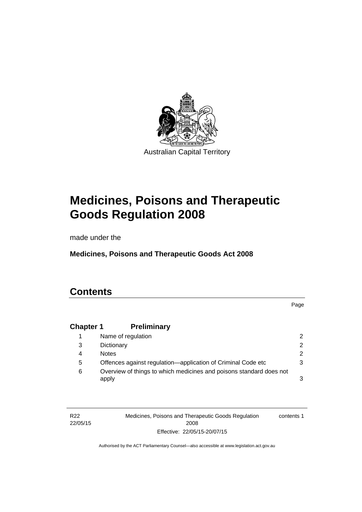

# **Medicines, Poisons and Therapeutic Goods Regulation 2008**

made under the

**Medicines, Poisons and Therapeutic Goods Act 2008** 

# **Contents**

Page

# **Chapter 1 [Preliminary](#page-25-0)**

|   | Name of regulation                                                           |   |
|---|------------------------------------------------------------------------------|---|
| 3 | Dictionary                                                                   |   |
| 4 | <b>Notes</b>                                                                 | 2 |
| 5 | Offences against regulation-application of Criminal Code etc                 |   |
| 6 | Overview of things to which medicines and poisons standard does not<br>apply |   |

R22 22/05/15 Medicines, Poisons and Therapeutic Goods Regulation 2008 Effective: 22/05/15-20/07/15 contents 1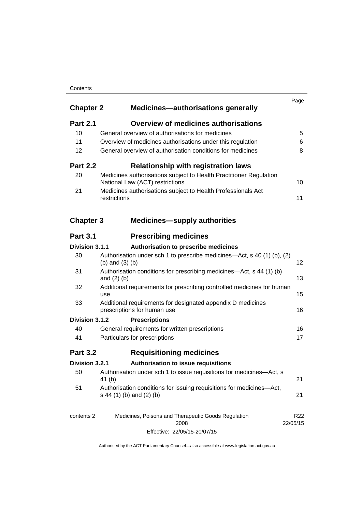#### **Contents**

| <b>Chapter 2</b> | <b>Medicines-authorisations generally</b>                                                             | Page                        |
|------------------|-------------------------------------------------------------------------------------------------------|-----------------------------|
| <b>Part 2.1</b>  | <b>Overview of medicines authorisations</b>                                                           |                             |
| 10               | General overview of authorisations for medicines                                                      | 5                           |
| 11               | Overview of medicines authorisations under this regulation                                            | 6                           |
| 12               | General overview of authorisation conditions for medicines                                            | 8                           |
| <b>Part 2.2</b>  | <b>Relationship with registration laws</b>                                                            |                             |
| 20               | Medicines authorisations subject to Health Practitioner Regulation<br>National Law (ACT) restrictions | 10                          |
| 21               | Medicines authorisations subject to Health Professionals Act<br>restrictions                          | 11                          |
| <b>Chapter 3</b> | <b>Medicines-supply authorities</b>                                                                   |                             |
| <b>Part 3.1</b>  | <b>Prescribing medicines</b>                                                                          |                             |
| Division 3.1.1   | Authorisation to prescribe medicines                                                                  |                             |
| 30               | Authorisation under sch 1 to prescribe medicines—Act, s 40 (1) (b), (2)<br>(b) and $(3)$ (b)          | 12                          |
| 31               | Authorisation conditions for prescribing medicines—Act, s 44 (1) (b)<br>and $(2)$ $(b)$               | 13                          |
| 32               | Additional requirements for prescribing controlled medicines for human<br>use                         | 15                          |
| 33               | Additional requirements for designated appendix D medicines<br>prescriptions for human use            | 16                          |
| Division 3.1.2   | <b>Prescriptions</b>                                                                                  |                             |
| 40               | General requirements for written prescriptions                                                        | 16                          |
| 41               | Particulars for prescriptions                                                                         | 17                          |
| <b>Part 3.2</b>  | <b>Requisitioning medicines</b>                                                                       |                             |
| Division 3.2.1   | Authorisation to issue requisitions                                                                   |                             |
| 50               | Authorisation under sch 1 to issue requisitions for medicines-Act, s<br>41 (b)                        | 21                          |
| 51               | Authorisation conditions for issuing requisitions for medicines-Act,<br>s 44 (1) (b) and (2) (b)      | 21                          |
| contents 2       | Medicines, Poisons and Therapeutic Goods Regulation<br>2008                                           | R <sub>22</sub><br>22/05/15 |

Effective: 22/05/15-20/07/15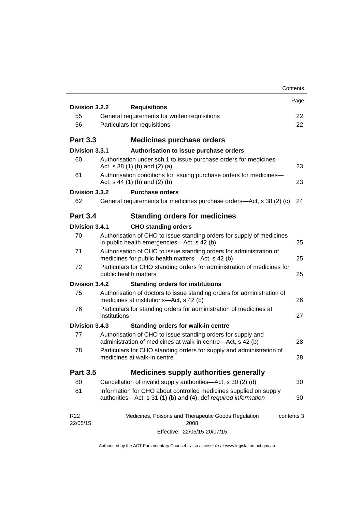|                             | Contents                                                                                                                             |      |
|-----------------------------|--------------------------------------------------------------------------------------------------------------------------------------|------|
| Division 3.2.2              | <b>Requisitions</b>                                                                                                                  | Page |
| 55                          | General requirements for written requisitions                                                                                        | 22   |
| 56                          | Particulars for requisitions                                                                                                         | 22   |
|                             |                                                                                                                                      |      |
| <b>Part 3.3</b>             | <b>Medicines purchase orders</b>                                                                                                     |      |
| Division 3.3.1              | Authorisation to issue purchase orders                                                                                               |      |
| 60                          | Authorisation under sch 1 to issue purchase orders for medicines-<br>Act, $s$ 38 (1) (b) and (2) (a)                                 | 23   |
| 61                          | Authorisation conditions for issuing purchase orders for medicines-<br>Act, $s$ 44 (1) (b) and (2) (b)                               | 23   |
| Division 3.3.2              | <b>Purchase orders</b>                                                                                                               |      |
| 62                          | General requirements for medicines purchase orders—Act, s 38 (2) (c)                                                                 | 24   |
| <b>Part 3.4</b>             | <b>Standing orders for medicines</b>                                                                                                 |      |
| Division 3.4.1              | <b>CHO standing orders</b>                                                                                                           |      |
| 70                          | Authorisation of CHO to issue standing orders for supply of medicines<br>in public health emergencies—Act, s 42 (b)                  | 25   |
| 71                          | Authorisation of CHO to issue standing orders for administration of<br>medicines for public health matters-Act, s 42 (b)             | 25   |
| 72                          | Particulars for CHO standing orders for administration of medicines for<br>public health matters                                     | 25   |
| Division 3.4.2              | <b>Standing orders for institutions</b>                                                                                              |      |
| 75                          | Authorisation of doctors to issue standing orders for administration of<br>medicines at institutions-Act, s 42 (b)                   | 26   |
| 76                          | Particulars for standing orders for administration of medicines at<br>institutions                                                   | 27   |
| Division 3.4.3              | <b>Standing orders for walk-in centre</b>                                                                                            |      |
| 77                          | Authorisation of CHO to issue standing orders for supply and<br>administration of medicines at walk-in centre-Act, s 42 (b)          | 28   |
| 78                          | Particulars for CHO standing orders for supply and administration of<br>medicines at walk-in centre                                  | 28   |
| <b>Part 3.5</b>             | <b>Medicines supply authorities generally</b>                                                                                        |      |
| 80                          | Cancellation of invalid supply authorities—Act, s 30 (2) (d)                                                                         | 30   |
| 81                          | Information for CHO about controlled medicines supplied on supply<br>authorities—Act, s 31 (1) (b) and (4), def required information | 30   |
| R <sub>22</sub><br>22/05/15 | Medicines, Poisons and Therapeutic Goods Regulation<br>contents 3<br>2008                                                            |      |
|                             | Effective: 22/05/15-20/07/15                                                                                                         |      |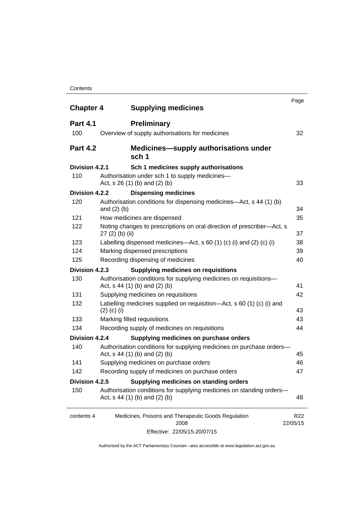#### **Contents**

| <b>Chapter 4</b> | <b>Supplying medicines</b>                                                                              | Page                        |
|------------------|---------------------------------------------------------------------------------------------------------|-----------------------------|
| <b>Part 4.1</b>  | <b>Preliminary</b>                                                                                      |                             |
| 100              | Overview of supply authorisations for medicines                                                         | 32                          |
| <b>Part 4.2</b>  | <b>Medicines—supply authorisations under</b><br>sch 1                                                   |                             |
| Division 4.2.1   | Sch 1 medicines supply authorisations                                                                   |                             |
| 110              | Authorisation under sch 1 to supply medicines-<br>Act, s 26 (1) (b) and (2) (b)                         | 33                          |
| Division 4.2.2   | <b>Dispensing medicines</b>                                                                             |                             |
| 120              | Authorisation conditions for dispensing medicines—Act, s 44 (1) (b)<br>and $(2)$ $(b)$                  | 34                          |
| 121              | How medicines are dispensed                                                                             | 35                          |
| 122              | Noting changes to prescriptions on oral direction of prescriber-Act, s<br>$27(2)$ (b) (ii)              | 37                          |
| 123              | Labelling dispensed medicines—Act, s 60 (1) (c) (i) and (2) (c) (i)                                     | 38                          |
| 124              | Marking dispensed prescriptions                                                                         | 39                          |
| 125              | Recording dispensing of medicines                                                                       | 40                          |
| Division 4.2.3   | <b>Supplying medicines on requisitions</b>                                                              |                             |
| 130              | Authorisation conditions for supplying medicines on requisitions-<br>Act, $s$ 44 (1) (b) and (2) (b)    | 41                          |
| 131              | Supplying medicines on requisitions                                                                     | 42                          |
| 132              | Labelling medicines supplied on requisition—Act, s 60 (1) (c) (i) and<br>$(2)$ (c) (i)                  | 43                          |
| 133              | Marking filled requisitions                                                                             | 43                          |
| 134              | Recording supply of medicines on requisitions                                                           | 44                          |
| Division 4.2.4   | Supplying medicines on purchase orders                                                                  |                             |
| 140              | Authorisation conditions for supplying medicines on purchase orders-<br>Act, $s$ 44 (1) (b) and (2) (b) | 45                          |
| 141              | Supplying medicines on purchase orders                                                                  | 46                          |
| 142              | Recording supply of medicines on purchase orders                                                        | 47                          |
| Division 4.2.5   | Supplying medicines on standing orders                                                                  |                             |
| 150              | Authorisation conditions for supplying medicines on standing orders-<br>Act, $s$ 44 (1) (b) and (2) (b) | 48                          |
| contents 4       | Medicines, Poisons and Therapeutic Goods Regulation<br>2008                                             | R <sub>22</sub><br>22/05/15 |
|                  | Effective: 22/05/15-20/07/15                                                                            |                             |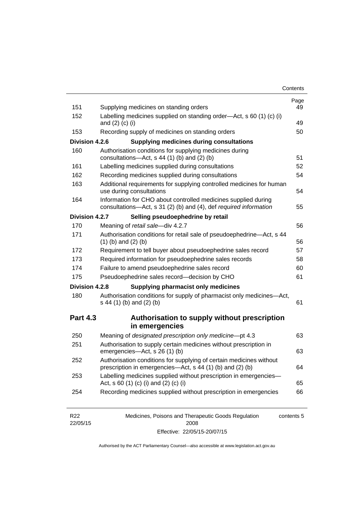| Contents |
|----------|
|----------|

| 151             | Supplying medicines on standing orders                                                                                              | Page<br>49 |
|-----------------|-------------------------------------------------------------------------------------------------------------------------------------|------------|
| 152             | Labelling medicines supplied on standing order-Act, s 60 (1) (c) (i)<br>and $(2)$ $(c)$ $(i)$                                       | 49         |
| 153             | Recording supply of medicines on standing orders                                                                                    | 50         |
| Division 4.2.6  | <b>Supplying medicines during consultations</b>                                                                                     |            |
| 160             | Authorisation conditions for supplying medicines during                                                                             |            |
|                 | consultations-Act, s 44 (1) (b) and (2) (b)                                                                                         | 51         |
| 161             | Labelling medicines supplied during consultations                                                                                   | 52         |
| 162             | Recording medicines supplied during consultations                                                                                   | 54         |
| 163             | Additional requirements for supplying controlled medicines for human<br>use during consultations                                    | 54         |
| 164             | Information for CHO about controlled medicines supplied during<br>consultations-Act, s 31 (2) (b) and (4), def required information | 55         |
| Division 4.2.7  | Selling pseudoephedrine by retail                                                                                                   |            |
| 170             | Meaning of retail sale-div 4.2.7                                                                                                    | 56         |
| 171             | Authorisation conditions for retail sale of pseudoephedrine-Act, s 44<br>$(1)$ (b) and $(2)$ (b)                                    | 56         |
| 172             | Requirement to tell buyer about pseudoephedrine sales record                                                                        | 57         |
| 173             | Required information for pseudoephedrine sales records                                                                              | 58         |
| 174             | Failure to amend pseudoephedrine sales record                                                                                       | 60         |
| 175             | Pseudoephedrine sales record-decision by CHO                                                                                        | 61         |
| Division 4.2.8  | <b>Supplying pharmacist only medicines</b>                                                                                          |            |
| 180             | Authorisation conditions for supply of pharmacist only medicines-Act,<br>s 44 (1) (b) and (2) (b)                                   | 61         |
| <b>Part 4.3</b> | Authorisation to supply without prescription                                                                                        |            |
|                 | in emergencies                                                                                                                      |            |
|                 |                                                                                                                                     |            |
| 250             | Meaning of designated prescription only medicine-pt 4.3                                                                             | 63         |
| 251             | Authorisation to supply certain medicines without prescription in<br>emergencies-Act, s 26 (1) (b)                                  |            |
| 252             | Authorisation conditions for supplying of certain medicines without<br>prescription in emergencies—Act, s 44 (1) (b) and (2) (b)    | 63<br>64   |
| 253             | Labelling medicines supplied without prescription in emergencies-<br>Act, s 60 (1) (c) (i) and (2) (c) (i)                          | 65         |

| R <sub>22</sub> | Medicines, Poisons and Therapeutic Goods Regulation | contents 5 |
|-----------------|-----------------------------------------------------|------------|
| 22/05/15        | 2008                                                |            |
|                 | Effective: 22/05/15-20/07/15                        |            |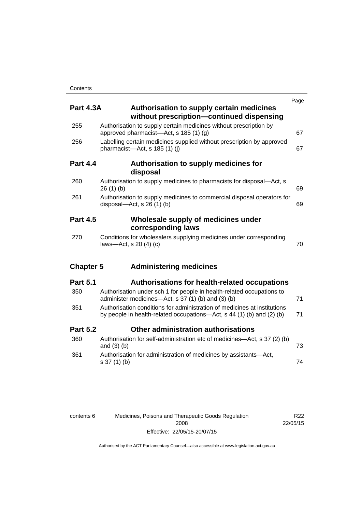| <b>Part 4.3A</b> | <b>Authorisation to supply certain medicines</b><br>without prescription-continued dispensing                                                     | Page |
|------------------|---------------------------------------------------------------------------------------------------------------------------------------------------|------|
| 255              | Authorisation to supply certain medicines without prescription by<br>approved pharmacist—Act, s 185 (1) (g)                                       | 67   |
| 256              | Labelling certain medicines supplied without prescription by approved<br>pharmacist-Act, s 185 (1) (i)                                            | 67   |
| <b>Part 4.4</b>  | Authorisation to supply medicines for<br>disposal                                                                                                 |      |
| 260              | Authorisation to supply medicines to pharmacists for disposal-Act, s<br>26(1)(b)                                                                  | 69   |
| 261              | Authorisation to supply medicines to commercial disposal operators for<br>disposal—Act, s $26(1)(b)$                                              | 69   |
| <b>Part 4.5</b>  | Wholesale supply of medicines under<br>corresponding laws                                                                                         |      |
| 270              | Conditions for wholesalers supplying medicines under corresponding<br>laws-Act, s 20 (4) (c)                                                      | 70   |
| <b>Chapter 5</b> | <b>Administering medicines</b>                                                                                                                    |      |
| <b>Part 5.1</b>  | <b>Authorisations for health-related occupations</b>                                                                                              |      |
| 350              | Authorisation under sch 1 for people in health-related occupations to<br>administer medicines—Act, s 37 (1) (b) and (3) (b)                       | 71   |
| 351              | Authorisation conditions for administration of medicines at institutions<br>by people in health-related occupations—Act, s 44 (1) (b) and (2) (b) | 71   |
| <b>Part 5.2</b>  | Other administration authorisations                                                                                                               |      |
| 360              | Authorisation for self-administration etc of medicines-Act, s 37 (2) (b)<br>and $(3)$ $(b)$                                                       | 73   |
| 361              | Authorisation for administration of medicines by assistants-Act,<br>s 37 (1) (b)                                                                  | 74   |

| contents 6 | Medicines, Poisons and Therapeutic Goods Regulation |
|------------|-----------------------------------------------------|
|            | 2008                                                |
|            | Effective: 22/05/15-20/07/15                        |

R22 22/05/15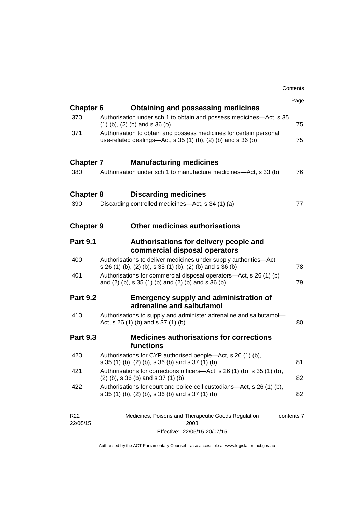|                  |                                                                                                                                        | Contents |
|------------------|----------------------------------------------------------------------------------------------------------------------------------------|----------|
|                  |                                                                                                                                        | Page     |
| <b>Chapter 6</b> | <b>Obtaining and possessing medicines</b>                                                                                              |          |
| 370              | Authorisation under sch 1 to obtain and possess medicines—Act, s 35<br>$(1)$ (b), (2) (b) and s 36 (b)                                 | 75       |
| 371              | Authorisation to obtain and possess medicines for certain personal<br>use-related dealings- $Act$ , s 35 (1) (b), (2) (b) and s 36 (b) | 75       |
| <b>Chapter 7</b> | <b>Manufacturing medicines</b>                                                                                                         |          |
| 380              | Authorisation under sch 1 to manufacture medicines—Act, s 33 (b)                                                                       | 76       |
| <b>Chapter 8</b> | <b>Discarding medicines</b>                                                                                                            |          |
| 390              | Discarding controlled medicines—Act, s 34 (1) (a)                                                                                      | 77       |
| <b>Chapter 9</b> | <b>Other medicines authorisations</b>                                                                                                  |          |
| <b>Part 9.1</b>  | Authorisations for delivery people and<br>commercial disposal operators                                                                |          |
| 400              | Authorisations to deliver medicines under supply authorities-Act,<br>s 26 (1) (b), (2) (b), s 35 (1) (b), (2) (b) and s 36 (b)         | 78       |
| 401              | Authorisations for commercial disposal operators-Act, s 26 (1) (b)<br>and (2) (b), s 35 (1) (b) and (2) (b) and s 36 (b)               | 79       |
| <b>Part 9.2</b>  | <b>Emergency supply and administration of</b><br>adrenaline and salbutamol                                                             |          |
| 410              | Authorisations to supply and administer adrenaline and salbutamol-<br>Act, s 26 (1) (b) and s 37 (1) (b)                               | 80       |
| <b>Part 9.3</b>  | <b>Medicines authorisations for corrections</b><br>functions                                                                           |          |
| 420              | Authorisations for CYP authorised people-Act, s 26 (1) (b),<br>s 35 (1) (b), (2) (b), s 36 (b) and s 37 (1) (b)                        | 81       |
| 421              | Authorisations for corrections officers—Act, s 26 (1) (b), s 35 (1) (b),<br>$(2)$ (b), s 36 (b) and s 37 (1) (b)                       | 82       |
| 422              | Authorisations for court and police cell custodians—Act, s 26 (1) (b),<br>s 35 (1) (b), (2) (b), s 36 (b) and s 37 (1) (b)             | 82       |

| R <sub>22</sub> | Medicines, Poisons and Therapeutic Goods Regulation | contents 7 |
|-----------------|-----------------------------------------------------|------------|
| 22/05/15        | 2008                                                |            |
|                 | Effective: 22/05/15-20/07/15                        |            |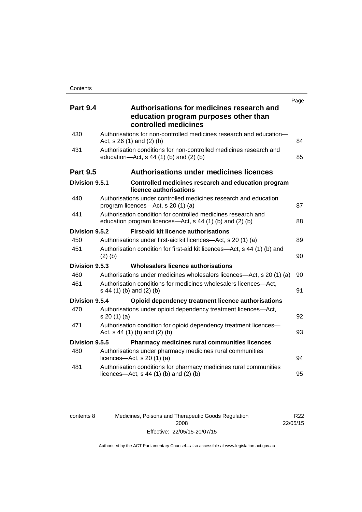| <b>Part 9.4</b> | Page<br>Authorisations for medicines research and                                                                         |    |
|-----------------|---------------------------------------------------------------------------------------------------------------------------|----|
|                 | education program purposes other than<br>controlled medicines                                                             |    |
| 430             | Authorisations for non-controlled medicines research and education-<br>Act, $s$ 26 (1) and (2) (b)                        | 84 |
| 431             | Authorisation conditions for non-controlled medicines research and<br>education- $Act$ , s 44 (1) (b) and (2) (b)         | 85 |
| <b>Part 9.5</b> | <b>Authorisations under medicines licences</b>                                                                            |    |
| Division 9.5.1  | Controlled medicines research and education program<br>licence authorisations                                             |    |
| 440             | Authorisations under controlled medicines research and education<br>program licences—Act, s 20 (1) (a)                    | 87 |
| 441             | Authorisation condition for controlled medicines research and<br>education program licences—Act, s 44 (1) (b) and (2) (b) | 88 |
| Division 9.5.2  | <b>First-aid kit licence authorisations</b>                                                                               |    |
| 450             | Authorisations under first-aid kit licences—Act, s 20 (1) (a)                                                             | 89 |
| 451             | Authorisation condition for first-aid kit licences—Act, s 44 (1) (b) and<br>$(2)$ (b)                                     | 90 |
| Division 9.5.3  | Wholesalers licence authorisations                                                                                        |    |
| 460             | Authorisations under medicines wholesalers licences—Act, s 20 (1) (a)                                                     | 90 |
| 461             | Authorisation conditions for medicines wholesalers licences-Act,<br>s 44 (1) (b) and (2) (b)                              | 91 |
| Division 9.5.4  | Opioid dependency treatment licence authorisations                                                                        |    |
| 470             | Authorisations under opioid dependency treatment licences-Act,<br>s 20 (1) (a)                                            | 92 |
| 471             | Authorisation condition for opioid dependency treatment licences-<br>Act, s 44 (1) (b) and (2) (b)                        | 93 |
| Division 9.5.5  | <b>Pharmacy medicines rural communities licences</b>                                                                      |    |
| 480             | Authorisations under pharmacy medicines rural communities<br>licences- $-\text{Act}$ , s 20 (1) (a)                       | 94 |
| 481             | Authorisation conditions for pharmacy medicines rural communities<br>licences—Act, $s$ 44 (1) (b) and (2) (b)             | 95 |

| contents 8 |  |
|------------|--|
|            |  |
|            |  |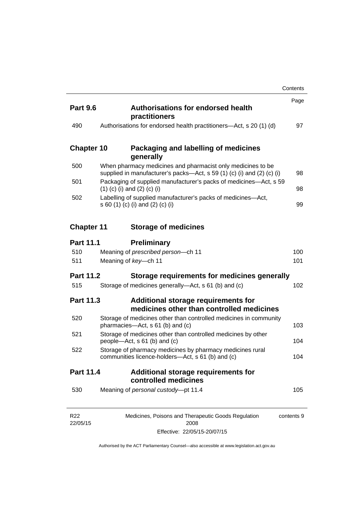|                             |                                                                                                                                       | Contents   |
|-----------------------------|---------------------------------------------------------------------------------------------------------------------------------------|------------|
| <b>Part 9.6</b>             | <b>Authorisations for endorsed health</b><br>practitioners                                                                            | Page       |
| 490                         | Authorisations for endorsed health practitioners—Act, s 20 (1) (d)                                                                    | 97         |
| <b>Chapter 10</b>           | Packaging and labelling of medicines<br>generally                                                                                     |            |
| 500                         | When pharmacy medicines and pharmacist only medicines to be<br>supplied in manufacturer's packs—Act, s 59 (1) (c) (i) and (2) (c) (i) | 98         |
| 501                         | Packaging of supplied manufacturer's packs of medicines—Act, s 59<br>$(1)$ (c) (i) and (2) (c) (i)                                    | 98         |
| 502                         | Labelling of supplied manufacturer's packs of medicines-Act,<br>s 60 (1) (c) (i) and (2) (c) (i)                                      | 99         |
| <b>Chapter 11</b>           | <b>Storage of medicines</b>                                                                                                           |            |
| <b>Part 11.1</b>            | <b>Preliminary</b>                                                                                                                    |            |
| 510                         | Meaning of prescribed person-ch 11                                                                                                    | 100        |
| 511                         | Meaning of key-ch 11                                                                                                                  | 101        |
| <b>Part 11.2</b>            | Storage requirements for medicines generally                                                                                          |            |
| 515                         | Storage of medicines generally-Act, s 61 (b) and (c)                                                                                  | 102        |
| <b>Part 11.3</b>            | Additional storage requirements for<br>medicines other than controlled medicines                                                      |            |
| 520                         | Storage of medicines other than controlled medicines in community<br>pharmacies—Act, s 61 (b) and (c)                                 | 103        |
| 521                         | Storage of medicines other than controlled medicines by other<br>people—Act, s 61 (b) and (c)                                         | 104        |
| 522                         | Storage of pharmacy medicines by pharmacy medicines rural<br>communities licence-holders—Act, s 61 (b) and (c)                        | 104        |
| Part 11.4                   | Additional storage requirements for<br>controlled medicines                                                                           |            |
| 530                         | Meaning of personal custody-pt 11.4                                                                                                   | 105        |
| R <sub>22</sub><br>22/05/15 | Medicines, Poisons and Therapeutic Goods Regulation<br>2008                                                                           | contents 9 |

Effective: 22/05/15-20/07/15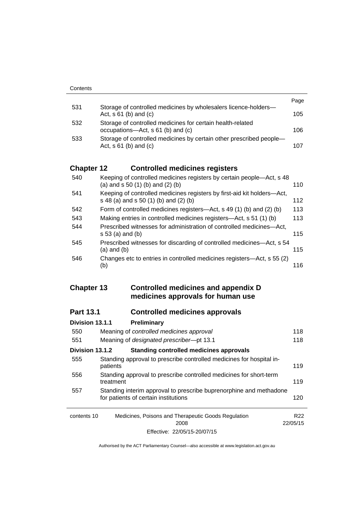|     |                                                                                                   | Page |
|-----|---------------------------------------------------------------------------------------------------|------|
| 531 | Storage of controlled medicines by wholesalers licence-holders-<br>Act, $s \, 61$ (b) and (c)     | 105  |
| 532 | Storage of controlled medicines for certain health-related<br>occupations—Act, s 61 (b) and (c)   | 106  |
| 533 | Storage of controlled medicines by certain other prescribed people-<br>Act, $s \, 61$ (b) and (c) | 107  |

# **Chapter 12 [Controlled medicines registers](#page-133-0)**

| 540 | Keeping of controlled medicines registers by certain people—Act, s 48<br>(a) and $s$ 50 (1) (b) and (2) (b)      | 110 |
|-----|------------------------------------------------------------------------------------------------------------------|-----|
| 541 | Keeping of controlled medicines registers by first-aid kit holders-Act,<br>s 48 (a) and s 50 (1) (b) and (2) (b) | 112 |
| 542 | Form of controlled medicines registers—Act, s 49 (1) (b) and (2) (b)                                             | 113 |
| 543 | Making entries in controlled medicines registers-Act, s 51 (1) (b)                                               | 113 |
| 544 | Prescribed witnesses for administration of controlled medicines—Act,<br>$s 53$ (a) and (b)                       | 115 |
| 545 | Prescribed witnesses for discarding of controlled medicines—Act, s 54<br>$(a)$ and $(b)$                         | 115 |
| 546 | Changes etc to entries in controlled medicines registers—Act, s 55 (2)<br>(b)                                    | 116 |

## **Chapter 13 [Controlled medicines and appendix D](#page-141-0)  [medicines approvals for human use](#page-141-0)**

# **Part 13.1 [Controlled medicines approvals](#page-141-1)**

| Division 13.1.1 | Preliminary                                                                                                |                 |
|-----------------|------------------------------------------------------------------------------------------------------------|-----------------|
| 550             | Meaning of controlled medicines approval                                                                   | 118             |
| 551             | Meaning of designated prescriber-pt 13.1                                                                   | 118             |
| Division 13.1.2 | Standing controlled medicines approvals                                                                    |                 |
| 555             | Standing approval to prescribe controlled medicines for hospital in-<br>patients                           | 119             |
| 556             | Standing approval to prescribe controlled medicines for short-term<br>treatment                            | 119             |
| 557             | Standing interim approval to prescribe buprenorphine and methadone<br>for patients of certain institutions |                 |
| contents 10     | Medicines, Poisons and Therapeutic Goods Regulation<br>2008                                                | R22<br>22/05/15 |
|                 | Effective: 22/05/15-20/07/15                                                                               |                 |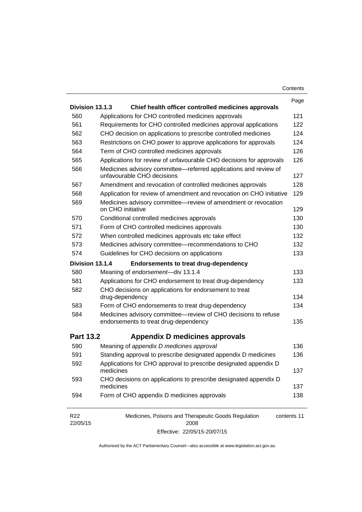| Contents |
|----------|
|----------|

|                             |                                                                                                         | Page        |
|-----------------------------|---------------------------------------------------------------------------------------------------------|-------------|
| Division 13.1.3             | Chief health officer controlled medicines approvals                                                     |             |
| 560                         | Applications for CHO controlled medicines approvals                                                     | 121         |
| 561                         | Requirements for CHO controlled medicines approval applications                                         | 122         |
| 562                         | CHO decision on applications to prescribe controlled medicines                                          | 124         |
| 563                         | Restrictions on CHO power to approve applications for approvals                                         | 124         |
| 564                         | Term of CHO controlled medicines approvals                                                              | 126         |
| 565                         | Applications for review of unfavourable CHO decisions for approvals                                     | 126         |
| 566                         | Medicines advisory committee-referred applications and review of<br>unfavourable CHO decisions          | 127         |
| 567                         | Amendment and revocation of controlled medicines approvals                                              | 128         |
| 568                         | Application for review of amendment and revocation on CHO initiative                                    | 129         |
| 569                         | Medicines advisory committee—review of amendment or revocation<br>on CHO initiative                     | 129         |
| 570                         | Conditional controlled medicines approvals                                                              | 130         |
| 571                         | Form of CHO controlled medicines approvals                                                              | 130         |
| 572                         | When controlled medicines approvals etc take effect                                                     | 132         |
| 573                         | Medicines advisory committee-recommendations to CHO                                                     | 132         |
| 574                         | Guidelines for CHO decisions on applications                                                            | 133         |
| Division 13.1.4             | <b>Endorsements to treat drug-dependency</b>                                                            |             |
| 580                         | Meaning of endorsement-div 13.1.4                                                                       | 133         |
| 581                         | Applications for CHO endorsement to treat drug-dependency                                               | 133         |
| 582                         | CHO decisions on applications for endorsement to treat                                                  |             |
|                             | drug-dependency                                                                                         | 134         |
| 583                         | Form of CHO endorsements to treat drug-dependency                                                       | 134         |
| 584                         | Medicines advisory committee-review of CHO decisions to refuse<br>endorsements to treat drug-dependency | 135         |
| <b>Part 13.2</b>            | Appendix D medicines approvals                                                                          |             |
| 590                         | Meaning of appendix D medicines approval                                                                | 136         |
| 591                         | Standing approval to prescribe designated appendix D medicines                                          | 136         |
| 592                         | Applications for CHO approval to prescribe designated appendix D<br>medicines                           | 137         |
| 593                         | CHO decisions on applications to prescribe designated appendix D<br>medicines                           | 137         |
| 594                         | Form of CHO appendix D medicines approvals                                                              | 138         |
| R <sub>22</sub><br>22/05/15 | Medicines, Poisons and Therapeutic Goods Regulation<br>2008                                             | contents 11 |

Effective: 22/05/15-20/07/15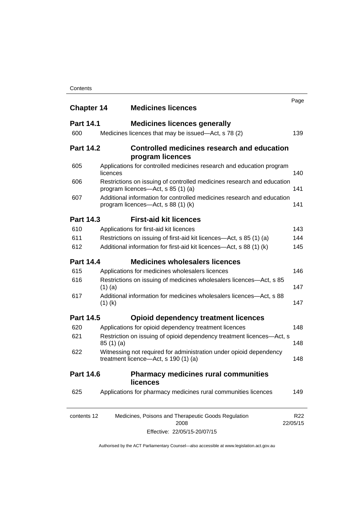### **Contents**

| <b>Chapter 14</b> | <b>Medicines licences</b>                                                                                    | Page            |
|-------------------|--------------------------------------------------------------------------------------------------------------|-----------------|
| <b>Part 14.1</b>  | <b>Medicines licences generally</b>                                                                          |                 |
| 600               | Medicines licences that may be issued—Act, s 78 (2)                                                          | 139             |
| <b>Part 14.2</b>  | Controlled medicines research and education<br>program licences                                              |                 |
| 605               | Applications for controlled medicines research and education program<br>licences                             | 140             |
| 606               | Restrictions on issuing of controlled medicines research and education<br>program licences—Act, s 85 (1) (a) | 141             |
| 607               | Additional information for controlled medicines research and education<br>program licences—Act, s 88 (1) (k) | 141             |
| <b>Part 14.3</b>  | <b>First-aid kit licences</b>                                                                                |                 |
| 610               | Applications for first-aid kit licences                                                                      | 143             |
| 611               | Restrictions on issuing of first-aid kit licences—Act, s 85 (1) (a)                                          | 144             |
| 612               | Additional information for first-aid kit licences—Act, s 88 (1) (k)                                          | 145             |
| <b>Part 14.4</b>  | <b>Medicines wholesalers licences</b>                                                                        |                 |
| 615               | Applications for medicines wholesalers licences                                                              | 146             |
| 616               | Restrictions on issuing of medicines wholesalers licences—Act, s 85<br>$(1)$ (a)                             | 147             |
| 617               | Additional information for medicines wholesalers licences—Act, s 88<br>$(1)$ (k)                             | 147             |
| <b>Part 14.5</b>  | <b>Opioid dependency treatment licences</b>                                                                  |                 |
| 620               | Applications for opioid dependency treatment licences                                                        | 148             |
| 621               | Restriction on issuing of opioid dependency treatment licences-Act, s<br>85(1)(a)                            | 148             |
| 622               | Witnessing not required for administration under opioid dependency<br>treatment licence—Act, s 190 (1) (a)   | 148             |
| <b>Part 14.6</b>  | <b>Pharmacy medicines rural communities</b><br>licences                                                      |                 |
| 625               | Applications for pharmacy medicines rural communities licences                                               | 149             |
| contents 12       | Medicines, Poisons and Therapeutic Goods Regulation<br>2008<br>22/05/15                                      | R <sub>22</sub> |

Effective: 22/05/15-20/07/15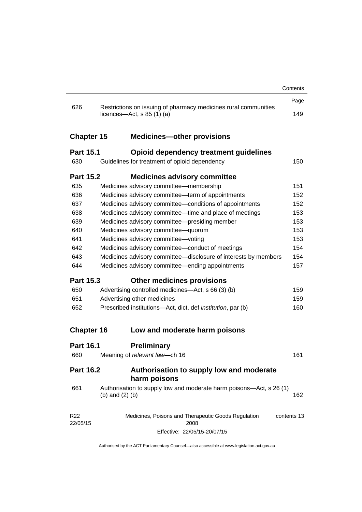|                             |                   |                                                                                                          | Contents    |
|-----------------------------|-------------------|----------------------------------------------------------------------------------------------------------|-------------|
|                             |                   |                                                                                                          | Page        |
| 626                         |                   | Restrictions on issuing of pharmacy medicines rural communities<br>licences- $-\text{Act}, s 85 (1) (a)$ | 149         |
| <b>Chapter 15</b>           |                   | <b>Medicines-other provisions</b>                                                                        |             |
| <b>Part 15.1</b>            |                   | <b>Opioid dependency treatment guidelines</b>                                                            |             |
| 630                         |                   | Guidelines for treatment of opioid dependency                                                            | 150         |
| <b>Part 15.2</b>            |                   | <b>Medicines advisory committee</b>                                                                      |             |
| 635                         |                   | Medicines advisory committee-membership                                                                  | 151         |
| 636                         |                   | Medicines advisory committee-term of appointments                                                        | 152         |
| 637                         |                   | Medicines advisory committee-conditions of appointments                                                  | 152         |
| 638                         |                   | Medicines advisory committee-time and place of meetings                                                  | 153         |
| 639                         |                   | Medicines advisory committee-presiding member                                                            | 153         |
| 640                         |                   | Medicines advisory committee-quorum                                                                      | 153         |
| 641                         |                   | Medicines advisory committee-voting                                                                      | 153         |
| 642                         |                   | Medicines advisory committee-conduct of meetings                                                         | 154         |
| 643                         |                   | Medicines advisory committee-disclosure of interests by members                                          | 154         |
| 644                         |                   | Medicines advisory committee—ending appointments                                                         | 157         |
| <b>Part 15.3</b>            |                   | <b>Other medicines provisions</b>                                                                        |             |
| 650                         |                   | Advertising controlled medicines—Act, s 66 (3) (b)                                                       | 159         |
| 651                         |                   | Advertising other medicines                                                                              | 159         |
| 652                         |                   | Prescribed institutions-Act, dict, def <i>institution</i> , par (b)                                      | 160         |
| <b>Chapter 16</b>           |                   | Low and moderate harm poisons                                                                            |             |
| <b>Part 16.1</b>            |                   | <b>Preliminary</b>                                                                                       |             |
| 660                         |                   | Meaning of relevant law-ch 16                                                                            | 161         |
| <b>Part 16.2</b>            |                   | Authorisation to supply low and moderate<br>harm poisons                                                 |             |
| 661                         | (b) and $(2)$ (b) | Authorisation to supply low and moderate harm poisons—Act, s 26 (1)                                      | 162         |
| R <sub>22</sub><br>22/05/15 |                   | Medicines, Poisons and Therapeutic Goods Regulation<br>2008                                              | contents 13 |
|                             |                   | Effective: 22/05/15-20/07/15                                                                             |             |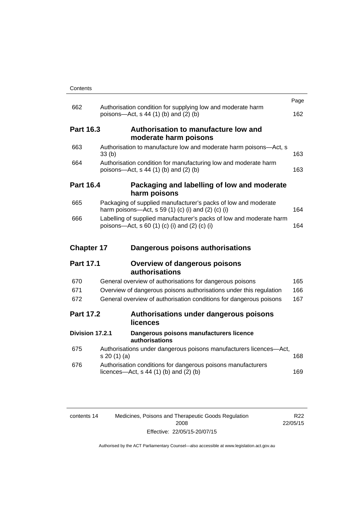| Contents |
|----------|
|----------|

|                   |                                                                                                                      | Page |
|-------------------|----------------------------------------------------------------------------------------------------------------------|------|
| 662               | Authorisation condition for supplying low and moderate harm<br>poisons-Act, s 44 (1) (b) and (2) (b)                 | 162  |
| <b>Part 16.3</b>  | Authorisation to manufacture low and<br>moderate harm poisons                                                        |      |
| 663               | Authorisation to manufacture low and moderate harm poisons-Act, s<br>33(b)                                           | 163  |
| 664               | Authorisation condition for manufacturing low and moderate harm<br>poisons—Act, s 44 (1) (b) and (2) (b)             | 163  |
| <b>Part 16.4</b>  | Packaging and labelling of low and moderate<br>harm poisons                                                          |      |
| 665               | Packaging of supplied manufacturer's packs of low and moderate<br>harm poisons—Act, s 59 (1) (c) (i) and (2) (c) (i) | 164  |
| 666               | Labelling of supplied manufacturer's packs of low and moderate harm<br>poisons—Act, s 60 (1) (c) (i) and (2) (c) (i) | 164  |
|                   |                                                                                                                      |      |
| <b>Chapter 17</b> | Dangerous poisons authorisations                                                                                     |      |
| <b>Part 17.1</b>  | <b>Overview of dangerous poisons</b><br>authorisations                                                               |      |
| 670               | General overview of authorisations for dangerous poisons                                                             | 165  |
| 671               | Overview of dangerous poisons authorisations under this regulation                                                   | 166  |
| 672               | General overview of authorisation conditions for dangerous poisons                                                   | 167  |
| <b>Part 17.2</b>  | Authorisations under dangerous poisons<br>licences                                                                   |      |
| Division 17.2.1   | Dangerous poisons manufacturers licence<br>authorisations                                                            |      |
| 675               | Authorisations under dangerous poisons manufacturers licences-Act,<br>s 20 (1) (a)                                   | 168  |
| 676               | Authorisation conditions for dangerous poisons manufacturers<br>licences—Act, $s$ 44 (1) (b) and (2) (b)             | 169  |

| contents 14 | Medicines, Poisons and Therapeutic Goods Regulation | R22      |
|-------------|-----------------------------------------------------|----------|
|             | 2008                                                | 22/05/15 |
|             | Effective: 22/05/15-20/07/15                        |          |

R22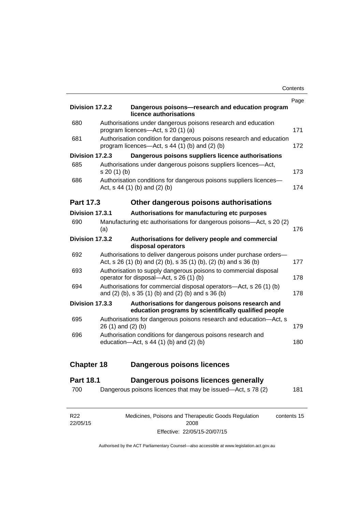| Division 17.2.2   |                    | Dangerous poisons-research and education program                                                                                        | Page |
|-------------------|--------------------|-----------------------------------------------------------------------------------------------------------------------------------------|------|
|                   |                    | licence authorisations                                                                                                                  |      |
| 680               |                    | Authorisations under dangerous poisons research and education<br>program licences-Act, s 20 (1) (a)                                     | 171  |
| 681               |                    | Authorisation condition for dangerous poisons research and education<br>program licences—Act, $s$ 44 (1) (b) and (2) (b)                | 172  |
| Division 17.2.3   |                    | Dangerous poisons suppliers licence authorisations                                                                                      |      |
| 685               | $s 20(1)$ (b)      | Authorisations under dangerous poisons suppliers licences-Act,                                                                          | 173  |
| 686               |                    | Authorisation conditions for dangerous poisons suppliers licences-<br>Act, s 44 (1) (b) and (2) (b)                                     | 174  |
| <b>Part 17.3</b>  |                    | Other dangerous poisons authorisations                                                                                                  |      |
| Division 17.3.1   |                    | Authorisations for manufacturing etc purposes                                                                                           |      |
| 690               | (a)                | Manufacturing etc authorisations for dangerous poisons—Act, s 20 (2)                                                                    | 176  |
| Division 17.3.2   |                    | Authorisations for delivery people and commercial<br>disposal operators                                                                 |      |
| 692               |                    | Authorisations to deliver dangerous poisons under purchase orders-<br>Act, s 26 (1) (b) and (2) (b), s 35 (1) (b), (2) (b) and s 36 (b) | 177  |
| 693               |                    | Authorisation to supply dangerous poisons to commercial disposal<br>operator for disposal-Act, s 26 (1) (b)                             | 178  |
| 694               |                    | Authorisations for commercial disposal operators—Act, s 26 (1) (b)<br>and (2) (b), s 35 (1) (b) and (2) (b) and s 36 (b)                | 178  |
| Division 17.3.3   |                    | Authorisations for dangerous poisons research and<br>education programs by scientifically qualified people                              |      |
| 695               | 26 (1) and (2) (b) | Authorisations for dangerous poisons research and education-Act, s                                                                      | 179  |
| 696               |                    | Authorisation conditions for dangerous poisons research and<br>education- $Act$ , s 44 (1) (b) and (2) (b)                              | 180  |
| <b>Chapter 18</b> |                    | <b>Dangerous poisons licences</b>                                                                                                       |      |
| <b>Part 18.1</b>  |                    | Dangerous poisons licences generally                                                                                                    |      |
| 700               |                    | Dangerous poisons licences that may be issued-Act, s 78 (2)                                                                             | 181  |
|                   |                    |                                                                                                                                         |      |

| R22      | Medicines, Poisons and Therapeutic Goods Regulation | contents 15 |
|----------|-----------------------------------------------------|-------------|
| 22/05/15 | 2008                                                |             |
|          | Effective: 22/05/15-20/07/15                        |             |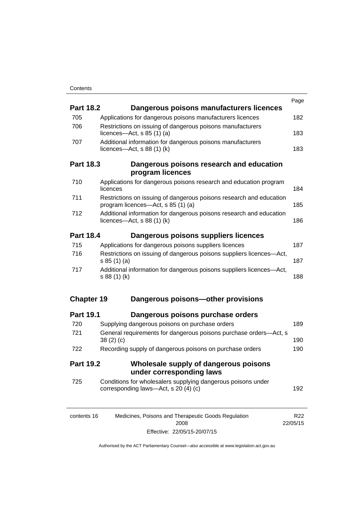| <b>Part 18.2</b>  | Dangerous poisons manufacturers licences                                                                  | Page            |
|-------------------|-----------------------------------------------------------------------------------------------------------|-----------------|
| 705               | Applications for dangerous poisons manufacturers licences                                                 | 182             |
| 706               | Restrictions on issuing of dangerous poisons manufacturers                                                |                 |
|                   | licences- $-\text{Act}$ , s 85 (1) (a)                                                                    | 183             |
| 707               | Additional information for dangerous poisons manufacturers<br>licences- $-\text{Act}$ , s 88 (1) (k)      | 183             |
| <b>Part 18.3</b>  | Dangerous poisons research and education<br>program licences                                              |                 |
| 710               | Applications for dangerous poisons research and education program<br>licences                             | 184             |
| 711               | Restrictions on issuing of dangerous poisons research and education<br>program licences—Act, s 85 (1) (a) | 185             |
| 712               | Additional information for dangerous poisons research and education<br>licences—Act, $s$ 88 (1) (k)       | 186             |
| <b>Part 18.4</b>  | Dangerous poisons suppliers licences                                                                      |                 |
| 715               | Applications for dangerous poisons suppliers licences                                                     | 187             |
| 716               | Restrictions on issuing of dangerous poisons suppliers licences-Act,<br>s 85(1)(a)                        | 187             |
| 717               | Additional information for dangerous poisons suppliers licences-Act,<br>s 88 (1) (k)                      | 188             |
| <b>Chapter 19</b> | Dangerous poisons-other provisions                                                                        |                 |
| <b>Part 19.1</b>  | Dangerous poisons purchase orders                                                                         |                 |
| 720               | Supplying dangerous poisons on purchase orders                                                            | 189             |
| 721               | General requirements for dangerous poisons purchase orders-Act, s<br>38(2)(c)                             | 190             |
| 722               | Recording supply of dangerous poisons on purchase orders                                                  | 190             |
| <b>Part 19.2</b>  | Wholesale supply of dangerous poisons<br>under corresponding laws                                         |                 |
| 725               | Conditions for wholesalers supplying dangerous poisons under<br>corresponding laws—Act, s 20 (4) (c)      | 192             |
| contents 16       | Medicines, Poisons and Therapeutic Goods Regulation                                                       | R <sub>22</sub> |

| . | $1.10$ and $1.00$ and $1.00$ and $1.00$ and $1.00$ and $1.00$ and $1.00$ and $1.00$ and $1.00$ and $1.00$ and $1.00$ and $1.00$ and $1.00$ and $1.00$ and $1.00$ and $1.00$ and $1.00$ and $1.00$ and $1.00$ and $1.00$ and | .        |
|---|-----------------------------------------------------------------------------------------------------------------------------------------------------------------------------------------------------------------------------|----------|
|   | 2008                                                                                                                                                                                                                        | 22/05/15 |
|   | Effective: 22/05/15-20/07/15                                                                                                                                                                                                |          |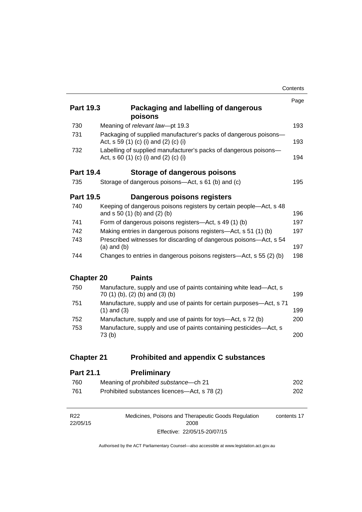|                   |                                                                                                           | Contents |
|-------------------|-----------------------------------------------------------------------------------------------------------|----------|
| <b>Part 19.3</b>  | Packaging and labelling of dangerous                                                                      | Page     |
| 730               | poisons<br>Meaning of relevant law-pt 19.3                                                                | 193      |
| 731               |                                                                                                           |          |
|                   | Packaging of supplied manufacturer's packs of dangerous poisons-<br>Act, s 59 (1) (c) (i) and (2) (c) (i) | 193      |
| 732               | Labelling of supplied manufacturer's packs of dangerous poisons-<br>Act, s 60 (1) (c) (i) and (2) (c) (i) | 194      |
| <b>Part 19.4</b>  | Storage of dangerous poisons                                                                              |          |
| 735               | Storage of dangerous poisons—Act, s 61 (b) and (c)                                                        | 195      |
| <b>Part 19.5</b>  | Dangerous poisons registers                                                                               |          |
| 740               | Keeping of dangerous poisons registers by certain people-Act, s 48<br>and s 50 (1) (b) and (2) (b)        | 196      |
| 741               | Form of dangerous poisons registers—Act, s 49 (1) (b)                                                     | 197      |
| 742               | Making entries in dangerous poisons registers—Act, s 51 (1) (b)                                           | 197      |
| 743               | Prescribed witnesses for discarding of dangerous poisons—Act, s 54<br>$(a)$ and $(b)$                     | 197      |
| 744               | Changes to entries in dangerous poisons registers—Act, s 55 (2) (b)                                       | 198      |
| <b>Chapter 20</b> | <b>Paints</b>                                                                                             |          |
| 750               | Manufacture, supply and use of paints containing white lead-Act, s<br>70 (1) (b), (2) (b) and (3) (b)     | 199      |
| 751               | Manufacture, supply and use of paints for certain purposes—Act, s 71<br>$(1)$ and $(3)$                   | 199      |
| 752               | Manufacture, supply and use of paints for toys—Act, s 72 (b)                                              | 200      |
| 753               | Manufacture, supply and use of paints containing pesticides-Act, s<br>73(b)                               | 200      |
| <b>Chapter 21</b> | <b>Prohibited and appendix C substances</b>                                                               |          |

| <b>Part 21.1</b> | <b>Preliminary</b>                            |     |
|------------------|-----------------------------------------------|-----|
| 760              | Meaning of <i>prohibited substance</i> —ch 21 | 202 |
| 761              | Prohibited substances licences—Act, s 78 (2)  | 202 |

| R <sub>22</sub> | Medicines, Poisons and Therapeutic Goods Regulation | contents 17 |
|-----------------|-----------------------------------------------------|-------------|
| 22/05/15        | 2008                                                |             |
|                 | Effective: 22/05/15-20/07/15                        |             |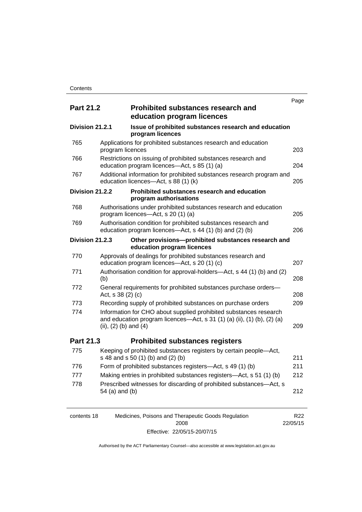|                  |                           |                                                                                                                                              | Page |
|------------------|---------------------------|----------------------------------------------------------------------------------------------------------------------------------------------|------|
| <b>Part 21.2</b> |                           | <b>Prohibited substances research and</b><br>education program licences                                                                      |      |
| Division 21.2.1  |                           | Issue of prohibited substances research and education<br>program licences                                                                    |      |
| 765              | program licences          | Applications for prohibited substances research and education                                                                                | 203  |
| 766              |                           | Restrictions on issuing of prohibited substances research and<br>education program licences-Act, s 85 (1) (a)                                | 204  |
| 767              |                           | Additional information for prohibited substances research program and<br>education licences-Act, s 88 (1) (k)                                | 205  |
| Division 21.2.2  |                           | Prohibited substances research and education<br>program authorisations                                                                       |      |
| 768              |                           | Authorisations under prohibited substances research and education<br>program licences-Act, s 20 (1) (a)                                      | 205  |
| 769              |                           | Authorisation condition for prohibited substances research and<br>education program licences—Act, s 44 (1) (b) and (2) (b)                   | 206  |
| Division 21.2.3  |                           | Other provisions-prohibited substances research and<br>education program licences                                                            |      |
| 770              |                           | Approvals of dealings for prohibited substances research and<br>education program licences—Act, s 20 (1) (c)                                 | 207  |
| 771              | (b)                       | Authorisation condition for approval-holders—Act, s 44 (1) (b) and (2)                                                                       | 208  |
| 772              | Act, s 38 (2) (c)         | General requirements for prohibited substances purchase orders-                                                                              | 208  |
| 773              |                           | Recording supply of prohibited substances on purchase orders                                                                                 | 209  |
| 774              | (ii), $(2)$ (b) and $(4)$ | Information for CHO about supplied prohibited substances research<br>and education program licences—Act, s 31 (1) (a) (ii), (1) (b), (2) (a) | 209  |
| Part 21.3        |                           | <b>Prohibited substances registers</b>                                                                                                       |      |
| 775              |                           | Keeping of prohibited substances registers by certain people-Act,<br>s 48 and s 50 (1) (b) and (2) (b)                                       | 211  |
| 776              |                           | Form of prohibited substances registers—Act, s 49 (1) (b)                                                                                    | 211  |
| 777              |                           | Making entries in prohibited substances registers—Act, s 51 (1) (b)                                                                          | 212  |
| 778              | 54 (a) and (b)            | Prescribed witnesses for discarding of prohibited substances-Act, s                                                                          | 212  |

| contents 18 | Medicines, Poisons and Therapeutic Goods Regulation | R22      |
|-------------|-----------------------------------------------------|----------|
|             | 2008                                                | 22/05/15 |
|             | Effective: 22/05/15-20/07/15                        |          |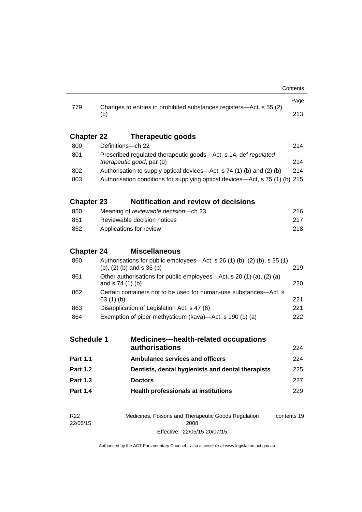| <b>Part 1.4</b>   |                                                                                                         | <b>Health professionals at institutions</b>                         | 229        |  |
|-------------------|---------------------------------------------------------------------------------------------------------|---------------------------------------------------------------------|------------|--|
| <b>Part 1.3</b>   |                                                                                                         | <b>Doctors</b>                                                      | 227        |  |
| <b>Part 1.2</b>   |                                                                                                         | Dentists, dental hygienists and dental therapists                   | 225        |  |
| <b>Part 1.1</b>   |                                                                                                         | <b>Ambulance services and officers</b>                              | 224        |  |
|                   |                                                                                                         |                                                                     | 224        |  |
| <b>Schedule 1</b> |                                                                                                         | <b>Medicines-health-related occupations</b><br>authorisations       |            |  |
|                   |                                                                                                         |                                                                     |            |  |
| 863<br>864        | Disapplication of Legislation Act, s 47 (6)<br>Exemption of piper methysticum (kava)—Act, s 190 (1) (a) |                                                                     | 222        |  |
|                   | 63(1)(b)                                                                                                |                                                                     | 221<br>221 |  |
| 862               | Certain containers not to be used for human-use substances-Act, s                                       |                                                                     |            |  |
| 861               | Other authorisations for public employees—Act, s 20 (1) (a), (2) (a)<br>and s 74 (1) (b)<br>220         |                                                                     |            |  |
| 860               | Authorisations for public employees—Act, s 26 (1) (b), (2) (b), s 35 (1)<br>(b), (2) (b) and s 36 (b)   |                                                                     | 219        |  |
| <b>Chapter 24</b> |                                                                                                         | <b>Miscellaneous</b>                                                |            |  |
|                   |                                                                                                         |                                                                     |            |  |
| 852               | Applications for review<br>218                                                                          |                                                                     |            |  |
| 851               | Reviewable decision notices                                                                             |                                                                     | 217        |  |
| 850               |                                                                                                         | Meaning of reviewable decision-ch 23                                | 216        |  |
| <b>Chapter 23</b> |                                                                                                         | <b>Notification and review of decisions</b>                         |            |  |
| 803               | Authorisation conditions for supplying optical devices-Act, s 75 (1) (b) 215                            |                                                                     |            |  |
| 802               | 214<br>Authorisation to supply optical devices—Act, s 74 (1) (b) and (2) (b)                            |                                                                     |            |  |
|                   | therapeutic good, par (b)                                                                               |                                                                     | 214        |  |
| 800<br>801        | Definitions-ch 22                                                                                       | Prescribed regulated therapeutic goods-Act, s 14, def regulated     | 214        |  |
| <b>Chapter 22</b> |                                                                                                         | <b>Therapeutic goods</b>                                            |            |  |
|                   |                                                                                                         |                                                                     |            |  |
|                   | (b)                                                                                                     |                                                                     | 213        |  |
| 779               |                                                                                                         | Changes to entries in prohibited substances registers—Act, s 55 (2) | Page       |  |
|                   |                                                                                                         |                                                                     |            |  |

R22 22/05/15 Medicines, Poisons and Therapeutic Goods Regulation 2008 Effective: 22/05/15-20/07/15 contents 19

l,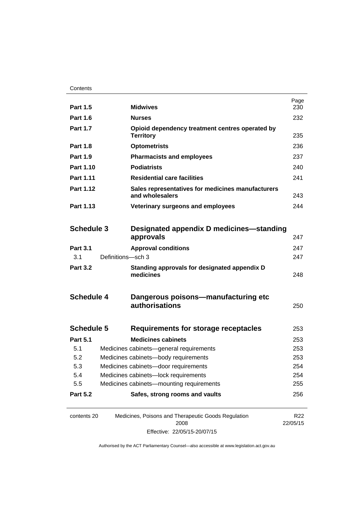| <b>Part 1.5</b>   |                                      | <b>Midwives</b>                                                      | Page<br>230                 |
|-------------------|--------------------------------------|----------------------------------------------------------------------|-----------------------------|
| <b>Part 1.6</b>   |                                      | Nurses                                                               | 232                         |
| <b>Part 1.7</b>   |                                      | Opioid dependency treatment centres operated by<br><b>Territory</b>  |                             |
| <b>Part 1.8</b>   |                                      | <b>Optometrists</b>                                                  | 236                         |
| <b>Part 1.9</b>   |                                      | <b>Pharmacists and employees</b>                                     | 237                         |
| Part 1.10         |                                      | <b>Podiatrists</b>                                                   | 240                         |
| <b>Part 1.11</b>  |                                      | <b>Residential care facilities</b>                                   | 241                         |
| Part 1.12         |                                      | Sales representatives for medicines manufacturers<br>and wholesalers |                             |
| Part 1.13         |                                      | Veterinary surgeons and employees                                    | 244                         |
|                   |                                      |                                                                      |                             |
| <b>Schedule 3</b> |                                      | Designated appendix D medicines—standing                             |                             |
|                   |                                      | approvals                                                            | 247                         |
| <b>Part 3.1</b>   |                                      | <b>Approval conditions</b>                                           | 247                         |
| 3.1               | Definitions-sch 3                    |                                                                      | 247                         |
| <b>Part 3.2</b>   |                                      | Standing approvals for designated appendix D<br>medicines            | 248                         |
| <b>Schedule 4</b> |                                      | Dangerous poisons-manufacturing etc<br>authorisations                | 250                         |
| <b>Schedule 5</b> |                                      | Requirements for storage receptacles                                 | 253                         |
| <b>Part 5.1</b>   |                                      | <b>Medicines cabinets</b>                                            | 253                         |
| 5.1               |                                      | Medicines cabinets-general requirements                              | 253                         |
| 5.2               | Medicines cabinets-body requirements |                                                                      | 253                         |
| 5.3               | Medicines cabinets-door requirements |                                                                      | 254                         |
| 5.4               | Medicines cabinets-lock requirements |                                                                      | 254                         |
| 5.5               |                                      | Medicines cabinets-mounting requirements                             | 255                         |
| <b>Part 5.2</b>   |                                      | Safes, strong rooms and vaults                                       | 256                         |
| contents 20       |                                      | Medicines, Poisons and Therapeutic Goods Regulation<br>2008          | R <sub>22</sub><br>22/05/15 |

Effective: 22/05/15-20/07/15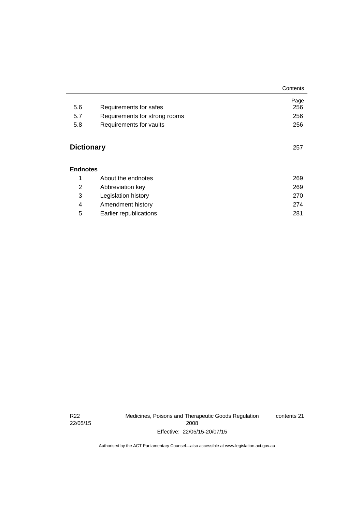|                   |                               | Contents |
|-------------------|-------------------------------|----------|
|                   |                               | Page     |
| 5.6               | Requirements for safes        | 256      |
| 5.7               | Requirements for strong rooms | 256      |
| 5.8               | Requirements for vaults       | 256      |
| <b>Dictionary</b> |                               | 257      |
| <b>Endnotes</b>   |                               |          |
| 1                 | About the endnotes            | 269      |
| 2                 | Abbreviation key              | 269      |
| 3                 | Legislation history           | 270      |
| 4                 | Amendment history             | 274      |
| 5                 | Earlier republications        | 281      |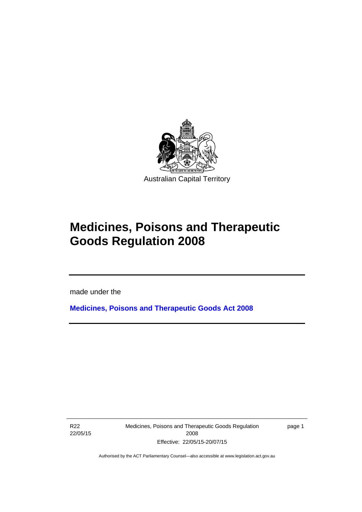

# **Medicines, Poisons and Therapeutic Goods Regulation 2008**

made under the

**[Medicines, Poisons and Therapeutic Goods Act 2008](http://www.legislation.act.gov.au/a/2008-26)**

R22 22/05/15

l

Medicines, Poisons and Therapeutic Goods Regulation 2008 Effective: 22/05/15-20/07/15

page 1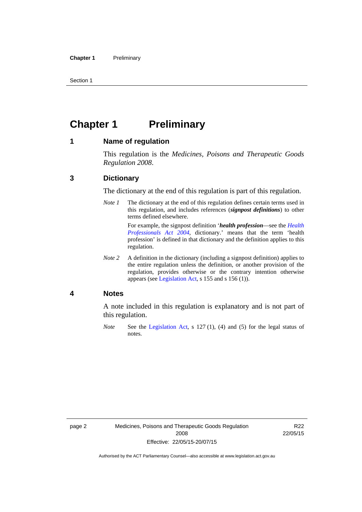Section 1

# <span id="page-25-0"></span>**Chapter 1 Preliminary**

### <span id="page-25-1"></span>**1 Name of regulation**

This regulation is the *Medicines, Poisons and Therapeutic Goods Regulation 2008*.

### <span id="page-25-2"></span>**3 Dictionary**

The dictionary at the end of this regulation is part of this regulation.

*Note 1* The dictionary at the end of this regulation defines certain terms used in this regulation, and includes references (*signpost definitions*) to other terms defined elsewhere. For example, the signpost definition '*health profession*—see the *[Health](http://www.legislation.act.gov.au/a/2004-38)* 

*[Professionals Act 2004](http://www.legislation.act.gov.au/a/2004-38)*, dictionary.' means that the term 'health profession' is defined in that dictionary and the definition applies to this regulation.

*Note 2* A definition in the dictionary (including a signpost definition) applies to the entire regulation unless the definition, or another provision of the regulation, provides otherwise or the contrary intention otherwise appears (see [Legislation Act,](http://www.legislation.act.gov.au/a/2001-14) s 155 and s 156 (1)).

### <span id="page-25-3"></span>**4 Notes**

A note included in this regulation is explanatory and is not part of this regulation.

*Note* See the [Legislation Act,](http://www.legislation.act.gov.au/a/2001-14) s 127 (1), (4) and (5) for the legal status of notes.

R22 22/05/15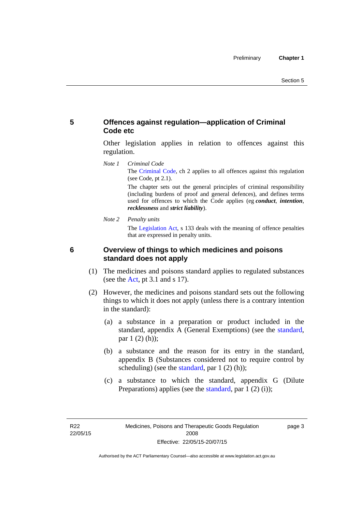# <span id="page-26-0"></span>**5 Offences against regulation—application of Criminal Code etc**

Other legislation applies in relation to offences against this regulation.

*Note 1 Criminal Code* The [Criminal Code](http://www.legislation.act.gov.au/a/2002-51), ch 2 applies to all offences against this regulation (see Code, pt 2.1).

> The chapter sets out the general principles of criminal responsibility (including burdens of proof and general defences), and defines terms used for offences to which the Code applies (eg *conduct*, *intention*, *recklessness* and *strict liability*).

*Note 2 Penalty units* 

The [Legislation Act](http://www.legislation.act.gov.au/a/2001-14), s 133 deals with the meaning of offence penalties that are expressed in penalty units.

# <span id="page-26-1"></span>**6 Overview of things to which medicines and poisons standard does not apply**

- (1) The medicines and poisons standard applies to regulated substances (see the  $Act$ , pt 3.1 and s 17).
- (2) However, the medicines and poisons standard sets out the following things to which it does not apply (unless there is a contrary intention in the standard):
	- (a) a substance in a preparation or product included in the standard, appendix A (General Exemptions) (see the [standard](http://www.comlaw.gov.au/Series/F2012L01200), par 1 (2) (h));
	- (b) a substance and the reason for its entry in the standard, appendix B (Substances considered not to require control by scheduling) (see the [standard,](http://www.comlaw.gov.au/Series/F2012L01200) par  $1(2)(h)$ );
	- (c) a substance to which the standard, appendix G (Dilute Preparations) applies (see the [standard,](http://www.comlaw.gov.au/Series/F2012L01200) par 1 (2) (i));

page 3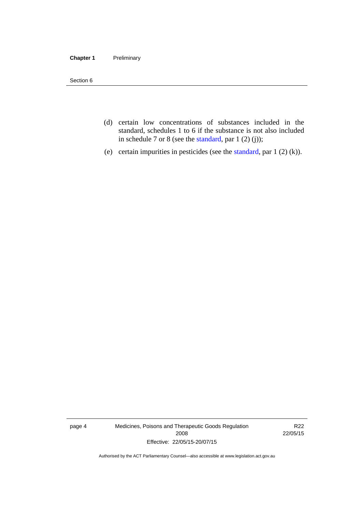#### **Chapter 1** Preliminary

Section 6

- (d) certain low concentrations of substances included in the standard, schedules 1 to 6 if the substance is not also included in schedule 7 or 8 (see the [standard,](http://www.comlaw.gov.au/Series/F2012L01200) par 1 (2) (j));
- (e) certain impurities in pesticides (see the [standard,](http://www.comlaw.gov.au/Series/F2012L01200) par  $1(2)(k)$ ).

page 4 Medicines, Poisons and Therapeutic Goods Regulation 2008 Effective: 22/05/15-20/07/15

R22 22/05/15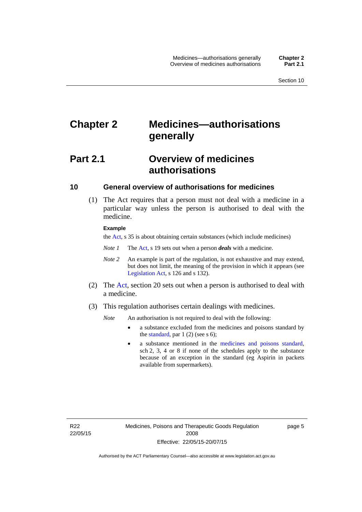# <span id="page-28-0"></span>**Chapter 2 Medicines—authorisations generally**

# <span id="page-28-1"></span>**Part 2.1 Overview of medicines authorisations**

### <span id="page-28-2"></span>**10 General overview of authorisations for medicines**

 (1) The Act requires that a person must not deal with a medicine in a particular way unless the person is authorised to deal with the medicine.

#### **Example**

the [Act](http://www.legislation.act.gov.au/a/2008-26/default.asp), s 35 is about obtaining certain substances (which include medicines)

- *Note 1* The [Act,](http://www.legislation.act.gov.au/a/2008-26/default.asp) s 19 sets out when a person *deals* with a medicine.
- *Note 2* An example is part of the regulation, is not exhaustive and may extend, but does not limit, the meaning of the provision in which it appears (see [Legislation Act,](http://www.legislation.act.gov.au/a/2001-14) s 126 and s 132).
- (2) The [Act](http://www.legislation.act.gov.au/a/2008-26/default.asp), section 20 sets out when a person is authorised to deal with a medicine.
- (3) This regulation authorises certain dealings with medicines.

*Note* An authorisation is not required to deal with the following:

- a substance excluded from the medicines and poisons standard by the [standard,](http://www.comlaw.gov.au/Series/F2012L01200) par  $1(2)$  (see s 6);
- a substance mentioned in the [medicines and poisons standard,](http://www.comlaw.gov.au/Series/F2012L01200) sch 2, 3, 4 or 8 if none of the schedules apply to the substance because of an exception in the standard (eg Aspirin in packets available from supermarkets).

R22 22/05/15 page 5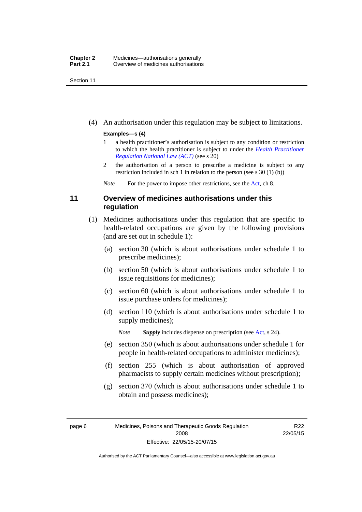Section 11

(4) An authorisation under this regulation may be subject to limitations.

### **Examples—s (4)**

- 1 a health practitioner's authorisation is subject to any condition or restriction to which the health practitioner is subject to under the *[Health Practitioner](http://www.legislation.act.gov.au/a/db_39269/default.asp)  [Regulation National Law \(ACT\)](http://www.legislation.act.gov.au/a/db_39269/default.asp)* (see s 20)
- 2 the authorisation of a person to prescribe a medicine is subject to any restriction included in sch 1 in relation to the person (see s 30 (1) (b))

*Note* For the power to impose other restrictions, see the [Act](http://www.legislation.act.gov.au/a/2008-26/default.asp), ch 8.

# <span id="page-29-0"></span>**11 Overview of medicines authorisations under this regulation**

- (1) Medicines authorisations under this regulation that are specific to health-related occupations are given by the following provisions (and are set out in schedule 1):
	- (a) section 30 (which is about authorisations under schedule 1 to prescribe medicines);
	- (b) section 50 (which is about authorisations under schedule 1 to issue requisitions for medicines);
	- (c) section 60 (which is about authorisations under schedule 1 to issue purchase orders for medicines);
	- (d) section 110 (which is about authorisations under schedule 1 to supply medicines);

*Note Supply* includes dispense on prescription (see [Act,](http://www.legislation.act.gov.au/a/2008-26/default.asp) s 24).

- (e) section 350 (which is about authorisations under schedule 1 for people in health-related occupations to administer medicines);
- (f) section 255 (which is about authorisation of approved pharmacists to supply certain medicines without prescription);
- (g) section 370 (which is about authorisations under schedule 1 to obtain and possess medicines);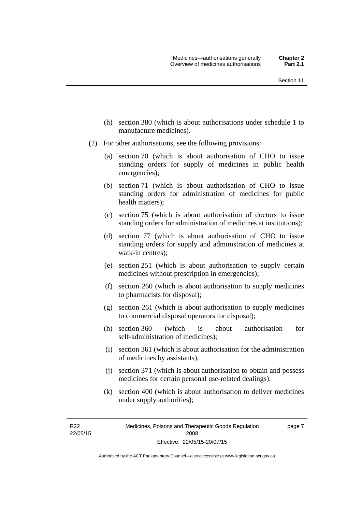- (h) section 380 (which is about authorisations under schedule 1 to manufacture medicines).
- (2) For other authorisations, see the following provisions:
	- (a) section 70 (which is about authorisation of CHO to issue standing orders for supply of medicines in public health emergencies);
	- (b) section 71 (which is about authorisation of CHO to issue standing orders for administration of medicines for public health matters);
	- (c) section 75 (which is about authorisation of doctors to issue standing orders for administration of medicines at institutions);
	- (d) section 77 (which is about authorisation of CHO to issue standing orders for supply and administration of medicines at walk-in centres);
	- (e) section 251 (which is about authorisation to supply certain medicines without prescription in emergencies);
	- (f) section 260 (which is about authorisation to supply medicines to pharmacists for disposal);
	- (g) section 261 (which is about authorisation to supply medicines to commercial disposal operators for disposal);
	- (h) section 360 (which is about authorisation for self-administration of medicines);
	- (i) section 361 (which is about authorisation for the administration of medicines by assistants);
	- (j) section 371 (which is about authorisation to obtain and possess medicines for certain personal use-related dealings);
	- (k) section 400 (which is about authorisation to deliver medicines under supply authorities);

R22 22/05/15 page 7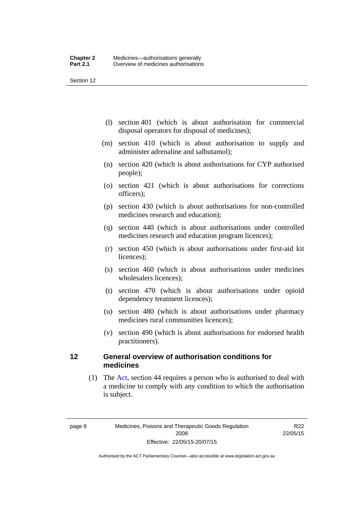Section 12

- (l) section 401 (which is about authorisation for commercial disposal operators for disposal of medicines);
- (m) section 410 (which is about authorisation to supply and administer adrenaline and salbutamol);
- (n) section 420 (which is about authorisations for CYP authorised people);
- (o) section 421 (which is about authorisations for corrections officers);
- (p) section 430 (which is about authorisations for non-controlled medicines research and education);
- (q) section 440 (which is about authorisations under controlled medicines research and education program licences);
- (r) section 450 (which is about authorisations under first-aid kit licences);
- (s) section 460 (which is about authorisations under medicines wholesalers licences);
- (t) section 470 (which is about authorisations under opioid dependency treatment licences);
- (u) section 480 (which is about authorisations under pharmacy medicines rural communities licences);
- (v) section 490 (which is about authorisations for endorsed health practitioners).

### <span id="page-31-0"></span>**12 General overview of authorisation conditions for medicines**

 (1) The [Act](http://www.legislation.act.gov.au/a/2008-26/default.asp), section 44 requires a person who is authorised to deal with a medicine to comply with any condition to which the authorisation is subject.

R22 22/05/15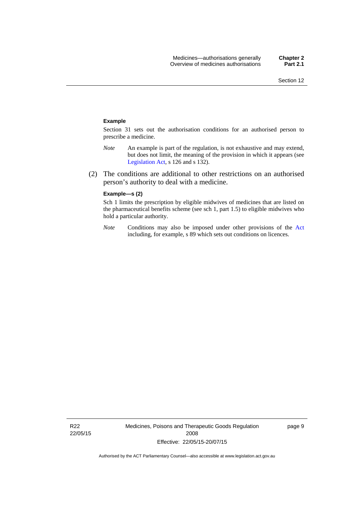#### **Example**

Section 31 sets out the authorisation conditions for an authorised person to prescribe a medicine.

- *Note* An example is part of the regulation, is not exhaustive and may extend, but does not limit, the meaning of the provision in which it appears (see [Legislation Act,](http://www.legislation.act.gov.au/a/2001-14) s 126 and s 132).
- (2) The conditions are additional to other restrictions on an authorised person's authority to deal with a medicine.

#### **Example—s (2)**

Sch 1 limits the prescription by eligible midwives of medicines that are listed on the pharmaceutical benefits scheme (see sch 1, part 1.5) to eligible midwives who hold a particular authority.

*Note* Conditions may also be imposed under other provisions of the [Act](http://www.legislation.act.gov.au/a/2008-26/default.asp) including, for example, s 89 which sets out conditions on licences.

R22 22/05/15 Medicines, Poisons and Therapeutic Goods Regulation 2008 Effective: 22/05/15-20/07/15

page 9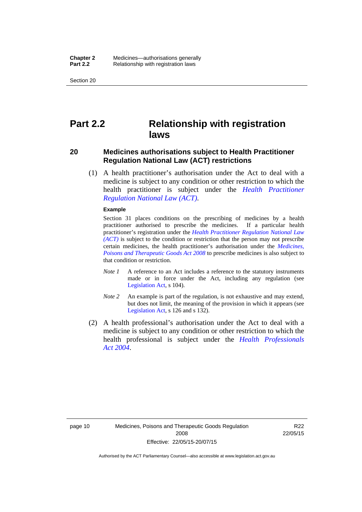Section 20

# <span id="page-33-0"></span>**Part 2.2 Relationship with registration laws**

### <span id="page-33-1"></span>**20 Medicines authorisations subject to Health Practitioner Regulation National Law (ACT) restrictions**

 (1) A health practitioner's authorisation under the Act to deal with a medicine is subject to any condition or other restriction to which the health practitioner is subject under the *[Health Practitioner](http://www.legislation.act.gov.au/a/db_39269/default.asp)  [Regulation National Law \(ACT\)](http://www.legislation.act.gov.au/a/db_39269/default.asp)*.

#### **Example**

Section 31 places conditions on the prescribing of medicines by a health practitioner authorised to prescribe the medicines. If a particular health practitioner's registration under the *[Health Practitioner Regulation National Law](http://www.legislation.act.gov.au/a/db_39269/default.asp)  [\(ACT\)](http://www.legislation.act.gov.au/a/db_39269/default.asp)* is subject to the condition or restriction that the person may not prescribe certain medicines, the health practitioner's authorisation under the *[Medicines,](http://www.legislation.act.gov.au/a/2008-26)  [Poisons and Therapeutic Goods Act 2008](http://www.legislation.act.gov.au/a/2008-26)* to prescribe medicines is also subject to that condition or restriction.

- *Note 1* A reference to an Act includes a reference to the statutory instruments made or in force under the Act, including any regulation (see [Legislation Act,](http://www.legislation.act.gov.au/a/2001-14) s 104).
- *Note 2* An example is part of the regulation, is not exhaustive and may extend, but does not limit, the meaning of the provision in which it appears (see [Legislation Act,](http://www.legislation.act.gov.au/a/2001-14) s 126 and s 132).
- (2) A health professional's authorisation under the Act to deal with a medicine is subject to any condition or other restriction to which the health professional is subject under the *[Health Professionals](http://www.legislation.act.gov.au/a/2004-38)  [Act 2004](http://www.legislation.act.gov.au/a/2004-38)*.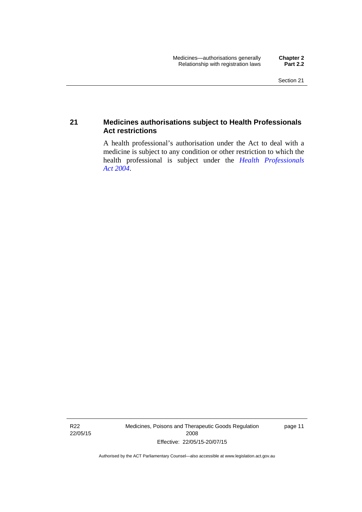## <span id="page-34-0"></span>**21 Medicines authorisations subject to Health Professionals Act restrictions**

A health professional's authorisation under the Act to deal with a medicine is subject to any condition or other restriction to which the health professional is subject under the *[Health Professionals](http://www.legislation.act.gov.au/a/2004-38)  [Act 2004](http://www.legislation.act.gov.au/a/2004-38)*.

R22 22/05/15 Medicines, Poisons and Therapeutic Goods Regulation 2008 Effective: 22/05/15-20/07/15

page 11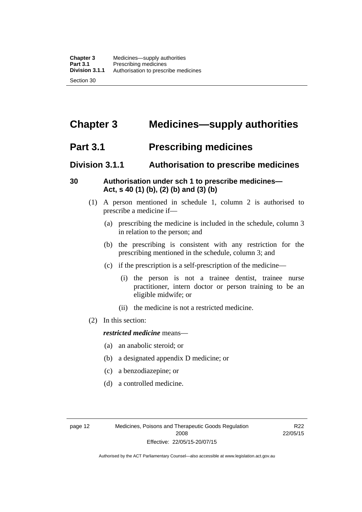# <span id="page-35-0"></span>**Chapter 3 Medicines—supply authorities**

# <span id="page-35-1"></span>**Part 3.1 Prescribing medicines**

# <span id="page-35-2"></span>**Division 3.1.1 Authorisation to prescribe medicines**

# <span id="page-35-3"></span>**30 Authorisation under sch 1 to prescribe medicines— Act, s 40 (1) (b), (2) (b) and (3) (b)**

- (1) A person mentioned in schedule 1, column 2 is authorised to prescribe a medicine if—
	- (a) prescribing the medicine is included in the schedule, column 3 in relation to the person; and
	- (b) the prescribing is consistent with any restriction for the prescribing mentioned in the schedule, column 3; and
	- (c) if the prescription is a self-prescription of the medicine—
		- (i) the person is not a trainee dentist, trainee nurse practitioner, intern doctor or person training to be an eligible midwife; or
		- (ii) the medicine is not a restricted medicine.
- (2) In this section:

### *restricted medicine* means—

- (a) an anabolic steroid; or
- (b) a designated appendix D medicine; or
- (c) a benzodiazepine; or
- (d) a controlled medicine.

R22 22/05/15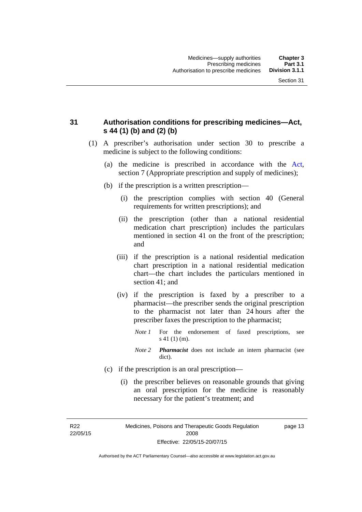## **31 Authorisation conditions for prescribing medicines—Act, s 44 (1) (b) and (2) (b)**

- (1) A prescriber's authorisation under section 30 to prescribe a medicine is subject to the following conditions:
	- (a) the medicine is prescribed in accordance with the [Act](http://www.legislation.act.gov.au/a/2008-26/default.asp), section 7 (Appropriate prescription and supply of medicines);
	- (b) if the prescription is a written prescription—
		- (i) the prescription complies with section 40 (General requirements for written prescriptions); and
		- (ii) the prescription (other than a national residential medication chart prescription) includes the particulars mentioned in section 41 on the front of the prescription; and
		- (iii) if the prescription is a national residential medication chart prescription in a national residential medication chart––the chart includes the particulars mentioned in section 41; and
		- (iv) if the prescription is faxed by a prescriber to a pharmacist—the prescriber sends the original prescription to the pharmacist not later than 24 hours after the prescriber faxes the prescription to the pharmacist;
			- *Note 1* For the endorsement of faxed prescriptions, see s 41 (1) (m).
			- *Note 2 Pharmacist* does not include an intern pharmacist (see dict).
	- (c) if the prescription is an oral prescription—
		- (i) the prescriber believes on reasonable grounds that giving an oral prescription for the medicine is reasonably necessary for the patient's treatment; and

R22 22/05/15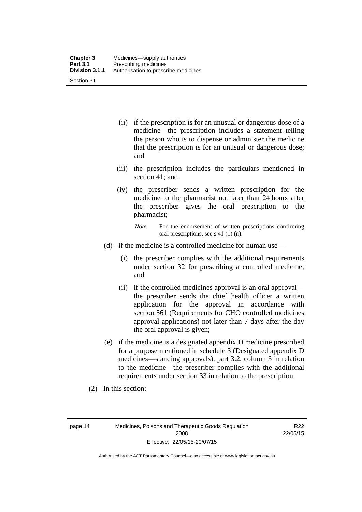| <b>Chapter 3</b> | Medicines—supply authorities         |
|------------------|--------------------------------------|
| <b>Part 3.1</b>  | Prescribing medicines                |
| Division 3.1.1   | Authorisation to prescribe medicines |
| Section 31       |                                      |

- (ii) if the prescription is for an unusual or dangerous dose of a medicine—the prescription includes a statement telling the person who is to dispense or administer the medicine that the prescription is for an unusual or dangerous dose; and
- (iii) the prescription includes the particulars mentioned in section 41; and
- (iv) the prescriber sends a written prescription for the medicine to the pharmacist not later than 24 hours after the prescriber gives the oral prescription to the pharmacist;

*Note* For the endorsement of written prescriptions confirming oral prescriptions, see s 41 (1) (n).

- (d) if the medicine is a controlled medicine for human use—
	- (i) the prescriber complies with the additional requirements under section 32 for prescribing a controlled medicine; and
	- (ii) if the controlled medicines approval is an oral approval the prescriber sends the chief health officer a written application for the approval in accordance with section 561 (Requirements for CHO controlled medicines approval applications) not later than 7 days after the day the oral approval is given;
- (e) if the medicine is a designated appendix D medicine prescribed for a purpose mentioned in schedule 3 (Designated appendix D medicines—standing approvals), part 3.2, column 3 in relation to the medicine—the prescriber complies with the additional requirements under section 33 in relation to the prescription.
- (2) In this section:

page 14 Medicines, Poisons and Therapeutic Goods Regulation 2008 Effective: 22/05/15-20/07/15

R22 22/05/15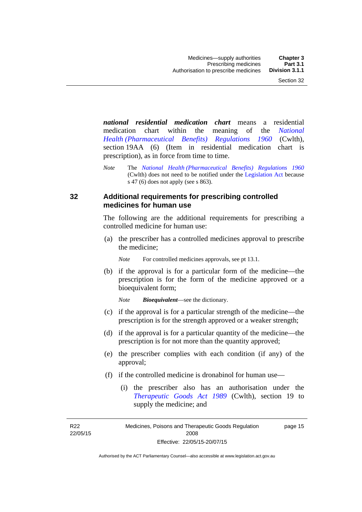*national residential medication chart* means a residential medication chart within the meaning of the *[National](http://www.comlaw.gov.au/Series/F1996B02844)  [Health \(Pharmaceutical Benefits\) Regulations 1960](http://www.comlaw.gov.au/Series/F1996B02844)* (Cwlth), section 19AA (6) (Item in residential medication chart is prescription), as in force from time to time.

*Note* The *[National Health \(Pharmaceutical Benefits\) Regulations 1960](http://www.comlaw.gov.au/Series/F1996B02844)* (Cwlth) does not need to be notified under the [Legislation Act](http://www.legislation.act.gov.au/a/2001-14) because s 47 (6) does not apply (see s 863).

### **32 Additional requirements for prescribing controlled medicines for human use**

The following are the additional requirements for prescribing a controlled medicine for human use:

 (a) the prescriber has a controlled medicines approval to prescribe the medicine;

*Note* For controlled medicines approvals, see pt 13.1.

 (b) if the approval is for a particular form of the medicine—the prescription is for the form of the medicine approved or a bioequivalent form;

*Note Bioequivalent*—see the dictionary.

- (c) if the approval is for a particular strength of the medicine—the prescription is for the strength approved or a weaker strength;
- (d) if the approval is for a particular quantity of the medicine—the prescription is for not more than the quantity approved;
- (e) the prescriber complies with each condition (if any) of the approval;
- (f) if the controlled medicine is dronabinol for human use—
	- (i) the prescriber also has an authorisation under the *[Therapeutic Goods Act 1989](http://www.comlaw.gov.au/Series/C2004A03952)* (Cwlth), section 19 to supply the medicine; and

R22 22/05/15

Medicines, Poisons and Therapeutic Goods Regulation 2008 Effective: 22/05/15-20/07/15 page 15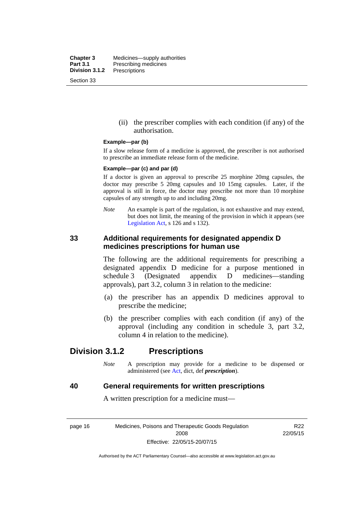**Chapter 3** Medicines—supply authorities<br>**Part 3.1** Prescribing medicines **Part 3.1** Prescribing medicines<br>**Division 3.1.2** Prescriptions **Division 3.1.2** Prescriptions Section 33

> (ii) the prescriber complies with each condition (if any) of the authorisation.

#### **Example—par (b)**

If a slow release form of a medicine is approved, the prescriber is not authorised to prescribe an immediate release form of the medicine.

#### **Example—par (c) and par (d)**

If a doctor is given an approval to prescribe 25 morphine 20mg capsules, the doctor may prescribe 5 20mg capsules and 10 15mg capsules. Later, if the approval is still in force, the doctor may prescribe not more than 10 morphine capsules of any strength up to and including 20mg.

*Note* An example is part of the regulation, is not exhaustive and may extend, but does not limit, the meaning of the provision in which it appears (see [Legislation Act,](http://www.legislation.act.gov.au/a/2001-14) s 126 and s 132).

### **33 Additional requirements for designated appendix D medicines prescriptions for human use**

The following are the additional requirements for prescribing a designated appendix D medicine for a purpose mentioned in schedule 3 (Designated appendix D medicines—standing approvals), part 3.2, column 3 in relation to the medicine:

- (a) the prescriber has an appendix D medicines approval to prescribe the medicine;
- (b) the prescriber complies with each condition (if any) of the approval (including any condition in schedule 3, part 3.2, column 4 in relation to the medicine).

# **Division 3.1.2 Prescriptions**

*Note* A prescription may provide for a medicine to be dispensed or administered (see [Act](http://www.legislation.act.gov.au/a/2008-26/default.asp), dict, def *prescription*).

### **40 General requirements for written prescriptions**

A written prescription for a medicine must—

page 16 Medicines, Poisons and Therapeutic Goods Regulation 2008 Effective: 22/05/15-20/07/15

R<sub>22</sub> 22/05/15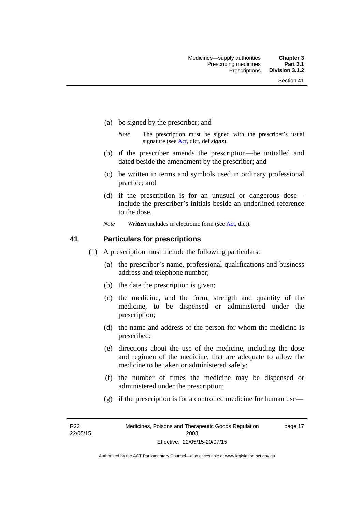- (a) be signed by the prescriber; and
	- *Note* The prescription must be signed with the prescriber's usual signature (see [Act](http://www.legislation.act.gov.au/a/2008-26/default.asp), dict, def *signs*).
- (b) if the prescriber amends the prescription—be initialled and dated beside the amendment by the prescriber; and
- (c) be written in terms and symbols used in ordinary professional practice; and
- (d) if the prescription is for an unusual or dangerous dose include the prescriber's initials beside an underlined reference to the dose.
- *Note Written* includes in electronic form (see [Act,](http://www.legislation.act.gov.au/a/2008-26/default.asp) dict).

### **41 Particulars for prescriptions**

- (1) A prescription must include the following particulars:
	- (a) the prescriber's name, professional qualifications and business address and telephone number;
	- (b) the date the prescription is given;
	- (c) the medicine, and the form, strength and quantity of the medicine, to be dispensed or administered under the prescription;
	- (d) the name and address of the person for whom the medicine is prescribed;
	- (e) directions about the use of the medicine, including the dose and regimen of the medicine, that are adequate to allow the medicine to be taken or administered safely;
	- (f) the number of times the medicine may be dispensed or administered under the prescription;
	- (g) if the prescription is for a controlled medicine for human use—

R22 22/05/15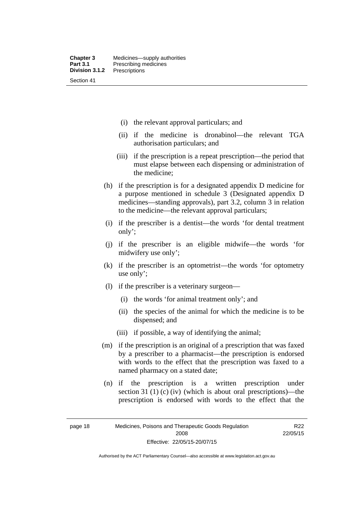- (i) the relevant approval particulars; and
- (ii) if the medicine is dronabinol—the relevant TGA authorisation particulars; and
- (iii) if the prescription is a repeat prescription—the period that must elapse between each dispensing or administration of the medicine;
- (h) if the prescription is for a designated appendix D medicine for a purpose mentioned in schedule 3 (Designated appendix D medicines—standing approvals), part 3.2, column 3 in relation to the medicine—the relevant approval particulars;
- (i) if the prescriber is a dentist—the words 'for dental treatment only';
- (j) if the prescriber is an eligible midwife—the words 'for midwifery use only';
- (k) if the prescriber is an optometrist—the words 'for optometry use only';
- (l) if the prescriber is a veterinary surgeon—
	- (i) the words 'for animal treatment only'; and
	- (ii) the species of the animal for which the medicine is to be dispensed; and
	- (iii) if possible, a way of identifying the animal;
- (m) if the prescription is an original of a prescription that was faxed by a prescriber to a pharmacist—the prescription is endorsed with words to the effect that the prescription was faxed to a named pharmacy on a stated date;
- (n) if the prescription is a written prescription under section 31 (1) (c) (iv) (which is about oral prescriptions)—the prescription is endorsed with words to the effect that the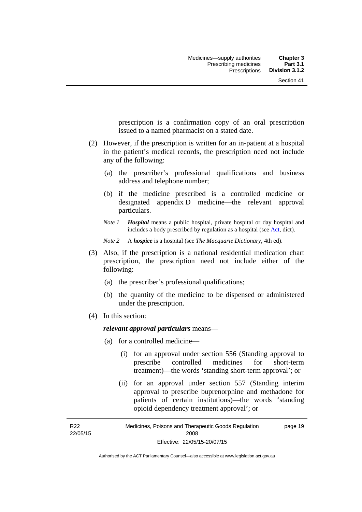prescription is a confirmation copy of an oral prescription issued to a named pharmacist on a stated date.

- (2) However, if the prescription is written for an in-patient at a hospital in the patient's medical records, the prescription need not include any of the following:
	- (a) the prescriber's professional qualifications and business address and telephone number;
	- (b) if the medicine prescribed is a controlled medicine or designated appendix D medicine—the relevant approval particulars.
	- *Note 1 Hospital* means a public hospital, private hospital or day hospital and includes a body prescribed by regulation as a hospital (see [Act,](http://www.legislation.act.gov.au/a/2008-26/default.asp) dict).

*Note 2* A *hospice* is a hospital (see *The Macquarie Dictionary*, 4th ed).

- (3) Also, if the prescription is a national residential medication chart prescription, the prescription need not include either of the following:
	- (a) the prescriber's professional qualifications;
	- (b) the quantity of the medicine to be dispensed or administered under the prescription.
- (4) In this section:

### *relevant approval particulars* means—

- (a) for a controlled medicine—
	- (i) for an approval under section 556 (Standing approval to prescribe controlled medicines for short-term treatment)—the words 'standing short-term approval'; or
	- (ii) for an approval under section 557 (Standing interim approval to prescribe buprenorphine and methadone for patients of certain institutions)—the words 'standing opioid dependency treatment approval'; or

R22 22/05/15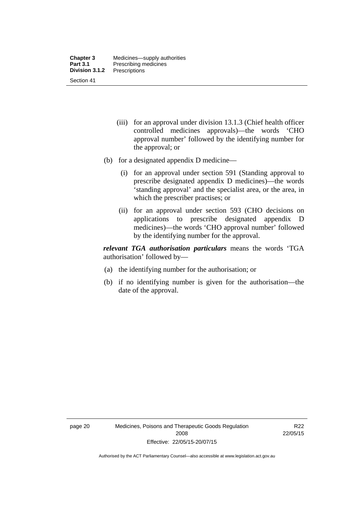- (iii) for an approval under division 13.1.3 (Chief health officer controlled medicines approvals)—the words 'CHO approval number' followed by the identifying number for the approval; or
- (b) for a designated appendix D medicine—
	- (i) for an approval under section 591 (Standing approval to prescribe designated appendix D medicines)—the words 'standing approval' and the specialist area, or the area, in which the prescriber practises; or
	- (ii) for an approval under section 593 (CHO decisions on applications to prescribe designated appendix D medicines)—the words 'CHO approval number' followed by the identifying number for the approval.

*relevant TGA authorisation particulars* means the words 'TGA authorisation' followed by—

- (a) the identifying number for the authorisation; or
- (b) if no identifying number is given for the authorisation—the date of the approval.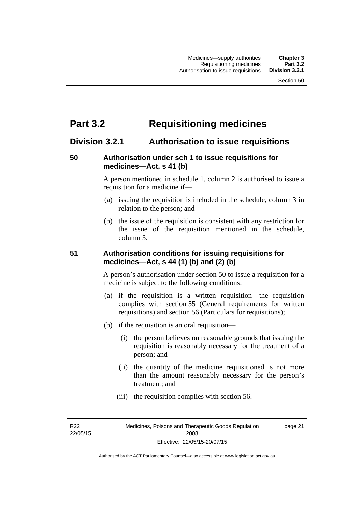# **Part 3.2 Requisitioning medicines**

# **Division 3.2.1 Authorisation to issue requisitions**

## **50 Authorisation under sch 1 to issue requisitions for medicines—Act, s 41 (b)**

A person mentioned in schedule 1, column 2 is authorised to issue a requisition for a medicine if—

- (a) issuing the requisition is included in the schedule, column 3 in relation to the person; and
- (b) the issue of the requisition is consistent with any restriction for the issue of the requisition mentioned in the schedule, column 3.

## **51 Authorisation conditions for issuing requisitions for medicines—Act, s 44 (1) (b) and (2) (b)**

A person's authorisation under section 50 to issue a requisition for a medicine is subject to the following conditions:

- (a) if the requisition is a written requisition—the requisition complies with section 55 (General requirements for written requisitions) and section 56 (Particulars for requisitions);
- (b) if the requisition is an oral requisition—
	- (i) the person believes on reasonable grounds that issuing the requisition is reasonably necessary for the treatment of a person; and
	- (ii) the quantity of the medicine requisitioned is not more than the amount reasonably necessary for the person's treatment; and
	- (iii) the requisition complies with section 56.

R22 22/05/15 page 21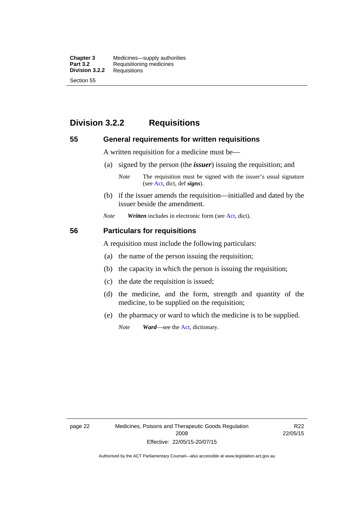**Chapter 3** Medicines—supply authorities<br>**Part 3.2** Requisitioning medicines **Requisitioning medicines**<br>Requisitions **Division 3.2.2** Section 55

# **Division 3.2.2 Requisitions**

### **55 General requirements for written requisitions**

A written requisition for a medicine must be—

(a) signed by the person (the *issuer*) issuing the requisition; and

 (b) if the issuer amends the requisition—initialled and dated by the issuer beside the amendment.

*Note Written* includes in electronic form (see [Act,](http://www.legislation.act.gov.au/a/2008-26/default.asp) dict).

### **56 Particulars for requisitions**

A requisition must include the following particulars:

- (a) the name of the person issuing the requisition;
- (b) the capacity in which the person is issuing the requisition;
- (c) the date the requisition is issued;
- (d) the medicine, and the form, strength and quantity of the medicine, to be supplied on the requisition;
- (e) the pharmacy or ward to which the medicine is to be supplied.

*Note Ward*—see the [Act](http://www.legislation.act.gov.au/a/2008-26/default.asp), dictionary.

*Note* The requisition must be signed with the issuer's usual signature (see [Act](http://www.legislation.act.gov.au/a/2008-26/default.asp), dict, def *signs*).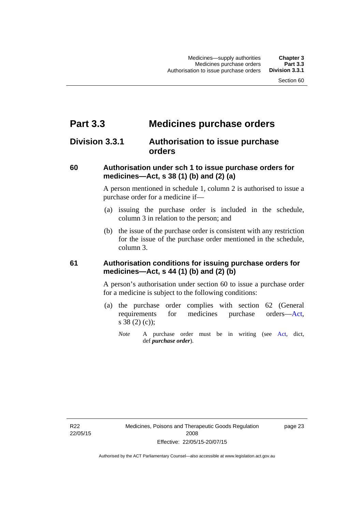# **Part 3.3 Medicines purchase orders**

# **Division 3.3.1 Authorisation to issue purchase orders**

### **60 Authorisation under sch 1 to issue purchase orders for medicines—Act, s 38 (1) (b) and (2) (a)**

A person mentioned in schedule 1, column 2 is authorised to issue a purchase order for a medicine if—

- (a) issuing the purchase order is included in the schedule, column 3 in relation to the person; and
- (b) the issue of the purchase order is consistent with any restriction for the issue of the purchase order mentioned in the schedule, column 3.

### **61 Authorisation conditions for issuing purchase orders for medicines—Act, s 44 (1) (b) and (2) (b)**

A person's authorisation under section 60 to issue a purchase order for a medicine is subject to the following conditions:

- (a) the purchase order complies with section 62 (General requirements for medicines purchase orders[—Act](http://www.legislation.act.gov.au/a/2008-26/default.asp), s 38 (2) (c));
	- *Note* A purchase order must be in writing (see [Act,](http://www.legislation.act.gov.au/a/2008-26/default.asp) dict, def *purchase order*).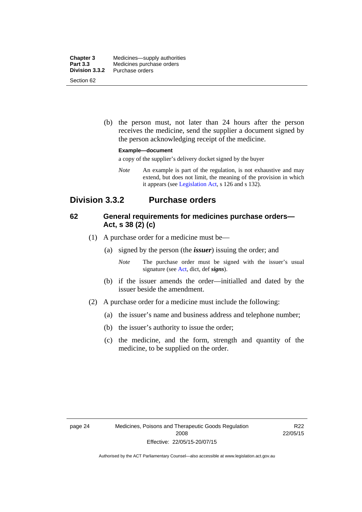| <b>Chapter 3</b> | Medicines—supply authorities |
|------------------|------------------------------|
| Part 3.3         | Medicines purchase orders    |
| Division 3.3.2   | Purchase orders              |
| Section 62       |                              |

 (b) the person must, not later than 24 hours after the person receives the medicine, send the supplier a document signed by the person acknowledging receipt of the medicine.

#### **Example—document**

a copy of the supplier's delivery docket signed by the buyer

*Note* An example is part of the regulation, is not exhaustive and may extend, but does not limit, the meaning of the provision in which it appears (see [Legislation Act,](http://www.legislation.act.gov.au/a/2001-14) s 126 and s 132).

# **Division 3.3.2 Purchase orders**

### **62 General requirements for medicines purchase orders— Act, s 38 (2) (c)**

- (1) A purchase order for a medicine must be—
	- (a) signed by the person (the *issuer*) issuing the order; and
		- *Note* The purchase order must be signed with the issuer's usual signature (see [Act](http://www.legislation.act.gov.au/a/2008-26/default.asp), dict, def *signs*).
	- (b) if the issuer amends the order—initialled and dated by the issuer beside the amendment.
- (2) A purchase order for a medicine must include the following:
	- (a) the issuer's name and business address and telephone number;
	- (b) the issuer's authority to issue the order;
	- (c) the medicine, and the form, strength and quantity of the medicine, to be supplied on the order.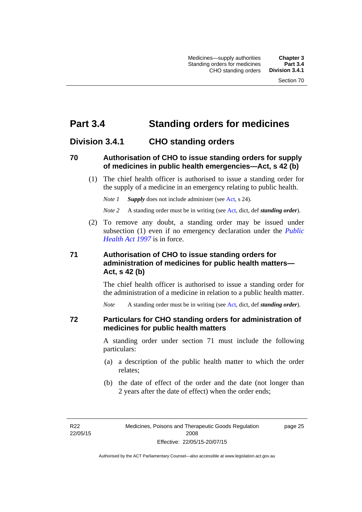# **Part 3.4 Standing orders for medicines**

# **Division 3.4.1 CHO standing orders**

### **70 Authorisation of CHO to issue standing orders for supply of medicines in public health emergencies—Act, s 42 (b)**

 (1) The chief health officer is authorised to issue a standing order for the supply of a medicine in an emergency relating to public health.

*Note 1 Supply* does not include administer (see [Act,](http://www.legislation.act.gov.au/a/2008-26/default.asp) s 24).

*Note 2* A standing order must be in writing (see [Act](http://www.legislation.act.gov.au/a/2008-26/default.asp), dict, def *standing order*).

 (2) To remove any doubt, a standing order may be issued under subsection (1) even if no emergency declaration under the *[Public](http://www.legislation.act.gov.au/a/1997-69)  [Health Act 1997](http://www.legislation.act.gov.au/a/1997-69)* is in force.

## **71 Authorisation of CHO to issue standing orders for administration of medicines for public health matters— Act, s 42 (b)**

The chief health officer is authorised to issue a standing order for the administration of a medicine in relation to a public health matter.

*Note* A standing order must be in writing (see [Act](http://www.legislation.act.gov.au/a/2008-26/default.asp), dict, def *standing order*).

### **72 Particulars for CHO standing orders for administration of medicines for public health matters**

A standing order under section 71 must include the following particulars:

- (a) a description of the public health matter to which the order relates;
- (b) the date of effect of the order and the date (not longer than 2 years after the date of effect) when the order ends;

R22 22/05/15 page 25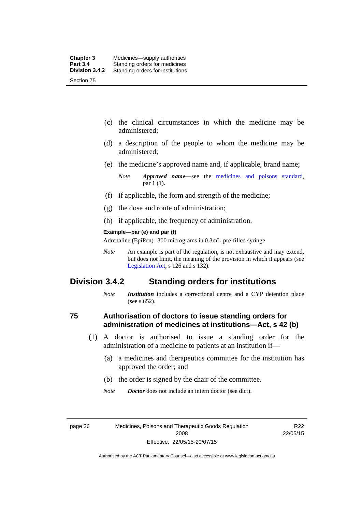- (c) the clinical circumstances in which the medicine may be administered;
- (d) a description of the people to whom the medicine may be administered;
- (e) the medicine's approved name and, if applicable, brand name;

- (f) if applicable, the form and strength of the medicine;
- (g) the dose and route of administration;
- (h) if applicable, the frequency of administration.

#### **Example—par (e) and par (f)**

Adrenaline (EpiPen) 300 micrograms in 0.3mL pre-filled syringe

*Note* An example is part of the regulation, is not exhaustive and may extend, but does not limit, the meaning of the provision in which it appears (see [Legislation Act,](http://www.legislation.act.gov.au/a/2001-14) s 126 and s 132).

## **Division 3.4.2 Standing orders for institutions**

*Note Institution* includes a correctional centre and a CYP detention place (see s 652).

### **75 Authorisation of doctors to issue standing orders for administration of medicines at institutions—Act, s 42 (b)**

- (1) A doctor is authorised to issue a standing order for the administration of a medicine to patients at an institution if—
	- (a) a medicines and therapeutics committee for the institution has approved the order; and
	- (b) the order is signed by the chair of the committee.
	- *Note Doctor* does not include an intern doctor (see dict).

page 26 Medicines, Poisons and Therapeutic Goods Regulation 2008 Effective: 22/05/15-20/07/15

R22 22/05/15

*Note Approved name*—see the [medicines and poisons standard,](http://www.comlaw.gov.au/Series/F2012L01200) par 1 (1).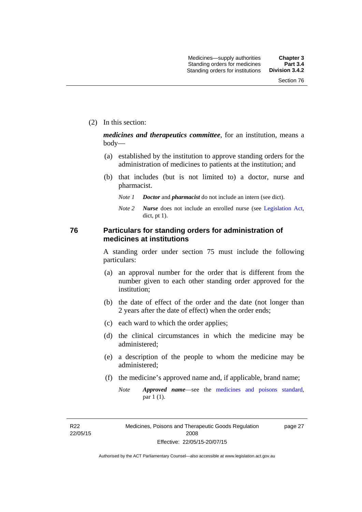(2) In this section:

*medicines and therapeutics committee*, for an institution, means a body—

- (a) established by the institution to approve standing orders for the administration of medicines to patients at the institution; and
- (b) that includes (but is not limited to) a doctor, nurse and pharmacist.
	- *Note 1 Doctor* and *pharmacist* do not include an intern (see dict).
	- *Note 2 Nurse* does not include an enrolled nurse (see [Legislation Act,](http://www.legislation.act.gov.au/a/2001-14) dict, pt 1).

### **76 Particulars for standing orders for administration of medicines at institutions**

A standing order under section 75 must include the following particulars:

- (a) an approval number for the order that is different from the number given to each other standing order approved for the institution;
- (b) the date of effect of the order and the date (not longer than 2 years after the date of effect) when the order ends;
- (c) each ward to which the order applies;
- (d) the clinical circumstances in which the medicine may be administered;
- (e) a description of the people to whom the medicine may be administered;
- (f) the medicine's approved name and, if applicable, brand name;
	- *Note Approved name*—see the [medicines and poisons standard,](http://www.comlaw.gov.au/Series/F2012L01200) par 1 (1).

R22 22/05/15 page 27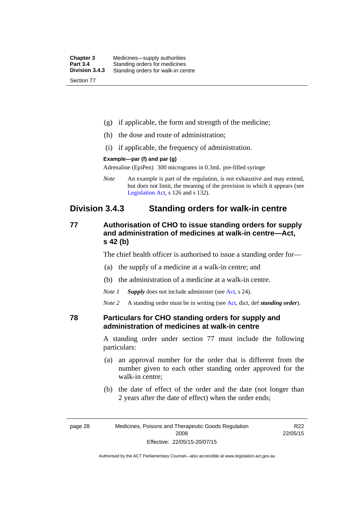| <b>Chapter 3</b> | Medicines—supply authorities       |
|------------------|------------------------------------|
| <b>Part 3.4</b>  | Standing orders for medicines      |
| Division 3.4.3   | Standing orders for walk-in centre |
| Section 77       |                                    |

- (g) if applicable, the form and strength of the medicine;
- (h) the dose and route of administration;
- (i) if applicable, the frequency of administration.

### **Example—par (f) and par (g)**

Adrenaline (EpiPen) 300 micrograms in 0.3mL pre-filled syringe

*Note* An example is part of the regulation, is not exhaustive and may extend, but does not limit, the meaning of the provision in which it appears (see [Legislation Act,](http://www.legislation.act.gov.au/a/2001-14) s 126 and s 132).

## **Division 3.4.3 Standing orders for walk-in centre**

## **77 Authorisation of CHO to issue standing orders for supply and administration of medicines at walk-in centre—Act, s 42 (b)**

The chief health officer is authorised to issue a standing order for—

- (a) the supply of a medicine at a walk-in centre; and
- (b) the administration of a medicine at a walk-in centre.
- *Note 1 Supply* does not include administer (see [Act,](http://www.legislation.act.gov.au/a/2008-26/default.asp) s 24).

*Note 2* A standing order must be in writing (see [Act](http://www.legislation.act.gov.au/a/2008-26/default.asp), dict, def *standing order*).

### **78 Particulars for CHO standing orders for supply and administration of medicines at walk-in centre**

A standing order under section 77 must include the following particulars:

- (a) an approval number for the order that is different from the number given to each other standing order approved for the walk-in centre;
- (b) the date of effect of the order and the date (not longer than 2 years after the date of effect) when the order ends;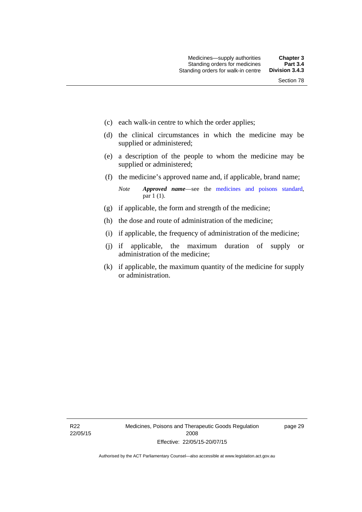- (c) each walk-in centre to which the order applies;
- (d) the clinical circumstances in which the medicine may be supplied or administered;
- (e) a description of the people to whom the medicine may be supplied or administered;
- (f) the medicine's approved name and, if applicable, brand name;

*Note Approved name*—see the [medicines and poisons standard,](http://www.comlaw.gov.au/Series/F2012L01200) par 1 (1).

- (g) if applicable, the form and strength of the medicine;
- (h) the dose and route of administration of the medicine;
- (i) if applicable, the frequency of administration of the medicine;
- (j) if applicable, the maximum duration of supply or administration of the medicine;
- (k) if applicable, the maximum quantity of the medicine for supply or administration.

page 29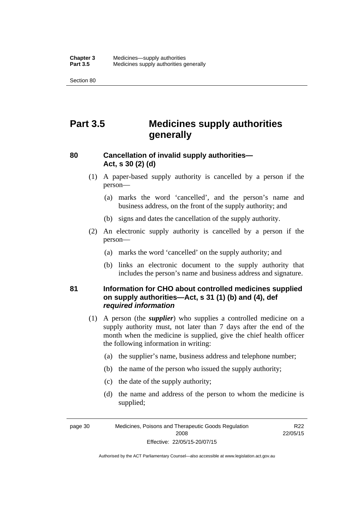Section 80

# **Part 3.5 Medicines supply authorities generally**

## **80 Cancellation of invalid supply authorities— Act, s 30 (2) (d)**

- (1) A paper-based supply authority is cancelled by a person if the person—
	- (a) marks the word 'cancelled', and the person's name and business address, on the front of the supply authority; and
	- (b) signs and dates the cancellation of the supply authority.
- (2) An electronic supply authority is cancelled by a person if the person—
	- (a) marks the word 'cancelled' on the supply authority; and
	- (b) links an electronic document to the supply authority that includes the person's name and business address and signature.

## **81 Information for CHO about controlled medicines supplied on supply authorities—Act, s 31 (1) (b) and (4), def**  *required information*

- (1) A person (the *supplier*) who supplies a controlled medicine on a supply authority must, not later than 7 days after the end of the month when the medicine is supplied, give the chief health officer the following information in writing:
	- (a) the supplier's name, business address and telephone number;
	- (b) the name of the person who issued the supply authority;
	- (c) the date of the supply authority;
	- (d) the name and address of the person to whom the medicine is supplied;

page 30 Medicines, Poisons and Therapeutic Goods Regulation 2008 Effective: 22/05/15-20/07/15

R<sub>22</sub> 22/05/15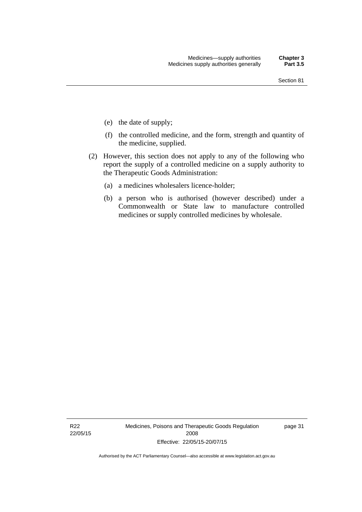- (e) the date of supply;
- (f) the controlled medicine, and the form, strength and quantity of the medicine, supplied.
- (2) However, this section does not apply to any of the following who report the supply of a controlled medicine on a supply authority to the Therapeutic Goods Administration:
	- (a) a medicines wholesalers licence-holder;
	- (b) a person who is authorised (however described) under a Commonwealth or State law to manufacture controlled medicines or supply controlled medicines by wholesale.

R22 22/05/15 Medicines, Poisons and Therapeutic Goods Regulation 2008 Effective: 22/05/15-20/07/15

page 31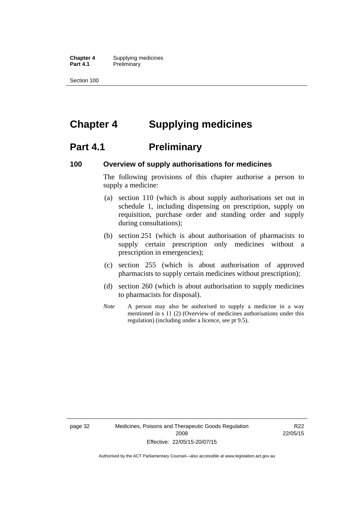**Chapter 4** Supplying medicines **Part 4.1** Preliminary

Section 100

# **Chapter 4 Supplying medicines**

# **Part 4.1** Preliminary

### **100 Overview of supply authorisations for medicines**

The following provisions of this chapter authorise a person to supply a medicine:

- (a) section 110 (which is about supply authorisations set out in schedule 1, including dispensing on prescription, supply on requisition, purchase order and standing order and supply during consultations);
- (b) section 251 (which is about authorisation of pharmacists to supply certain prescription only medicines without a prescription in emergencies);
- (c) section 255 (which is about authorisation of approved pharmacists to supply certain medicines without prescription);
- (d) section 260 (which is about authorisation to supply medicines to pharmacists for disposal).
- *Note* A person may also be authorised to supply a medicine in a way mentioned in s 11 (2) (Overview of medicines authorisations under this regulation) (including under a licence, see pt 9.5).

page 32 Medicines, Poisons and Therapeutic Goods Regulation 2008 Effective: 22/05/15-20/07/15

R22 22/05/15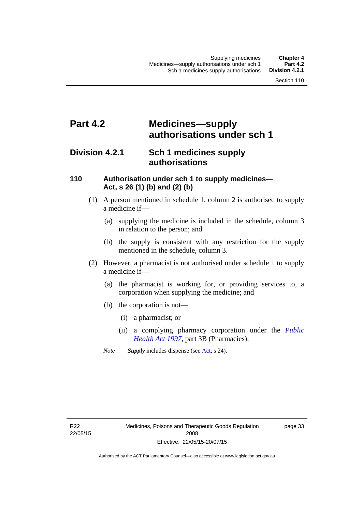# **Part 4.2 Medicines—supply authorisations under sch 1**

# **Division 4.2.1 Sch 1 medicines supply authorisations**

### **110 Authorisation under sch 1 to supply medicines— Act, s 26 (1) (b) and (2) (b)**

- (1) A person mentioned in schedule 1, column 2 is authorised to supply a medicine if—
	- (a) supplying the medicine is included in the schedule, column 3 in relation to the person; and
	- (b) the supply is consistent with any restriction for the supply mentioned in the schedule, column 3.
- (2) However, a pharmacist is not authorised under schedule 1 to supply a medicine if—
	- (a) the pharmacist is working for, or providing services to, a corporation when supplying the medicine; and
	- (b) the corporation is not—
		- (i) a pharmacist; or
		- (ii) a complying pharmacy corporation under the *[Public](http://www.legislation.act.gov.au/a/1997-69)  [Health Act 1997](http://www.legislation.act.gov.au/a/1997-69)*, part 3B (Pharmacies).
	- *Note Supply* includes dispense (see [Act,](http://www.legislation.act.gov.au/a/2008-26/default.asp) s 24).

R22 22/05/15 page 33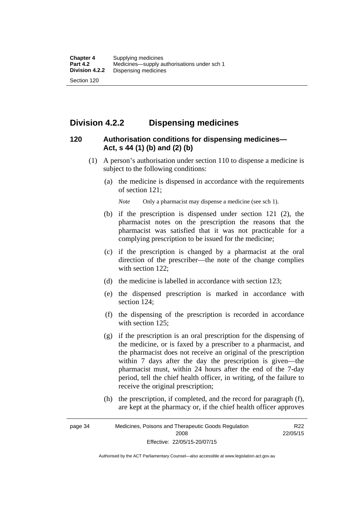# **Division 4.2.2 Dispensing medicines**

## **120 Authorisation conditions for dispensing medicines— Act, s 44 (1) (b) and (2) (b)**

- (1) A person's authorisation under section 110 to dispense a medicine is subject to the following conditions:
	- (a) the medicine is dispensed in accordance with the requirements of section 121;

*Note* Only a pharmacist may dispense a medicine (see sch 1).

- (b) if the prescription is dispensed under section 121 (2), the pharmacist notes on the prescription the reasons that the pharmacist was satisfied that it was not practicable for a complying prescription to be issued for the medicine;
- (c) if the prescription is changed by a pharmacist at the oral direction of the prescriber—the note of the change complies with section 122:
- (d) the medicine is labelled in accordance with section 123;
- (e) the dispensed prescription is marked in accordance with section 124;
- (f) the dispensing of the prescription is recorded in accordance with section 125:
- (g) if the prescription is an oral prescription for the dispensing of the medicine, or is faxed by a prescriber to a pharmacist, and the pharmacist does not receive an original of the prescription within 7 days after the day the prescription is given—the pharmacist must, within 24 hours after the end of the 7-day period, tell the chief health officer, in writing, of the failure to receive the original prescription;
- (h) the prescription, if completed, and the record for paragraph (f), are kept at the pharmacy or, if the chief health officer approves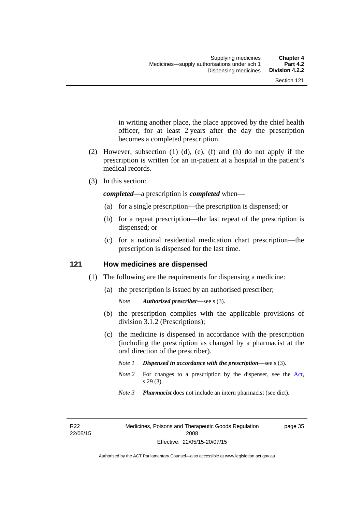in writing another place, the place approved by the chief health officer, for at least 2 years after the day the prescription becomes a completed prescription.

- (2) However, subsection (1) (d), (e), (f) and (h) do not apply if the prescription is written for an in-patient at a hospital in the patient's medical records.
- (3) In this section:

*completed*—a prescription is *completed* when—

- (a) for a single prescription—the prescription is dispensed; or
- (b) for a repeat prescription—the last repeat of the prescription is dispensed; or
- (c) for a national residential medication chart prescription––the prescription is dispensed for the last time.

### **121 How medicines are dispensed**

- (1) The following are the requirements for dispensing a medicine:
	- (a) the prescription is issued by an authorised prescriber;

- (b) the prescription complies with the applicable provisions of division 3.1.2 (Prescriptions);
- (c) the medicine is dispensed in accordance with the prescription (including the prescription as changed by a pharmacist at the oral direction of the prescriber).
	- *Note 1 Dispensed in accordance with the prescription*—see s (3).
	- *Note* 2 For changes to a prescription by the dispenser, see the [Act,](http://www.legislation.act.gov.au/a/2008-26/default.asp) s 29 (3).
	- *Note 3 Pharmacist* does not include an intern pharmacist (see dict).

R22 22/05/15 page 35

*Note Authorised prescriber*—see s (3).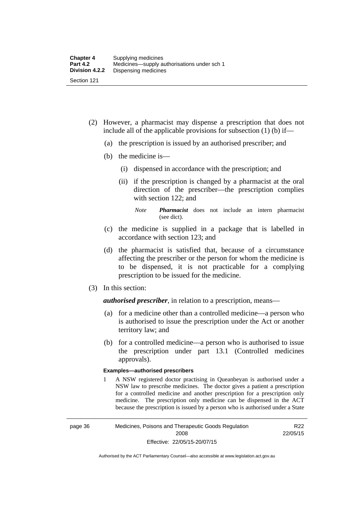- (2) However, a pharmacist may dispense a prescription that does not include all of the applicable provisions for subsection (1) (b) if—
	- (a) the prescription is issued by an authorised prescriber; and
	- (b) the medicine is—
		- (i) dispensed in accordance with the prescription; and
		- (ii) if the prescription is changed by a pharmacist at the oral direction of the prescriber—the prescription complies with section 122; and

*Note Pharmacist* does not include an intern pharmacist (see dict).

- (c) the medicine is supplied in a package that is labelled in accordance with section 123; and
- (d) the pharmacist is satisfied that, because of a circumstance affecting the prescriber or the person for whom the medicine is to be dispensed, it is not practicable for a complying prescription to be issued for the medicine.
- (3) In this section:

*authorised prescriber*, in relation to a prescription, means—

- (a) for a medicine other than a controlled medicine—a person who is authorised to issue the prescription under the Act or another territory law; and
- (b) for a controlled medicine—a person who is authorised to issue the prescription under part 13.1 (Controlled medicines approvals).

### **Examples—authorised prescribers**

1 A NSW registered doctor practising in Queanbeyan is authorised under a NSW law to prescribe medicines. The doctor gives a patient a prescription for a controlled medicine and another prescription for a prescription only medicine. The prescription only medicine can be dispensed in the ACT because the prescription is issued by a person who is authorised under a State

R<sub>22</sub> 22/05/15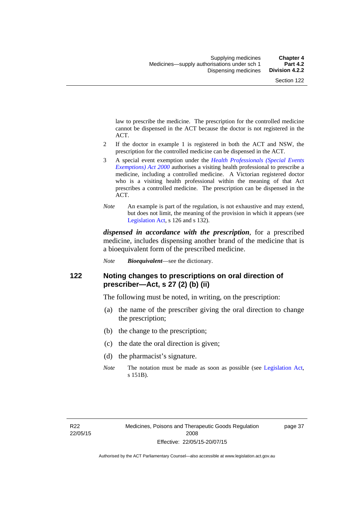law to prescribe the medicine. The prescription for the controlled medicine cannot be dispensed in the ACT because the doctor is not registered in the ACT.

- 2 If the doctor in example 1 is registered in both the ACT and NSW, the prescription for the controlled medicine can be dispensed in the ACT.
- 3 A special event exemption under the *[Health Professionals \(Special Events](http://www.legislation.act.gov.au/a/2000-25)  [Exemptions\) Act 2000](http://www.legislation.act.gov.au/a/2000-25)* authorises a visiting health professional to prescribe a medicine, including a controlled medicine. A Victorian registered doctor who is a visiting health professional within the meaning of that Act prescribes a controlled medicine. The prescription can be dispensed in the ACT.
- *Note* An example is part of the regulation, is not exhaustive and may extend, but does not limit, the meaning of the provision in which it appears (see [Legislation Act,](http://www.legislation.act.gov.au/a/2001-14) s 126 and s 132).

*dispensed in accordance with the prescription*, for a prescribed medicine, includes dispensing another brand of the medicine that is a bioequivalent form of the prescribed medicine.

*Note Bioequivalent*—see the dictionary.

### **122 Noting changes to prescriptions on oral direction of prescriber—Act, s 27 (2) (b) (ii)**

The following must be noted, in writing, on the prescription:

- (a) the name of the prescriber giving the oral direction to change the prescription;
- (b) the change to the prescription;
- (c) the date the oral direction is given;
- (d) the pharmacist's signature.
- *Note* The notation must be made as soon as possible (see [Legislation Act,](http://www.legislation.act.gov.au/a/2001-14) s 151B).

page 37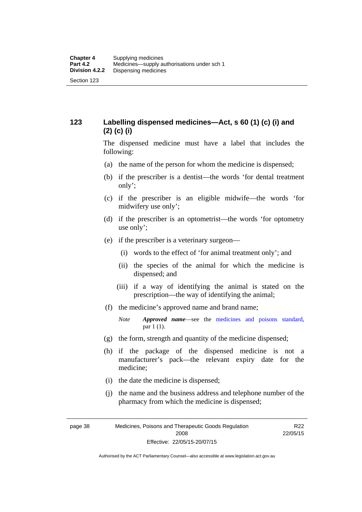## **123 Labelling dispensed medicines—Act, s 60 (1) (c) (i) and (2) (c) (i)**

The dispensed medicine must have a label that includes the following:

- (a) the name of the person for whom the medicine is dispensed;
- (b) if the prescriber is a dentist—the words 'for dental treatment only';
- (c) if the prescriber is an eligible midwife—the words 'for midwifery use only';
- (d) if the prescriber is an optometrist—the words 'for optometry use only';
- (e) if the prescriber is a veterinary surgeon—
	- (i) words to the effect of 'for animal treatment only'; and
	- (ii) the species of the animal for which the medicine is dispensed; and
	- (iii) if a way of identifying the animal is stated on the prescription—the way of identifying the animal;
- (f) the medicine's approved name and brand name;
	- *Note Approved name*—see the [medicines and poisons standard,](http://www.comlaw.gov.au/Series/F2012L01200) par 1 (1).
- (g) the form, strength and quantity of the medicine dispensed;
- (h) if the package of the dispensed medicine is not a manufacturer's pack—the relevant expiry date for the medicine;
- (i) the date the medicine is dispensed;
- (j) the name and the business address and telephone number of the pharmacy from which the medicine is dispensed;

page 38 Medicines, Poisons and Therapeutic Goods Regulation 2008 Effective: 22/05/15-20/07/15

R22 22/05/15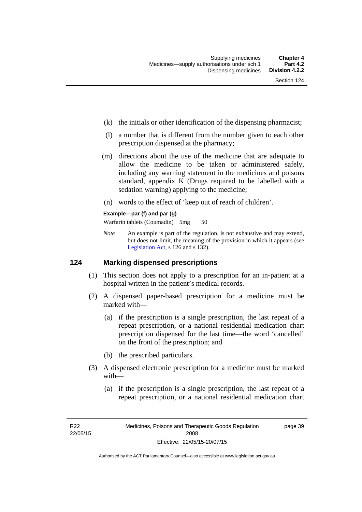page 39

- (k) the initials or other identification of the dispensing pharmacist;
- (l) a number that is different from the number given to each other prescription dispensed at the pharmacy;
- (m) directions about the use of the medicine that are adequate to allow the medicine to be taken or administered safely, including any warning statement in the medicines and poisons standard, appendix K (Drugs required to be labelled with a sedation warning) applying to the medicine;
- (n) words to the effect of 'keep out of reach of children'.

### **Example—par (f) and par (g)**

Warfarin tablets (Coumadin) 5mg 50

*Note* An example is part of the regulation, is not exhaustive and may extend, but does not limit, the meaning of the provision in which it appears (see [Legislation Act,](http://www.legislation.act.gov.au/a/2001-14) s 126 and s 132).

### **124 Marking dispensed prescriptions**

- (1) This section does not apply to a prescription for an in-patient at a hospital written in the patient's medical records.
- (2) A dispensed paper-based prescription for a medicine must be marked with—
	- (a) if the prescription is a single prescription, the last repeat of a repeat prescription, or a national residential medication chart prescription dispensed for the last time––the word 'cancelled' on the front of the prescription; and
	- (b) the prescribed particulars.
- (3) A dispensed electronic prescription for a medicine must be marked with—
	- (a) if the prescription is a single prescription, the last repeat of a repeat prescription, or a national residential medication chart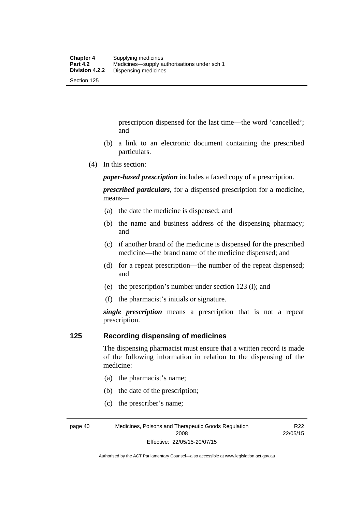prescription dispensed for the last time––the word 'cancelled'; and

- (b) a link to an electronic document containing the prescribed particulars.
- (4) In this section:

*paper-based prescription* includes a faxed copy of a prescription.

*prescribed particulars*, for a dispensed prescription for a medicine, means—

- (a) the date the medicine is dispensed; and
- (b) the name and business address of the dispensing pharmacy; and
- (c) if another brand of the medicine is dispensed for the prescribed medicine—the brand name of the medicine dispensed; and
- (d) for a repeat prescription—the number of the repeat dispensed; and
- (e) the prescription's number under section 123 (l); and
- (f) the pharmacist's initials or signature.

*single prescription* means a prescription that is not a repeat prescription.

### **125 Recording dispensing of medicines**

The dispensing pharmacist must ensure that a written record is made of the following information in relation to the dispensing of the medicine:

- (a) the pharmacist's name;
- (b) the date of the prescription;
- (c) the prescriber's name;

page 40 Medicines, Poisons and Therapeutic Goods Regulation 2008 Effective: 22/05/15-20/07/15

R22 22/05/15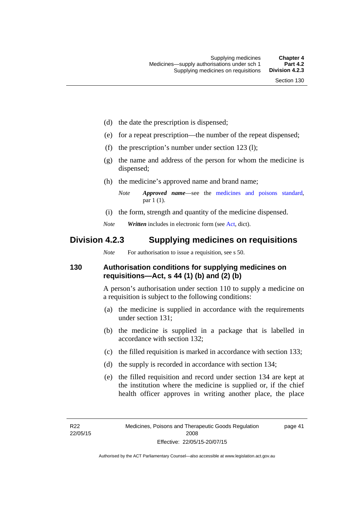- (d) the date the prescription is dispensed;
- (e) for a repeat prescription—the number of the repeat dispensed;
- (f) the prescription's number under section 123 (l);
- (g) the name and address of the person for whom the medicine is dispensed;
- (h) the medicine's approved name and brand name;
	- *Note Approved name*—see the [medicines and poisons standard,](http://www.comlaw.gov.au/Series/F2012L01200) par 1 (1).
- (i) the form, strength and quantity of the medicine dispensed.
- *Note Written* includes in electronic form (see [Act,](http://www.legislation.act.gov.au/a/2008-26/default.asp) dict).

# **Division 4.2.3 Supplying medicines on requisitions**

*Note* For authorisation to issue a requisition, see s 50.

## **130 Authorisation conditions for supplying medicines on requisitions—Act, s 44 (1) (b) and (2) (b)**

A person's authorisation under section 110 to supply a medicine on a requisition is subject to the following conditions:

- (a) the medicine is supplied in accordance with the requirements under section 131;
- (b) the medicine is supplied in a package that is labelled in accordance with section 132;
- (c) the filled requisition is marked in accordance with section 133;
- (d) the supply is recorded in accordance with section 134;
- (e) the filled requisition and record under section 134 are kept at the institution where the medicine is supplied or, if the chief health officer approves in writing another place, the place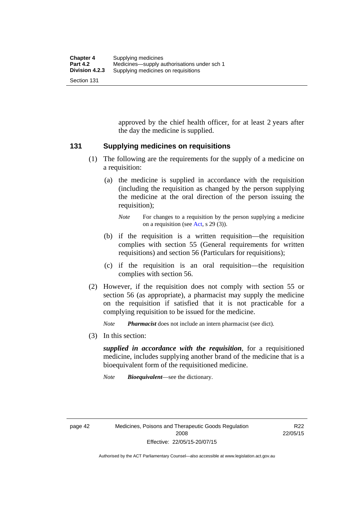approved by the chief health officer, for at least 2 years after the day the medicine is supplied.

### **131 Supplying medicines on requisitions**

- (1) The following are the requirements for the supply of a medicine on a requisition:
	- (a) the medicine is supplied in accordance with the requisition (including the requisition as changed by the person supplying the medicine at the oral direction of the person issuing the requisition);

- (b) if the requisition is a written requisition—the requisition complies with section 55 (General requirements for written requisitions) and section 56 (Particulars for requisitions);
- (c) if the requisition is an oral requisition—the requisition complies with section 56.
- (2) However, if the requisition does not comply with section 55 or section 56 (as appropriate), a pharmacist may supply the medicine on the requisition if satisfied that it is not practicable for a complying requisition to be issued for the medicine.

*Note Pharmacist* does not include an intern pharmacist (see dict).

(3) In this section:

*supplied in accordance with the requisition*, for a requisitioned medicine, includes supplying another brand of the medicine that is a bioequivalent form of the requisitioned medicine.

*Note Bioequivalent*—see the dictionary.

R<sub>22</sub> 22/05/15

*Note* For changes to a requisition by the person supplying a medicine on a requisition (see [Act,](http://www.legislation.act.gov.au/a/2008-26/default.asp) s 29 (3)).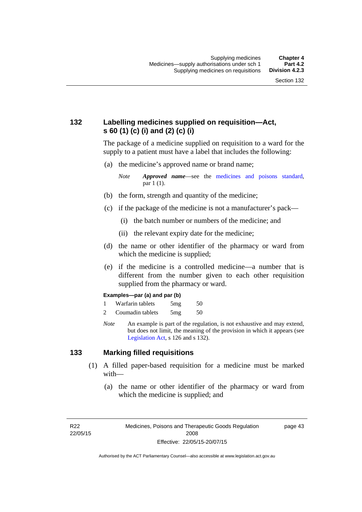## **132 Labelling medicines supplied on requisition—Act, s 60 (1) (c) (i) and (2) (c) (i)**

The package of a medicine supplied on requisition to a ward for the supply to a patient must have a label that includes the following:

(a) the medicine's approved name or brand name;

*Note Approved name*—see the [medicines and poisons standard,](http://www.comlaw.gov.au/Series/F2012L01200) par 1 (1).

- (b) the form, strength and quantity of the medicine;
- (c) if the package of the medicine is not a manufacturer's pack—
	- (i) the batch number or numbers of the medicine; and
	- (ii) the relevant expiry date for the medicine;
- (d) the name or other identifier of the pharmacy or ward from which the medicine is supplied;
- (e) if the medicine is a controlled medicine—a number that is different from the number given to each other requisition supplied from the pharmacy or ward.

#### **Examples—par (a) and par (b)**

- 1 Warfarin tablets 5mg 50
- 2 Coumadin tablets 5mg 50
- *Note* An example is part of the regulation, is not exhaustive and may extend, but does not limit, the meaning of the provision in which it appears (see [Legislation Act,](http://www.legislation.act.gov.au/a/2001-14) s 126 and s 132).

### **133 Marking filled requisitions**

- (1) A filled paper-based requisition for a medicine must be marked with—
	- (a) the name or other identifier of the pharmacy or ward from which the medicine is supplied; and

R22 22/05/15 page 43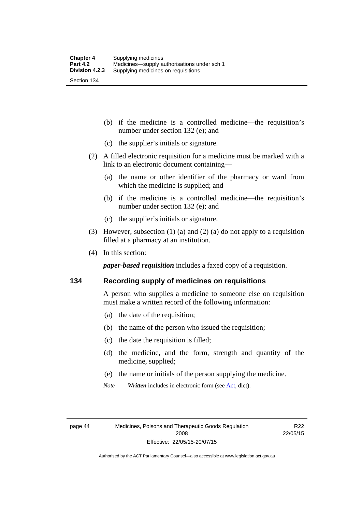(b) if the medicine is a controlled medicine—the requisition's number under section 132 (e); and

- (c) the supplier's initials or signature.
- (2) A filled electronic requisition for a medicine must be marked with a link to an electronic document containing—
	- (a) the name or other identifier of the pharmacy or ward from which the medicine is supplied; and
	- (b) if the medicine is a controlled medicine—the requisition's number under section 132 (e); and
	- (c) the supplier's initials or signature.
- (3) However, subsection (1) (a) and (2) (a) do not apply to a requisition filled at a pharmacy at an institution.
- (4) In this section:

*paper-based requisition* includes a faxed copy of a requisition.

### **134 Recording supply of medicines on requisitions**

A person who supplies a medicine to someone else on requisition must make a written record of the following information:

- (a) the date of the requisition;
- (b) the name of the person who issued the requisition;
- (c) the date the requisition is filled;
- (d) the medicine, and the form, strength and quantity of the medicine, supplied;
- (e) the name or initials of the person supplying the medicine.
- *Note Written* includes in electronic form (see [Act,](http://www.legislation.act.gov.au/a/2008-26/default.asp) dict).

R22 22/05/15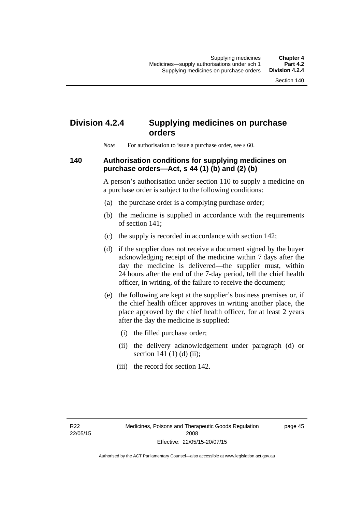# **Division 4.2.4 Supplying medicines on purchase orders**

*Note* For authorisation to issue a purchase order, see s 60.

### **140 Authorisation conditions for supplying medicines on purchase orders—Act, s 44 (1) (b) and (2) (b)**

A person's authorisation under section 110 to supply a medicine on a purchase order is subject to the following conditions:

- (a) the purchase order is a complying purchase order;
- (b) the medicine is supplied in accordance with the requirements of section 141;
- (c) the supply is recorded in accordance with section 142;
- (d) if the supplier does not receive a document signed by the buyer acknowledging receipt of the medicine within 7 days after the day the medicine is delivered—the supplier must, within 24 hours after the end of the 7-day period, tell the chief health officer, in writing, of the failure to receive the document;
- (e) the following are kept at the supplier's business premises or, if the chief health officer approves in writing another place, the place approved by the chief health officer, for at least 2 years after the day the medicine is supplied:
	- (i) the filled purchase order;
	- (ii) the delivery acknowledgement under paragraph (d) or section 141 $(1)$  $(d)$  $(ii)$ ;
	- (iii) the record for section 142.

page 45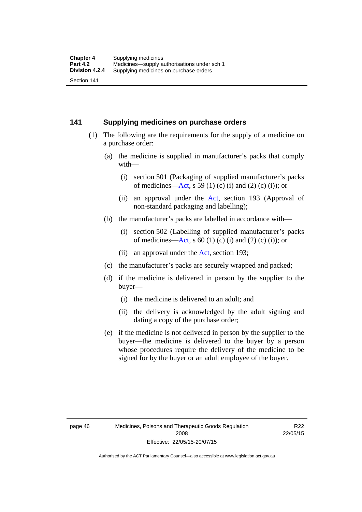### **141 Supplying medicines on purchase orders**

- (1) The following are the requirements for the supply of a medicine on a purchase order:
	- (a) the medicine is supplied in manufacturer's packs that comply with—
		- (i) section 501 (Packaging of supplied manufacturer's packs of medicines—[Act](http://www.legislation.act.gov.au/a/2008-26/default.asp), s 59 (1) (c) (i) and (2) (c) (i)); or
		- (ii) an approval under the [Act](http://www.legislation.act.gov.au/a/2008-26/default.asp), section 193 (Approval of non-standard packaging and labelling);
	- (b) the manufacturer's packs are labelled in accordance with—
		- (i) section 502 (Labelling of supplied manufacturer's packs of medicines—[Act](http://www.legislation.act.gov.au/a/2008-26/default.asp), s  $60(1)$  (c) (i) and (2) (c) (i)); or
		- (ii) an approval under the [Act,](http://www.legislation.act.gov.au/a/2008-26/default.asp) section 193;
	- (c) the manufacturer's packs are securely wrapped and packed;
	- (d) if the medicine is delivered in person by the supplier to the buyer—
		- (i) the medicine is delivered to an adult; and
		- (ii) the delivery is acknowledged by the adult signing and dating a copy of the purchase order;
	- (e) if the medicine is not delivered in person by the supplier to the buyer—the medicine is delivered to the buyer by a person whose procedures require the delivery of the medicine to be signed for by the buyer or an adult employee of the buyer.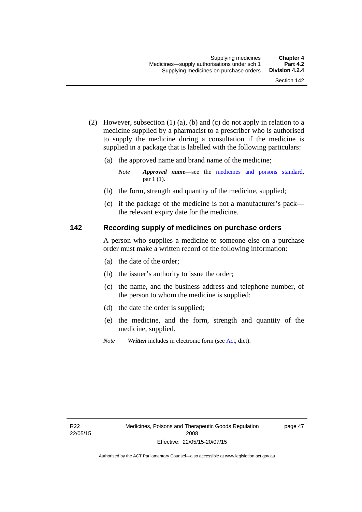- (2) However, subsection (1) (a), (b) and (c) do not apply in relation to a medicine supplied by a pharmacist to a prescriber who is authorised to supply the medicine during a consultation if the medicine is supplied in a package that is labelled with the following particulars:
	- (a) the approved name and brand name of the medicine;

*Note Approved name*—see the [medicines and poisons standard,](http://www.comlaw.gov.au/Series/F2012L01200) par 1 (1).

- (b) the form, strength and quantity of the medicine, supplied;
- (c) if the package of the medicine is not a manufacturer's pack the relevant expiry date for the medicine.

### **142 Recording supply of medicines on purchase orders**

A person who supplies a medicine to someone else on a purchase order must make a written record of the following information:

- (a) the date of the order;
- (b) the issuer's authority to issue the order;
- (c) the name, and the business address and telephone number, of the person to whom the medicine is supplied;
- (d) the date the order is supplied;
- (e) the medicine, and the form, strength and quantity of the medicine, supplied.
- *Note Written* includes in electronic form (see [Act,](http://www.legislation.act.gov.au/a/2008-26/default.asp) dict).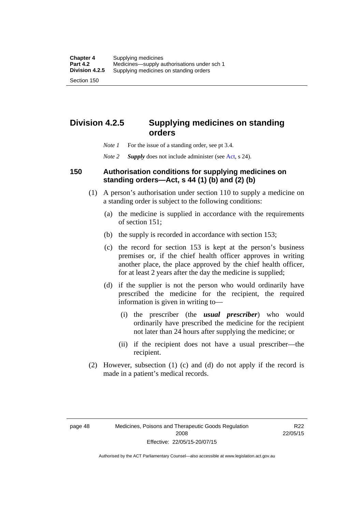# **Division 4.2.5 Supplying medicines on standing orders**

- *Note 1* For the issue of a standing order, see pt 3.4.
- *Note 2 Supply* does not include administer (see [Act,](http://www.legislation.act.gov.au/a/2008-26/default.asp) s 24).

### **150 Authorisation conditions for supplying medicines on standing orders—Act, s 44 (1) (b) and (2) (b)**

- (1) A person's authorisation under section 110 to supply a medicine on a standing order is subject to the following conditions:
	- (a) the medicine is supplied in accordance with the requirements of section 151;
	- (b) the supply is recorded in accordance with section 153;
	- (c) the record for section 153 is kept at the person's business premises or, if the chief health officer approves in writing another place, the place approved by the chief health officer, for at least 2 years after the day the medicine is supplied;
	- (d) if the supplier is not the person who would ordinarily have prescribed the medicine for the recipient, the required information is given in writing to—
		- (i) the prescriber (the *usual prescriber*) who would ordinarily have prescribed the medicine for the recipient not later than 24 hours after supplying the medicine; or
		- (ii) if the recipient does not have a usual prescriber—the recipient.
- (2) However, subsection (1) (c) and (d) do not apply if the record is made in a patient's medical records.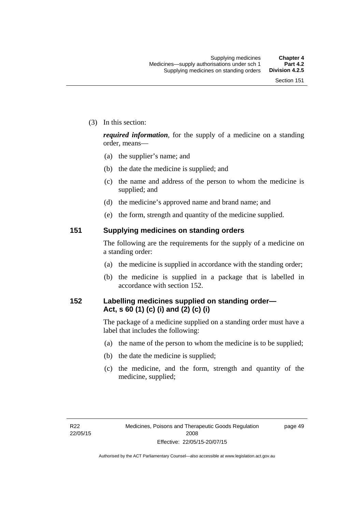(3) In this section:

*required information*, for the supply of a medicine on a standing order, means—

- (a) the supplier's name; and
- (b) the date the medicine is supplied; and
- (c) the name and address of the person to whom the medicine is supplied; and
- (d) the medicine's approved name and brand name; and
- (e) the form, strength and quantity of the medicine supplied.

### **151 Supplying medicines on standing orders**

The following are the requirements for the supply of a medicine on a standing order:

- (a) the medicine is supplied in accordance with the standing order;
- (b) the medicine is supplied in a package that is labelled in accordance with section 152.

## **152 Labelling medicines supplied on standing order— Act, s 60 (1) (c) (i) and (2) (c) (i)**

The package of a medicine supplied on a standing order must have a label that includes the following:

- (a) the name of the person to whom the medicine is to be supplied;
- (b) the date the medicine is supplied;
- (c) the medicine, and the form, strength and quantity of the medicine, supplied;

page 49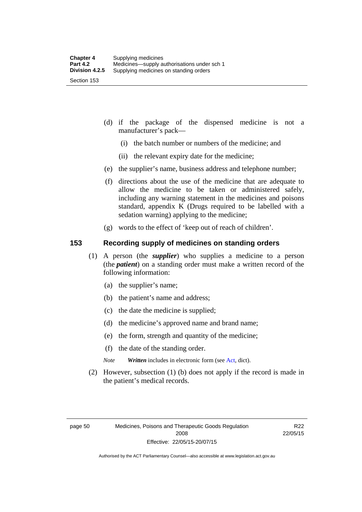- (d) if the package of the dispensed medicine is not a manufacturer's pack—
	- (i) the batch number or numbers of the medicine; and
	- (ii) the relevant expiry date for the medicine;
- (e) the supplier's name, business address and telephone number;
- (f) directions about the use of the medicine that are adequate to allow the medicine to be taken or administered safely, including any warning statement in the medicines and poisons standard, appendix K (Drugs required to be labelled with a sedation warning) applying to the medicine;
- (g) words to the effect of 'keep out of reach of children'.

### **153 Recording supply of medicines on standing orders**

- (1) A person (the *supplier*) who supplies a medicine to a person (the *patient*) on a standing order must make a written record of the following information:
	- (a) the supplier's name;
	- (b) the patient's name and address;
	- (c) the date the medicine is supplied;
	- (d) the medicine's approved name and brand name;
	- (e) the form, strength and quantity of the medicine;
	- (f) the date of the standing order.
	- *Note Written* includes in electronic form (see [Act,](http://www.legislation.act.gov.au/a/2008-26/default.asp) dict).
- (2) However, subsection (1) (b) does not apply if the record is made in the patient's medical records.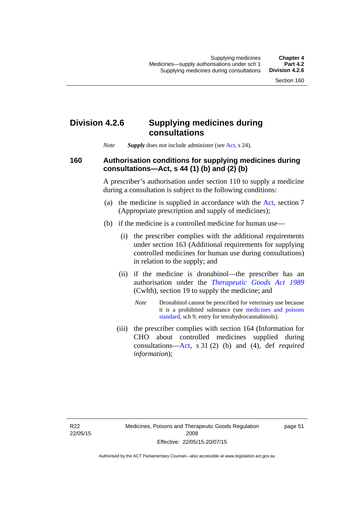## **Division 4.2.6 Supplying medicines during consultations**

*Note Supply* does not include administer (see [Act,](http://www.legislation.act.gov.au/a/2008-26/default.asp) s 24).

### **160 Authorisation conditions for supplying medicines during consultations—Act, s 44 (1) (b) and (2) (b)**

A prescriber's authorisation under section 110 to supply a medicine during a consultation is subject to the following conditions:

- (a) the medicine is supplied in accordance with the [Act](http://www.legislation.act.gov.au/a/2008-26/default.asp), section 7 (Appropriate prescription and supply of medicines);
- (b) if the medicine is a controlled medicine for human use—
	- (i) the prescriber complies with the additional requirements under section 163 (Additional requirements for supplying controlled medicines for human use during consultations) in relation to the supply; and
	- (ii) if the medicine is dronabinol—the prescriber has an authorisation under the *[Therapeutic Goods Act 1989](http://www.comlaw.gov.au/Series/C2004A03952)* (Cwlth), section 19 to supply the medicine; and
		- *Note* Dronabinol cannot be prescribed for veterinary use because it is a prohibited substance (see [medicines and poisons](http://www.comlaw.gov.au/Series/F2012L01200)  [standard,](http://www.comlaw.gov.au/Series/F2012L01200) sch 9, entry for tetrahydrocannabinols).
	- (iii) the prescriber complies with section 164 (Information for CHO about controlled medicines supplied during consultations[—Act,](http://www.legislation.act.gov.au/a/2008-26/default.asp) s 31 (2) (b) and (4), def *required information*);

page 51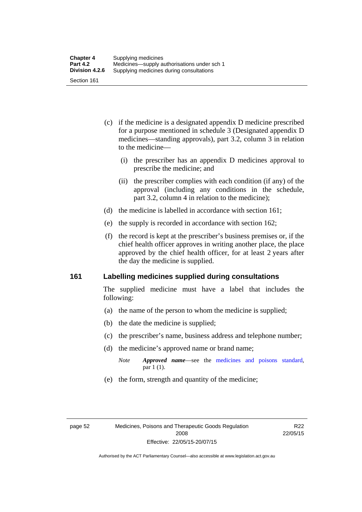- (c) if the medicine is a designated appendix D medicine prescribed for a purpose mentioned in schedule 3 (Designated appendix D medicines—standing approvals), part 3.2, column 3 in relation to the medicine—
	- (i) the prescriber has an appendix D medicines approval to prescribe the medicine; and
	- (ii) the prescriber complies with each condition (if any) of the approval (including any conditions in the schedule, part 3.2, column 4 in relation to the medicine);
- (d) the medicine is labelled in accordance with section 161;
- (e) the supply is recorded in accordance with section 162;
- (f) the record is kept at the prescriber's business premises or, if the chief health officer approves in writing another place, the place approved by the chief health officer, for at least 2 years after the day the medicine is supplied.

### **161 Labelling medicines supplied during consultations**

The supplied medicine must have a label that includes the following:

- (a) the name of the person to whom the medicine is supplied;
- (b) the date the medicine is supplied;
- (c) the prescriber's name, business address and telephone number;
- (d) the medicine's approved name or brand name;
	- *Note Approved name*—see the [medicines and poisons standard,](http://www.comlaw.gov.au/Series/F2012L01200) par 1 (1).
- (e) the form, strength and quantity of the medicine;

R22 22/05/15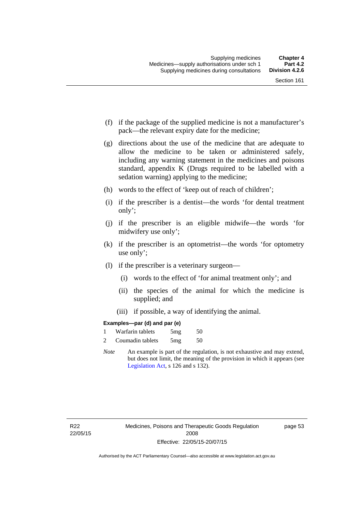- (f) if the package of the supplied medicine is not a manufacturer's pack—the relevant expiry date for the medicine;
- (g) directions about the use of the medicine that are adequate to allow the medicine to be taken or administered safely, including any warning statement in the medicines and poisons standard, appendix K (Drugs required to be labelled with a sedation warning) applying to the medicine;
- (h) words to the effect of 'keep out of reach of children';
- (i) if the prescriber is a dentist—the words 'for dental treatment only';
- (j) if the prescriber is an eligible midwife—the words 'for midwifery use only';
- (k) if the prescriber is an optometrist—the words 'for optometry use only';
- (l) if the prescriber is a veterinary surgeon—
	- (i) words to the effect of 'for animal treatment only'; and
	- (ii) the species of the animal for which the medicine is supplied; and
	- (iii) if possible, a way of identifying the animal.

### **Examples—par (d) and par (e)**

| Warfarin tablets | 5mg | 50 |
|------------------|-----|----|
| Coumadin tablets | 5mg | 50 |

*Note* An example is part of the regulation, is not exhaustive and may extend, but does not limit, the meaning of the provision in which it appears (see [Legislation Act,](http://www.legislation.act.gov.au/a/2001-14) s 126 and s 132).

page 53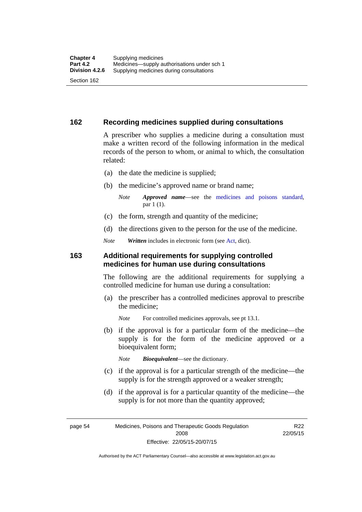### **162 Recording medicines supplied during consultations**

A prescriber who supplies a medicine during a consultation must make a written record of the following information in the medical records of the person to whom, or animal to which, the consultation related:

- (a) the date the medicine is supplied;
- (b) the medicine's approved name or brand name;

*Note Approved name*—see the [medicines and poisons standard,](http://www.comlaw.gov.au/Series/F2012L01200) par 1 (1).

- (c) the form, strength and quantity of the medicine;
- (d) the directions given to the person for the use of the medicine.

*Note Written* includes in electronic form (see [Act,](http://www.legislation.act.gov.au/a/2008-26/default.asp) dict).

### **163 Additional requirements for supplying controlled medicines for human use during consultations**

The following are the additional requirements for supplying a controlled medicine for human use during a consultation:

- (a) the prescriber has a controlled medicines approval to prescribe the medicine;
	- *Note* For controlled medicines approvals, see pt 13.1.
- (b) if the approval is for a particular form of the medicine—the supply is for the form of the medicine approved or a bioequivalent form;

*Note Bioequivalent*—see the dictionary.

- (c) if the approval is for a particular strength of the medicine—the supply is for the strength approved or a weaker strength;
- (d) if the approval is for a particular quantity of the medicine—the supply is for not more than the quantity approved;

page 54 Medicines, Poisons and Therapeutic Goods Regulation 2008 Effective: 22/05/15-20/07/15

R<sub>22</sub> 22/05/15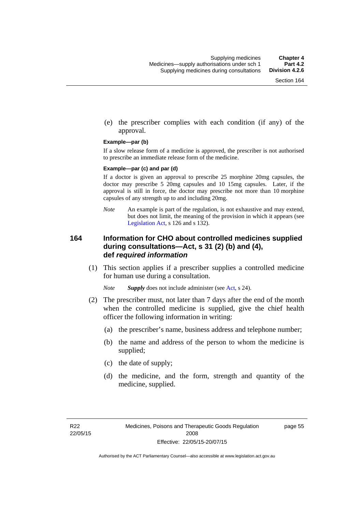(e) the prescriber complies with each condition (if any) of the approval.

#### **Example—par (b)**

If a slow release form of a medicine is approved, the prescriber is not authorised to prescribe an immediate release form of the medicine.

#### **Example—par (c) and par (d)**

If a doctor is given an approval to prescribe 25 morphine 20mg capsules, the doctor may prescribe 5 20mg capsules and 10 15mg capsules. Later, if the approval is still in force, the doctor may prescribe not more than 10 morphine capsules of any strength up to and including 20mg.

*Note* An example is part of the regulation, is not exhaustive and may extend, but does not limit, the meaning of the provision in which it appears (see [Legislation Act,](http://www.legislation.act.gov.au/a/2001-14) s 126 and s 132).

### **164 Information for CHO about controlled medicines supplied during consultations—Act, s 31 (2) (b) and (4), def** *required information*

 (1) This section applies if a prescriber supplies a controlled medicine for human use during a consultation.

*Note Supply* does not include administer (see [Act,](http://www.legislation.act.gov.au/a/2008-26/default.asp) s 24).

- (2) The prescriber must, not later than 7 days after the end of the month when the controlled medicine is supplied, give the chief health officer the following information in writing:
	- (a) the prescriber's name, business address and telephone number;
	- (b) the name and address of the person to whom the medicine is supplied;
	- (c) the date of supply;
	- (d) the medicine, and the form, strength and quantity of the medicine, supplied.

page 55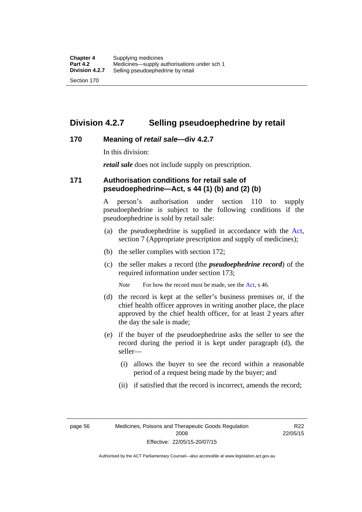## **Division 4.2.7 Selling pseudoephedrine by retail**

### **170 Meaning of** *retail sale***—div 4.2.7**

In this division:

*retail sale* does not include supply on prescription.

### **171 Authorisation conditions for retail sale of pseudoephedrine—Act, s 44 (1) (b) and (2) (b)**

A person's authorisation under section 110 to supply pseudoephedrine is subject to the following conditions if the pseudoephedrine is sold by retail sale:

- (a) the pseudoephedrine is supplied in accordance with the [Act](http://www.legislation.act.gov.au/a/2008-26/default.asp), section 7 (Appropriate prescription and supply of medicines);
- (b) the seller complies with section 172;
- (c) the seller makes a record (the *pseudoephedrine record*) of the required information under section 173;

*Note* For how the record must be made, see the [Act,](http://www.legislation.act.gov.au/a/2008-26/default.asp) s 46.

- (d) the record is kept at the seller's business premises or, if the chief health officer approves in writing another place, the place approved by the chief health officer, for at least 2 years after the day the sale is made;
- (e) if the buyer of the pseudoephedrine asks the seller to see the record during the period it is kept under paragraph (d), the seller—
	- (i) allows the buyer to see the record within a reasonable period of a request being made by the buyer; and
	- (ii) if satisfied that the record is incorrect, amends the record;

page 56 Medicines, Poisons and Therapeutic Goods Regulation 2008 Effective: 22/05/15-20/07/15

R22 22/05/15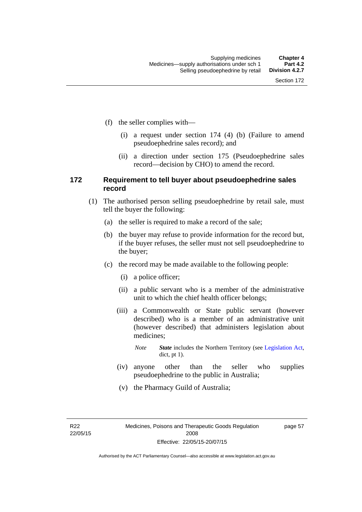- (f) the seller complies with—
	- (i) a request under section 174 (4) (b) (Failure to amend pseudoephedrine sales record); and
	- (ii) a direction under section 175 (Pseudoephedrine sales record—decision by CHO) to amend the record.

### **172 Requirement to tell buyer about pseudoephedrine sales record**

- (1) The authorised person selling pseudoephedrine by retail sale, must tell the buyer the following:
	- (a) the seller is required to make a record of the sale;
	- (b) the buyer may refuse to provide information for the record but, if the buyer refuses, the seller must not sell pseudoephedrine to the buyer;
	- (c) the record may be made available to the following people:
		- (i) a police officer;
		- (ii) a public servant who is a member of the administrative unit to which the chief health officer belongs;
		- (iii) a Commonwealth or State public servant (however described) who is a member of an administrative unit (however described) that administers legislation about medicines;
			- *Note State* includes the Northern Territory (see [Legislation Act,](http://www.legislation.act.gov.au/a/2001-14) dict, pt 1).
		- (iv) anyone other than the seller who supplies pseudoephedrine to the public in Australia;
		- (v) the Pharmacy Guild of Australia;

R22 22/05/15 page 57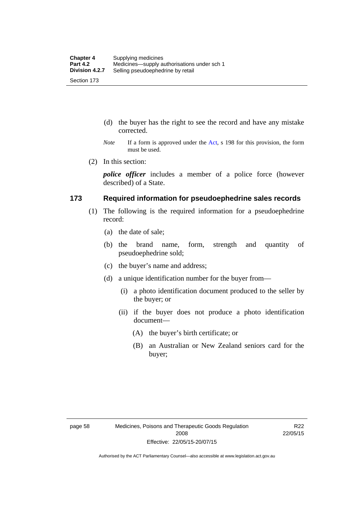- (d) the buyer has the right to see the record and have any mistake corrected.
- *Note* If a form is approved under the [Act](http://www.legislation.act.gov.au/a/2008-26/default.asp), s 198 for this provision, the form must be used.
- (2) In this section:

*police officer* includes a member of a police force (however described) of a State.

### **173 Required information for pseudoephedrine sales records**

- (1) The following is the required information for a pseudoephedrine record:
	- (a) the date of sale;
	- (b) the brand name, form, strength and quantity of pseudoephedrine sold;
	- (c) the buyer's name and address;
	- (d) a unique identification number for the buyer from—
		- (i) a photo identification document produced to the seller by the buyer; or
		- (ii) if the buyer does not produce a photo identification document—
			- (A) the buyer's birth certificate; or
			- (B) an Australian or New Zealand seniors card for the buyer;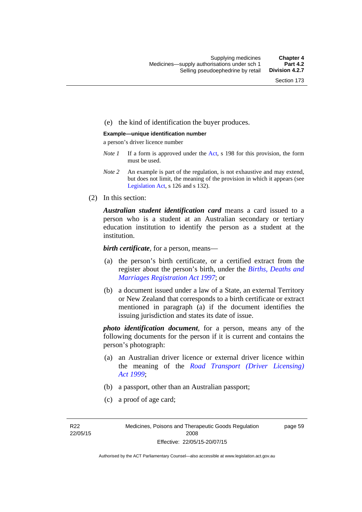### (e) the kind of identification the buyer produces.

#### **Example—unique identification number**

a person's driver licence number

- *Note 1* If a form is approved under the [Act](http://www.legislation.act.gov.au/a/2008-26/default.asp), s 198 for this provision, the form must be used.
- *Note 2* An example is part of the regulation, is not exhaustive and may extend, but does not limit, the meaning of the provision in which it appears (see [Legislation Act,](http://www.legislation.act.gov.au/a/2001-14) s 126 and s 132).
- (2) In this section:

*Australian student identification card* means a card issued to a person who is a student at an Australian secondary or tertiary education institution to identify the person as a student at the institution.

*birth certificate*, for a person, means—

- (a) the person's birth certificate, or a certified extract from the register about the person's birth, under the *[Births, Deaths and](http://www.legislation.act.gov.au/a/1997-112)  [Marriages Registration Act 1997](http://www.legislation.act.gov.au/a/1997-112)*; or
- (b) a document issued under a law of a State, an external Territory or New Zealand that corresponds to a birth certificate or extract mentioned in paragraph (a) if the document identifies the issuing jurisdiction and states its date of issue.

*photo identification document*, for a person, means any of the following documents for the person if it is current and contains the person's photograph:

- (a) an Australian driver licence or external driver licence within the meaning of the *[Road Transport \(Driver Licensing\)](http://www.legislation.act.gov.au/a/1999-78)  [Act 1999](http://www.legislation.act.gov.au/a/1999-78)*;
- (b) a passport, other than an Australian passport;
- (c) a proof of age card;

R22 22/05/15 page 59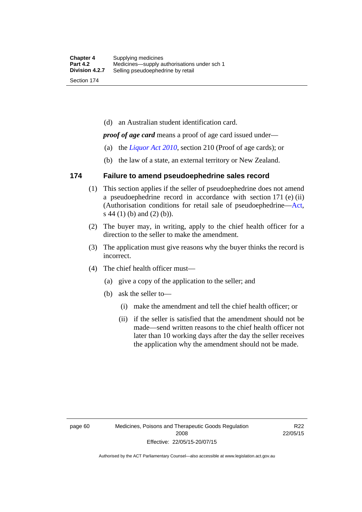(d) an Australian student identification card.

*proof of age card* means a proof of age card issued under—

- (a) the *[Liquor Act 2010](http://www.legislation.act.gov.au/a/2010-35)*, section 210 (Proof of age cards); or
- (b) the law of a state, an external territory or New Zealand.

### **174 Failure to amend pseudoephedrine sales record**

- (1) This section applies if the seller of pseudoephedrine does not amend a pseudoephedrine record in accordance with section 171 (e) (ii) (Authorisation conditions for retail sale of pseudoephedrine—[Act](http://www.legislation.act.gov.au/a/2008-26/default.asp), s 44 (1) (b) and (2) (b)).
- (2) The buyer may, in writing, apply to the chief health officer for a direction to the seller to make the amendment.
- (3) The application must give reasons why the buyer thinks the record is incorrect.
- (4) The chief health officer must—
	- (a) give a copy of the application to the seller; and
	- (b) ask the seller to—
		- (i) make the amendment and tell the chief health officer; or
		- (ii) if the seller is satisfied that the amendment should not be made—send written reasons to the chief health officer not later than 10 working days after the day the seller receives the application why the amendment should not be made.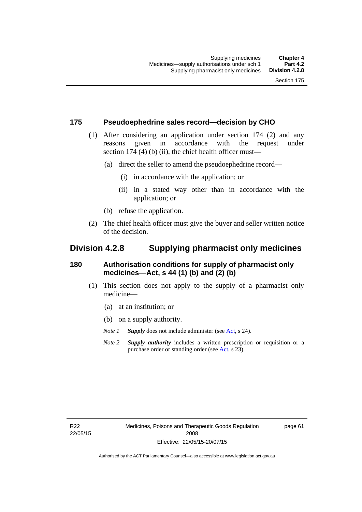### **175 Pseudoephedrine sales record—decision by CHO**

- (1) After considering an application under section 174 (2) and any reasons given in accordance with the request under section 174  $(4)$  (b)  $(ii)$ , the chief health officer must—
	- (a) direct the seller to amend the pseudoephedrine record—
		- (i) in accordance with the application; or
		- (ii) in a stated way other than in accordance with the application; or
	- (b) refuse the application.
- (2) The chief health officer must give the buyer and seller written notice of the decision.

## **Division 4.2.8 Supplying pharmacist only medicines**

### **180 Authorisation conditions for supply of pharmacist only medicines—Act, s 44 (1) (b) and (2) (b)**

- (1) This section does not apply to the supply of a pharmacist only medicine—
	- (a) at an institution; or
	- (b) on a supply authority.
	- *Note 1 Supply* does not include administer (see [Act,](http://www.legislation.act.gov.au/a/2008-26/default.asp) s 24).
	- *Note 2 Supply authority* includes a written prescription or requisition or a purchase order or standing order (see [Act,](http://www.legislation.act.gov.au/a/2008-26/default.asp) s 23).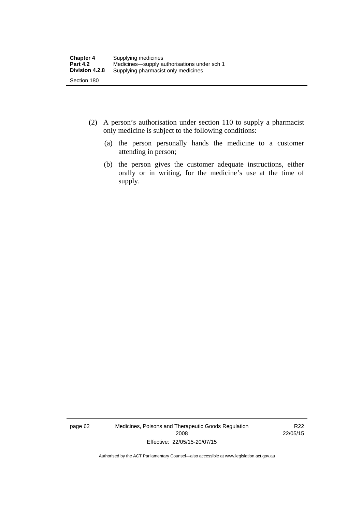- (2) A person's authorisation under section 110 to supply a pharmacist only medicine is subject to the following conditions:
	- (a) the person personally hands the medicine to a customer attending in person;
	- (b) the person gives the customer adequate instructions, either orally or in writing, for the medicine's use at the time of supply.

page 62 Medicines, Poisons and Therapeutic Goods Regulation 2008 Effective: 22/05/15-20/07/15

R22 22/05/15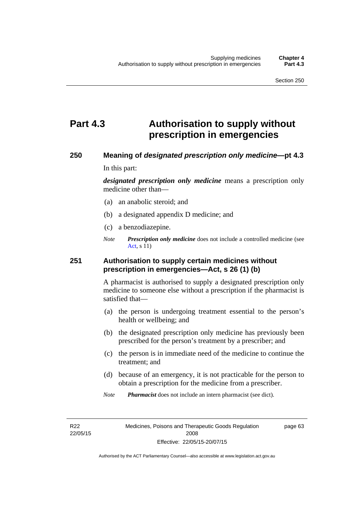## **Part 4.3 Authorisation to supply without prescription in emergencies**

### **250 Meaning of** *designated prescription only medicine***—pt 4.3**

In this part:

*designated prescription only medicine* means a prescription only medicine other than—

- (a) an anabolic steroid; and
- (b) a designated appendix D medicine; and
- (c) a benzodiazepine.
- *Note Prescription only medicine* does not include a controlled medicine (see [Act](http://www.legislation.act.gov.au/a/2008-26/default.asp), s 11)

### **251 Authorisation to supply certain medicines without prescription in emergencies—Act, s 26 (1) (b)**

A pharmacist is authorised to supply a designated prescription only medicine to someone else without a prescription if the pharmacist is satisfied that—

- (a) the person is undergoing treatment essential to the person's health or wellbeing; and
- (b) the designated prescription only medicine has previously been prescribed for the person's treatment by a prescriber; and
- (c) the person is in immediate need of the medicine to continue the treatment; and
- (d) because of an emergency, it is not practicable for the person to obtain a prescription for the medicine from a prescriber.
- *Note Pharmacist* does not include an intern pharmacist (see dict).

R22 22/05/15 page 63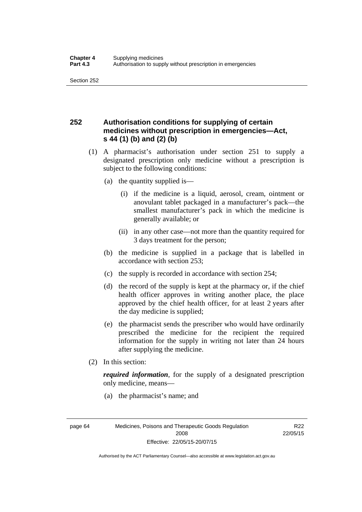## **252 Authorisation conditions for supplying of certain medicines without prescription in emergencies—Act, s 44 (1) (b) and (2) (b)**

- (1) A pharmacist's authorisation under section 251 to supply a designated prescription only medicine without a prescription is subject to the following conditions:
	- (a) the quantity supplied is—
		- (i) if the medicine is a liquid, aerosol, cream, ointment or anovulant tablet packaged in a manufacturer's pack—the smallest manufacturer's pack in which the medicine is generally available; or
		- (ii) in any other case—not more than the quantity required for 3 days treatment for the person;
	- (b) the medicine is supplied in a package that is labelled in accordance with section 253;
	- (c) the supply is recorded in accordance with section 254;
	- (d) the record of the supply is kept at the pharmacy or, if the chief health officer approves in writing another place, the place approved by the chief health officer, for at least 2 years after the day medicine is supplied;
	- (e) the pharmacist sends the prescriber who would have ordinarily prescribed the medicine for the recipient the required information for the supply in writing not later than 24 hours after supplying the medicine.
- (2) In this section:

*required information*, for the supply of a designated prescription only medicine, means—

(a) the pharmacist's name; and

R<sub>22</sub> 22/05/15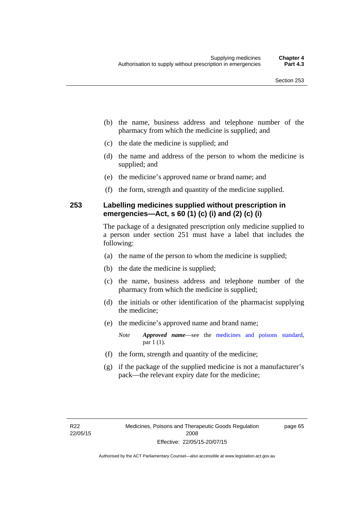- (b) the name, business address and telephone number of the pharmacy from which the medicine is supplied; and
- (c) the date the medicine is supplied; and
- (d) the name and address of the person to whom the medicine is supplied; and
- (e) the medicine's approved name or brand name; and
- (f) the form, strength and quantity of the medicine supplied.

### **253 Labelling medicines supplied without prescription in emergencies—Act, s 60 (1) (c) (i) and (2) (c) (i)**

The package of a designated prescription only medicine supplied to a person under section 251 must have a label that includes the following:

- (a) the name of the person to whom the medicine is supplied;
- (b) the date the medicine is supplied;
- (c) the name, business address and telephone number of the pharmacy from which the medicine is supplied;
- (d) the initials or other identification of the pharmacist supplying the medicine;
- (e) the medicine's approved name and brand name;

*Note Approved name*—see the [medicines and poisons standard,](http://www.comlaw.gov.au/Series/F2012L01200) par 1 (1).

- (f) the form, strength and quantity of the medicine;
- (g) if the package of the supplied medicine is not a manufacturer's pack—the relevant expiry date for the medicine;

page 65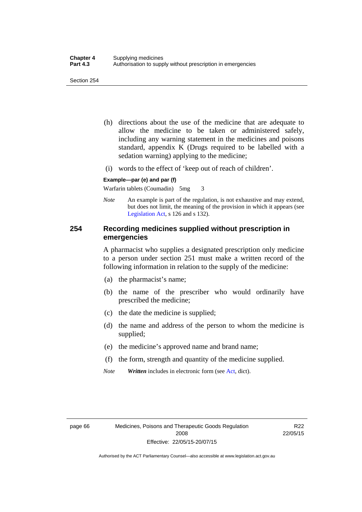- (h) directions about the use of the medicine that are adequate to allow the medicine to be taken or administered safely, including any warning statement in the medicines and poisons standard, appendix K (Drugs required to be labelled with a sedation warning) applying to the medicine;
- (i) words to the effect of 'keep out of reach of children'.

#### **Example—par (e) and par (f)**

Warfarin tablets (Coumadin) 5mg 3

*Note* An example is part of the regulation, is not exhaustive and may extend, but does not limit, the meaning of the provision in which it appears (see [Legislation Act,](http://www.legislation.act.gov.au/a/2001-14) s 126 and s 132).

### **254 Recording medicines supplied without prescription in emergencies**

A pharmacist who supplies a designated prescription only medicine to a person under section 251 must make a written record of the following information in relation to the supply of the medicine:

- (a) the pharmacist's name;
- (b) the name of the prescriber who would ordinarily have prescribed the medicine;
- (c) the date the medicine is supplied;
- (d) the name and address of the person to whom the medicine is supplied;
- (e) the medicine's approved name and brand name;
- (f) the form, strength and quantity of the medicine supplied.
- *Note Written* includes in electronic form (see [Act,](http://www.legislation.act.gov.au/a/2008-26/default.asp) dict).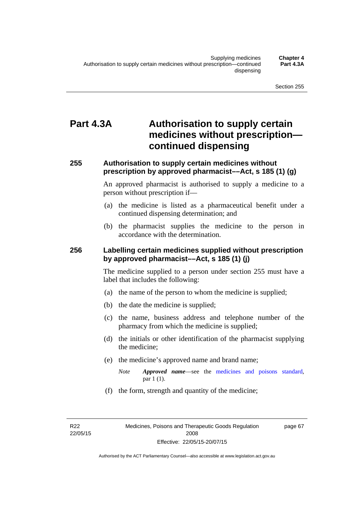# **Part 4.3A Authorisation to supply certain medicines without prescription continued dispensing**

### **255 Authorisation to supply certain medicines without prescription by approved pharmacist––Act, s 185 (1) (g)**

An approved pharmacist is authorised to supply a medicine to a person without prescription if––

- (a) the medicine is listed as a pharmaceutical benefit under a continued dispensing determination; and
- (b) the pharmacist supplies the medicine to the person in accordance with the determination.

### **256 Labelling certain medicines supplied without prescription by approved pharmacist––Act, s 185 (1) (j)**

The medicine supplied to a person under section 255 must have a label that includes the following:

- (a) the name of the person to whom the medicine is supplied;
- (b) the date the medicine is supplied;
- (c) the name, business address and telephone number of the pharmacy from which the medicine is supplied;
- (d) the initials or other identification of the pharmacist supplying the medicine;
- (e) the medicine's approved name and brand name;
	- *Note Approved name––*see the [medicines and poisons standard,](http://www.comlaw.gov.au/Series/F2012L01200) par 1 (1).
- (f) the form, strength and quantity of the medicine;

R22 22/05/15 page 67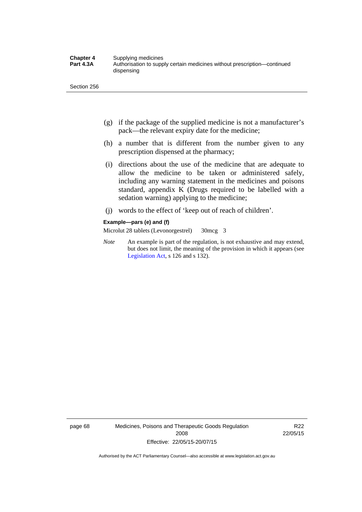- (g) if the package of the supplied medicine is not a manufacturer's pack—the relevant expiry date for the medicine;
- (h) a number that is different from the number given to any prescription dispensed at the pharmacy;
- (i) directions about the use of the medicine that are adequate to allow the medicine to be taken or administered safely, including any warning statement in the medicines and poisons standard, appendix K (Drugs required to be labelled with a sedation warning) applying to the medicine;
- (j) words to the effect of 'keep out of reach of children'.

#### **Example—pars (e) and (f)**

Microlut 28 tablets (Levonorgestrel) 30mcg 3

*Note* An example is part of the regulation, is not exhaustive and may extend, but does not limit, the meaning of the provision in which it appears (see [Legislation Act,](http://www.legislation.act.gov.au/a/2001-14) s 126 and s 132).

page 68 Medicines, Poisons and Therapeutic Goods Regulation 2008 Effective: 22/05/15-20/07/15

R22 22/05/15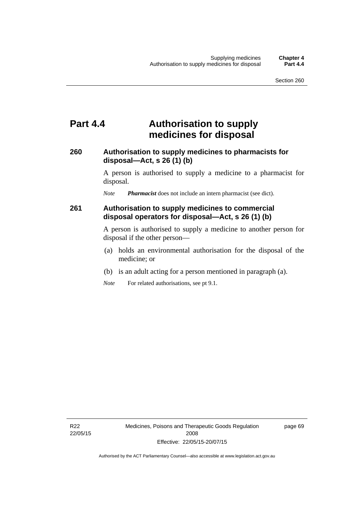## **Part 4.4 Authorisation to supply medicines for disposal**

### **260 Authorisation to supply medicines to pharmacists for disposal—Act, s 26 (1) (b)**

A person is authorised to supply a medicine to a pharmacist for disposal.

*Note Pharmacist* does not include an intern pharmacist (see dict).

### **261 Authorisation to supply medicines to commercial disposal operators for disposal—Act, s 26 (1) (b)**

A person is authorised to supply a medicine to another person for disposal if the other person—

- (a) holds an environmental authorisation for the disposal of the medicine; or
- (b) is an adult acting for a person mentioned in paragraph (a).
- *Note* For related authorisations, see pt 9.1.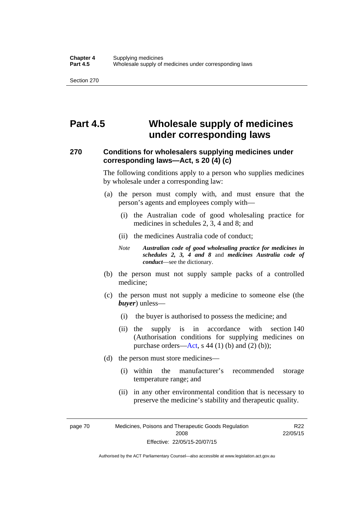# **Part 4.5 Wholesale supply of medicines under corresponding laws**

### **270 Conditions for wholesalers supplying medicines under corresponding laws—Act, s 20 (4) (c)**

The following conditions apply to a person who supplies medicines by wholesale under a corresponding law:

- (a) the person must comply with, and must ensure that the person's agents and employees comply with—
	- (i) the Australian code of good wholesaling practice for medicines in schedules 2, 3, 4 and 8; and
	- (ii) the medicines Australia code of conduct;
	- *Note Australian code of good wholesaling practice for medicines in schedules 2, 3, 4 and 8* and *medicines Australia code of conduct*—see the dictionary.
- (b) the person must not supply sample packs of a controlled medicine;
- (c) the person must not supply a medicine to someone else (the *buyer*) unless—
	- (i) the buyer is authorised to possess the medicine; and
	- (ii) the supply is in accordance with section 140 (Authorisation conditions for supplying medicines on purchase orders—[Act,](http://www.legislation.act.gov.au/a/2008-26/default.asp) s 44 (1) (b) and (2) (b));
- (d) the person must store medicines—
	- (i) within the manufacturer's recommended storage temperature range; and
	- (ii) in any other environmental condition that is necessary to preserve the medicine's stability and therapeutic quality.

page 70 Medicines, Poisons and Therapeutic Goods Regulation 2008 Effective: 22/05/15-20/07/15

R22 22/05/15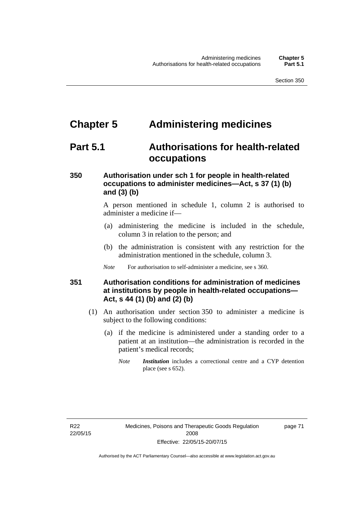# **Chapter 5 Administering medicines**

# **Part 5.1 Authorisations for health-related occupations**

## **350 Authorisation under sch 1 for people in health-related occupations to administer medicines—Act, s 37 (1) (b) and (3) (b)**

A person mentioned in schedule 1, column 2 is authorised to administer a medicine if—

- (a) administering the medicine is included in the schedule, column 3 in relation to the person; and
- (b) the administration is consistent with any restriction for the administration mentioned in the schedule, column 3.
- *Note* For authorisation to self-administer a medicine, see s 360.

## **351 Authorisation conditions for administration of medicines at institutions by people in health-related occupations— Act, s 44 (1) (b) and (2) (b)**

- (1) An authorisation under section 350 to administer a medicine is subject to the following conditions:
	- (a) if the medicine is administered under a standing order to a patient at an institution—the administration is recorded in the patient's medical records;
		- *Note Institution* includes a correctional centre and a CYP detention place (see s 652).

page 71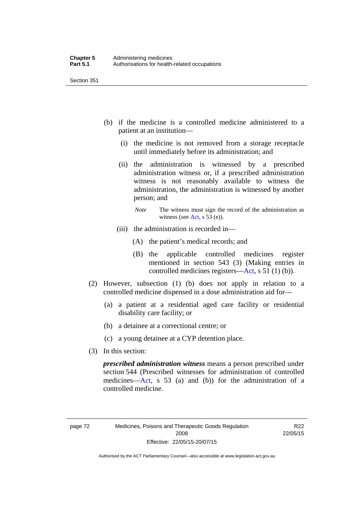- (b) if the medicine is a controlled medicine administered to a patient at an institution—
	- (i) the medicine is not removed from a storage receptacle until immediately before its administration; and
	- (ii) the administration is witnessed by a prescribed administration witness or, if a prescribed administration witness is not reasonably available to witness the administration, the administration is witnessed by another person; and
		- *Note* The witness must sign the record of the administration as witness (see [Act,](http://www.legislation.act.gov.au/a/2008-26/default.asp) s 53 (e)).
	- (iii) the administration is recorded in—
		- (A) the patient's medical records; and
		- (B) the applicable controlled medicines register mentioned in section 543 (3) (Making entries in controlled medicines registers[—Act](http://www.legislation.act.gov.au/a/2008-26/default.asp), s 51 (1) (b)).
- (2) However, subsection (1) (b) does not apply in relation to a controlled medicine dispensed in a dose administration aid for—
	- (a) a patient at a residential aged care facility or residential disability care facility; or
	- (b) a detainee at a correctional centre; or
	- (c) a young detainee at a CYP detention place.
- (3) In this section:

*prescribed administration witness* means a person prescribed under section 544 (Prescribed witnesses for administration of controlled medicines—[Act](http://www.legislation.act.gov.au/a/2008-26/default.asp), s 53 (a) and (b)) for the administration of a controlled medicine.

R22 22/05/15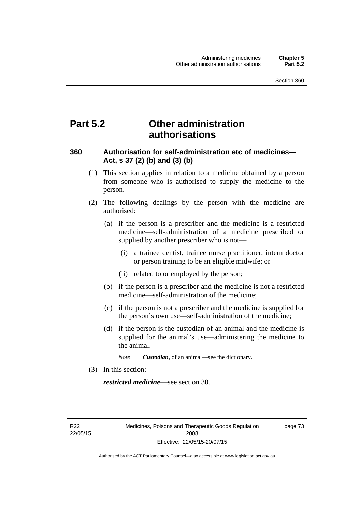# **Part 5.2 Other administration authorisations**

### **360 Authorisation for self-administration etc of medicines— Act, s 37 (2) (b) and (3) (b)**

- (1) This section applies in relation to a medicine obtained by a person from someone who is authorised to supply the medicine to the person.
- (2) The following dealings by the person with the medicine are authorised:
	- (a) if the person is a prescriber and the medicine is a restricted medicine—self-administration of a medicine prescribed or supplied by another prescriber who is not—
		- (i) a trainee dentist, trainee nurse practitioner, intern doctor or person training to be an eligible midwife; or
		- (ii) related to or employed by the person;
	- (b) if the person is a prescriber and the medicine is not a restricted medicine—self-administration of the medicine;
	- (c) if the person is not a prescriber and the medicine is supplied for the person's own use—self-administration of the medicine;
	- (d) if the person is the custodian of an animal and the medicine is supplied for the animal's use—administering the medicine to the animal.
		- *Note Custodian*, of an animal—see the dictionary.
- (3) In this section:

*restricted medicine*—see section 30.

R22 22/05/15 page 73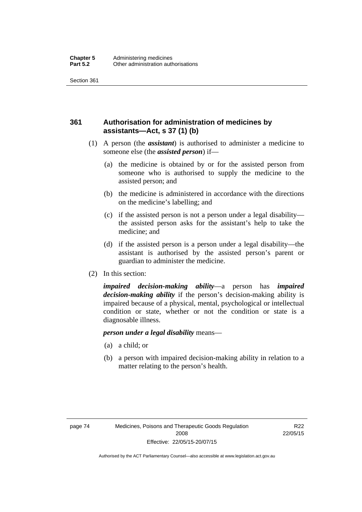## **361 Authorisation for administration of medicines by assistants—Act, s 37 (1) (b)**

- (1) A person (the *assistant*) is authorised to administer a medicine to someone else (the *assisted person*) if—
	- (a) the medicine is obtained by or for the assisted person from someone who is authorised to supply the medicine to the assisted person; and
	- (b) the medicine is administered in accordance with the directions on the medicine's labelling; and
	- (c) if the assisted person is not a person under a legal disability the assisted person asks for the assistant's help to take the medicine; and
	- (d) if the assisted person is a person under a legal disability—the assistant is authorised by the assisted person's parent or guardian to administer the medicine.
- (2) In this section:

*impaired decision-making ability*—a person has *impaired decision-making ability* if the person's decision-making ability is impaired because of a physical, mental, psychological or intellectual condition or state, whether or not the condition or state is a diagnosable illness.

### *person under a legal disability* means—

- (a) a child; or
- (b) a person with impaired decision-making ability in relation to a matter relating to the person's health.

R22 22/05/15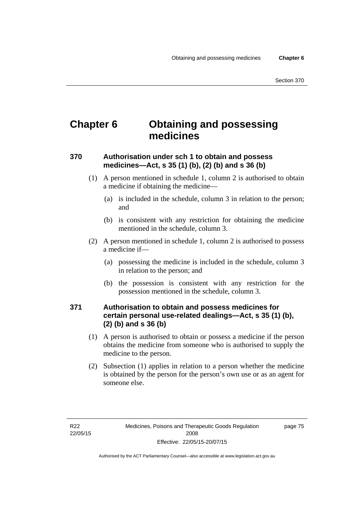# **Chapter 6 Obtaining and possessing medicines**

## **370 Authorisation under sch 1 to obtain and possess medicines—Act, s 35 (1) (b), (2) (b) and s 36 (b)**

- (1) A person mentioned in schedule 1, column 2 is authorised to obtain a medicine if obtaining the medicine—
	- (a) is included in the schedule, column 3 in relation to the person; and
	- (b) is consistent with any restriction for obtaining the medicine mentioned in the schedule, column 3.
- (2) A person mentioned in schedule 1, column 2 is authorised to possess a medicine if—
	- (a) possessing the medicine is included in the schedule, column 3 in relation to the person; and
	- (b) the possession is consistent with any restriction for the possession mentioned in the schedule, column 3.

### **371 Authorisation to obtain and possess medicines for certain personal use-related dealings—Act, s 35 (1) (b), (2) (b) and s 36 (b)**

- (1) A person is authorised to obtain or possess a medicine if the person obtains the medicine from someone who is authorised to supply the medicine to the person.
- (2) Subsection (1) applies in relation to a person whether the medicine is obtained by the person for the person's own use or as an agent for someone else.

page 75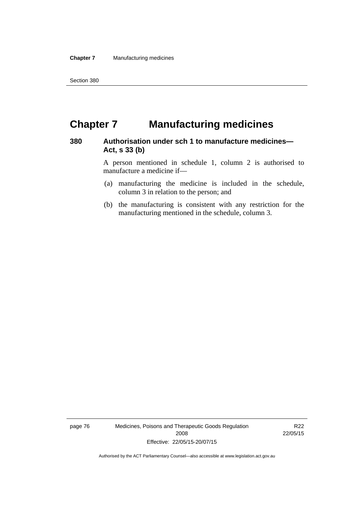# **Chapter 7 Manufacturing medicines**

### **380 Authorisation under sch 1 to manufacture medicines— Act, s 33 (b)**

A person mentioned in schedule 1, column 2 is authorised to manufacture a medicine if—

- (a) manufacturing the medicine is included in the schedule, column 3 in relation to the person; and
- (b) the manufacturing is consistent with any restriction for the manufacturing mentioned in the schedule, column 3.

page 76 Medicines, Poisons and Therapeutic Goods Regulation 2008 Effective: 22/05/15-20/07/15

R22 22/05/15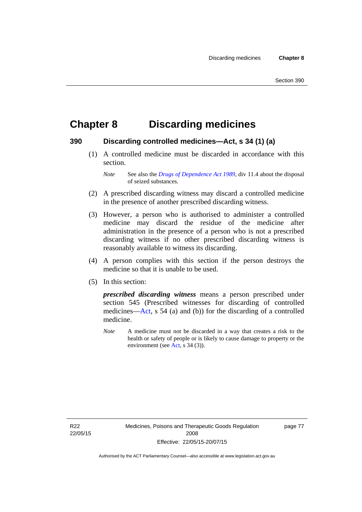# **Chapter 8 Discarding medicines**

### **390 Discarding controlled medicines—Act, s 34 (1) (a)**

 (1) A controlled medicine must be discarded in accordance with this section.

*Note* See also the *[Drugs of Dependence Act 1989](http://www.legislation.act.gov.au/a/alt_a1989-11co)*, div 11.4 about the disposal of seized substances.

- (2) A prescribed discarding witness may discard a controlled medicine in the presence of another prescribed discarding witness.
- (3) However, a person who is authorised to administer a controlled medicine may discard the residue of the medicine after administration in the presence of a person who is not a prescribed discarding witness if no other prescribed discarding witness is reasonably available to witness its discarding.
- (4) A person complies with this section if the person destroys the medicine so that it is unable to be used.
- (5) In this section:

*prescribed discarding witness* means a person prescribed under section 545 (Prescribed witnesses for discarding of controlled medicines—[Act](http://www.legislation.act.gov.au/a/2008-26/default.asp), s 54 (a) and (b)) for the discarding of a controlled medicine.

*Note* A medicine must not be discarded in a way that creates a risk to the health or safety of people or is likely to cause damage to property or the environment (see [Act](http://www.legislation.act.gov.au/a/2008-26/default.asp), s 34 (3)).

R22 22/05/15 page 77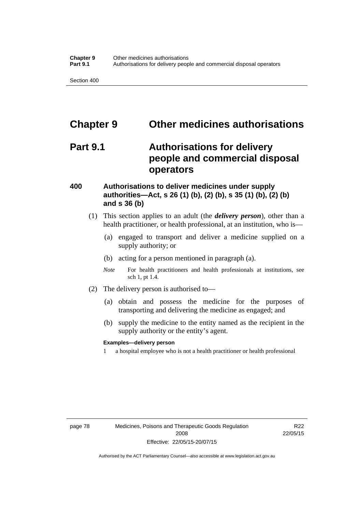# **Chapter 9 Other medicines authorisations**

## **Part 9.1 Authorisations for delivery people and commercial disposal operators**

### **400 Authorisations to deliver medicines under supply authorities—Act, s 26 (1) (b), (2) (b), s 35 (1) (b), (2) (b) and s 36 (b)**

- (1) This section applies to an adult (the *delivery person*), other than a health practitioner, or health professional, at an institution, who is—
	- (a) engaged to transport and deliver a medicine supplied on a supply authority; or
	- (b) acting for a person mentioned in paragraph (a).
	- *Note* For health practitioners and health professionals at institutions, see sch 1, pt 1.4.
- (2) The delivery person is authorised to—
	- (a) obtain and possess the medicine for the purposes of transporting and delivering the medicine as engaged; and
	- (b) supply the medicine to the entity named as the recipient in the supply authority or the entity's agent.

### **Examples—delivery person**

1 a hospital employee who is not a health practitioner or health professional

page 78 Medicines, Poisons and Therapeutic Goods Regulation 2008 Effective: 22/05/15-20/07/15

R22 22/05/15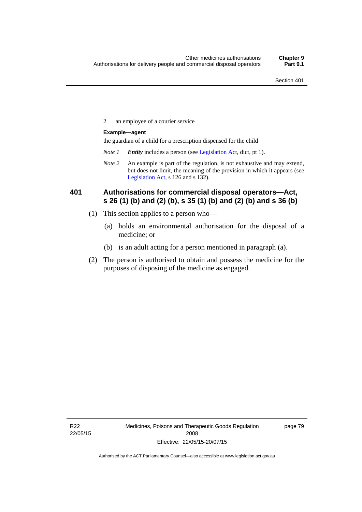2 an employee of a courier service

### **Example—agent**

the guardian of a child for a prescription dispensed for the child

- *Note 1 Entity* includes a person (see [Legislation Act,](http://www.legislation.act.gov.au/a/2001-14) dict, pt 1).
- *Note 2* An example is part of the regulation, is not exhaustive and may extend, but does not limit, the meaning of the provision in which it appears (see [Legislation Act,](http://www.legislation.act.gov.au/a/2001-14) s 126 and s 132).

### **401 Authorisations for commercial disposal operators—Act, s 26 (1) (b) and (2) (b), s 35 (1) (b) and (2) (b) and s 36 (b)**

- (1) This section applies to a person who—
	- (a) holds an environmental authorisation for the disposal of a medicine; or
	- (b) is an adult acting for a person mentioned in paragraph (a).
- (2) The person is authorised to obtain and possess the medicine for the purposes of disposing of the medicine as engaged.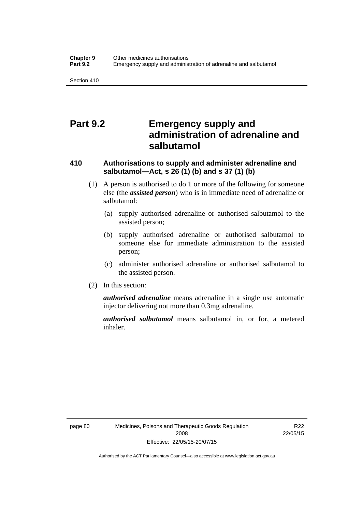# **Part 9.2 Emergency supply and administration of adrenaline and salbutamol**

## **410 Authorisations to supply and administer adrenaline and salbutamol—Act, s 26 (1) (b) and s 37 (1) (b)**

- (1) A person is authorised to do 1 or more of the following for someone else (the *assisted person*) who is in immediate need of adrenaline or salbutamol:
	- (a) supply authorised adrenaline or authorised salbutamol to the assisted person;
	- (b) supply authorised adrenaline or authorised salbutamol to someone else for immediate administration to the assisted person;
	- (c) administer authorised adrenaline or authorised salbutamol to the assisted person.
- (2) In this section:

*authorised adrenaline* means adrenaline in a single use automatic injector delivering not more than 0.3mg adrenaline.

*authorised salbutamol* means salbutamol in, or for, a metered inhaler.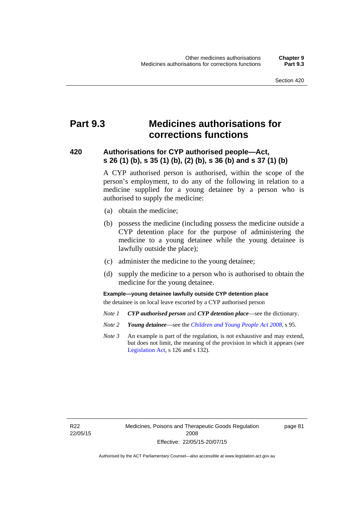# **Part 9.3 Medicines authorisations for corrections functions**

### **420 Authorisations for CYP authorised people—Act, s 26 (1) (b), s 35 (1) (b), (2) (b), s 36 (b) and s 37 (1) (b)**

A CYP authorised person is authorised, within the scope of the person's employment, to do any of the following in relation to a medicine supplied for a young detainee by a person who is authorised to supply the medicine:

- (a) obtain the medicine;
- (b) possess the medicine (including possess the medicine outside a CYP detention place for the purpose of administering the medicine to a young detainee while the young detainee is lawfully outside the place);
- (c) administer the medicine to the young detainee;
- (d) supply the medicine to a person who is authorised to obtain the medicine for the young detainee.

### **Example—young detainee lawfully outside CYP detention place**

the detainee is on local leave escorted by a CYP authorised person

- *Note 1 CYP authorised person* and *CYP detention place*—see the dictionary.
- *Note 2 Young detainee*—see the *[Children and Young People Act 2008](http://www.legislation.act.gov.au/a/2008-19)*, s 95.
- *Note 3* An example is part of the regulation, is not exhaustive and may extend, but does not limit, the meaning of the provision in which it appears (see [Legislation Act,](http://www.legislation.act.gov.au/a/2001-14) s 126 and s 132).

page 81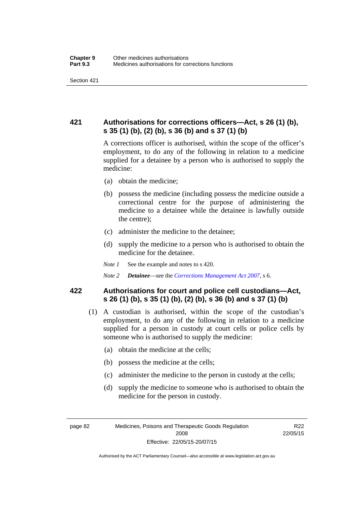## **421 Authorisations for corrections officers—Act, s 26 (1) (b), s 35 (1) (b), (2) (b), s 36 (b) and s 37 (1) (b)**

A corrections officer is authorised, within the scope of the officer's employment, to do any of the following in relation to a medicine supplied for a detainee by a person who is authorised to supply the medicine:

- (a) obtain the medicine;
- (b) possess the medicine (including possess the medicine outside a correctional centre for the purpose of administering the medicine to a detainee while the detainee is lawfully outside the centre);
- (c) administer the medicine to the detainee;
- (d) supply the medicine to a person who is authorised to obtain the medicine for the detainee.
- *Note 1* See the example and notes to s 420.
- *Note 2 Detainee*—see the *[Corrections Management Act 2007](http://www.legislation.act.gov.au/a/2007-15)*, s 6.

### **422 Authorisations for court and police cell custodians—Act, s 26 (1) (b), s 35 (1) (b), (2) (b), s 36 (b) and s 37 (1) (b)**

- (1) A custodian is authorised, within the scope of the custodian's employment, to do any of the following in relation to a medicine supplied for a person in custody at court cells or police cells by someone who is authorised to supply the medicine:
	- (a) obtain the medicine at the cells;
	- (b) possess the medicine at the cells;
	- (c) administer the medicine to the person in custody at the cells;
	- (d) supply the medicine to someone who is authorised to obtain the medicine for the person in custody.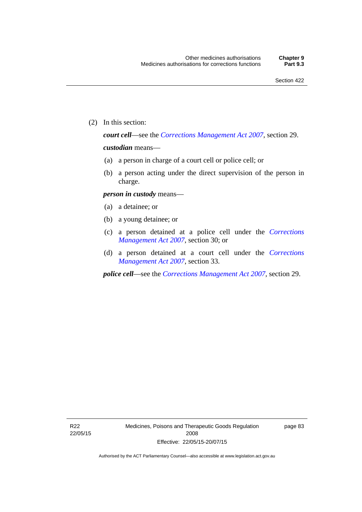(2) In this section:

*court cell*—see the *[Corrections Management Act 2007](http://www.legislation.act.gov.au/a/2007-15)*, section 29.

### *custodian* means—

- (a) a person in charge of a court cell or police cell; or
- (b) a person acting under the direct supervision of the person in charge.

### *person in custody* means—

- (a) a detainee; or
- (b) a young detainee; or
- (c) a person detained at a police cell under the *[Corrections](http://www.legislation.act.gov.au/a/2007-15)  [Management Act 2007](http://www.legislation.act.gov.au/a/2007-15)*, section 30; or
- (d) a person detained at a court cell under the *[Corrections](http://www.legislation.act.gov.au/a/2007-15)  [Management Act 2007](http://www.legislation.act.gov.au/a/2007-15)*, section 33.

*police cell*—see the *[Corrections Management Act 2007](http://www.legislation.act.gov.au/a/2007-15)*, section 29.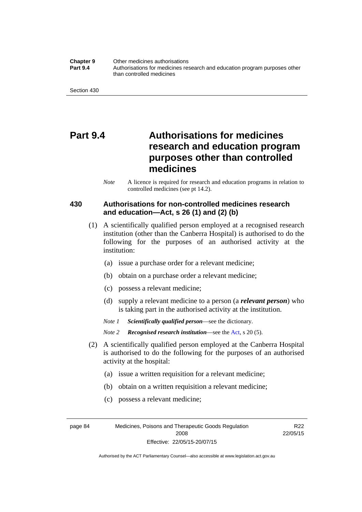**Chapter 9** Other medicines authorisations **Part 9.4** • **Authorisations for medicines research and education program purposes other** than controlled medicines

Section 430

# **Part 9.4 Authorisations for medicines research and education program purposes other than controlled medicines**

*Note* A licence is required for research and education programs in relation to controlled medicines (see pt 14.2).

### **430 Authorisations for non-controlled medicines research and education—Act, s 26 (1) and (2) (b)**

- (1) A scientifically qualified person employed at a recognised research institution (other than the Canberra Hospital) is authorised to do the following for the purposes of an authorised activity at the institution:
	- (a) issue a purchase order for a relevant medicine;
	- (b) obtain on a purchase order a relevant medicine;
	- (c) possess a relevant medicine;
	- (d) supply a relevant medicine to a person (a *relevant person*) who is taking part in the authorised activity at the institution.
	- *Note 1 Scientifically qualified person*—see the dictionary.

*Note 2 Recognised research institution*—see the [Act](http://www.legislation.act.gov.au/a/2008-26/default.asp), s 20 (5).

- (2) A scientifically qualified person employed at the Canberra Hospital is authorised to do the following for the purposes of an authorised activity at the hospital:
	- (a) issue a written requisition for a relevant medicine;
	- (b) obtain on a written requisition a relevant medicine;
	- (c) possess a relevant medicine;

page 84 Medicines, Poisons and Therapeutic Goods Regulation 2008 Effective: 22/05/15-20/07/15

R22 22/05/15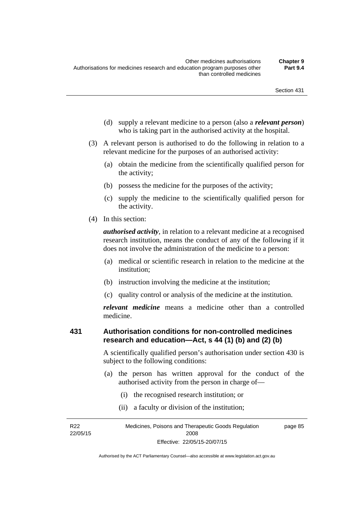- (d) supply a relevant medicine to a person (also a *relevant person*) who is taking part in the authorised activity at the hospital.
- (3) A relevant person is authorised to do the following in relation to a relevant medicine for the purposes of an authorised activity:
	- (a) obtain the medicine from the scientifically qualified person for the activity;
	- (b) possess the medicine for the purposes of the activity;
	- (c) supply the medicine to the scientifically qualified person for the activity.
- (4) In this section:

*authorised activity*, in relation to a relevant medicine at a recognised research institution, means the conduct of any of the following if it does not involve the administration of the medicine to a person:

- (a) medical or scientific research in relation to the medicine at the institution;
- (b) instruction involving the medicine at the institution;
- (c) quality control or analysis of the medicine at the institution.

*relevant medicine* means a medicine other than a controlled medicine.

#### **431 Authorisation conditions for non-controlled medicines research and education—Act, s 44 (1) (b) and (2) (b)**

A scientifically qualified person's authorisation under section 430 is subject to the following conditions:

- (a) the person has written approval for the conduct of the authorised activity from the person in charge of—
	- (i) the recognised research institution; or
	- (ii) a faculty or division of the institution;

R22 22/05/15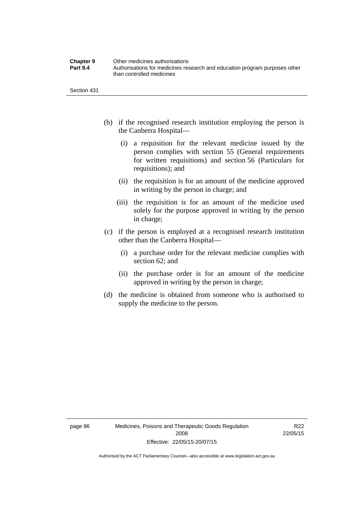| <b>Chapter 9</b> | Other medicines authorisations                                             |
|------------------|----------------------------------------------------------------------------|
| <b>Part 9.4</b>  | Authorisations for medicines research and education program purposes other |
|                  | than controlled medicines                                                  |

Section 431

- (b) if the recognised research institution employing the person is the Canberra Hospital—
	- (i) a requisition for the relevant medicine issued by the person complies with section 55 (General requirements for written requisitions) and section 56 (Particulars for requisitions); and
	- (ii) the requisition is for an amount of the medicine approved in writing by the person in charge; and
	- (iii) the requisition is for an amount of the medicine used solely for the purpose approved in writing by the person in charge;
- (c) if the person is employed at a recognised research institution other than the Canberra Hospital—
	- (i) a purchase order for the relevant medicine complies with section 62; and
	- (ii) the purchase order is for an amount of the medicine approved in writing by the person in charge;
- (d) the medicine is obtained from someone who is authorised to supply the medicine to the person.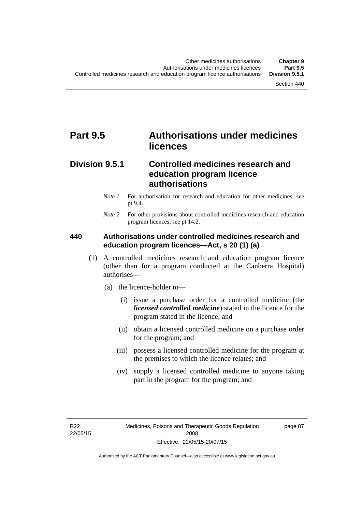# **Part 9.5 Authorisations under medicines licences**

### **Division 9.5.1 Controlled medicines research and education program licence authorisations**

- *Note 1* For authorisation for research and education for other medicines, see pt 9.4.
- *Note 2* For other provisions about controlled medicines research and education program licences, see pt 14.2.

#### **440 Authorisations under controlled medicines research and education program licences—Act, s 20 (1) (a)**

- (1) A controlled medicines research and education program licence (other than for a program conducted at the Canberra Hospital) authorises—
	- (a) the licence-holder to—
		- (i) issue a purchase order for a controlled medicine (the *licensed controlled medicine*) stated in the licence for the program stated in the licence; and
		- (ii) obtain a licensed controlled medicine on a purchase order for the program; and
		- (iii) possess a licensed controlled medicine for the program at the premises to which the licence relates; and
		- (iv) supply a licensed controlled medicine to anyone taking part in the program for the program; and

R22 22/05/15 page 87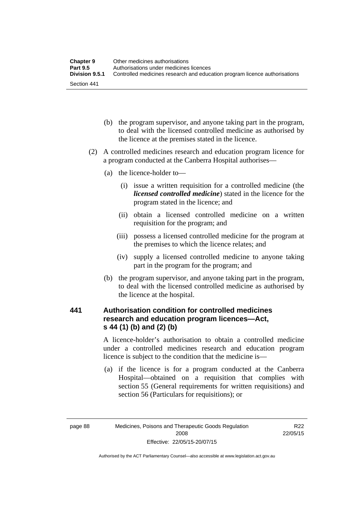| <b>Chapter 9</b> | Other medicines authorisations                                             |
|------------------|----------------------------------------------------------------------------|
| <b>Part 9.5</b>  | Authorisations under medicines licences                                    |
| Division 9.5.1   | Controlled medicines research and education program licence authorisations |
| Section 441      |                                                                            |

- (b) the program supervisor, and anyone taking part in the program, to deal with the licensed controlled medicine as authorised by the licence at the premises stated in the licence.
- (2) A controlled medicines research and education program licence for a program conducted at the Canberra Hospital authorises—
	- (a) the licence-holder to—
		- (i) issue a written requisition for a controlled medicine (the *licensed controlled medicine*) stated in the licence for the program stated in the licence; and
		- (ii) obtain a licensed controlled medicine on a written requisition for the program; and
		- (iii) possess a licensed controlled medicine for the program at the premises to which the licence relates; and
		- (iv) supply a licensed controlled medicine to anyone taking part in the program for the program; and
	- (b) the program supervisor, and anyone taking part in the program, to deal with the licensed controlled medicine as authorised by the licence at the hospital.

### **441 Authorisation condition for controlled medicines research and education program licences—Act, s 44 (1) (b) and (2) (b)**

A licence-holder's authorisation to obtain a controlled medicine under a controlled medicines research and education program licence is subject to the condition that the medicine is—

 (a) if the licence is for a program conducted at the Canberra Hospital—obtained on a requisition that complies with section 55 (General requirements for written requisitions) and section 56 (Particulars for requisitions); or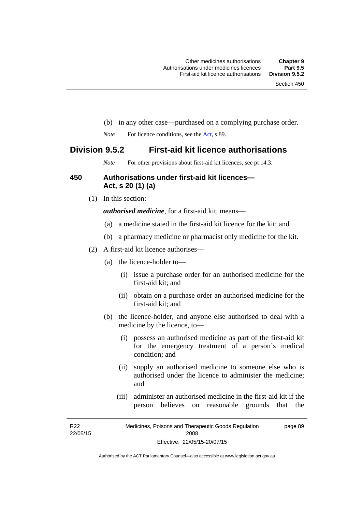- (b) in any other case—purchased on a complying purchase order.
- *Note* For licence conditions, see the [Act](http://www.legislation.act.gov.au/a/2008-26/default.asp), s 89.

### **Division 9.5.2 First-aid kit licence authorisations**

*Note* For other provisions about first-aid kit licences, see pt 14.3.

#### **450 Authorisations under first-aid kit licences— Act, s 20 (1) (a)**

(1) In this section:

*authorised medicine*, for a first-aid kit, means—

- (a) a medicine stated in the first-aid kit licence for the kit; and
- (b) a pharmacy medicine or pharmacist only medicine for the kit.
- (2) A first-aid kit licence authorises—
	- (a) the licence-holder to—
		- (i) issue a purchase order for an authorised medicine for the first-aid kit; and
		- (ii) obtain on a purchase order an authorised medicine for the first-aid kit; and
	- (b) the licence-holder, and anyone else authorised to deal with a medicine by the licence, to—
		- (i) possess an authorised medicine as part of the first-aid kit for the emergency treatment of a person's medical condition; and
		- (ii) supply an authorised medicine to someone else who is authorised under the licence to administer the medicine; and
		- (iii) administer an authorised medicine in the first-aid kit if the person believes on reasonable grounds that the

R22 22/05/15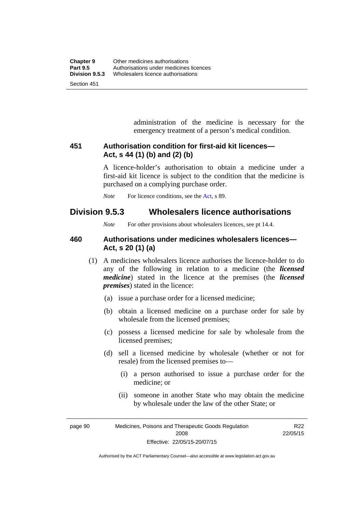administration of the medicine is necessary for the emergency treatment of a person's medical condition.

#### **451 Authorisation condition for first-aid kit licences— Act, s 44 (1) (b) and (2) (b)**

A licence-holder's authorisation to obtain a medicine under a first-aid kit licence is subject to the condition that the medicine is purchased on a complying purchase order.

*Note* For licence conditions, see the [Act](http://www.legislation.act.gov.au/a/2008-26/default.asp), s 89.

### **Division 9.5.3 Wholesalers licence authorisations**

*Note* For other provisions about wholesalers licences, see pt 14.4.

#### **460 Authorisations under medicines wholesalers licences— Act, s 20 (1) (a)**

- (1) A medicines wholesalers licence authorises the licence-holder to do any of the following in relation to a medicine (the *licensed medicine*) stated in the licence at the premises (the *licensed premises*) stated in the licence:
	- (a) issue a purchase order for a licensed medicine;
	- (b) obtain a licensed medicine on a purchase order for sale by wholesale from the licensed premises;
	- (c) possess a licensed medicine for sale by wholesale from the licensed premises;
	- (d) sell a licensed medicine by wholesale (whether or not for resale) from the licensed premises to—
		- (i) a person authorised to issue a purchase order for the medicine; or
		- (ii) someone in another State who may obtain the medicine by wholesale under the law of the other State; or

page 90 Medicines, Poisons and Therapeutic Goods Regulation 2008 Effective: 22/05/15-20/07/15

R22 22/05/15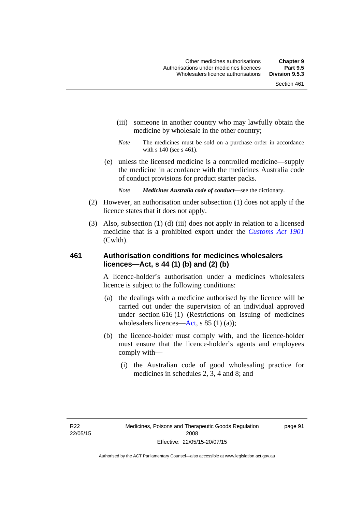- (iii) someone in another country who may lawfully obtain the medicine by wholesale in the other country;
- *Note* The medicines must be sold on a purchase order in accordance with s 140 (see s 461).
- (e) unless the licensed medicine is a controlled medicine—supply the medicine in accordance with the medicines Australia code of conduct provisions for product starter packs.
	- *Note Medicines Australia code of conduct*—see the dictionary.
- (2) However, an authorisation under subsection (1) does not apply if the licence states that it does not apply.
- (3) Also, subsection (1) (d) (iii) does not apply in relation to a licensed medicine that is a prohibited export under the *[Customs Act 1901](http://www.comlaw.gov.au/Series/C1901A00006)* (Cwlth).

#### **461 Authorisation conditions for medicines wholesalers licences—Act, s 44 (1) (b) and (2) (b)**

A licence-holder's authorisation under a medicines wholesalers licence is subject to the following conditions:

- (a) the dealings with a medicine authorised by the licence will be carried out under the supervision of an individual approved under section 616 (1) (Restrictions on issuing of medicines wholesalers licences[—Act,](http://www.legislation.act.gov.au/a/2008-26/default.asp) s 85 (1) (a));
- (b) the licence-holder must comply with, and the licence-holder must ensure that the licence-holder's agents and employees comply with—
	- (i) the Australian code of good wholesaling practice for medicines in schedules 2, 3, 4 and 8; and

page 91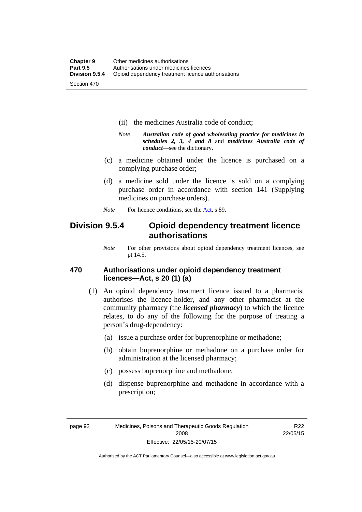- (ii) the medicines Australia code of conduct;
- *Note Australian code of good wholesaling practice for medicines in schedules 2, 3, 4 and 8* and *medicines Australia code of conduct*—see the dictionary.
- (c) a medicine obtained under the licence is purchased on a complying purchase order;
- (d) a medicine sold under the licence is sold on a complying purchase order in accordance with section 141 (Supplying medicines on purchase orders).
- *Note* For licence conditions, see the [Act](http://www.legislation.act.gov.au/a/2008-26/default.asp), s 89.

### **Division 9.5.4 Opioid dependency treatment licence authorisations**

*Note* For other provisions about opioid dependency treatment licences, see pt 14.5.

#### **470 Authorisations under opioid dependency treatment licences—Act, s 20 (1) (a)**

- (1) An opioid dependency treatment licence issued to a pharmacist authorises the licence-holder, and any other pharmacist at the community pharmacy (the *licensed pharmacy*) to which the licence relates, to do any of the following for the purpose of treating a person's drug-dependency:
	- (a) issue a purchase order for buprenorphine or methadone;
	- (b) obtain buprenorphine or methadone on a purchase order for administration at the licensed pharmacy;
	- (c) possess buprenorphine and methadone;
	- (d) dispense buprenorphine and methadone in accordance with a prescription;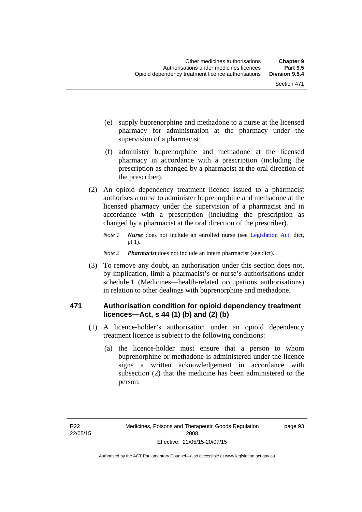- (e) supply buprenorphine and methadone to a nurse at the licensed pharmacy for administration at the pharmacy under the supervision of a pharmacist;
- (f) administer buprenorphine and methadone at the licensed pharmacy in accordance with a prescription (including the prescription as changed by a pharmacist at the oral direction of the prescriber).
- (2) An opioid dependency treatment licence issued to a pharmacist authorises a nurse to administer buprenorphine and methadone at the licensed pharmacy under the supervision of a pharmacist and in accordance with a prescription (including the prescription as changed by a pharmacist at the oral direction of the prescriber).
	- *Note 1 Nurse* does not include an enrolled nurse (see [Legislation Act,](http://www.legislation.act.gov.au/a/2001-14) dict, pt 1).
	- *Note 2 Pharmacist* does not include an intern pharmacist (see dict).
- (3) To remove any doubt, an authorisation under this section does not, by implication, limit a pharmacist's or nurse's authorisations under schedule 1 (Medicines—health-related occupations authorisations) in relation to other dealings with buprenorphine and methadone.

#### **471 Authorisation condition for opioid dependency treatment licences—Act, s 44 (1) (b) and (2) (b)**

- (1) A licence-holder's authorisation under an opioid dependency treatment licence is subject to the following conditions:
	- (a) the licence-holder must ensure that a person to whom buprenorphine or methadone is administered under the licence signs a written acknowledgement in accordance with subsection (2) that the medicine has been administered to the person;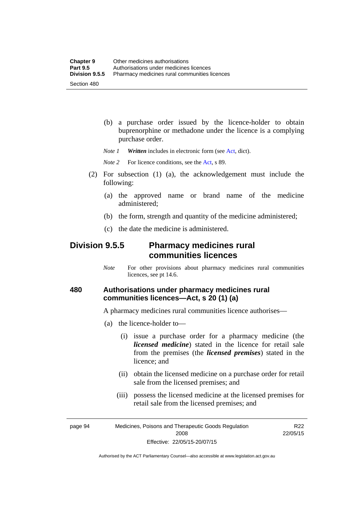(b) a purchase order issued by the licence-holder to obtain buprenorphine or methadone under the licence is a complying purchase order.

*Note 1 Written* includes in electronic form (see [Act,](http://www.legislation.act.gov.au/a/2008-26/default.asp) dict).

*Note* 2 For licence conditions, see the [Act](http://www.legislation.act.gov.au/a/2008-26/default.asp), s 89.

- (2) For subsection (1) (a), the acknowledgement must include the following:
	- (a) the approved name or brand name of the medicine administered;
	- (b) the form, strength and quantity of the medicine administered;
	- (c) the date the medicine is administered.

### **Division 9.5.5 Pharmacy medicines rural communities licences**

*Note* For other provisions about pharmacy medicines rural communities licences, see pt 14.6.

#### **480 Authorisations under pharmacy medicines rural communities licences—Act, s 20 (1) (a)**

A pharmacy medicines rural communities licence authorises—

- (a) the licence-holder to—
	- (i) issue a purchase order for a pharmacy medicine (the *licensed medicine*) stated in the licence for retail sale from the premises (the *licensed premises*) stated in the licence; and
	- (ii) obtain the licensed medicine on a purchase order for retail sale from the licensed premises; and
	- (iii) possess the licensed medicine at the licensed premises for retail sale from the licensed premises; and

page 94 Medicines, Poisons and Therapeutic Goods Regulation 2008 Effective: 22/05/15-20/07/15

R22 22/05/15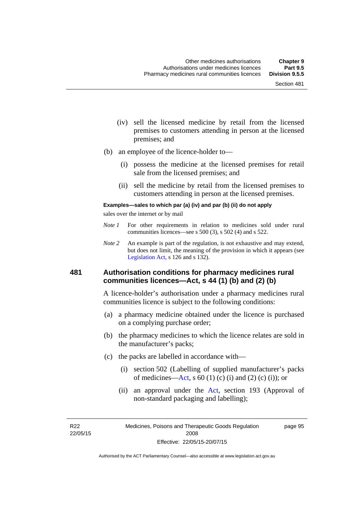- (iv) sell the licensed medicine by retail from the licensed premises to customers attending in person at the licensed premises; and
- (b) an employee of the licence-holder to—
	- (i) possess the medicine at the licensed premises for retail sale from the licensed premises; and
	- (ii) sell the medicine by retail from the licensed premises to customers attending in person at the licensed premises.

#### **Examples—sales to which par (a) (iv) and par (b) (ii) do not apply**

sales over the internet or by mail

- *Note 1* For other requirements in relation to medicines sold under rural communities licences—see s 500 (3), s 502 (4) and s 522.
- *Note 2* An example is part of the regulation, is not exhaustive and may extend, but does not limit, the meaning of the provision in which it appears (see [Legislation Act,](http://www.legislation.act.gov.au/a/2001-14) s 126 and s 132).

#### **481 Authorisation conditions for pharmacy medicines rural communities licences—Act, s 44 (1) (b) and (2) (b)**

A licence-holder's authorisation under a pharmacy medicines rural communities licence is subject to the following conditions:

- (a) a pharmacy medicine obtained under the licence is purchased on a complying purchase order;
- (b) the pharmacy medicines to which the licence relates are sold in the manufacturer's packs;
- (c) the packs are labelled in accordance with—
	- (i) section 502 (Labelling of supplied manufacturer's packs of medicines—[Act](http://www.legislation.act.gov.au/a/2008-26/default.asp), s  $60(1)$  (c) (i) and (2) (c) (i)); or
	- (ii) an approval under the [Act](http://www.legislation.act.gov.au/a/2008-26/default.asp), section 193 (Approval of non-standard packaging and labelling);

R22 22/05/15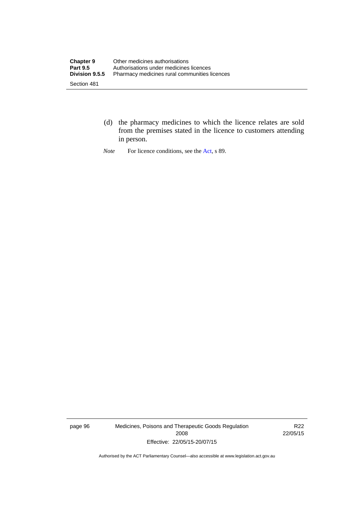- (d) the pharmacy medicines to which the licence relates are sold from the premises stated in the licence to customers attending in person.
- *Note* For licence conditions, see the [Act](http://www.legislation.act.gov.au/a/2008-26/default.asp), s 89.

page 96 Medicines, Poisons and Therapeutic Goods Regulation 2008 Effective: 22/05/15-20/07/15

R22 22/05/15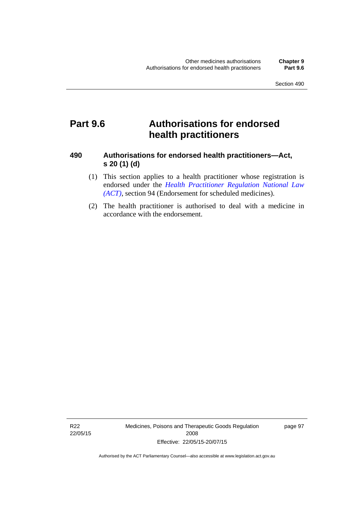## **Part 9.6 Authorisations for endorsed health practitioners**

#### **490 Authorisations for endorsed health practitioners—Act, s 20 (1) (d)**

- (1) This section applies to a health practitioner whose registration is endorsed under the 5*[Health Practitioner Regulation National Law](#page-53-0)  (ACT)*[, section 94 \(Endorsement for scheduled medicines\).](#page-53-0)
- [\(2\) The health practitioner is aut](#page-53-0)horised to deal with a medicine in accordance with the endorsement.

R22 22/05/15 Medicines, Poisons and Therapeutic Goods Regulation 2008 Effective: 22/05/15-20/07/15

page 97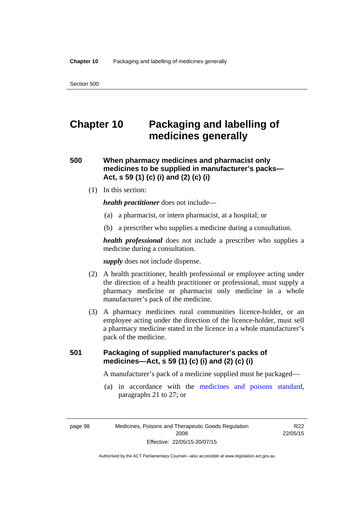# **Chapter 10 Packaging and labelling of medicines generally**

### **500 When pharmacy medicines and pharmacist only medicines to be supplied in manufacturer's packs— Act, s 59 (1) (c) (i) and (2) (c) (i)**

(1) In this section:

*health practitioner* does not include—

- (a) a pharmacist, or intern pharmacist, at a hospital; or
- (b) a prescriber who supplies a medicine during a consultation.

*health professional* does not include a prescriber who supplies a medicine during a consultation.

*supply* does not include dispense.

- (2) A health practitioner, health professional or employee acting under the direction of a health practitioner or professional, must supply a pharmacy medicine or pharmacist only medicine in a whole manufacturer's pack of the medicine.
- (3) A pharmacy medicines rural communities licence-holder, or an employee acting under the direction of the licence-holder, must sell a pharmacy medicine stated in the licence in a whole manufacturer's pack of the medicine.

### **501 Packaging of supplied manufacturer's packs of medicines—Act, s 59 (1) (c) (i) and (2) (c) (i)**

A manufacturer's pack of a medicine supplied must be packaged—

 (a) in accordance with the [medicines and poisons standard](http://www.comlaw.gov.au/Series/F2012L01200), paragraphs 21 to 27; or

R<sub>22</sub> 22/05/15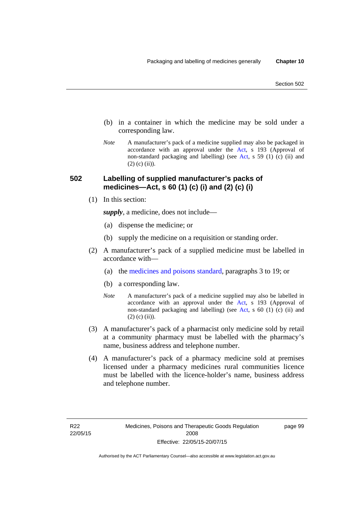- (b) in a container in which the medicine may be sold under a corresponding law.
- *Note* A manufacturer's pack of a medicine supplied may also be packaged in accordance with an approval under the [Act](http://www.legislation.act.gov.au/a/2008-26/default.asp), s 193 (Approval of non-standard packaging and labelling) (see [Act](http://www.legislation.act.gov.au/a/2008-26/default.asp), s 59 (1) (c) (ii) and  $(2)$  (c)  $(ii)$ ).

#### **502 Labelling of supplied manufacturer's packs of medicines—Act, s 60 (1) (c) (i) and (2) (c) (i)**

(1) In this section:

*supply*, a medicine, does not include—

- (a) dispense the medicine; or
- (b) supply the medicine on a requisition or standing order.
- (2) A manufacturer's pack of a supplied medicine must be labelled in accordance with—
	- (a) the [medicines and poisons standard](http://www.comlaw.gov.au/Series/F2012L01200), paragraphs 3 to 19; or
	- (b) a corresponding law.
	- *Note* A manufacturer's pack of a medicine supplied may also be labelled in accordance with an approval under the [Act](http://www.legislation.act.gov.au/a/2008-26/default.asp), s 193 (Approval of non-standard packaging and labelling) (see [Act](http://www.legislation.act.gov.au/a/2008-26/default.asp), s 60 (1) (c) (ii) and  $(2)$  (c) (ii)).
- (3) A manufacturer's pack of a pharmacist only medicine sold by retail at a community pharmacy must be labelled with the pharmacy's name, business address and telephone number.
- (4) A manufacturer's pack of a pharmacy medicine sold at premises licensed under a pharmacy medicines rural communities licence must be labelled with the licence-holder's name, business address and telephone number.

page 99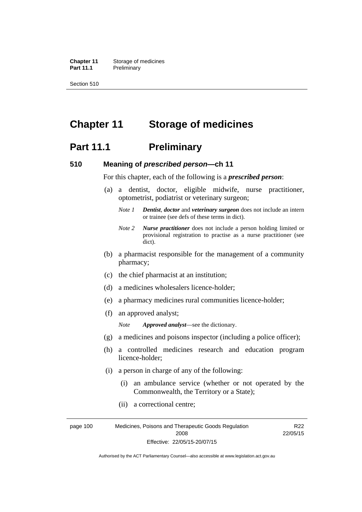**Chapter 11** Storage of medicines Part 11.1 Preliminary

Section 510

# **Chapter 11 Storage of medicines**

### **Part 11.1** Preliminary

#### **510 Meaning of** *prescribed person***—ch 11**

For this chapter, each of the following is a *prescribed person*:

- (a) a dentist, doctor, eligible midwife, nurse practitioner, optometrist, podiatrist or veterinary surgeon;
	- *Note 1 Dentist*, *doctor* and *veterinary surgeon* does not include an intern or trainee (see defs of these terms in dict).
	- *Note 2 Nurse practitioner* does not include a person holding limited or provisional registration to practise as a nurse practitioner (see dict).
- (b) a pharmacist responsible for the management of a community pharmacy;
- (c) the chief pharmacist at an institution;
- (d) a medicines wholesalers licence-holder;
- (e) a pharmacy medicines rural communities licence-holder;
- (f) an approved analyst;

*Note Approved analyst*—see the dictionary.

- (g) a medicines and poisons inspector (including a police officer);
- (h) a controlled medicines research and education program licence-holder;
- (i) a person in charge of any of the following:
	- (i) an ambulance service (whether or not operated by the Commonwealth, the Territory or a State);
	- (ii) a correctional centre;

page 100 Medicines, Poisons and Therapeutic Goods Regulation 2008 Effective: 22/05/15-20/07/15 R22 22/05/15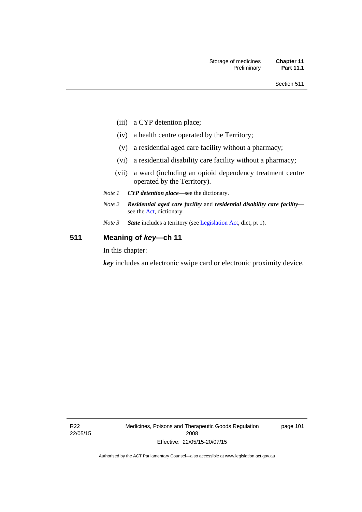- (iii) a CYP detention place;
- (iv) a health centre operated by the Territory;
- (v) a residential aged care facility without a pharmacy;
- (vi) a residential disability care facility without a pharmacy;
- (vii) a ward (including an opioid dependency treatment centre operated by the Territory).
- *Note 1 CYP detention place*—see the dictionary.
- *Note 2 Residential aged care facility* and *residential disability care facility* see the [Act](http://www.legislation.act.gov.au/a/2008-26/default.asp), dictionary.
- *Note 3 State* includes a territory (see [Legislation Act,](http://www.legislation.act.gov.au/a/2001-14) dict, pt 1).

### **511 Meaning of** *key***—ch 11**

In this chapter:

*key* includes an electronic swipe card or electronic proximity device.

R22 22/05/15 Medicines, Poisons and Therapeutic Goods Regulation 2008 Effective: 22/05/15-20/07/15

page 101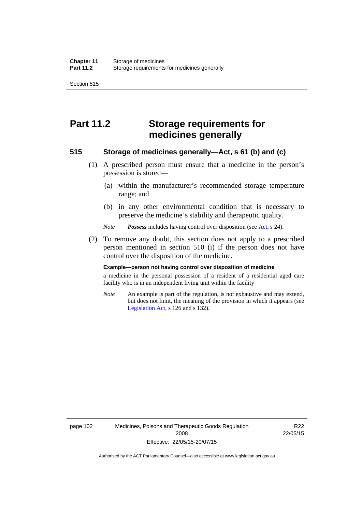Section 515

# **Part 11.2 Storage requirements for medicines generally**

#### **515 Storage of medicines generally—Act, s 61 (b) and (c)**

- (1) A prescribed person must ensure that a medicine in the person's possession is stored—
	- (a) within the manufacturer's recommended storage temperature range; and
	- (b) in any other environmental condition that is necessary to preserve the medicine's stability and therapeutic quality.

*Note Possess* includes having control over disposition (see [Act,](http://www.legislation.act.gov.au/a/2008-26/default.asp) s 24).

 (2) To remove any doubt, this section does not apply to a prescribed person mentioned in section 510 (i) if the person does not have control over the disposition of the medicine.

#### **Example—person not having control over disposition of medicine**

a medicine in the personal possession of a resident of a residential aged care facility who is in an independent living unit within the facility

*Note* An example is part of the regulation, is not exhaustive and may extend, but does not limit, the meaning of the provision in which it appears (see [Legislation Act,](http://www.legislation.act.gov.au/a/2001-14) s 126 and s 132).

page 102 Medicines, Poisons and Therapeutic Goods Regulation 2008 Effective: 22/05/15-20/07/15

R22 22/05/15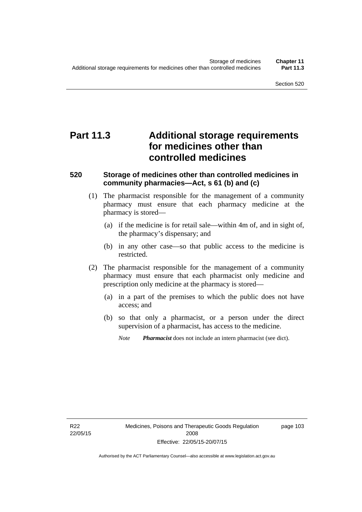# **Part 11.3 Additional storage requirements for medicines other than controlled medicines**

#### **520 Storage of medicines other than controlled medicines in community pharmacies—Act, s 61 (b) and (c)**

- (1) The pharmacist responsible for the management of a community pharmacy must ensure that each pharmacy medicine at the pharmacy is stored—
	- (a) if the medicine is for retail sale—within 4m of, and in sight of, the pharmacy's dispensary; and
	- (b) in any other case—so that public access to the medicine is restricted.
- (2) The pharmacist responsible for the management of a community pharmacy must ensure that each pharmacist only medicine and prescription only medicine at the pharmacy is stored—
	- (a) in a part of the premises to which the public does not have access; and
	- (b) so that only a pharmacist, or a person under the direct supervision of a pharmacist, has access to the medicine.

page 103

*Note Pharmacist* does not include an intern pharmacist (see dict).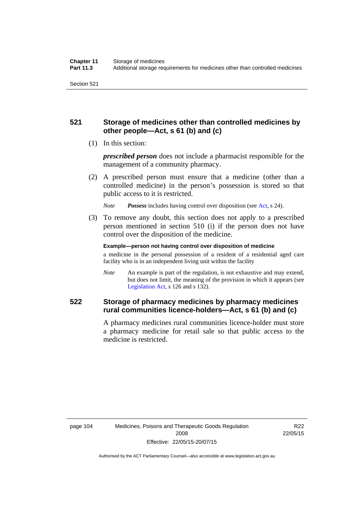### **521 Storage of medicines other than controlled medicines by other people—Act, s 61 (b) and (c)**

(1) In this section:

*prescribed person* does not include a pharmacist responsible for the management of a community pharmacy.

 (2) A prescribed person must ensure that a medicine (other than a controlled medicine) in the person's possession is stored so that public access to it is restricted.

*Note Possess* includes having control over disposition (see [Act,](http://www.legislation.act.gov.au/a/2008-26/default.asp) s 24).

 (3) To remove any doubt, this section does not apply to a prescribed person mentioned in section 510 (i) if the person does not have control over the disposition of the medicine.

**Example—person not having control over disposition of medicine** 

a medicine in the personal possession of a resident of a residential aged care facility who is in an independent living unit within the facility

*Note* An example is part of the regulation, is not exhaustive and may extend, but does not limit, the meaning of the provision in which it appears (see [Legislation Act,](http://www.legislation.act.gov.au/a/2001-14) s 126 and s 132).

### **522 Storage of pharmacy medicines by pharmacy medicines rural communities licence-holders—Act, s 61 (b) and (c)**

A pharmacy medicines rural communities licence-holder must store a pharmacy medicine for retail sale so that public access to the medicine is restricted.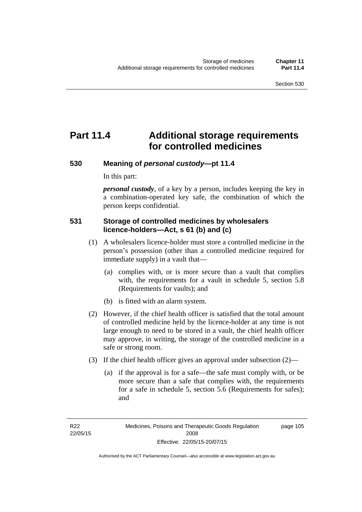# **Part 11.4 Additional storage requirements for controlled medicines**

#### **530 Meaning of** *personal custody***—pt 11.4**

In this part:

*personal custody*, of a key by a person, includes keeping the key in a combination-operated key safe, the combination of which the person keeps confidential.

#### **531 Storage of controlled medicines by wholesalers licence-holders—Act, s 61 (b) and (c)**

- (1) A wholesalers licence-holder must store a controlled medicine in the person's possession (other than a controlled medicine required for immediate supply) in a vault that—
	- (a) complies with, or is more secure than a vault that complies with, the requirements for a vault in schedule 5, section 5.8 (Requirements for vaults); and
	- (b) is fitted with an alarm system.
- (2) However, if the chief health officer is satisfied that the total amount of controlled medicine held by the licence-holder at any time is not large enough to need to be stored in a vault, the chief health officer may approve, in writing, the storage of the controlled medicine in a safe or strong room.
- (3) If the chief health officer gives an approval under subsection (2)—
	- (a) if the approval is for a safe—the safe must comply with, or be more secure than a safe that complies with, the requirements for a safe in schedule 5, section 5.6 (Requirements for safes); and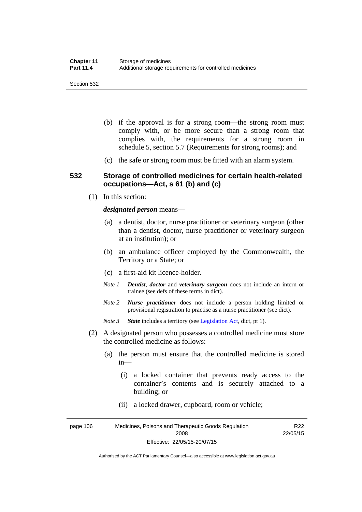- (b) if the approval is for a strong room—the strong room must comply with, or be more secure than a strong room that complies with, the requirements for a strong room in schedule 5, section 5.7 (Requirements for strong rooms); and
- (c) the safe or strong room must be fitted with an alarm system.

#### **532 Storage of controlled medicines for certain health-related occupations—Act, s 61 (b) and (c)**

(1) In this section:

#### *designated person* means—

- (a) a dentist, doctor, nurse practitioner or veterinary surgeon (other than a dentist, doctor, nurse practitioner or veterinary surgeon at an institution); or
- (b) an ambulance officer employed by the Commonwealth, the Territory or a State; or
- (c) a first-aid kit licence-holder.
- *Note 1 Dentist*, *doctor* and *veterinary surgeon* does not include an intern or trainee (see defs of these terms in dict).
- *Note 2 Nurse practitioner* does not include a person holding limited or provisional registration to practise as a nurse practitioner (see dict).
- *Note 3 State* includes a territory (see [Legislation Act,](http://www.legislation.act.gov.au/a/2001-14) dict, pt 1).
- (2) A designated person who possesses a controlled medicine must store the controlled medicine as follows:
	- (a) the person must ensure that the controlled medicine is stored in—
		- (i) a locked container that prevents ready access to the container's contents and is securely attached to a building; or
		- (ii) a locked drawer, cupboard, room or vehicle;

page 106 Medicines, Poisons and Therapeutic Goods Regulation 2008 Effective: 22/05/15-20/07/15 R22 22/05/15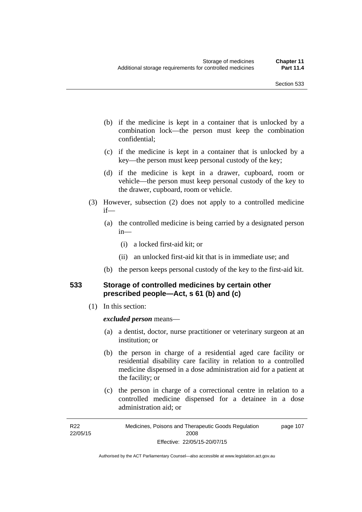- (b) if the medicine is kept in a container that is unlocked by a combination lock—the person must keep the combination confidential;
- (c) if the medicine is kept in a container that is unlocked by a key—the person must keep personal custody of the key;
- (d) if the medicine is kept in a drawer, cupboard, room or vehicle—the person must keep personal custody of the key to the drawer, cupboard, room or vehicle.
- (3) However, subsection (2) does not apply to a controlled medicine if—
	- (a) the controlled medicine is being carried by a designated person in—
		- (i) a locked first-aid kit; or
		- (ii) an unlocked first-aid kit that is in immediate use; and
	- (b) the person keeps personal custody of the key to the first-aid kit.

#### **533 Storage of controlled medicines by certain other prescribed people—Act, s 61 (b) and (c)**

(1) In this section:

#### *excluded person* means—

- (a) a dentist, doctor, nurse practitioner or veterinary surgeon at an institution; or
- (b) the person in charge of a residential aged care facility or residential disability care facility in relation to a controlled medicine dispensed in a dose administration aid for a patient at the facility; or
- (c) the person in charge of a correctional centre in relation to a controlled medicine dispensed for a detainee in a dose administration aid; or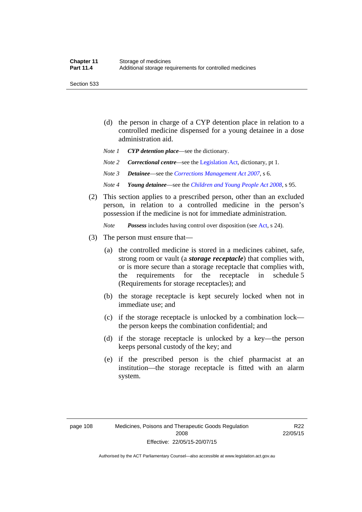Section 533

- (d) the person in charge of a CYP detention place in relation to a controlled medicine dispensed for a young detainee in a dose administration aid.
- *Note 1 CYP detention place*—see the dictionary.
- *Note 2 Correctional centre—see the [Legislation Act](http://www.legislation.act.gov.au/a/2001-14), dictionary, pt 1.*
- *Note 3 Detainee*—see the *[Corrections Management Act 2007](http://www.legislation.act.gov.au/a/2007-15)*, s 6.
- *Note 4 Young detainee*—see the *[Children and Young People Act 2008](http://www.legislation.act.gov.au/a/2008-19)*, s 95.
- (2) This section applies to a prescribed person, other than an excluded person, in relation to a controlled medicine in the person's possession if the medicine is not for immediate administration.

*Note Possess* includes having control over disposition (see [Act,](http://www.legislation.act.gov.au/a/2008-26/default.asp) s 24).

- (3) The person must ensure that—
	- (a) the controlled medicine is stored in a medicines cabinet, safe, strong room or vault (a *storage receptacle*) that complies with, or is more secure than a storage receptacle that complies with, the requirements for the receptacle in schedule 5 (Requirements for storage receptacles); and
	- (b) the storage receptacle is kept securely locked when not in immediate use; and
	- (c) if the storage receptacle is unlocked by a combination lock the person keeps the combination confidential; and
	- (d) if the storage receptacle is unlocked by a key—the person keeps personal custody of the key; and
	- (e) if the prescribed person is the chief pharmacist at an institution—the storage receptacle is fitted with an alarm system.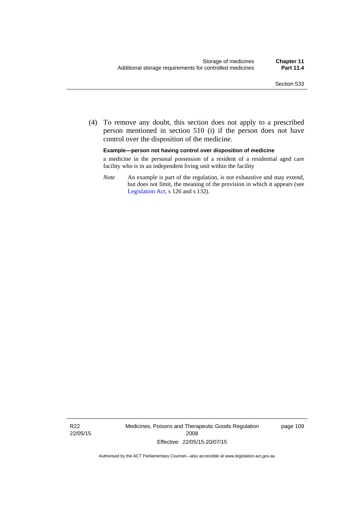(4) To remove any doubt, this section does not apply to a prescribed person mentioned in section 510 (i) if the person does not have control over the disposition of the medicine.

#### **Example—person not having control over disposition of medicine**

a medicine in the personal possession of a resident of a residential aged care facility who is in an independent living unit within the facility

*Note* An example is part of the regulation, is not exhaustive and may extend, but does not limit, the meaning of the provision in which it appears (see [Legislation Act,](http://www.legislation.act.gov.au/a/2001-14) s 126 and s 132).

R22 22/05/15 Medicines, Poisons and Therapeutic Goods Regulation 2008 Effective: 22/05/15-20/07/15

page 109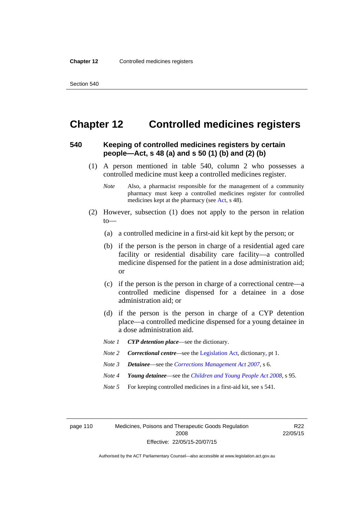### **Chapter 12 Controlled medicines registers**

#### **540 Keeping of controlled medicines registers by certain people—Act, s 48 (a) and s 50 (1) (b) and (2) (b)**

- (1) A person mentioned in table 540, column 2 who possesses a controlled medicine must keep a controlled medicines register.
	- *Note* Also, a pharmacist responsible for the management of a community pharmacy must keep a controlled medicines register for controlled medicines kept at the pharmacy (see [Act](http://www.legislation.act.gov.au/a/2008-26/default.asp), s 48).
- (2) However, subsection (1) does not apply to the person in relation  $to$ —
	- (a) a controlled medicine in a first-aid kit kept by the person; or
	- (b) if the person is the person in charge of a residential aged care facility or residential disability care facility—a controlled medicine dispensed for the patient in a dose administration aid; or
	- (c) if the person is the person in charge of a correctional centre—a controlled medicine dispensed for a detainee in a dose administration aid; or
	- (d) if the person is the person in charge of a CYP detention place—a controlled medicine dispensed for a young detainee in a dose administration aid.
	- *Note 1 CYP detention place*—see the dictionary.
	- *Note 2 Correctional centre—see the [Legislation Act](http://www.legislation.act.gov.au/a/2001-14), dictionary, pt 1.*
	- *Note 3 Detainee*—see the *[Corrections Management Act 2007](http://www.legislation.act.gov.au/a/2007-15)*, s 6.
	- *Note 4 Young detainee*—see the *[Children and Young People Act 2008](http://www.legislation.act.gov.au/a/2008-19)*, s 95.
	- *Note* 5 For keeping controlled medicines in a first-aid kit, see s 541.

page 110 Medicines, Poisons and Therapeutic Goods Regulation 2008 Effective: 22/05/15-20/07/15

R<sub>22</sub> 22/05/15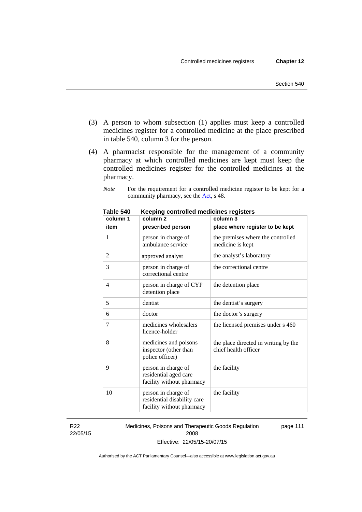- (3) A person to whom subsection (1) applies must keep a controlled medicines register for a controlled medicine at the place prescribed in table 540, column 3 for the person.
- (4) A pharmacist responsible for the management of a community pharmacy at which controlled medicines are kept must keep the controlled medicines register for the controlled medicines at the pharmacy.
	- *Note* For the requirement for a controlled medicine register to be kept for a community pharmacy, see the [Act,](http://www.legislation.act.gov.au/a/2008-26/default.asp) s 48.

| column 1       | column <sub>2</sub><br>column 3                                                 |                                                              |
|----------------|---------------------------------------------------------------------------------|--------------------------------------------------------------|
| item           | prescribed person                                                               | place where register to be kept                              |
| 1              | person in charge of<br>ambulance service                                        | the premises where the controlled<br>medicine is kept        |
| $\overline{2}$ | approved analyst                                                                | the analyst's laboratory                                     |
| 3              | person in charge of<br>correctional centre                                      | the correctional centre                                      |
| 4              | person in charge of CYP<br>detention place                                      | the detention place                                          |
| 5              | dentist                                                                         | the dentist's surgery                                        |
| 6              | doctor                                                                          | the doctor's surgery                                         |
| 7              | medicines wholesalers<br>licence-holder                                         | the licensed premises under s 460                            |
| 8              | medicines and poisons<br>inspector (other than<br>police officer)               | the place directed in writing by the<br>chief health officer |
| 9              | person in charge of<br>residential aged care<br>facility without pharmacy       | the facility                                                 |
| 10             | person in charge of<br>residential disability care<br>facility without pharmacy | the facility                                                 |

**Table 540 Keeping controlled medicines registers** 

R22 22/05/15 Medicines, Poisons and Therapeutic Goods Regulation 2008 Effective: 22/05/15-20/07/15 page 111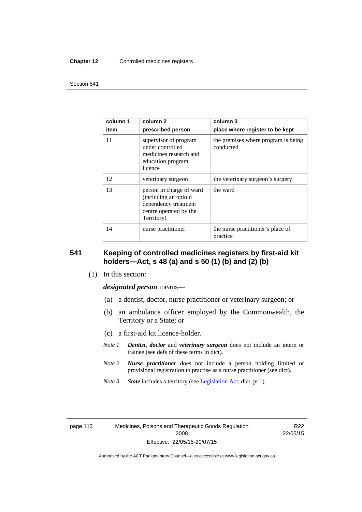#### **Chapter 12** Controlled medicines registers

#### Section 541

| column 1<br>item | column <sub>2</sub><br>prescribed person                                                                         | column 3<br>place where register to be kept      |
|------------------|------------------------------------------------------------------------------------------------------------------|--------------------------------------------------|
| 11               | supervisor of program<br>under controlled<br>medicines research and<br>education program<br>licence              | the premises where program is being<br>conducted |
| 12               | veterinary surgeon                                                                                               | the veterinary surgeon's surgery                 |
| 13               | person in charge of ward<br>(including an opioid<br>dependency treatment<br>centre operated by the<br>Territory) | the ward                                         |
| 14               | nurse practitioner                                                                                               | the nurse practitioner's place of<br>practice    |

#### **541 Keeping of controlled medicines registers by first-aid kit holders—Act, s 48 (a) and s 50 (1) (b) and (2) (b)**

(1) In this section:

*designated person* means—

- (a) a dentist, doctor, nurse practitioner or veterinary surgeon; or
- (b) an ambulance officer employed by the Commonwealth, the Territory or a State; or
- (c) a first-aid kit licence-holder.
- *Note 1 Dentist*, *doctor* and *veterinary surgeon* does not include an intern or trainee (see defs of these terms in dict).
- *Note 2 Nurse practitioner* does not include a person holding limited or provisional registration to practise as a nurse practitioner (see dict).
- *Note 3 State* includes a territory (see [Legislation Act,](http://www.legislation.act.gov.au/a/2001-14) dict, pt 1).

| page i iz |  |
|-----------|--|
|-----------|--|

R22 22/05/15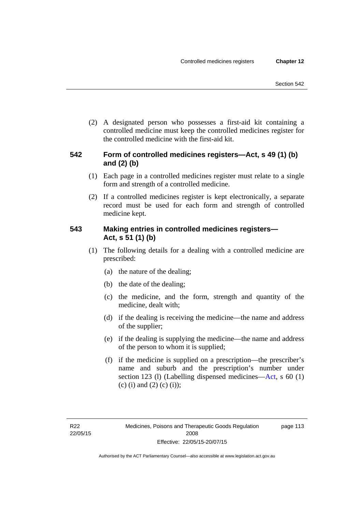(2) A designated person who possesses a first-aid kit containing a controlled medicine must keep the controlled medicines register for the controlled medicine with the first-aid kit.

### **542 Form of controlled medicines registers—Act, s 49 (1) (b) and (2) (b)**

- (1) Each page in a controlled medicines register must relate to a single form and strength of a controlled medicine.
- (2) If a controlled medicines register is kept electronically, a separate record must be used for each form and strength of controlled medicine kept.

### **543 Making entries in controlled medicines registers— Act, s 51 (1) (b)**

- (1) The following details for a dealing with a controlled medicine are prescribed:
	- (a) the nature of the dealing;
	- (b) the date of the dealing;
	- (c) the medicine, and the form, strength and quantity of the medicine, dealt with;
	- (d) if the dealing is receiving the medicine—the name and address of the supplier;
	- (e) if the dealing is supplying the medicine—the name and address of the person to whom it is supplied;
	- (f) if the medicine is supplied on a prescription—the prescriber's name and suburb and the prescription's number under section 123 (l) (Labelling dispensed medicines[—Act,](http://www.legislation.act.gov.au/a/2008-26/default.asp) s 60 (1) (c) (i) and (2) (c) (i));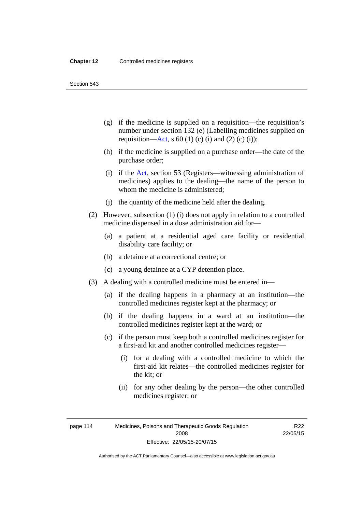Section 543

- (g) if the medicine is supplied on a requisition—the requisition's number under section 132 (e) (Labelling medicines supplied on requisition[—Act,](http://www.legislation.act.gov.au/a/2008-26/default.asp) s 60 (1) (c) (i) and (2) (c) (i));
- (h) if the medicine is supplied on a purchase order—the date of the purchase order;
- (i) if the [Act,](http://www.legislation.act.gov.au/a/2008-26/default.asp) section 53 (Registers—witnessing administration of medicines) applies to the dealing—the name of the person to whom the medicine is administered;
- (j) the quantity of the medicine held after the dealing.
- (2) However, subsection (1) (i) does not apply in relation to a controlled medicine dispensed in a dose administration aid for—
	- (a) a patient at a residential aged care facility or residential disability care facility; or
	- (b) a detainee at a correctional centre; or
	- (c) a young detainee at a CYP detention place.
- (3) A dealing with a controlled medicine must be entered in—
	- (a) if the dealing happens in a pharmacy at an institution—the controlled medicines register kept at the pharmacy; or
	- (b) if the dealing happens in a ward at an institution—the controlled medicines register kept at the ward; or
	- (c) if the person must keep both a controlled medicines register for a first-aid kit and another controlled medicines register—
		- (i) for a dealing with a controlled medicine to which the first-aid kit relates—the controlled medicines register for the kit; or
		- (ii) for any other dealing by the person—the other controlled medicines register; or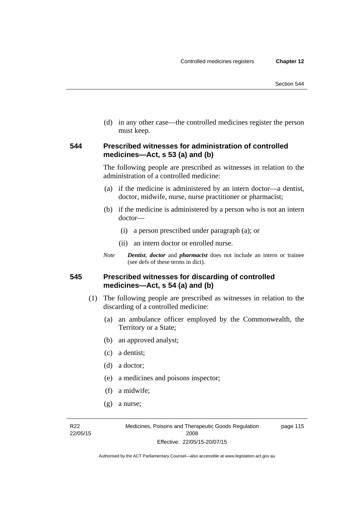(d) in any other case—the controlled medicines register the person must keep.

#### **544 Prescribed witnesses for administration of controlled medicines—Act, s 53 (a) and (b)**

The following people are prescribed as witnesses in relation to the administration of a controlled medicine:

- (a) if the medicine is administered by an intern doctor—a dentist, doctor, midwife, nurse, nurse practitioner or pharmacist;
- (b) if the medicine is administered by a person who is not an intern doctor—
	- (i) a person prescribed under paragraph (a); or
	- (ii) an intern doctor or enrolled nurse.
- *Note Dentist*, *doctor* and *pharmacist* does not include an intern or trainee (see defs of these terms in dict).

#### **545 Prescribed witnesses for discarding of controlled medicines—Act, s 54 (a) and (b)**

- (1) The following people are prescribed as witnesses in relation to the discarding of a controlled medicine:
	- (a) an ambulance officer employed by the Commonwealth, the Territory or a State;
	- (b) an approved analyst;
	- (c) a dentist;
	- (d) a doctor;
	- (e) a medicines and poisons inspector;
	- (f) a midwife;
	- (g) a nurse;

R22 22/05/15 page 115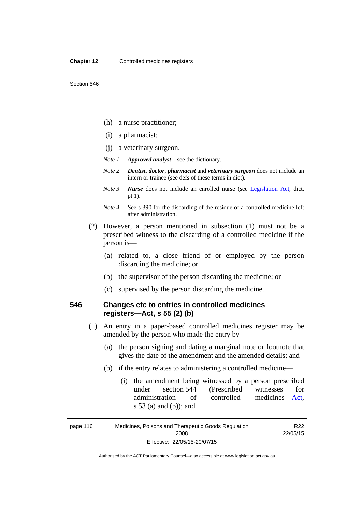- (h) a nurse practitioner;
- (i) a pharmacist;
- (j) a veterinary surgeon.
- *Note 1 Approved analyst*—see the dictionary.
- *Note 2 Dentist*, *doctor*, *pharmacist* and *veterinary surgeon* does not include an intern or trainee (see defs of these terms in dict).
- *Note 3 Nurse* does not include an enrolled nurse (see [Legislation Act,](http://www.legislation.act.gov.au/a/2001-14) dict, pt 1).
- *Note 4* See s 390 for the discarding of the residue of a controlled medicine left after administration.
- (2) However, a person mentioned in subsection (1) must not be a prescribed witness to the discarding of a controlled medicine if the person is—
	- (a) related to, a close friend of or employed by the person discarding the medicine; or
	- (b) the supervisor of the person discarding the medicine; or
	- (c) supervised by the person discarding the medicine.

### **546 Changes etc to entries in controlled medicines registers—Act, s 55 (2) (b)**

- (1) An entry in a paper-based controlled medicines register may be amended by the person who made the entry by—
	- (a) the person signing and dating a marginal note or footnote that gives the date of the amendment and the amended details; and
	- (b) if the entry relates to administering a controlled medicine—
		- (i) the amendment being witnessed by a person prescribed under section 544 (Prescribed witnesses for administration of controlled medicines[—Act](http://www.legislation.act.gov.au/a/2008-26/default.asp), s 53 (a) and (b)); and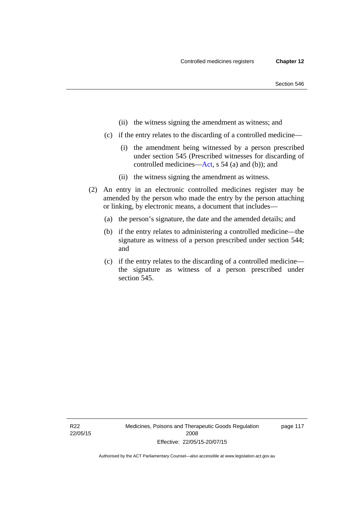- (ii) the witness signing the amendment as witness; and
- (c) if the entry relates to the discarding of a controlled medicine—
	- (i) the amendment being witnessed by a person prescribed under section 545 (Prescribed witnesses for discarding of controlled medicines[—Act,](http://www.legislation.act.gov.au/a/2008-26/default.asp) s 54 (a) and (b)); and
	- (ii) the witness signing the amendment as witness.
- (2) An entry in an electronic controlled medicines register may be amended by the person who made the entry by the person attaching or linking, by electronic means, a document that includes—
	- (a) the person's signature, the date and the amended details; and
	- (b) if the entry relates to administering a controlled medicine—the signature as witness of a person prescribed under section 544; and
	- (c) if the entry relates to the discarding of a controlled medicine the signature as witness of a person prescribed under section 545.

page 117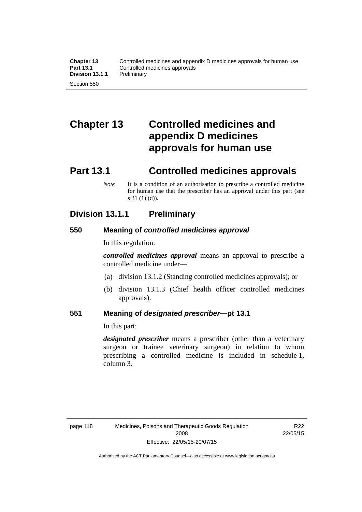# **Chapter 13 Controlled medicines and appendix D medicines approvals for human use**

### **Part 13.1 Controlled medicines approvals**

*Note* It is a condition of an authorisation to prescribe a controlled medicine for human use that the prescriber has an approval under this part (see s 31 (1) (d)).

### **Division 13.1.1 Preliminary**

#### **550 Meaning of** *controlled medicines approval*

In this regulation:

*controlled medicines approval* means an approval to prescribe a controlled medicine under—

- (a) division 13.1.2 (Standing controlled medicines approvals); or
- (b) division 13.1.3 (Chief health officer controlled medicines approvals).

#### **551 Meaning of** *designated prescriber***—pt 13.1**

In this part:

*designated prescriber* means a prescriber (other than a veterinary surgeon or trainee veterinary surgeon) in relation to whom prescribing a controlled medicine is included in schedule 1, column 3.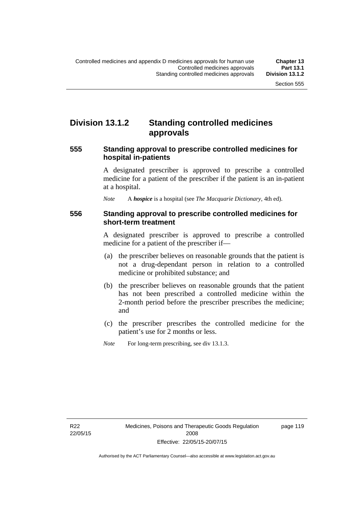### **Division 13.1.2 Standing controlled medicines approvals**

#### **555 Standing approval to prescribe controlled medicines for hospital in-patients**

A designated prescriber is approved to prescribe a controlled medicine for a patient of the prescriber if the patient is an in-patient at a hospital.

*Note* A *hospice* is a hospital (see *The Macquarie Dictionary*, 4th ed).

#### **556 Standing approval to prescribe controlled medicines for short-term treatment**

A designated prescriber is approved to prescribe a controlled medicine for a patient of the prescriber if—

- (a) the prescriber believes on reasonable grounds that the patient is not a drug-dependant person in relation to a controlled medicine or prohibited substance; and
- (b) the prescriber believes on reasonable grounds that the patient has not been prescribed a controlled medicine within the 2-month period before the prescriber prescribes the medicine; and
- (c) the prescriber prescribes the controlled medicine for the patient's use for 2 months or less.
- *Note* For long-term prescribing, see div 13.1.3.

page 119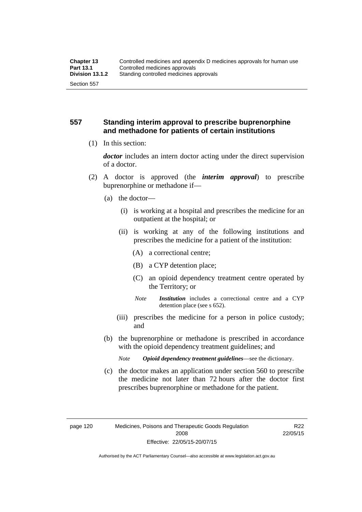#### **557 Standing interim approval to prescribe buprenorphine and methadone for patients of certain institutions**

(1) In this section:

*doctor* includes an intern doctor acting under the direct supervision of a doctor.

- (2) A doctor is approved (the *interim approval*) to prescribe buprenorphine or methadone if—
	- (a) the doctor—
		- (i) is working at a hospital and prescribes the medicine for an outpatient at the hospital; or
		- (ii) is working at any of the following institutions and prescribes the medicine for a patient of the institution:
			- (A) a correctional centre;
			- (B) a CYP detention place;
			- (C) an opioid dependency treatment centre operated by the Territory; or
			- *Note Institution* includes a correctional centre and a CYP detention place (see s 652).
		- (iii) prescribes the medicine for a person in police custody; and
	- (b) the buprenorphine or methadone is prescribed in accordance with the opioid dependency treatment guidelines; and
		- *Note Opioid dependency treatment guidelines*—see the dictionary.
	- (c) the doctor makes an application under section 560 to prescribe the medicine not later than 72 hours after the doctor first prescribes buprenorphine or methadone for the patient.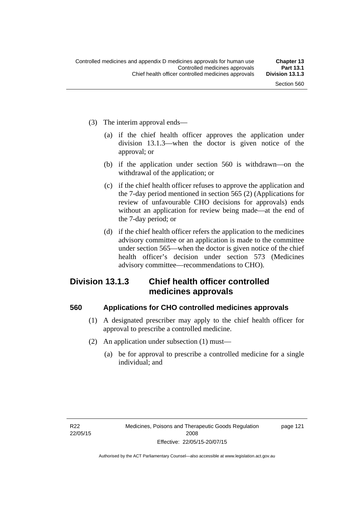- (3) The interim approval ends—
	- (a) if the chief health officer approves the application under division 13.1.3—when the doctor is given notice of the approval; or
	- (b) if the application under section 560 is withdrawn—on the withdrawal of the application; or
	- (c) if the chief health officer refuses to approve the application and the 7-day period mentioned in section 565 (2) (Applications for review of unfavourable CHO decisions for approvals) ends without an application for review being made—at the end of the 7-day period; or
	- (d) if the chief health officer refers the application to the medicines advisory committee or an application is made to the committee under section 565—when the doctor is given notice of the chief health officer's decision under section 573 (Medicines advisory committee—recommendations to CHO).

### **Division 13.1.3 Chief health officer controlled medicines approvals**

#### **560 Applications for CHO controlled medicines approvals**

- (1) A designated prescriber may apply to the chief health officer for approval to prescribe a controlled medicine.
- (2) An application under subsection (1) must—
	- (a) be for approval to prescribe a controlled medicine for a single individual; and

page 121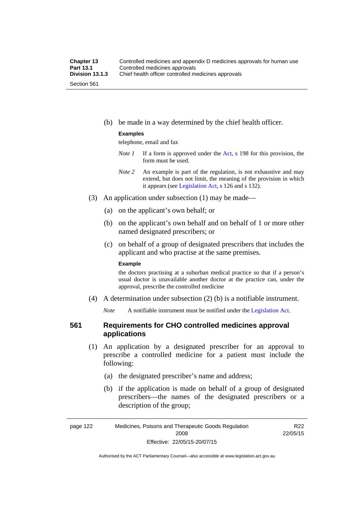(b) be made in a way determined by the chief health officer.

#### **Examples**

telephone, email and fax

- *Note 1* If a form is approved under the [Act](http://www.legislation.act.gov.au/a/2008-26/default.asp), s 198 for this provision, the form must be used.
- *Note 2* An example is part of the regulation, is not exhaustive and may extend, but does not limit, the meaning of the provision in which it appears (see [Legislation Act,](http://www.legislation.act.gov.au/a/2001-14) s 126 and s 132).
- (3) An application under subsection (1) may be made—
	- (a) on the applicant's own behalf; or
	- (b) on the applicant's own behalf and on behalf of 1 or more other named designated prescribers; or
	- (c) on behalf of a group of designated prescribers that includes the applicant and who practise at the same premises.

#### **Example**

the doctors practising at a suburban medical practice so that if a person's usual doctor is unavailable another doctor at the practice can, under the approval, prescribe the controlled medicine

(4) A determination under subsection (2) (b) is a notifiable instrument.

*Note* A notifiable instrument must be notified under the [Legislation Act](http://www.legislation.act.gov.au/a/2001-14).

#### **561 Requirements for CHO controlled medicines approval applications**

- (1) An application by a designated prescriber for an approval to prescribe a controlled medicine for a patient must include the following:
	- (a) the designated prescriber's name and address;
	- (b) if the application is made on behalf of a group of designated prescribers—the names of the designated prescribers or a description of the group;

R22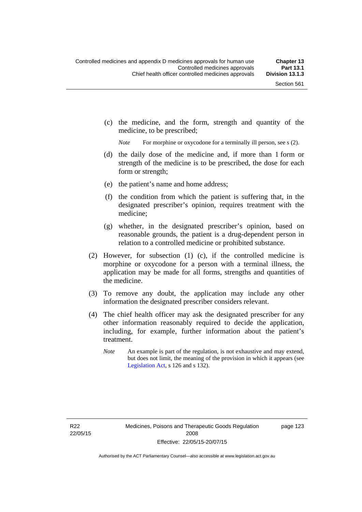(c) the medicine, and the form, strength and quantity of the medicine, to be prescribed;

*Note* For morphine or oxycodone for a terminally ill person, see s (2).

- (d) the daily dose of the medicine and, if more than 1 form or strength of the medicine is to be prescribed, the dose for each form or strength;
- (e) the patient's name and home address;
- (f) the condition from which the patient is suffering that, in the designated prescriber's opinion, requires treatment with the medicine;
- (g) whether, in the designated prescriber's opinion, based on reasonable grounds, the patient is a drug-dependent person in relation to a controlled medicine or prohibited substance.
- (2) However, for subsection (1) (c), if the controlled medicine is morphine or oxycodone for a person with a terminal illness, the application may be made for all forms, strengths and quantities of the medicine.
- (3) To remove any doubt, the application may include any other information the designated prescriber considers relevant.
- (4) The chief health officer may ask the designated prescriber for any other information reasonably required to decide the application, including, for example, further information about the patient's treatment.
	- *Note* An example is part of the regulation, is not exhaustive and may extend, but does not limit, the meaning of the provision in which it appears (see [Legislation Act,](http://www.legislation.act.gov.au/a/2001-14) s 126 and s 132).

R22 22/05/15 page 123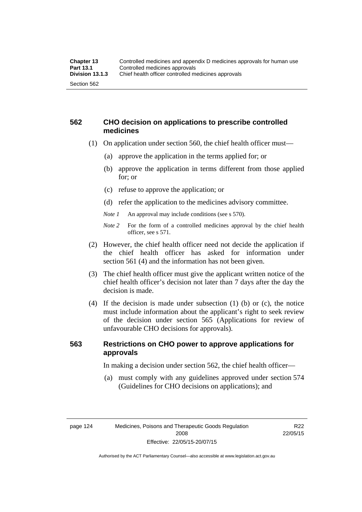#### **562 CHO decision on applications to prescribe controlled medicines**

- (1) On application under section 560, the chief health officer must—
	- (a) approve the application in the terms applied for; or
	- (b) approve the application in terms different from those applied for; or
	- (c) refuse to approve the application; or
	- (d) refer the application to the medicines advisory committee.
	- *Note 1* An approval may include conditions (see s 570).
	- *Note 2* For the form of a controlled medicines approval by the chief health officer, see s 571.
- (2) However, the chief health officer need not decide the application if the chief health officer has asked for information under section 561 (4) and the information has not been given.
- (3) The chief health officer must give the applicant written notice of the chief health officer's decision not later than 7 days after the day the decision is made.
- (4) If the decision is made under subsection (1) (b) or (c), the notice must include information about the applicant's right to seek review of the decision under section 565 (Applications for review of unfavourable CHO decisions for approvals).

### **563 Restrictions on CHO power to approve applications for approvals**

In making a decision under section 562, the chief health officer—

 (a) must comply with any guidelines approved under section 574 (Guidelines for CHO decisions on applications); and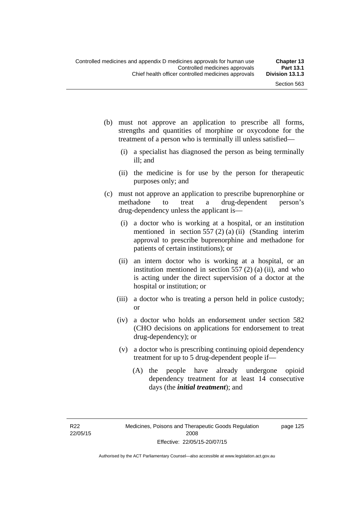page 125

- (b) must not approve an application to prescribe all forms, strengths and quantities of morphine or oxycodone for the treatment of a person who is terminally ill unless satisfied—
	- (i) a specialist has diagnosed the person as being terminally ill; and
	- (ii) the medicine is for use by the person for therapeutic purposes only; and
- (c) must not approve an application to prescribe buprenorphine or methadone to treat a drug-dependent person's drug-dependency unless the applicant is—
	- (i) a doctor who is working at a hospital, or an institution mentioned in section 557 (2) (a) (ii) (Standing interim approval to prescribe buprenorphine and methadone for patients of certain institutions); or
	- (ii) an intern doctor who is working at a hospital, or an institution mentioned in section  $557(2)$  (a) (ii), and who is acting under the direct supervision of a doctor at the hospital or institution; or
	- (iii) a doctor who is treating a person held in police custody; or
	- (iv) a doctor who holds an endorsement under section 582 (CHO decisions on applications for endorsement to treat drug-dependency); or
	- (v) a doctor who is prescribing continuing opioid dependency treatment for up to 5 drug-dependent people if—
		- (A) the people have already undergone opioid dependency treatment for at least 14 consecutive days (the *initial treatment*); and

R22 22/05/15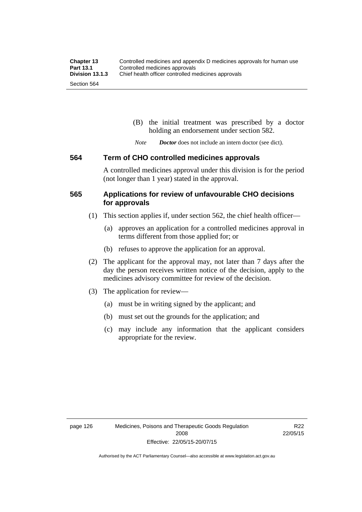(B) the initial treatment was prescribed by a doctor holding an endorsement under section 582.

*Note Doctor* does not include an intern doctor (see dict).

#### **564 Term of CHO controlled medicines approvals**

A controlled medicines approval under this division is for the period (not longer than 1 year) stated in the approval.

#### **565 Applications for review of unfavourable CHO decisions for approvals**

- (1) This section applies if, under section 562, the chief health officer—
	- (a) approves an application for a controlled medicines approval in terms different from those applied for; or
	- (b) refuses to approve the application for an approval.
- (2) The applicant for the approval may, not later than 7 days after the day the person receives written notice of the decision, apply to the medicines advisory committee for review of the decision.
- (3) The application for review—
	- (a) must be in writing signed by the applicant; and
	- (b) must set out the grounds for the application; and
	- (c) may include any information that the applicant considers appropriate for the review.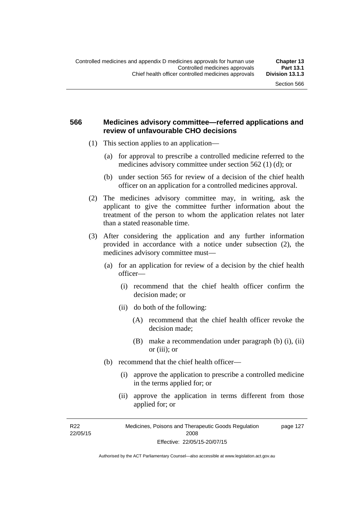#### **566 Medicines advisory committee—referred applications and review of unfavourable CHO decisions**

- (1) This section applies to an application—
	- (a) for approval to prescribe a controlled medicine referred to the medicines advisory committee under section 562 (1) (d); or
	- (b) under section 565 for review of a decision of the chief health officer on an application for a controlled medicines approval.
- (2) The medicines advisory committee may, in writing, ask the applicant to give the committee further information about the treatment of the person to whom the application relates not later than a stated reasonable time.
- (3) After considering the application and any further information provided in accordance with a notice under subsection (2), the medicines advisory committee must—
	- (a) for an application for review of a decision by the chief health officer—
		- (i) recommend that the chief health officer confirm the decision made; or
		- (ii) do both of the following:
			- (A) recommend that the chief health officer revoke the decision made;
			- (B) make a recommendation under paragraph (b) (i), (ii) or (iii); or
	- (b) recommend that the chief health officer—
		- (i) approve the application to prescribe a controlled medicine in the terms applied for; or
		- (ii) approve the application in terms different from those applied for; or

R22 22/05/15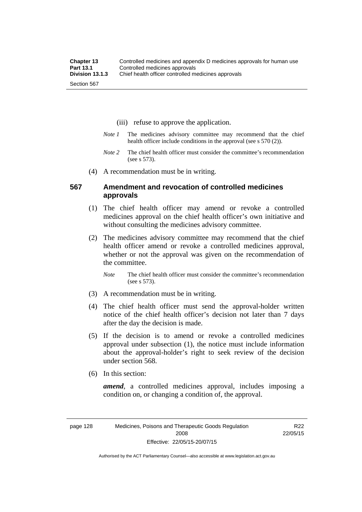- (iii) refuse to approve the application.
- *Note 1* The medicines advisory committee may recommend that the chief health officer include conditions in the approval (see s 570 (2)).
- *Note 2* The chief health officer must consider the committee's recommendation (see s 573).
- (4) A recommendation must be in writing.

#### **567 Amendment and revocation of controlled medicines approvals**

- (1) The chief health officer may amend or revoke a controlled medicines approval on the chief health officer's own initiative and without consulting the medicines advisory committee.
- (2) The medicines advisory committee may recommend that the chief health officer amend or revoke a controlled medicines approval, whether or not the approval was given on the recommendation of the committee.

*Note* The chief health officer must consider the committee's recommendation (see s 573).

- (3) A recommendation must be in writing.
- (4) The chief health officer must send the approval-holder written notice of the chief health officer's decision not later than 7 days after the day the decision is made.
- (5) If the decision is to amend or revoke a controlled medicines approval under subsection (1), the notice must include information about the approval-holder's right to seek review of the decision under section 568.
- (6) In this section:

*amend*, a controlled medicines approval, includes imposing a condition on, or changing a condition of, the approval.

R22 22/05/15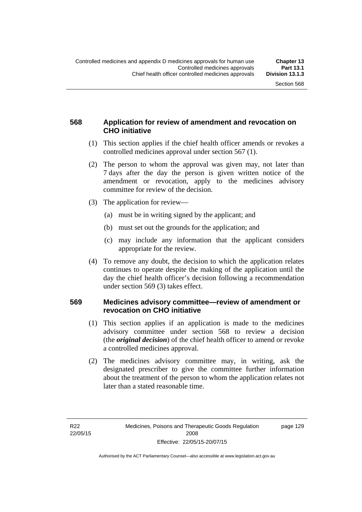### **568 Application for review of amendment and revocation on CHO initiative**

- (1) This section applies if the chief health officer amends or revokes a controlled medicines approval under section 567 (1).
- (2) The person to whom the approval was given may, not later than 7 days after the day the person is given written notice of the amendment or revocation, apply to the medicines advisory committee for review of the decision.
- (3) The application for review—
	- (a) must be in writing signed by the applicant; and
	- (b) must set out the grounds for the application; and
	- (c) may include any information that the applicant considers appropriate for the review.
- (4) To remove any doubt, the decision to which the application relates continues to operate despite the making of the application until the day the chief health officer's decision following a recommendation under section 569 (3) takes effect.

#### **569 Medicines advisory committee—review of amendment or revocation on CHO initiative**

- (1) This section applies if an application is made to the medicines advisory committee under section 568 to review a decision (the *original decision*) of the chief health officer to amend or revoke a controlled medicines approval.
- (2) The medicines advisory committee may, in writing, ask the designated prescriber to give the committee further information about the treatment of the person to whom the application relates not later than a stated reasonable time.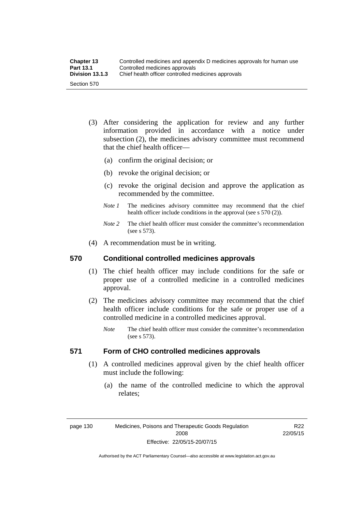| <b>Chapter 13</b> | Controlled medicines and appendix D medicines approvals for human use |
|-------------------|-----------------------------------------------------------------------|
| <b>Part 13.1</b>  | Controlled medicines approvals                                        |
| Division 13.1.3   | Chief health officer controlled medicines approvals                   |
| Section 570       |                                                                       |

- (3) After considering the application for review and any further information provided in accordance with a notice under subsection (2), the medicines advisory committee must recommend that the chief health officer—
	- (a) confirm the original decision; or
	- (b) revoke the original decision; or
	- (c) revoke the original decision and approve the application as recommended by the committee.
	- *Note 1* The medicines advisory committee may recommend that the chief health officer include conditions in the approval (see s 570 (2)).
	- *Note 2* The chief health officer must consider the committee's recommendation (see s 573).
- (4) A recommendation must be in writing.

#### **570 Conditional controlled medicines approvals**

- (1) The chief health officer may include conditions for the safe or proper use of a controlled medicine in a controlled medicines approval.
- (2) The medicines advisory committee may recommend that the chief health officer include conditions for the safe or proper use of a controlled medicine in a controlled medicines approval.
	- *Note* The chief health officer must consider the committee's recommendation (see s 573).

### **571 Form of CHO controlled medicines approvals**

- (1) A controlled medicines approval given by the chief health officer must include the following:
	- (a) the name of the controlled medicine to which the approval relates;

page 130 Medicines, Poisons and Therapeutic Goods Regulation 2008 Effective: 22/05/15-20/07/15

R22 22/05/15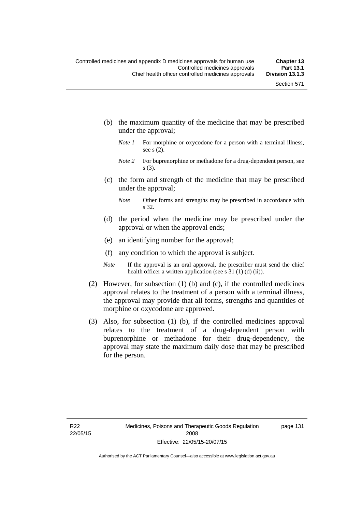- (b) the maximum quantity of the medicine that may be prescribed under the approval;
	- *Note 1* For morphine or oxycodone for a person with a terminal illness, see s (2).
	- *Note* 2 For buprenorphine or methadone for a drug-dependent person, see s (3).
- (c) the form and strength of the medicine that may be prescribed under the approval;
	- *Note* Other forms and strengths may be prescribed in accordance with s 32.
- (d) the period when the medicine may be prescribed under the approval or when the approval ends;
- (e) an identifying number for the approval;
- (f) any condition to which the approval is subject.
- *Note* If the approval is an oral approval, the prescriber must send the chief health officer a written application (see s 31 (1) (d) (ii)).
- (2) However, for subsection (1) (b) and (c), if the controlled medicines approval relates to the treatment of a person with a terminal illness, the approval may provide that all forms, strengths and quantities of morphine or oxycodone are approved.
- (3) Also, for subsection (1) (b), if the controlled medicines approval relates to the treatment of a drug-dependent person with buprenorphine or methadone for their drug-dependency, the approval may state the maximum daily dose that may be prescribed for the person.

page 131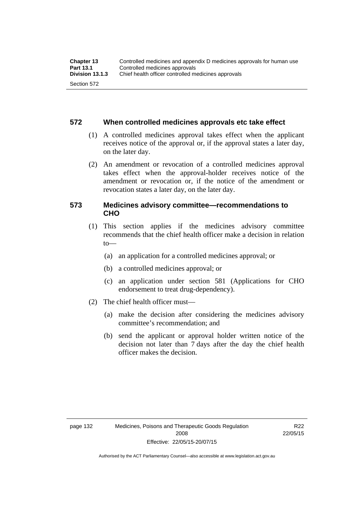#### **572 When controlled medicines approvals etc take effect**

- (1) A controlled medicines approval takes effect when the applicant receives notice of the approval or, if the approval states a later day, on the later day.
- (2) An amendment or revocation of a controlled medicines approval takes effect when the approval-holder receives notice of the amendment or revocation or, if the notice of the amendment or revocation states a later day, on the later day.

#### **573 Medicines advisory committee—recommendations to CHO**

- (1) This section applies if the medicines advisory committee recommends that the chief health officer make a decision in relation  $to$ 
	- (a) an application for a controlled medicines approval; or
	- (b) a controlled medicines approval; or
	- (c) an application under section 581 (Applications for CHO endorsement to treat drug-dependency).
- (2) The chief health officer must—
	- (a) make the decision after considering the medicines advisory committee's recommendation; and
	- (b) send the applicant or approval holder written notice of the decision not later than 7 days after the day the chief health officer makes the decision.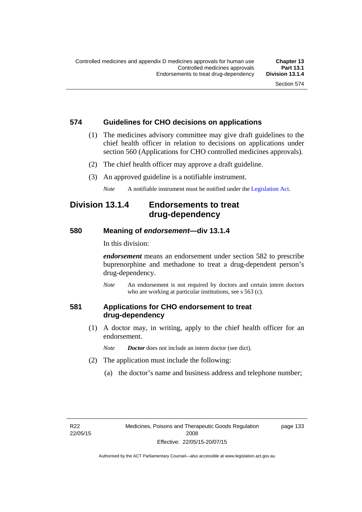### **574 Guidelines for CHO decisions on applications**

- (1) The medicines advisory committee may give draft guidelines to the chief health officer in relation to decisions on applications under section 560 (Applications for CHO controlled medicines approvals).
- (2) The chief health officer may approve a draft guideline.
- (3) An approved guideline is a notifiable instrument.

*Note* A notifiable instrument must be notified under the [Legislation Act](http://www.legislation.act.gov.au/a/2001-14).

### **Division 13.1.4 Endorsements to treat drug-dependency**

#### **580 Meaning of** *endorsement***—div 13.1.4**

In this division:

*endorsement* means an endorsement under section 582 to prescribe buprenorphine and methadone to treat a drug-dependent person's drug-dependency.

*Note* An endorsement is not required by doctors and certain intern doctors who are working at particular institutions, see s 563 (c).

#### **581 Applications for CHO endorsement to treat drug-dependency**

 (1) A doctor may, in writing, apply to the chief health officer for an endorsement.

*Note Doctor* does not include an intern doctor (see dict).

- (2) The application must include the following:
	- (a) the doctor's name and business address and telephone number;

page 133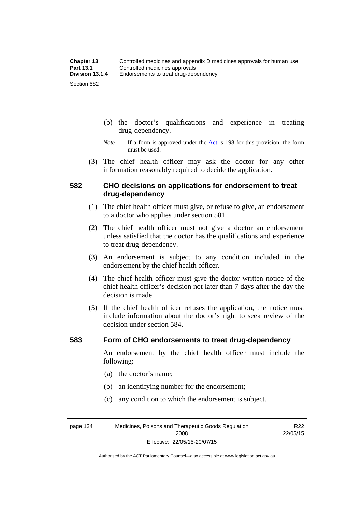- (b) the doctor's qualifications and experience in treating drug-dependency.
- *Note* If a form is approved under the [Act](http://www.legislation.act.gov.au/a/2008-26/default.asp), s 198 for this provision, the form must be used.
- (3) The chief health officer may ask the doctor for any other information reasonably required to decide the application.

#### **582 CHO decisions on applications for endorsement to treat drug-dependency**

- (1) The chief health officer must give, or refuse to give, an endorsement to a doctor who applies under section 581.
- (2) The chief health officer must not give a doctor an endorsement unless satisfied that the doctor has the qualifications and experience to treat drug-dependency.
- (3) An endorsement is subject to any condition included in the endorsement by the chief health officer.
- (4) The chief health officer must give the doctor written notice of the chief health officer's decision not later than 7 days after the day the decision is made.
- (5) If the chief health officer refuses the application, the notice must include information about the doctor's right to seek review of the decision under section 584.

#### **583 Form of CHO endorsements to treat drug-dependency**

An endorsement by the chief health officer must include the following:

- (a) the doctor's name;
- (b) an identifying number for the endorsement;
- (c) any condition to which the endorsement is subject.

page 134 Medicines, Poisons and Therapeutic Goods Regulation 2008 Effective: 22/05/15-20/07/15

R22 22/05/15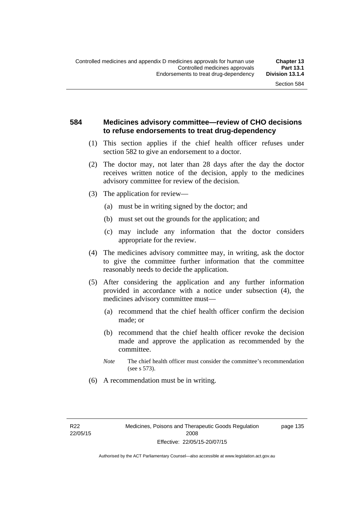#### **584 Medicines advisory committee—review of CHO decisions to refuse endorsements to treat drug-dependency**

- (1) This section applies if the chief health officer refuses under section 582 to give an endorsement to a doctor.
- (2) The doctor may, not later than 28 days after the day the doctor receives written notice of the decision, apply to the medicines advisory committee for review of the decision.
- (3) The application for review—
	- (a) must be in writing signed by the doctor; and
	- (b) must set out the grounds for the application; and
	- (c) may include any information that the doctor considers appropriate for the review.
- (4) The medicines advisory committee may, in writing, ask the doctor to give the committee further information that the committee reasonably needs to decide the application.
- (5) After considering the application and any further information provided in accordance with a notice under subsection (4), the medicines advisory committee must—
	- (a) recommend that the chief health officer confirm the decision made; or
	- (b) recommend that the chief health officer revoke the decision made and approve the application as recommended by the committee.
	- *Note* The chief health officer must consider the committee's recommendation (see s 573).
- (6) A recommendation must be in writing.

page 135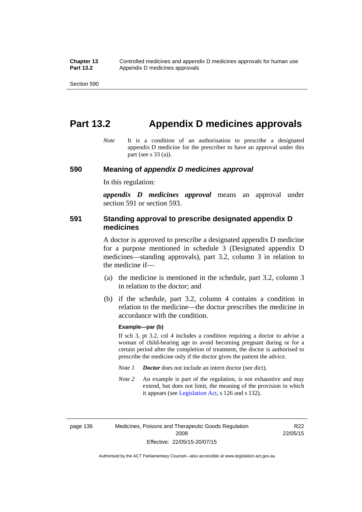# **Part 13.2 Appendix D medicines approvals**

*Note* It is a condition of an authorisation to prescribe a designated appendix D medicine for the prescriber to have an approval under this part (see s 33 (a)).

#### **590 Meaning of** *appendix D medicines approval*

In this regulation:

*appendix D medicines approval* means an approval under section 591 or section 593.

#### **591 Standing approval to prescribe designated appendix D medicines**

A doctor is approved to prescribe a designated appendix D medicine for a purpose mentioned in schedule 3 (Designated appendix D medicines—standing approvals), part 3.2, column 3 in relation to the medicine if—

- (a) the medicine is mentioned in the schedule, part 3.2, column 3 in relation to the doctor; and
- (b) if the schedule, part 3.2, column 4 contains a condition in relation to the medicine—the doctor prescribes the medicine in accordance with the condition.

#### **Example—par (b)**

If sch 3, pt 3.2, col 4 includes a condition requiring a doctor to advise a woman of child-bearing age to avoid becoming pregnant during or for a certain period after the completion of treatment, the doctor is authorised to prescribe the medicine only if the doctor gives the patient the advice.

- *Note 1 Doctor* does not include an intern doctor (see dict).
- *Note 2* An example is part of the regulation, is not exhaustive and may extend, but does not limit, the meaning of the provision in which it appears (see [Legislation Act,](http://www.legislation.act.gov.au/a/2001-14) s 126 and s 132).

page 136 Medicines, Poisons and Therapeutic Goods Regulation 2008 Effective: 22/05/15-20/07/15

R22 22/05/15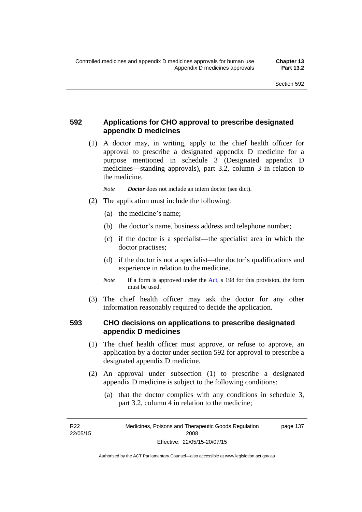### **592 Applications for CHO approval to prescribe designated appendix D medicines**

 (1) A doctor may, in writing, apply to the chief health officer for approval to prescribe a designated appendix D medicine for a purpose mentioned in schedule 3 (Designated appendix D medicines—standing approvals), part 3.2, column 3 in relation to the medicine.

*Note Doctor* does not include an intern doctor (see dict).

- (2) The application must include the following:
	- (a) the medicine's name;
	- (b) the doctor's name, business address and telephone number;
	- (c) if the doctor is a specialist—the specialist area in which the doctor practises;
	- (d) if the doctor is not a specialist—the doctor's qualifications and experience in relation to the medicine.
	- *Note* If a form is approved under the [Act](http://www.legislation.act.gov.au/a/2008-26/default.asp), s 198 for this provision, the form must be used.
- (3) The chief health officer may ask the doctor for any other information reasonably required to decide the application.

#### **593 CHO decisions on applications to prescribe designated appendix D medicines**

- (1) The chief health officer must approve, or refuse to approve, an application by a doctor under section 592 for approval to prescribe a designated appendix D medicine.
- (2) An approval under subsection (1) to prescribe a designated appendix D medicine is subject to the following conditions:
	- (a) that the doctor complies with any conditions in schedule 3, part 3.2, column 4 in relation to the medicine;

R22 22/05/15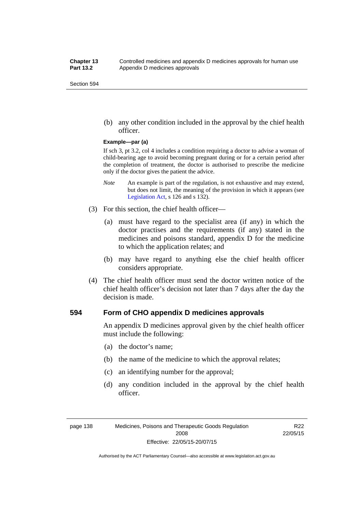(b) any other condition included in the approval by the chief health officer.

#### **Example—par (a)**

If sch 3, pt 3.2, col 4 includes a condition requiring a doctor to advise a woman of child-bearing age to avoid becoming pregnant during or for a certain period after the completion of treatment, the doctor is authorised to prescribe the medicine only if the doctor gives the patient the advice.

- *Note* An example is part of the regulation, is not exhaustive and may extend, but does not limit, the meaning of the provision in which it appears (see [Legislation Act,](http://www.legislation.act.gov.au/a/2001-14) s 126 and s 132).
- (3) For this section, the chief health officer—
	- (a) must have regard to the specialist area (if any) in which the doctor practises and the requirements (if any) stated in the medicines and poisons standard, appendix D for the medicine to which the application relates; and
	- (b) may have regard to anything else the chief health officer considers appropriate.
- (4) The chief health officer must send the doctor written notice of the chief health officer's decision not later than 7 days after the day the decision is made.

#### **594 Form of CHO appendix D medicines approvals**

An appendix D medicines approval given by the chief health officer must include the following:

- (a) the doctor's name;
- (b) the name of the medicine to which the approval relates;
- (c) an identifying number for the approval;
- (d) any condition included in the approval by the chief health officer.

R<sub>22</sub> 22/05/15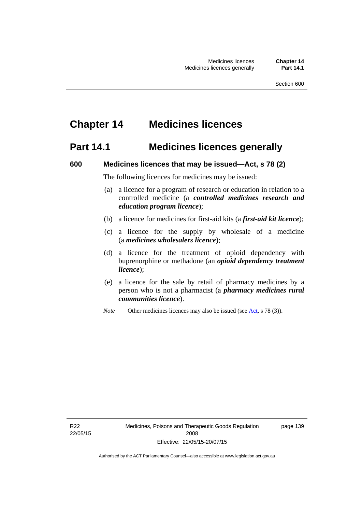# **Chapter 14 Medicines licences**

### **Part 14.1 Medicines licences generally**

#### **600 Medicines licences that may be issued—Act, s 78 (2)**

The following licences for medicines may be issued:

- (a) a licence for a program of research or education in relation to a controlled medicine (a *controlled medicines research and education program licence*);
- (b) a licence for medicines for first-aid kits (a *first-aid kit licence*);
- (c) a licence for the supply by wholesale of a medicine (a *medicines wholesalers licence*);
- (d) a licence for the treatment of opioid dependency with buprenorphine or methadone (an *opioid dependency treatment licence*);
- (e) a licence for the sale by retail of pharmacy medicines by a person who is not a pharmacist (a *pharmacy medicines rural communities licence*).
- *Note* Other medicines licences may also be issued (see [Act,](http://www.legislation.act.gov.au/a/2008-26/default.asp) s 78 (3)).

R22 22/05/15 page 139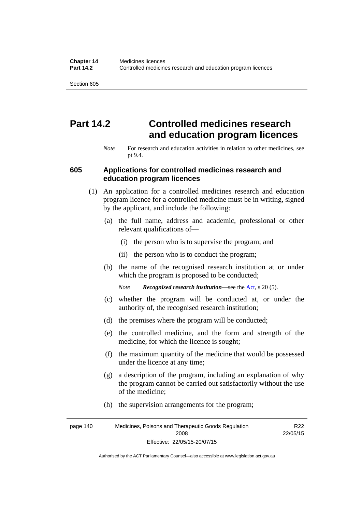# **Part 14.2 Controlled medicines research and education program licences**

*Note* For research and education activities in relation to other medicines, see pt 9.4.

#### **605 Applications for controlled medicines research and education program licences**

- (1) An application for a controlled medicines research and education program licence for a controlled medicine must be in writing, signed by the applicant, and include the following:
	- (a) the full name, address and academic, professional or other relevant qualifications of—
		- (i) the person who is to supervise the program; and
		- (ii) the person who is to conduct the program;
	- (b) the name of the recognised research institution at or under which the program is proposed to be conducted;
		- *Note Recognised research institution*—see the [Act](http://www.legislation.act.gov.au/a/2008-26/default.asp), s 20 (5).
	- (c) whether the program will be conducted at, or under the authority of, the recognised research institution;
	- (d) the premises where the program will be conducted;
	- (e) the controlled medicine, and the form and strength of the medicine, for which the licence is sought;
	- (f) the maximum quantity of the medicine that would be possessed under the licence at any time;
	- (g) a description of the program, including an explanation of why the program cannot be carried out satisfactorily without the use of the medicine;
	- (h) the supervision arrangements for the program;

page 140 Medicines, Poisons and Therapeutic Goods Regulation 2008 Effective: 22/05/15-20/07/15 R22 22/05/15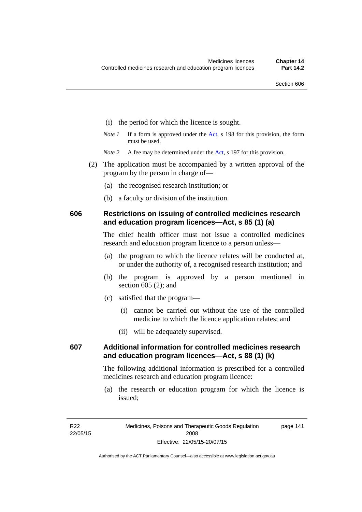- (i) the period for which the licence is sought.
- *Note 1* If a form is approved under the [Act](http://www.legislation.act.gov.au/a/2008-26/default.asp), s 198 for this provision, the form must be used.

*Note* 2 A fee may be determined under the [Act,](http://www.legislation.act.gov.au/a/2008-26/default.asp) s 197 for this provision.

- (2) The application must be accompanied by a written approval of the program by the person in charge of—
	- (a) the recognised research institution; or
	- (b) a faculty or division of the institution.

#### **606 Restrictions on issuing of controlled medicines research and education program licences—Act, s 85 (1) (a)**

The chief health officer must not issue a controlled medicines research and education program licence to a person unless—

- (a) the program to which the licence relates will be conducted at, or under the authority of, a recognised research institution; and
- (b) the program is approved by a person mentioned in section 605 (2); and
- (c) satisfied that the program—
	- (i) cannot be carried out without the use of the controlled medicine to which the licence application relates; and
	- (ii) will be adequately supervised.

### **607 Additional information for controlled medicines research and education program licences—Act, s 88 (1) (k)**

The following additional information is prescribed for a controlled medicines research and education program licence:

 (a) the research or education program for which the licence is issued;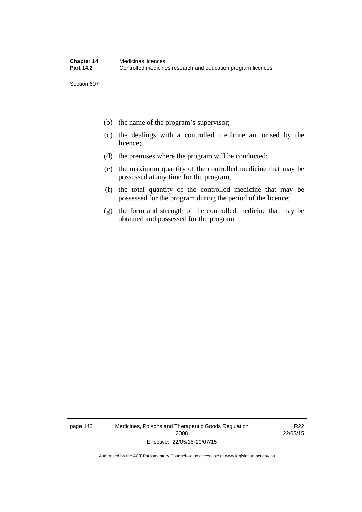- (b) the name of the program's supervisor;
- (c) the dealings with a controlled medicine authorised by the licence;
- (d) the premises where the program will be conducted;
- (e) the maximum quantity of the controlled medicine that may be possessed at any time for the program;
- (f) the total quantity of the controlled medicine that may be possessed for the program during the period of the licence;
- (g) the form and strength of the controlled medicine that may be obtained and possessed for the program.

page 142 Medicines, Poisons and Therapeutic Goods Regulation 2008 Effective: 22/05/15-20/07/15

R22 22/05/15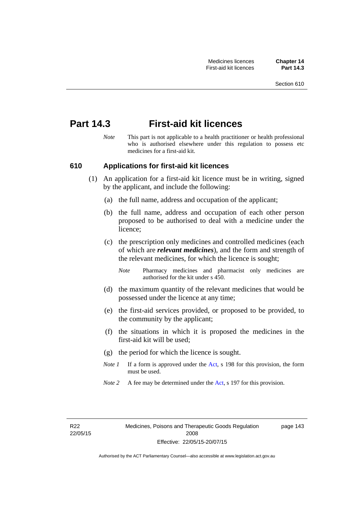# **Part 14.3 First-aid kit licences**

*Note* This part is not applicable to a health practitioner or health professional who is authorised elsewhere under this regulation to possess etc medicines for a first-aid kit.

#### **610 Applications for first-aid kit licences**

- (1) An application for a first-aid kit licence must be in writing, signed by the applicant, and include the following:
	- (a) the full name, address and occupation of the applicant;
	- (b) the full name, address and occupation of each other person proposed to be authorised to deal with a medicine under the licence;
	- (c) the prescription only medicines and controlled medicines (each of which are *relevant medicines*), and the form and strength of the relevant medicines, for which the licence is sought;
		- *Note* Pharmacy medicines and pharmacist only medicines are authorised for the kit under s 450.
	- (d) the maximum quantity of the relevant medicines that would be possessed under the licence at any time;
	- (e) the first-aid services provided, or proposed to be provided, to the community by the applicant;
	- (f) the situations in which it is proposed the medicines in the first-aid kit will be used;
	- (g) the period for which the licence is sought.
	- *Note 1* If a form is approved under the [Act](http://www.legislation.act.gov.au/a/2008-26/default.asp), s 198 for this provision, the form must be used.
	- *Note 2* A fee may be determined under the [Act,](http://www.legislation.act.gov.au/a/2008-26/default.asp) s 197 for this provision.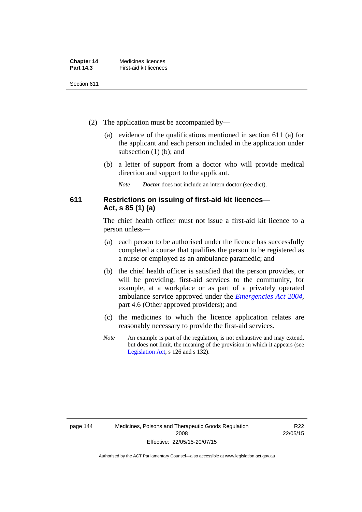| <b>Chapter 14</b> | Medicines licences     |
|-------------------|------------------------|
| <b>Part 14.3</b>  | First-aid kit licences |

- (2) The application must be accompanied by—
	- (a) evidence of the qualifications mentioned in section 611 (a) for the applicant and each person included in the application under subsection (1) (b); and
	- (b) a letter of support from a doctor who will provide medical direction and support to the applicant.
		- *Note Doctor* does not include an intern doctor (see dict).

#### **611 Restrictions on issuing of first-aid kit licences— Act, s 85 (1) (a)**

The chief health officer must not issue a first-aid kit licence to a person unless—

- (a) each person to be authorised under the licence has successfully completed a course that qualifies the person to be registered as a nurse or employed as an ambulance paramedic; and
- (b) the chief health officer is satisfied that the person provides, or will be providing, first-aid services to the community, for example, at a workplace or as part of a privately operated ambulance service approved under the *[Emergencies Act 2004](http://www.legislation.act.gov.au/a/2004-28)*, part 4.6 (Other approved providers); and
- (c) the medicines to which the licence application relates are reasonably necessary to provide the first-aid services.
- *Note* An example is part of the regulation, is not exhaustive and may extend, but does not limit, the meaning of the provision in which it appears (see [Legislation Act,](http://www.legislation.act.gov.au/a/2001-14) s 126 and s 132).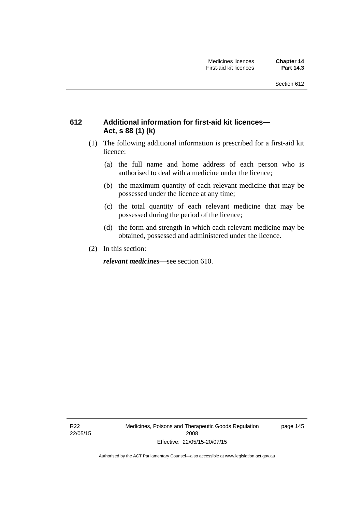### **612 Additional information for first-aid kit licences— Act, s 88 (1) (k)**

- (1) The following additional information is prescribed for a first-aid kit licence:
	- (a) the full name and home address of each person who is authorised to deal with a medicine under the licence;
	- (b) the maximum quantity of each relevant medicine that may be possessed under the licence at any time;
	- (c) the total quantity of each relevant medicine that may be possessed during the period of the licence;
	- (d) the form and strength in which each relevant medicine may be obtained, possessed and administered under the licence.
- (2) In this section:

*relevant medicines*—see section 610.

R22 22/05/15 Medicines, Poisons and Therapeutic Goods Regulation 2008 Effective: 22/05/15-20/07/15

page 145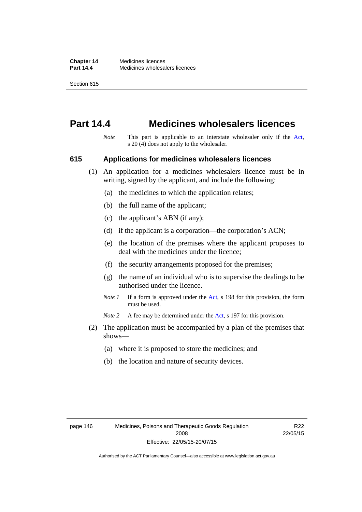## **Part 14.4 Medicines wholesalers licences**

*Note* This part is applicable to an interstate wholesaler only if the [Act,](http://www.legislation.act.gov.au/a/2008-26/default.asp) s 20 (4) does not apply to the wholesaler.

#### **615 Applications for medicines wholesalers licences**

- (1) An application for a medicines wholesalers licence must be in writing, signed by the applicant, and include the following:
	- (a) the medicines to which the application relates;
	- (b) the full name of the applicant;
	- (c) the applicant's ABN (if any);
	- (d) if the applicant is a corporation—the corporation's ACN;
	- (e) the location of the premises where the applicant proposes to deal with the medicines under the licence;
	- (f) the security arrangements proposed for the premises;
	- (g) the name of an individual who is to supervise the dealings to be authorised under the licence.
	- *Note 1* If a form is approved under the [Act](http://www.legislation.act.gov.au/a/2008-26/default.asp), s 198 for this provision, the form must be used.

*Note* 2 A fee may be determined under the [Act,](http://www.legislation.act.gov.au/a/2008-26/default.asp) s 197 for this provision.

- (2) The application must be accompanied by a plan of the premises that shows—
	- (a) where it is proposed to store the medicines; and
	- (b) the location and nature of security devices.

R<sub>22</sub> 22/05/15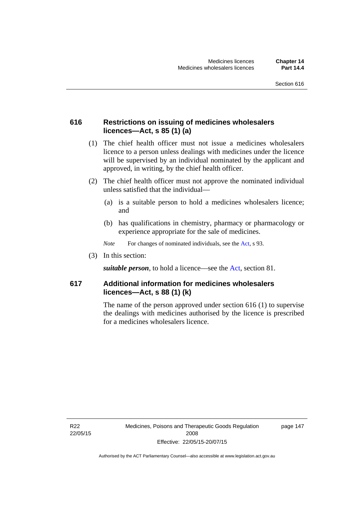### **616 Restrictions on issuing of medicines wholesalers licences—Act, s 85 (1) (a)**

- (1) The chief health officer must not issue a medicines wholesalers licence to a person unless dealings with medicines under the licence will be supervised by an individual nominated by the applicant and approved, in writing, by the chief health officer.
- (2) The chief health officer must not approve the nominated individual unless satisfied that the individual—
	- (a) is a suitable person to hold a medicines wholesalers licence; and
	- (b) has qualifications in chemistry, pharmacy or pharmacology or experience appropriate for the sale of medicines.
	- *Note* For changes of nominated individuals, see the [Act,](http://www.legislation.act.gov.au/a/2008-26/default.asp) s 93.
- (3) In this section:

*suitable person*, to hold a licence—see the [Act](http://www.legislation.act.gov.au/a/2008-26/default.asp), section 81.

#### **617 Additional information for medicines wholesalers licences—Act, s 88 (1) (k)**

The name of the person approved under section 616 (1) to supervise the dealings with medicines authorised by the licence is prescribed for a medicines wholesalers licence.

R22 22/05/15 page 147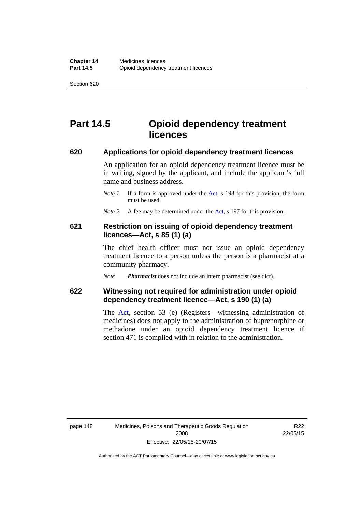# **Part 14.5 Opioid dependency treatment licences**

#### **620 Applications for opioid dependency treatment licences**

An application for an opioid dependency treatment licence must be in writing, signed by the applicant, and include the applicant's full name and business address.

- *Note 1* If a form is approved under the [Act](http://www.legislation.act.gov.au/a/2008-26/default.asp), s 198 for this provision, the form must be used.
- *Note 2* A fee may be determined under the [Act,](http://www.legislation.act.gov.au/a/2008-26/default.asp) s 197 for this provision.

#### **621 Restriction on issuing of opioid dependency treatment licences—Act, s 85 (1) (a)**

The chief health officer must not issue an opioid dependency treatment licence to a person unless the person is a pharmacist at a community pharmacy.

*Note Pharmacist* does not include an intern pharmacist (see dict).

#### **622 Witnessing not required for administration under opioid dependency treatment licence—Act, s 190 (1) (a)**

The [Act,](http://www.legislation.act.gov.au/a/2008-26/default.asp) section 53 (e) (Registers—witnessing administration of medicines) does not apply to the administration of buprenorphine or methadone under an opioid dependency treatment licence if section 471 is complied with in relation to the administration.

R22 22/05/15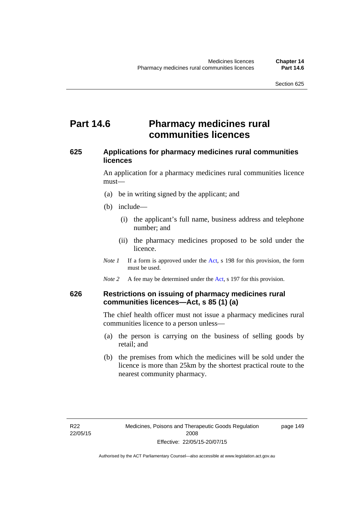### **Part 14.6 Pharmacy medicines rural communities licences**

#### **625 Applications for pharmacy medicines rural communities licences**

An application for a pharmacy medicines rural communities licence must—

- (a) be in writing signed by the applicant; and
- (b) include—
	- (i) the applicant's full name, business address and telephone number; and
	- (ii) the pharmacy medicines proposed to be sold under the licence.
- *Note 1* If a form is approved under the [Act](http://www.legislation.act.gov.au/a/2008-26/default.asp), s 198 for this provision, the form must be used.
- *Note 2* A fee may be determined under the [Act,](http://www.legislation.act.gov.au/a/2008-26/default.asp) s 197 for this provision.

#### **626 Restrictions on issuing of pharmacy medicines rural communities licences—Act, s 85 (1) (a)**

The chief health officer must not issue a pharmacy medicines rural communities licence to a person unless—

- (a) the person is carrying on the business of selling goods by retail; and
- (b) the premises from which the medicines will be sold under the licence is more than 25km by the shortest practical route to the nearest community pharmacy.

page 149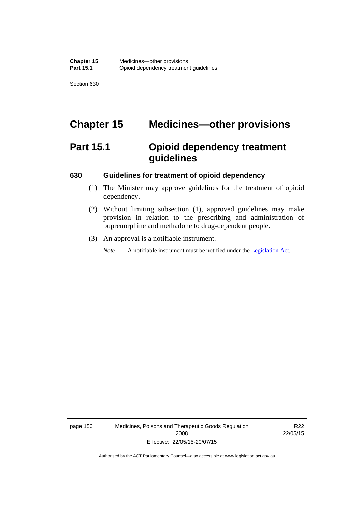# **Chapter 15 Medicines—other provisions**

# **Part 15.1 Opioid dependency treatment guidelines**

#### **630 Guidelines for treatment of opioid dependency**

- (1) The Minister may approve guidelines for the treatment of opioid dependency.
- (2) Without limiting subsection (1), approved guidelines may make provision in relation to the prescribing and administration of buprenorphine and methadone to drug-dependent people.
- (3) An approval is a notifiable instrument.

*Note* A notifiable instrument must be notified under the [Legislation Act](http://www.legislation.act.gov.au/a/2001-14).

page 150 Medicines, Poisons and Therapeutic Goods Regulation 2008 Effective: 22/05/15-20/07/15

R22 22/05/15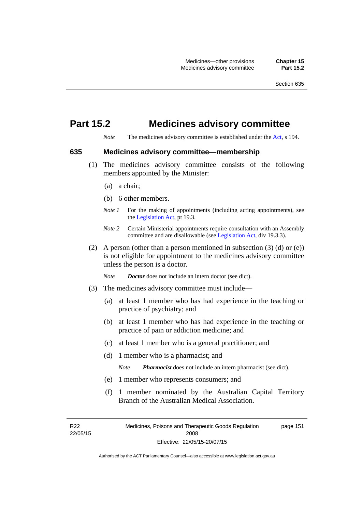# **Part 15.2 Medicines advisory committee**

*Note* The medicines advisory committee is established under the [Act](http://www.legislation.act.gov.au/a/2008-26/default.asp), s 194.

#### **635 Medicines advisory committee—membership**

- (1) The medicines advisory committee consists of the following members appointed by the Minister:
	- (a) a chair;
	- (b) 6 other members.
	- *Note 1* For the making of appointments (including acting appointments), see the [Legislation Act,](http://www.legislation.act.gov.au/a/2001-14) pt 19.3.
	- *Note 2* Certain Ministerial appointments require consultation with an Assembly committee and are disallowable (see [Legislation Act,](http://www.legislation.act.gov.au/a/2001-14) div 19.3.3).
- (2) A person (other than a person mentioned in subsection  $(3)$  (d) or  $(e)$ ) is not eligible for appointment to the medicines advisory committee unless the person is a doctor.

*Note Doctor* does not include an intern doctor (see dict).

- (3) The medicines advisory committee must include—
	- (a) at least 1 member who has had experience in the teaching or practice of psychiatry; and
	- (b) at least 1 member who has had experience in the teaching or practice of pain or addiction medicine; and
	- (c) at least 1 member who is a general practitioner; and
	- (d) 1 member who is a pharmacist; and

*Note Pharmacist* does not include an intern pharmacist (see dict).

- (e) 1 member who represents consumers; and
- (f) 1 member nominated by the Australian Capital Territory Branch of the Australian Medical Association.

R22 22/05/15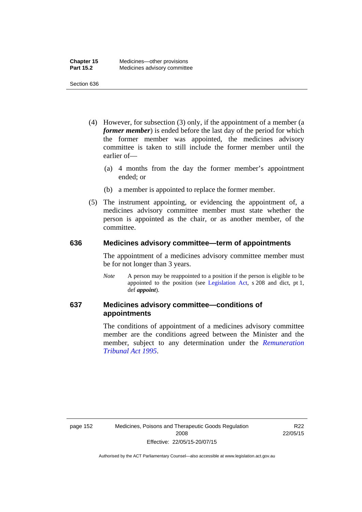- (4) However, for subsection (3) only, if the appointment of a member (a *former member*) is ended before the last day of the period for which the former member was appointed, the medicines advisory committee is taken to still include the former member until the earlier of—
	- (a) 4 months from the day the former member's appointment ended; or
	- (b) a member is appointed to replace the former member.
- (5) The instrument appointing, or evidencing the appointment of, a medicines advisory committee member must state whether the person is appointed as the chair, or as another member, of the committee.

#### **636 Medicines advisory committee—term of appointments**

The appointment of a medicines advisory committee member must be for not longer than 3 years.

*Note* A person may be reappointed to a position if the person is eligible to be appointed to the position (see [Legislation Act,](http://www.legislation.act.gov.au/a/2001-14) s 208 and dict, pt 1, def *appoint*).

### **637 Medicines advisory committee—conditions of appointments**

The conditions of appointment of a medicines advisory committee member are the conditions agreed between the Minister and the member, subject to any determination under the *[Remuneration](http://www.legislation.act.gov.au/a/1995-55)  [Tribunal Act 1995](http://www.legislation.act.gov.au/a/1995-55)*.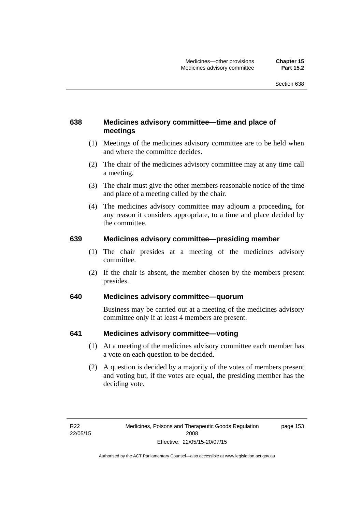### **638 Medicines advisory committee—time and place of meetings**

- (1) Meetings of the medicines advisory committee are to be held when and where the committee decides.
- (2) The chair of the medicines advisory committee may at any time call a meeting.
- (3) The chair must give the other members reasonable notice of the time and place of a meeting called by the chair.
- (4) The medicines advisory committee may adjourn a proceeding, for any reason it considers appropriate, to a time and place decided by the committee.

#### **639 Medicines advisory committee—presiding member**

- (1) The chair presides at a meeting of the medicines advisory committee.
- (2) If the chair is absent, the member chosen by the members present presides.

#### **640 Medicines advisory committee—quorum**

Business may be carried out at a meeting of the medicines advisory committee only if at least 4 members are present.

#### **641 Medicines advisory committee—voting**

- (1) At a meeting of the medicines advisory committee each member has a vote on each question to be decided.
- (2) A question is decided by a majority of the votes of members present and voting but, if the votes are equal, the presiding member has the deciding vote.

page 153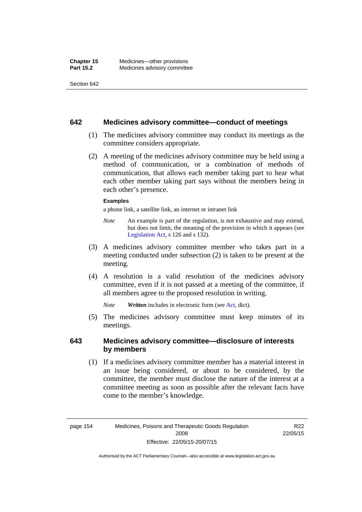#### **642 Medicines advisory committee—conduct of meetings**

- (1) The medicines advisory committee may conduct its meetings as the committee considers appropriate.
- (2) A meeting of the medicines advisory committee may be held using a method of communication, or a combination of methods of communication, that allows each member taking part to hear what each other member taking part says without the members being in each other's presence.

#### **Examples**

a phone link, a satellite link, an internet or intranet link

- *Note* An example is part of the regulation, is not exhaustive and may extend, but does not limit, the meaning of the provision in which it appears (see [Legislation Act,](http://www.legislation.act.gov.au/a/2001-14) s 126 and s 132).
- (3) A medicines advisory committee member who takes part in a meeting conducted under subsection (2) is taken to be present at the meeting.
- (4) A resolution is a valid resolution of the medicines advisory committee, even if it is not passed at a meeting of the committee, if all members agree to the proposed resolution in writing.

*Note Written* includes in electronic form (see [Act,](http://www.legislation.act.gov.au/a/2008-26/default.asp) dict).

 (5) The medicines advisory committee must keep minutes of its meetings.

#### **643 Medicines advisory committee—disclosure of interests by members**

 (1) If a medicines advisory committee member has a material interest in an issue being considered, or about to be considered, by the committee, the member must disclose the nature of the interest at a committee meeting as soon as possible after the relevant facts have come to the member's knowledge.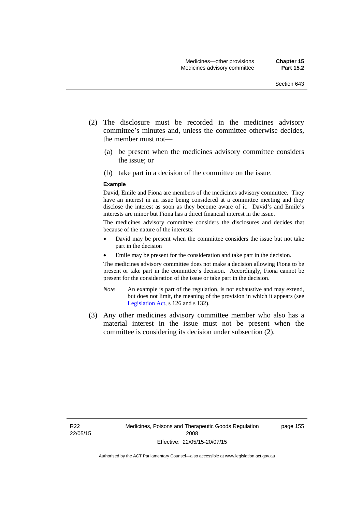- (2) The disclosure must be recorded in the medicines advisory committee's minutes and, unless the committee otherwise decides, the member must not—
	- (a) be present when the medicines advisory committee considers the issue; or
	- (b) take part in a decision of the committee on the issue.

#### **Example**

David, Emile and Fiona are members of the medicines advisory committee. They have an interest in an issue being considered at a committee meeting and they disclose the interest as soon as they become aware of it. David's and Emile's interests are minor but Fiona has a direct financial interest in the issue.

The medicines advisory committee considers the disclosures and decides that because of the nature of the interests:

- David may be present when the committee considers the issue but not take part in the decision
- Emile may be present for the consideration and take part in the decision.

The medicines advisory committee does not make a decision allowing Fiona to be present or take part in the committee's decision. Accordingly, Fiona cannot be present for the consideration of the issue or take part in the decision.

- *Note* An example is part of the regulation, is not exhaustive and may extend, but does not limit, the meaning of the provision in which it appears (see [Legislation Act,](http://www.legislation.act.gov.au/a/2001-14) s 126 and s 132).
- (3) Any other medicines advisory committee member who also has a material interest in the issue must not be present when the committee is considering its decision under subsection (2).

page 155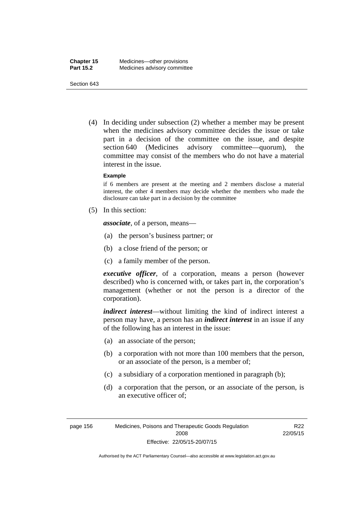(4) In deciding under subsection (2) whether a member may be present when the medicines advisory committee decides the issue or take part in a decision of the committee on the issue, and despite section 640 (Medicines advisory committee—quorum), the committee may consist of the members who do not have a material interest in the issue.

#### **Example**

if 6 members are present at the meeting and 2 members disclose a material interest, the other 4 members may decide whether the members who made the disclosure can take part in a decision by the committee

(5) In this section:

*associate*, of a person, means—

- (a) the person's business partner; or
- (b) a close friend of the person; or
- (c) a family member of the person.

*executive officer*, of a corporation, means a person (however described) who is concerned with, or takes part in, the corporation's management (whether or not the person is a director of the corporation).

*indirect interest*—without limiting the kind of indirect interest a person may have, a person has an *indirect interest* in an issue if any of the following has an interest in the issue:

- (a) an associate of the person;
- (b) a corporation with not more than 100 members that the person, or an associate of the person, is a member of;
- (c) a subsidiary of a corporation mentioned in paragraph (b);
- (d) a corporation that the person, or an associate of the person, is an executive officer of;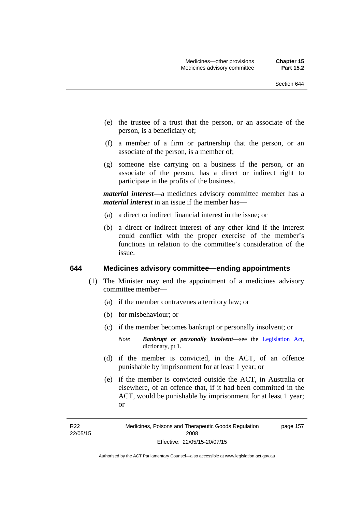- (e) the trustee of a trust that the person, or an associate of the person, is a beneficiary of;
- (f) a member of a firm or partnership that the person, or an associate of the person, is a member of;
- (g) someone else carrying on a business if the person, or an associate of the person, has a direct or indirect right to participate in the profits of the business.

*material interest*—a medicines advisory committee member has a *material interest* in an issue if the member has—

- (a) a direct or indirect financial interest in the issue; or
- (b) a direct or indirect interest of any other kind if the interest could conflict with the proper exercise of the member's functions in relation to the committee's consideration of the issue.

#### **644 Medicines advisory committee—ending appointments**

- (1) The Minister may end the appointment of a medicines advisory committee member—
	- (a) if the member contravenes a territory law; or
	- (b) for misbehaviour; or
	- (c) if the member becomes bankrupt or personally insolvent; or
		- *Note Bankrupt or personally insolvent*—see the [Legislation Act,](http://www.legislation.act.gov.au/a/2001-14) dictionary, pt 1.
	- (d) if the member is convicted, in the ACT, of an offence punishable by imprisonment for at least 1 year; or
	- (e) if the member is convicted outside the ACT, in Australia or elsewhere, of an offence that, if it had been committed in the ACT, would be punishable by imprisonment for at least 1 year; or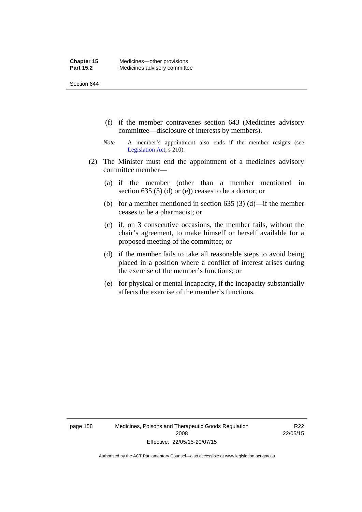- (f) if the member contravenes section 643 (Medicines advisory committee—disclosure of interests by members).
- *Note* A member's appointment also ends if the member resigns (see [Legislation Act,](http://www.legislation.act.gov.au/a/2001-14) s 210).
- (2) The Minister must end the appointment of a medicines advisory committee member—
	- (a) if the member (other than a member mentioned in section 635 (3) (d) or (e)) ceases to be a doctor; or
	- (b) for a member mentioned in section 635 (3) (d)—if the member ceases to be a pharmacist; or
	- (c) if, on 3 consecutive occasions, the member fails, without the chair's agreement, to make himself or herself available for a proposed meeting of the committee; or
	- (d) if the member fails to take all reasonable steps to avoid being placed in a position where a conflict of interest arises during the exercise of the member's functions; or
	- (e) for physical or mental incapacity, if the incapacity substantially affects the exercise of the member's functions.

page 158 Medicines, Poisons and Therapeutic Goods Regulation 2008 Effective: 22/05/15-20/07/15

R22 22/05/15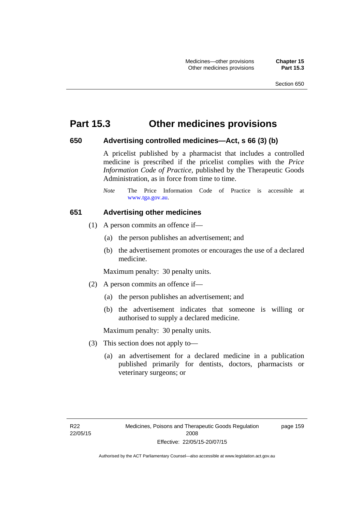## **Part 15.3 Other medicines provisions**

#### **650 Advertising controlled medicines—Act, s 66 (3) (b)**

A pricelist published by a pharmacist that includes a controlled medicine is prescribed if the pricelist complies with the *Price Information Code of Practice*, published by the Therapeutic Goods Administration, as in force from time to time.

#### **651 Advertising other medicines**

- (1) A person commits an offence if—
	- (a) the person publishes an advertisement; and
	- (b) the advertisement promotes or encourages the use of a declared medicine.

Maximum penalty: 30 penalty units.

- (2) A person commits an offence if—
	- (a) the person publishes an advertisement; and
	- (b) the advertisement indicates that someone is willing or authorised to supply a declared medicine.

Maximum penalty: 30 penalty units.

- (3) This section does not apply to—
	- (a) an advertisement for a declared medicine in a publication published primarily for dentists, doctors, pharmacists or veterinary surgeons; or

page 159

*Note* The Price Information Code of Practice is accessible at [www.tga.gov.au.](http://www.tga.gov.au/)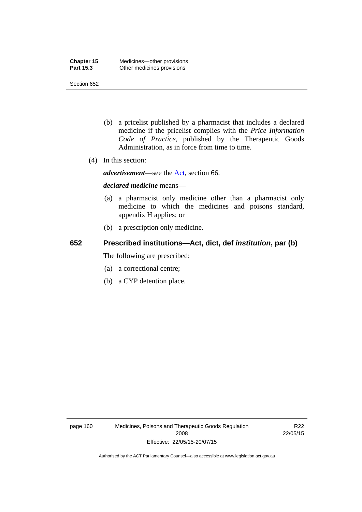- (b) a pricelist published by a pharmacist that includes a declared medicine if the pricelist complies with the *Price Information Code of Practice*, published by the Therapeutic Goods Administration, as in force from time to time.
- (4) In this section:

*advertisement*—see the [Act,](http://www.legislation.act.gov.au/a/2008-26/default.asp) section 66.

#### *declared medicine* means—

- (a) a pharmacist only medicine other than a pharmacist only medicine to which the medicines and poisons standard, appendix H applies; or
- (b) a prescription only medicine.

## **652 Prescribed institutions—Act, dict, def** *institution***, par (b)**

The following are prescribed:

- (a) a correctional centre;
- (b) a CYP detention place.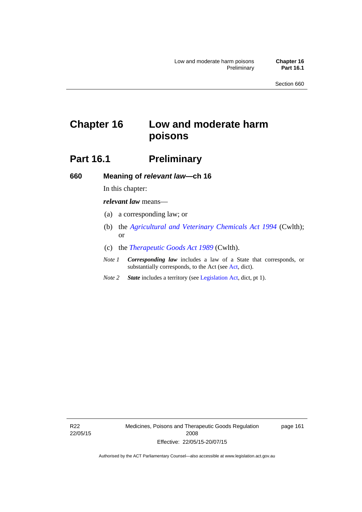# **Chapter 16 Low and moderate harm poisons**

# **Part 16.1** Preliminary

**660 Meaning of** *relevant law***—ch 16** 

In this chapter:

*relevant law* means—

- (a) a corresponding law; or
- (b) the *[Agricultural and Veterinary Chemicals Act 1994](http://www.comlaw.gov.au/Series/C2004A04712)* (Cwlth); or
- (c) the *[Therapeutic Goods Act 1989](http://www.comlaw.gov.au/Series/C2004A03952)* (Cwlth).
- *Note 1 Corresponding law* includes a law of a State that corresponds, or substantially corresponds, to the Act (see [Act](http://www.legislation.act.gov.au/a/2008-26/default.asp), dict).
- *Note 2 State* includes a territory (see [Legislation Act,](http://www.legislation.act.gov.au/a/2001-14) dict, pt 1).

R22 22/05/15 Medicines, Poisons and Therapeutic Goods Regulation 2008 Effective: 22/05/15-20/07/15

page 161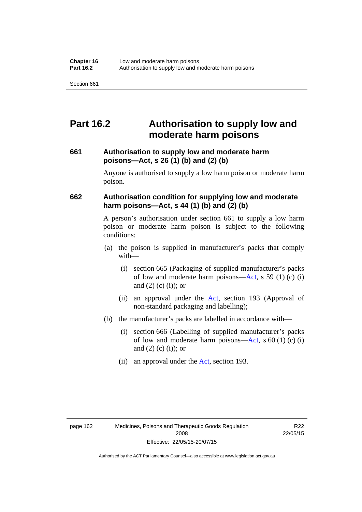# **Part 16.2 Authorisation to supply low and moderate harm poisons**

#### **661 Authorisation to supply low and moderate harm poisons—Act, s 26 (1) (b) and (2) (b)**

Anyone is authorised to supply a low harm poison or moderate harm poison.

#### **662 Authorisation condition for supplying low and moderate harm poisons—Act, s 44 (1) (b) and (2) (b)**

A person's authorisation under section 661 to supply a low harm poison or moderate harm poison is subject to the following conditions:

- (a) the poison is supplied in manufacturer's packs that comply with—
	- (i) section 665 (Packaging of supplied manufacturer's packs of low and moderate harm poisons—[Act](http://www.legislation.act.gov.au/a/2008-26/default.asp), s 59 (1) (c) (i) and  $(2)$  (c) (i)); or
	- (ii) an approval under the [Act](http://www.legislation.act.gov.au/a/2008-26/default.asp), section 193 (Approval of non-standard packaging and labelling);
- (b) the manufacturer's packs are labelled in accordance with—
	- (i) section 666 (Labelling of supplied manufacturer's packs of low and moderate harm poisons—[Act](http://www.legislation.act.gov.au/a/2008-26/default.asp), s  $60(1)(c)(i)$ and  $(2)$  (c)  $(i)$ ; or
	- (ii) an approval under the [Act,](http://www.legislation.act.gov.au/a/2008-26/default.asp) section 193.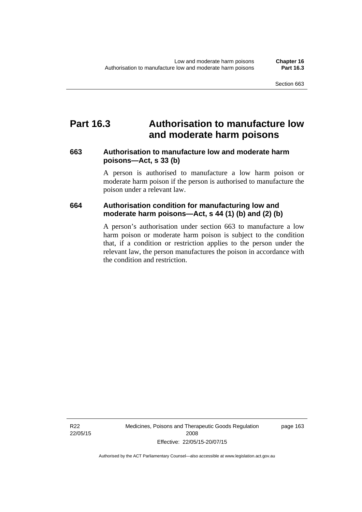## **Part 16.3 Authorisation to manufacture low and moderate harm poisons**

#### **663 Authorisation to manufacture low and moderate harm poisons—Act, s 33 (b)**

A person is authorised to manufacture a low harm poison or moderate harm poison if the person is authorised to manufacture the poison under a relevant law.

#### **664 Authorisation condition for manufacturing low and moderate harm poisons—Act, s 44 (1) (b) and (2) (b)**

A person's authorisation under section 663 to manufacture a low harm poison or moderate harm poison is subject to the condition that, if a condition or restriction applies to the person under the relevant law, the person manufactures the poison in accordance with the condition and restriction.

R22 22/05/15 Medicines, Poisons and Therapeutic Goods Regulation 2008 Effective: 22/05/15-20/07/15

page 163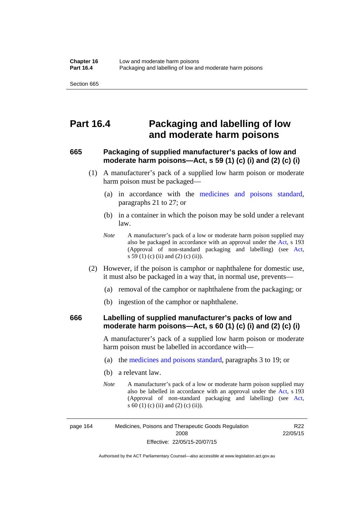## **Part 16.4 Packaging and labelling of low and moderate harm poisons**

#### **665 Packaging of supplied manufacturer's packs of low and moderate harm poisons—Act, s 59 (1) (c) (i) and (2) (c) (i)**

- (1) A manufacturer's pack of a supplied low harm poison or moderate harm poison must be packaged—
	- (a) in accordance with the [medicines and poisons standard](http://www.comlaw.gov.au/Series/F2012L01200), paragraphs 21 to 27; or
	- (b) in a container in which the poison may be sold under a relevant law.
	- *Note* A manufacturer's pack of a low or moderate harm poison supplied may also be packaged in accordance with an approval under the [Act](http://www.legislation.act.gov.au/a/2008-26/default.asp), s 193 (Approval of non-standard packaging and labelling) (see [Act,](http://www.legislation.act.gov.au/a/2008-26/default.asp) s 59 (1) (c) (ii) and (2) (c) (ii)).
- (2) However, if the poison is camphor or naphthalene for domestic use, it must also be packaged in a way that, in normal use, prevents—
	- (a) removal of the camphor or naphthalene from the packaging; or
	- (b) ingestion of the camphor or naphthalene.

#### **666 Labelling of supplied manufacturer's packs of low and moderate harm poisons—Act, s 60 (1) (c) (i) and (2) (c) (i)**

A manufacturer's pack of a supplied low harm poison or moderate harm poison must be labelled in accordance with—

- (a) the [medicines and poisons standard](http://www.comlaw.gov.au/Series/F2012L01200), paragraphs 3 to 19; or
- (b) a relevant law.
- *Note* A manufacturer's pack of a low or moderate harm poison supplied may also be labelled in accordance with an approval under the [Act](http://www.legislation.act.gov.au/a/2008-26/default.asp), s 193 (Approval of non-standard packaging and labelling) (see [Act,](http://www.legislation.act.gov.au/a/2008-26/default.asp) s 60 (1) (c) (ii) and (2) (c) (ii)).

R<sub>22</sub>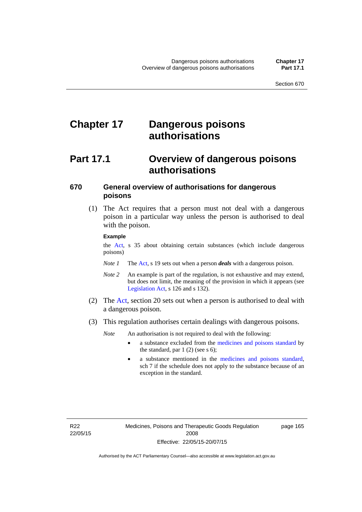# **Chapter 17 Dangerous poisons authorisations**

## **Part 17.1 Overview of dangerous poisons authorisations**

## **670 General overview of authorisations for dangerous poisons**

 (1) The Act requires that a person must not deal with a dangerous poison in a particular way unless the person is authorised to deal with the poison.

#### **Example**

the [Act,](http://www.legislation.act.gov.au/a/2008-26/default.asp) s 35 about obtaining certain substances (which include dangerous poisons)

- *Note 1* The [Act,](http://www.legislation.act.gov.au/a/2008-26/default.asp) s 19 sets out when a person *deals* with a dangerous poison.
- *Note 2* An example is part of the regulation, is not exhaustive and may extend, but does not limit, the meaning of the provision in which it appears (see [Legislation Act,](http://www.legislation.act.gov.au/a/2001-14) s 126 and s 132).
- (2) The [Act](http://www.legislation.act.gov.au/a/2008-26/default.asp), section 20 sets out when a person is authorised to deal with a dangerous poison.
- (3) This regulation authorises certain dealings with dangerous poisons.

*Note* An authorisation is not required to deal with the following:

- a substance excluded from the [medicines and poisons standard](http://www.comlaw.gov.au/Series/F2012L01200) by the standard, par  $1(2)$  (see s 6);
- a substance mentioned in the [medicines and poisons standard,](http://www.comlaw.gov.au/Series/F2012L01200) sch 7 if the schedule does not apply to the substance because of an exception in the standard.

R22 22/05/15 page 165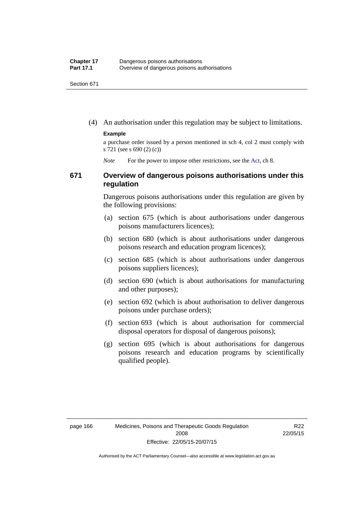(4) An authorisation under this regulation may be subject to limitations.

#### **Example**

a purchase order issued by a person mentioned in sch 4, col 2 must comply with s 721 (see s 690 (2) (c))

*Note* For the power to impose other restrictions, see the [Act](http://www.legislation.act.gov.au/a/2008-26/default.asp), ch 8.

#### **671 Overview of dangerous poisons authorisations under this regulation**

Dangerous poisons authorisations under this regulation are given by the following provisions:

- (a) section 675 (which is about authorisations under dangerous poisons manufacturers licences);
- (b) section 680 (which is about authorisations under dangerous poisons research and education program licences);
- (c) section 685 (which is about authorisations under dangerous poisons suppliers licences);
- (d) section 690 (which is about authorisations for manufacturing and other purposes);
- (e) section 692 (which is about authorisation to deliver dangerous poisons under purchase orders);
- (f) section 693 (which is about authorisation for commercial disposal operators for disposal of dangerous poisons);
- (g) section 695 (which is about authorisations for dangerous poisons research and education programs by scientifically qualified people).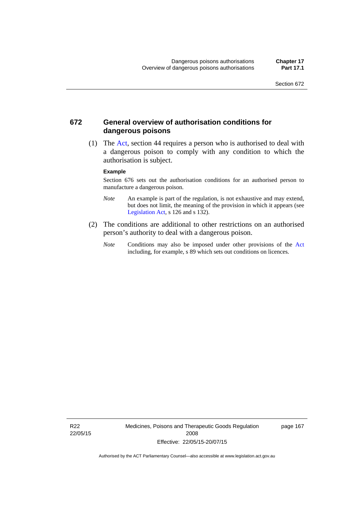#### **672 General overview of authorisation conditions for dangerous poisons**

 (1) The [Act](http://www.legislation.act.gov.au/a/2008-26/default.asp), section 44 requires a person who is authorised to deal with a dangerous poison to comply with any condition to which the authorisation is subject.

#### **Example**

Section 676 sets out the authorisation conditions for an authorised person to manufacture a dangerous poison.

- *Note* An example is part of the regulation, is not exhaustive and may extend, but does not limit, the meaning of the provision in which it appears (see [Legislation Act,](http://www.legislation.act.gov.au/a/2001-14) s 126 and s 132).
- (2) The conditions are additional to other restrictions on an authorised person's authority to deal with a dangerous poison.
	- *Note* Conditions may also be imposed under other provisions of the [Act](http://www.legislation.act.gov.au/a/2008-26/default.asp) including, for example, s 89 which sets out conditions on licences.

R22 22/05/15 Medicines, Poisons and Therapeutic Goods Regulation 2008 Effective: 22/05/15-20/07/15

page 167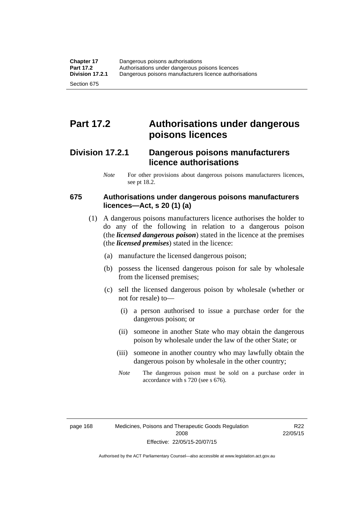# **Part 17.2 Authorisations under dangerous poisons licences**

## **Division 17.2.1 Dangerous poisons manufacturers licence authorisations**

*Note* For other provisions about dangerous poisons manufacturers licences, see pt 18.2.

#### **675 Authorisations under dangerous poisons manufacturers licences—Act, s 20 (1) (a)**

- (1) A dangerous poisons manufacturers licence authorises the holder to do any of the following in relation to a dangerous poison (the *licensed dangerous poison*) stated in the licence at the premises (the *licensed premises*) stated in the licence:
	- (a) manufacture the licensed dangerous poison;
	- (b) possess the licensed dangerous poison for sale by wholesale from the licensed premises;
	- (c) sell the licensed dangerous poison by wholesale (whether or not for resale) to—
		- (i) a person authorised to issue a purchase order for the dangerous poison; or
		- (ii) someone in another State who may obtain the dangerous poison by wholesale under the law of the other State; or
		- (iii) someone in another country who may lawfully obtain the dangerous poison by wholesale in the other country;
		- *Note* The dangerous poison must be sold on a purchase order in accordance with s 720 (see s 676).

R22 22/05/15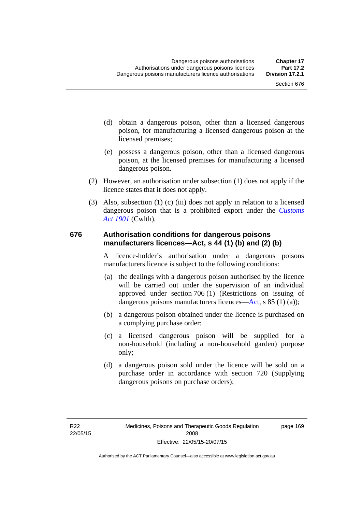- (d) obtain a dangerous poison, other than a licensed dangerous poison, for manufacturing a licensed dangerous poison at the licensed premises;
- (e) possess a dangerous poison, other than a licensed dangerous poison, at the licensed premises for manufacturing a licensed dangerous poison.
- (2) However, an authorisation under subsection (1) does not apply if the licence states that it does not apply.
- (3) Also, subsection (1) (c) (iii) does not apply in relation to a licensed dangerous poison that is a prohibited export under the *[Customs](http://www.comlaw.gov.au/Series/C1901A00006)  [Act 1901](http://www.comlaw.gov.au/Series/C1901A00006)* (Cwlth).

#### **676 Authorisation conditions for dangerous poisons manufacturers licences—Act, s 44 (1) (b) and (2) (b)**

A licence-holder's authorisation under a dangerous poisons manufacturers licence is subject to the following conditions:

- (a) the dealings with a dangerous poison authorised by the licence will be carried out under the supervision of an individual approved under section 706 (1) (Restrictions on issuing of dangerous poisons manufacturers licences[—Act,](http://www.legislation.act.gov.au/a/2008-26/default.asp) s 85 (1) (a));
- (b) a dangerous poison obtained under the licence is purchased on a complying purchase order;
- (c) a licensed dangerous poison will be supplied for a non-household (including a non-household garden) purpose only;
- (d) a dangerous poison sold under the licence will be sold on a purchase order in accordance with section 720 (Supplying dangerous poisons on purchase orders);

page 169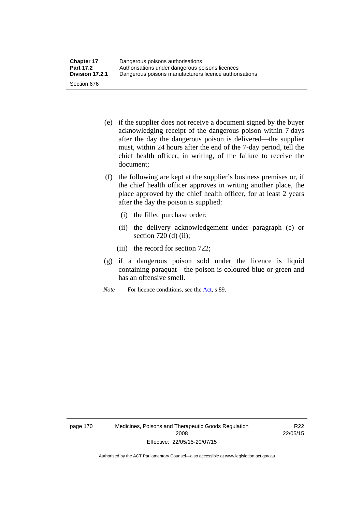- (e) if the supplier does not receive a document signed by the buyer acknowledging receipt of the dangerous poison within 7 days after the day the dangerous poison is delivered—the supplier must, within 24 hours after the end of the 7-day period, tell the chief health officer, in writing, of the failure to receive the document;
- (f) the following are kept at the supplier's business premises or, if the chief health officer approves in writing another place, the place approved by the chief health officer, for at least 2 years after the day the poison is supplied:
	- (i) the filled purchase order;
	- (ii) the delivery acknowledgement under paragraph (e) or section 720 (d) (ii);
	- (iii) the record for section 722;
- (g) if a dangerous poison sold under the licence is liquid containing paraquat—the poison is coloured blue or green and has an offensive smell.
- *Note* For licence conditions, see the [Act](http://www.legislation.act.gov.au/a/2008-26/default.asp), s 89.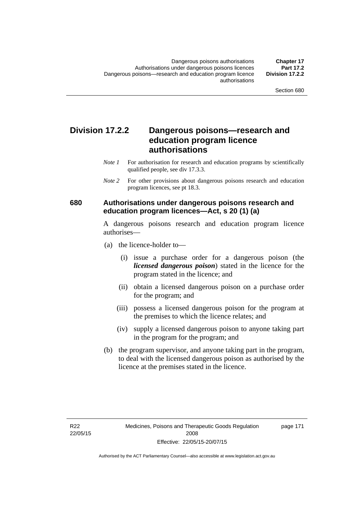## **Division 17.2.2 Dangerous poisons—research and education program licence authorisations**

- *Note 1* For authorisation for research and education programs by scientifically qualified people, see div 17.3.3.
- *Note 2* For other provisions about dangerous poisons research and education program licences, see pt 18.3.

#### **680 Authorisations under dangerous poisons research and education program licences—Act, s 20 (1) (a)**

A dangerous poisons research and education program licence authorises—

- (a) the licence-holder to—
	- (i) issue a purchase order for a dangerous poison (the *licensed dangerous poison*) stated in the licence for the program stated in the licence; and
	- (ii) obtain a licensed dangerous poison on a purchase order for the program; and
	- (iii) possess a licensed dangerous poison for the program at the premises to which the licence relates; and
	- (iv) supply a licensed dangerous poison to anyone taking part in the program for the program; and
- (b) the program supervisor, and anyone taking part in the program, to deal with the licensed dangerous poison as authorised by the licence at the premises stated in the licence.

page 171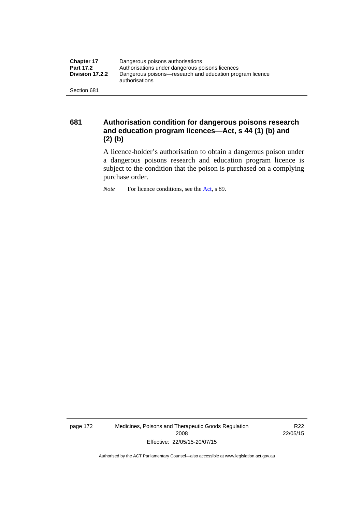| <b>Chapter 17</b> | Dangerous poisons authorisations                                           |
|-------------------|----------------------------------------------------------------------------|
| <b>Part 17.2</b>  | Authorisations under dangerous poisons licences                            |
| Division 17.2.2   | Dangerous poisons—research and education program licence<br>authorisations |
| Section 681       |                                                                            |

**681 Authorisation condition for dangerous poisons research and education program licences—Act, s 44 (1) (b) and (2) (b)** 

A licence-holder's authorisation to obtain a dangerous poison under a dangerous poisons research and education program licence is subject to the condition that the poison is purchased on a complying purchase order.

*Note* For licence conditions, see the [Act](http://www.legislation.act.gov.au/a/2008-26/default.asp), s 89.

page 172 Medicines, Poisons and Therapeutic Goods Regulation 2008 Effective: 22/05/15-20/07/15

R22 22/05/15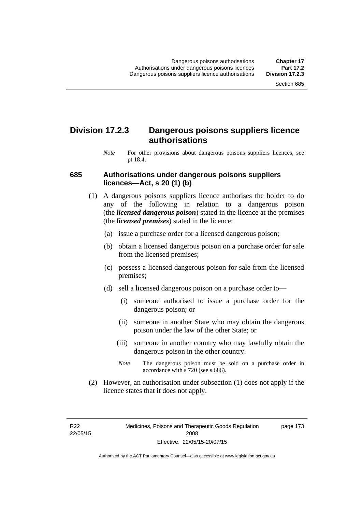## **Division 17.2.3 Dangerous poisons suppliers licence authorisations**

*Note* For other provisions about dangerous poisons suppliers licences, see pt 18.4.

#### **685 Authorisations under dangerous poisons suppliers licences—Act, s 20 (1) (b)**

- (1) A dangerous poisons suppliers licence authorises the holder to do any of the following in relation to a dangerous poison (the *licensed dangerous poison*) stated in the licence at the premises (the *licensed premises*) stated in the licence:
	- (a) issue a purchase order for a licensed dangerous poison;
	- (b) obtain a licensed dangerous poison on a purchase order for sale from the licensed premises;
	- (c) possess a licensed dangerous poison for sale from the licensed premises;
	- (d) sell a licensed dangerous poison on a purchase order to—
		- (i) someone authorised to issue a purchase order for the dangerous poison; or
		- (ii) someone in another State who may obtain the dangerous poison under the law of the other State; or
		- (iii) someone in another country who may lawfully obtain the dangerous poison in the other country.
		- *Note* The dangerous poison must be sold on a purchase order in accordance with s 720 (see s 686).
- (2) However, an authorisation under subsection (1) does not apply if the licence states that it does not apply.

R22 22/05/15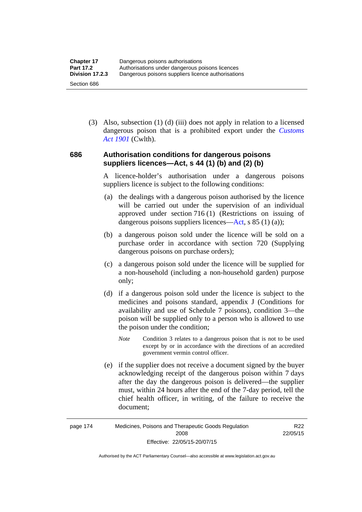(3) Also, subsection (1) (d) (iii) does not apply in relation to a licensed dangerous poison that is a prohibited export under the *[Customs](http://www.comlaw.gov.au/Series/C1901A00006)  [Act 1901](http://www.comlaw.gov.au/Series/C1901A00006)* (Cwlth).

#### **686 Authorisation conditions for dangerous poisons suppliers licences—Act, s 44 (1) (b) and (2) (b)**

A licence-holder's authorisation under a dangerous poisons suppliers licence is subject to the following conditions:

- (a) the dealings with a dangerous poison authorised by the licence will be carried out under the supervision of an individual approved under section 716 (1) (Restrictions on issuing of dangerous poisons suppliers licences—[Act](http://www.legislation.act.gov.au/a/2008-26/default.asp), s 85 (1) (a));
- (b) a dangerous poison sold under the licence will be sold on a purchase order in accordance with section 720 (Supplying dangerous poisons on purchase orders);
- (c) a dangerous poison sold under the licence will be supplied for a non-household (including a non-household garden) purpose only;
- (d) if a dangerous poison sold under the licence is subject to the medicines and poisons standard, appendix J (Conditions for availability and use of Schedule 7 poisons), condition 3—the poison will be supplied only to a person who is allowed to use the poison under the condition;
	- *Note* Condition 3 relates to a dangerous poison that is not to be used except by or in accordance with the directions of an accredited government vermin control officer.
- (e) if the supplier does not receive a document signed by the buyer acknowledging receipt of the dangerous poison within 7 days after the day the dangerous poison is delivered—the supplier must, within 24 hours after the end of the 7-day period, tell the chief health officer, in writing, of the failure to receive the document;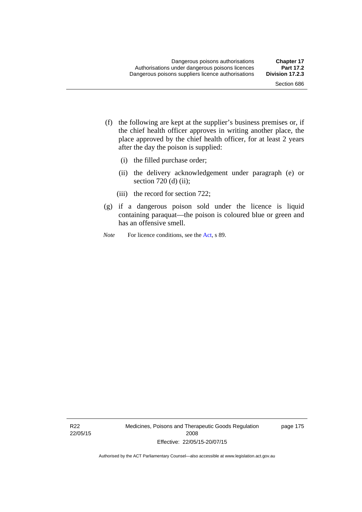- (f) the following are kept at the supplier's business premises or, if the chief health officer approves in writing another place, the place approved by the chief health officer, for at least 2 years after the day the poison is supplied:
	- (i) the filled purchase order;
	- (ii) the delivery acknowledgement under paragraph (e) or section 720 (d) (ii);
	- (iii) the record for section 722;
- (g) if a dangerous poison sold under the licence is liquid containing paraquat—the poison is coloured blue or green and has an offensive smell.
- *Note* For licence conditions, see the [Act](http://www.legislation.act.gov.au/a/2008-26/default.asp), s 89.

R22 22/05/15 Medicines, Poisons and Therapeutic Goods Regulation 2008 Effective: 22/05/15-20/07/15

page 175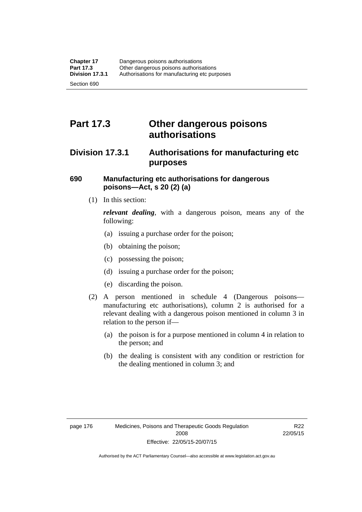# **Part 17.3 Other dangerous poisons authorisations**

## **Division 17.3.1 Authorisations for manufacturing etc purposes**

#### **690 Manufacturing etc authorisations for dangerous poisons—Act, s 20 (2) (a)**

(1) In this section:

*relevant dealing*, with a dangerous poison, means any of the following:

- (a) issuing a purchase order for the poison;
- (b) obtaining the poison;
- (c) possessing the poison;
- (d) issuing a purchase order for the poison;
- (e) discarding the poison.
- (2) A person mentioned in schedule 4 (Dangerous poisons manufacturing etc authorisations), column 2 is authorised for a relevant dealing with a dangerous poison mentioned in column 3 in relation to the person if—
	- (a) the poison is for a purpose mentioned in column 4 in relation to the person; and
	- (b) the dealing is consistent with any condition or restriction for the dealing mentioned in column 3; and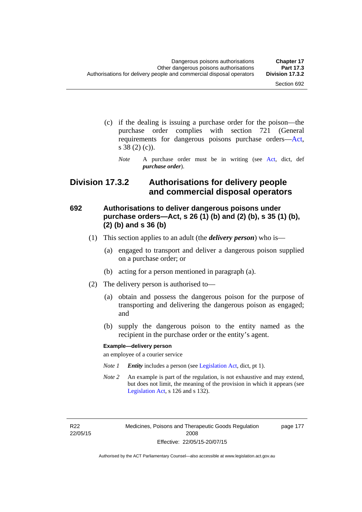- (c) if the dealing is issuing a purchase order for the poison—the purchase order complies with section 721 (General requirements for dangerous poisons purchase orders[—Act](http://www.legislation.act.gov.au/a/2008-26/default.asp), s 38 (2) (c)).
	- *Note* A purchase order must be in writing (see [Act](http://www.legislation.act.gov.au/a/2008-26/default.asp), dict, def *purchase order*).

## **Division 17.3.2 Authorisations for delivery people and commercial disposal operators**

#### **692 Authorisations to deliver dangerous poisons under purchase orders—Act, s 26 (1) (b) and (2) (b), s 35 (1) (b), (2) (b) and s 36 (b)**

- (1) This section applies to an adult (the *delivery person*) who is—
	- (a) engaged to transport and deliver a dangerous poison supplied on a purchase order; or
	- (b) acting for a person mentioned in paragraph (a).
- (2) The delivery person is authorised to—
	- (a) obtain and possess the dangerous poison for the purpose of transporting and delivering the dangerous poison as engaged; and
	- (b) supply the dangerous poison to the entity named as the recipient in the purchase order or the entity's agent.

#### **Example—delivery person**

an employee of a courier service

- *Note 1 Entity* includes a person (see [Legislation Act,](http://www.legislation.act.gov.au/a/2001-14) dict, pt 1).
- *Note 2* An example is part of the regulation, is not exhaustive and may extend, but does not limit, the meaning of the provision in which it appears (see [Legislation Act,](http://www.legislation.act.gov.au/a/2001-14) s 126 and s 132).

R22 22/05/15 Medicines, Poisons and Therapeutic Goods Regulation 2008 Effective: 22/05/15-20/07/15

page 177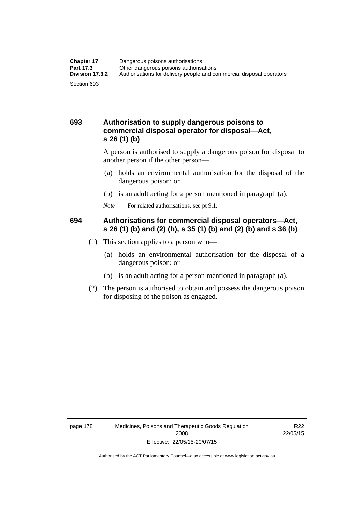#### **693 Authorisation to supply dangerous poisons to commercial disposal operator for disposal—Act, s 26 (1) (b)**

A person is authorised to supply a dangerous poison for disposal to another person if the other person—

- (a) holds an environmental authorisation for the disposal of the dangerous poison; or
- (b) is an adult acting for a person mentioned in paragraph (a).
- *Note* For related authorisations, see pt 9.1.

#### **694 Authorisations for commercial disposal operators—Act, s 26 (1) (b) and (2) (b), s 35 (1) (b) and (2) (b) and s 36 (b)**

- (1) This section applies to a person who—
	- (a) holds an environmental authorisation for the disposal of a dangerous poison; or
	- (b) is an adult acting for a person mentioned in paragraph (a).
- (2) The person is authorised to obtain and possess the dangerous poison for disposing of the poison as engaged.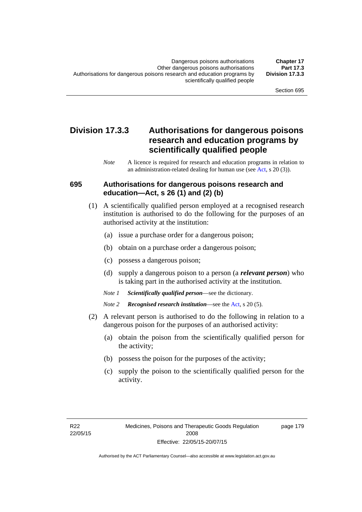## **Division 17.3.3 Authorisations for dangerous poisons research and education programs by scientifically qualified people**

*Note* A licence is required for research and education programs in relation to an administration-related dealing for human use (see [Act](http://www.legislation.act.gov.au/a/2008-26/default.asp), s 20 (3)).

#### **695 Authorisations for dangerous poisons research and education—Act, s 26 (1) and (2) (b)**

- (1) A scientifically qualified person employed at a recognised research institution is authorised to do the following for the purposes of an authorised activity at the institution:
	- (a) issue a purchase order for a dangerous poison;
	- (b) obtain on a purchase order a dangerous poison;
	- (c) possess a dangerous poison;
	- (d) supply a dangerous poison to a person (a *relevant person*) who is taking part in the authorised activity at the institution.
	- *Note 1 Scientifically qualified person*—see the dictionary.
	- *Note 2 Recognised research institution*—see the [Act](http://www.legislation.act.gov.au/a/2008-26/default.asp), s 20 (5).
- (2) A relevant person is authorised to do the following in relation to a dangerous poison for the purposes of an authorised activity:
	- (a) obtain the poison from the scientifically qualified person for the activity;
	- (b) possess the poison for the purposes of the activity;
	- (c) supply the poison to the scientifically qualified person for the activity.

page 179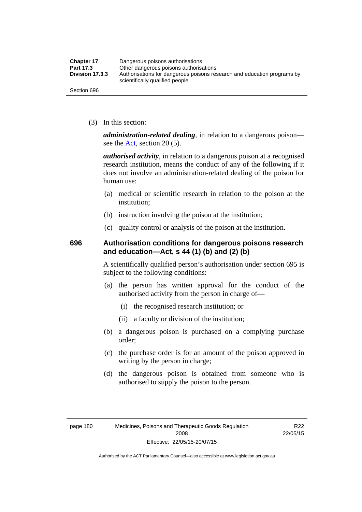| <b>Chapter 17</b> | Dangerous poisons authorisations                                                                           |
|-------------------|------------------------------------------------------------------------------------------------------------|
| Part 17.3         | Other dangerous poisons authorisations                                                                     |
| Division 17.3.3   | Authorisations for dangerous poisons research and education programs by<br>scientifically qualified people |
| Section 696       |                                                                                                            |

(3) In this section:

*administration-related dealing*, in relation to a dangerous poison— see the [Act](http://www.legislation.act.gov.au/a/2008-26/default.asp), section 20 (5).

*authorised activity*, in relation to a dangerous poison at a recognised research institution, means the conduct of any of the following if it does not involve an administration-related dealing of the poison for human use:

- (a) medical or scientific research in relation to the poison at the institution;
- (b) instruction involving the poison at the institution;
- (c) quality control or analysis of the poison at the institution.

#### **696 Authorisation conditions for dangerous poisons research and education—Act, s 44 (1) (b) and (2) (b)**

A scientifically qualified person's authorisation under section 695 is subject to the following conditions:

- (a) the person has written approval for the conduct of the authorised activity from the person in charge of—
	- (i) the recognised research institution; or
	- (ii) a faculty or division of the institution;
- (b) a dangerous poison is purchased on a complying purchase order;
- (c) the purchase order is for an amount of the poison approved in writing by the person in charge;
- (d) the dangerous poison is obtained from someone who is authorised to supply the poison to the person.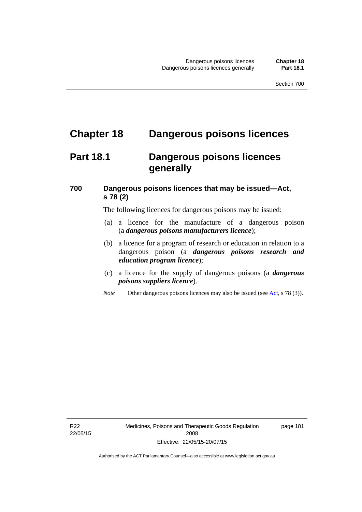# **Chapter 18 Dangerous poisons licences**

## **Part 18.1 Dangerous poisons licences generally**

## **700 Dangerous poisons licences that may be issued—Act, s 78 (2)**

The following licences for dangerous poisons may be issued:

- (a) a licence for the manufacture of a dangerous poison (a *dangerous poisons manufacturers licence*);
- (b) a licence for a program of research or education in relation to a dangerous poison (a *dangerous poisons research and education program licence*);
- (c) a licence for the supply of dangerous poisons (a *dangerous poisons suppliers licence*).
- *Note* Other dangerous poisons licences may also be issued (see [Act](http://www.legislation.act.gov.au/a/2008-26/default.asp), s 78 (3)).

R22 22/05/15 page 181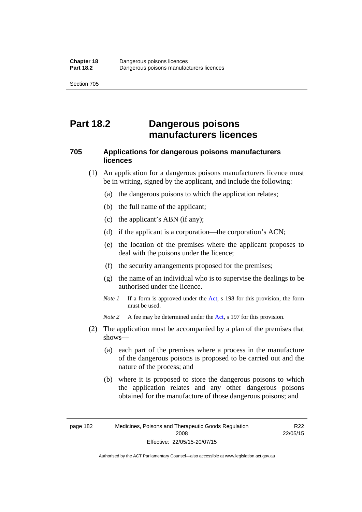# **Part 18.2 Dangerous poisons manufacturers licences**

#### **705 Applications for dangerous poisons manufacturers licences**

- (1) An application for a dangerous poisons manufacturers licence must be in writing, signed by the applicant, and include the following:
	- (a) the dangerous poisons to which the application relates;
	- (b) the full name of the applicant;
	- (c) the applicant's ABN (if any);
	- (d) if the applicant is a corporation—the corporation's ACN;
	- (e) the location of the premises where the applicant proposes to deal with the poisons under the licence;
	- (f) the security arrangements proposed for the premises;
	- (g) the name of an individual who is to supervise the dealings to be authorised under the licence.
	- *Note 1* If a form is approved under the [Act](http://www.legislation.act.gov.au/a/2008-26/default.asp), s 198 for this provision, the form must be used.

*Note 2* A fee may be determined under the [Act,](http://www.legislation.act.gov.au/a/2008-26/default.asp) s 197 for this provision.

- (2) The application must be accompanied by a plan of the premises that shows—
	- (a) each part of the premises where a process in the manufacture of the dangerous poisons is proposed to be carried out and the nature of the process; and
	- (b) where it is proposed to store the dangerous poisons to which the application relates and any other dangerous poisons obtained for the manufacture of those dangerous poisons; and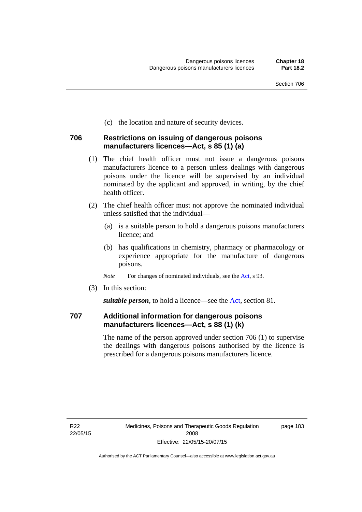(c) the location and nature of security devices.

#### **706 Restrictions on issuing of dangerous poisons manufacturers licences—Act, s 85 (1) (a)**

- (1) The chief health officer must not issue a dangerous poisons manufacturers licence to a person unless dealings with dangerous poisons under the licence will be supervised by an individual nominated by the applicant and approved, in writing, by the chief health officer.
- (2) The chief health officer must not approve the nominated individual unless satisfied that the individual—
	- (a) is a suitable person to hold a dangerous poisons manufacturers licence; and
	- (b) has qualifications in chemistry, pharmacy or pharmacology or experience appropriate for the manufacture of dangerous poisons.
	- *Note* For changes of nominated individuals, see the [Act,](http://www.legislation.act.gov.au/a/2008-26/default.asp) s 93.
- (3) In this section:

*suitable person*, to hold a licence—see the [Act](http://www.legislation.act.gov.au/a/2008-26/default.asp), section 81.

#### **707 Additional information for dangerous poisons manufacturers licences—Act, s 88 (1) (k)**

The name of the person approved under section 706 (1) to supervise the dealings with dangerous poisons authorised by the licence is prescribed for a dangerous poisons manufacturers licence.

page 183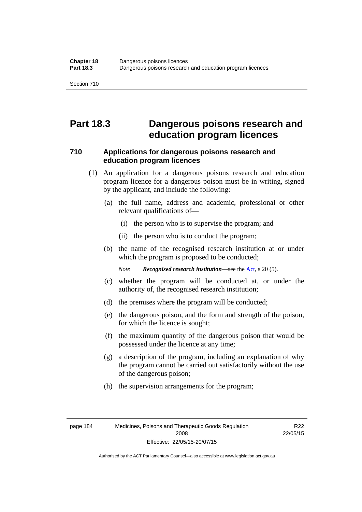## **Part 18.3 Dangerous poisons research and education program licences**

#### **710 Applications for dangerous poisons research and education program licences**

- (1) An application for a dangerous poisons research and education program licence for a dangerous poison must be in writing, signed by the applicant, and include the following:
	- (a) the full name, address and academic, professional or other relevant qualifications of—
		- (i) the person who is to supervise the program; and
		- (ii) the person who is to conduct the program;
	- (b) the name of the recognised research institution at or under which the program is proposed to be conducted;

*Note Recognised research institution*—see the [Act](http://www.legislation.act.gov.au/a/2008-26/default.asp), s 20 (5).

- (c) whether the program will be conducted at, or under the authority of, the recognised research institution;
- (d) the premises where the program will be conducted;
- (e) the dangerous poison, and the form and strength of the poison, for which the licence is sought;
- (f) the maximum quantity of the dangerous poison that would be possessed under the licence at any time;
- (g) a description of the program, including an explanation of why the program cannot be carried out satisfactorily without the use of the dangerous poison;
- (h) the supervision arrangements for the program;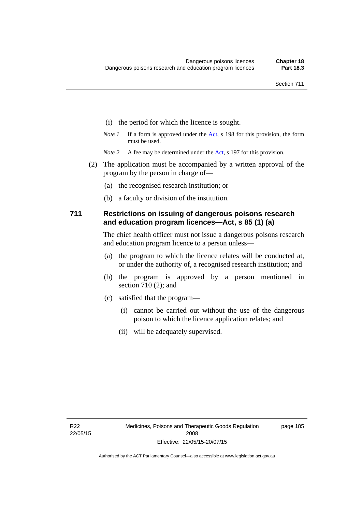- (i) the period for which the licence is sought.
- *Note 1* If a form is approved under the [Act](http://www.legislation.act.gov.au/a/2008-26/default.asp), s 198 for this provision, the form must be used.
- *Note 2* A fee may be determined under the [Act,](http://www.legislation.act.gov.au/a/2008-26/default.asp) s 197 for this provision.
- (2) The application must be accompanied by a written approval of the program by the person in charge of—
	- (a) the recognised research institution; or
	- (b) a faculty or division of the institution.

#### **711 Restrictions on issuing of dangerous poisons research and education program licences—Act, s 85 (1) (a)**

The chief health officer must not issue a dangerous poisons research and education program licence to a person unless—

- (a) the program to which the licence relates will be conducted at, or under the authority of, a recognised research institution; and
- (b) the program is approved by a person mentioned in section 710 (2); and
- (c) satisfied that the program—
	- (i) cannot be carried out without the use of the dangerous poison to which the licence application relates; and
	- (ii) will be adequately supervised.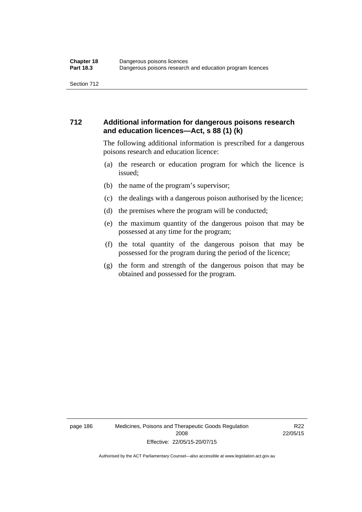#### **712 Additional information for dangerous poisons research and education licences—Act, s 88 (1) (k)**

The following additional information is prescribed for a dangerous poisons research and education licence:

- (a) the research or education program for which the licence is issued;
- (b) the name of the program's supervisor;
- (c) the dealings with a dangerous poison authorised by the licence;
- (d) the premises where the program will be conducted;
- (e) the maximum quantity of the dangerous poison that may be possessed at any time for the program;
- (f) the total quantity of the dangerous poison that may be possessed for the program during the period of the licence;
- (g) the form and strength of the dangerous poison that may be obtained and possessed for the program.

page 186 Medicines, Poisons and Therapeutic Goods Regulation 2008 Effective: 22/05/15-20/07/15

R22 22/05/15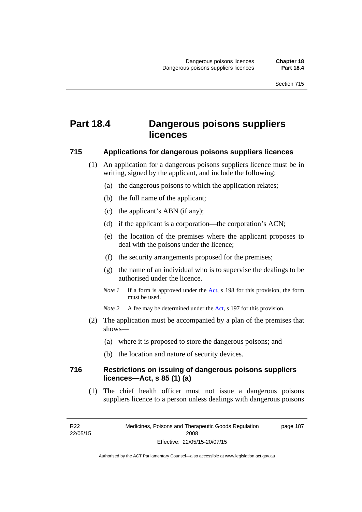# **Part 18.4 Dangerous poisons suppliers licences**

#### **715 Applications for dangerous poisons suppliers licences**

- (1) An application for a dangerous poisons suppliers licence must be in writing, signed by the applicant, and include the following:
	- (a) the dangerous poisons to which the application relates;
	- (b) the full name of the applicant;
	- (c) the applicant's ABN (if any);
	- (d) if the applicant is a corporation—the corporation's ACN;
	- (e) the location of the premises where the applicant proposes to deal with the poisons under the licence;
	- (f) the security arrangements proposed for the premises;
	- (g) the name of an individual who is to supervise the dealings to be authorised under the licence.
	- *Note 1* If a form is approved under the [Act](http://www.legislation.act.gov.au/a/2008-26/default.asp), s 198 for this provision, the form must be used.
	- *Note* 2 A fee may be determined under the [Act,](http://www.legislation.act.gov.au/a/2008-26/default.asp) s 197 for this provision.
- (2) The application must be accompanied by a plan of the premises that shows—
	- (a) where it is proposed to store the dangerous poisons; and
	- (b) the location and nature of security devices.

#### **716 Restrictions on issuing of dangerous poisons suppliers licences—Act, s 85 (1) (a)**

(1) The chief health officer must not issue a dangerous poisons suppliers licence to a person unless dealings with dangerous poisons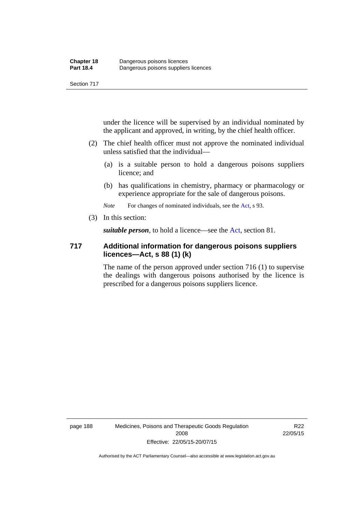under the licence will be supervised by an individual nominated by the applicant and approved, in writing, by the chief health officer.

- (2) The chief health officer must not approve the nominated individual unless satisfied that the individual—
	- (a) is a suitable person to hold a dangerous poisons suppliers licence; and
	- (b) has qualifications in chemistry, pharmacy or pharmacology or experience appropriate for the sale of dangerous poisons.

*Note* For changes of nominated individuals, see the [Act,](http://www.legislation.act.gov.au/a/2008-26/default.asp) s 93.

(3) In this section:

*suitable person*, to hold a licence—see the [Act](http://www.legislation.act.gov.au/a/2008-26/default.asp), section 81.

#### **717 Additional information for dangerous poisons suppliers licences—Act, s 88 (1) (k)**

The name of the person approved under section 716 (1) to supervise the dealings with dangerous poisons authorised by the licence is prescribed for a dangerous poisons suppliers licence.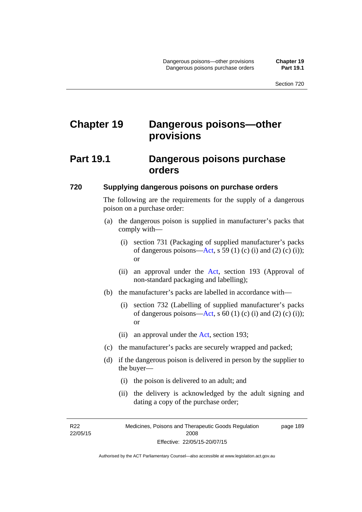# **Chapter 19 Dangerous poisons—other provisions**

## **Part 19.1 Dangerous poisons purchase orders**

#### **720 Supplying dangerous poisons on purchase orders**

The following are the requirements for the supply of a dangerous poison on a purchase order:

- (a) the dangerous poison is supplied in manufacturer's packs that comply with—
	- (i) section 731 (Packaging of supplied manufacturer's packs of dangerous poisons[—Act](http://www.legislation.act.gov.au/a/2008-26/default.asp), s 59 (1) (c) (i) and (2) (c) (i)); or
	- (ii) an approval under the [Act](http://www.legislation.act.gov.au/a/2008-26/default.asp), section 193 (Approval of non-standard packaging and labelling);
- (b) the manufacturer's packs are labelled in accordance with—
	- (i) section 732 (Labelling of supplied manufacturer's packs of dangerous poisons[—Act](http://www.legislation.act.gov.au/a/2008-26/default.asp), s  $60$  (1) (c) (i) and (2) (c) (i)); or
	- (ii) an approval under the [Act,](http://www.legislation.act.gov.au/a/2008-26/default.asp) section 193;
- (c) the manufacturer's packs are securely wrapped and packed;
- (d) if the dangerous poison is delivered in person by the supplier to the buyer—
	- (i) the poison is delivered to an adult; and
	- (ii) the delivery is acknowledged by the adult signing and dating a copy of the purchase order;

R22 22/05/15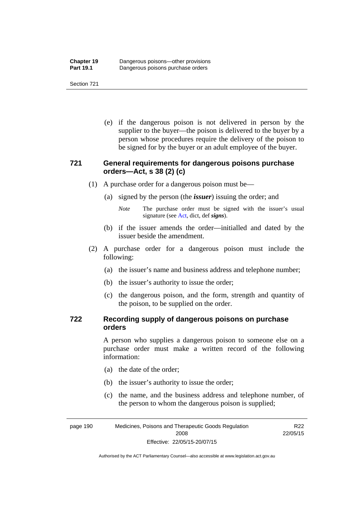(e) if the dangerous poison is not delivered in person by the supplier to the buyer—the poison is delivered to the buyer by a person whose procedures require the delivery of the poison to be signed for by the buyer or an adult employee of the buyer.

#### **721 General requirements for dangerous poisons purchase orders—Act, s 38 (2) (c)**

- (1) A purchase order for a dangerous poison must be—
	- (a) signed by the person (the *issuer*) issuing the order; and
		- *Note* The purchase order must be signed with the issuer's usual signature (see [Act](http://www.legislation.act.gov.au/a/2008-26/default.asp), dict, def *signs*).
	- (b) if the issuer amends the order—initialled and dated by the issuer beside the amendment.
- (2) A purchase order for a dangerous poison must include the following:
	- (a) the issuer's name and business address and telephone number;
	- (b) the issuer's authority to issue the order;
	- (c) the dangerous poison, and the form, strength and quantity of the poison, to be supplied on the order.

#### **722 Recording supply of dangerous poisons on purchase orders**

A person who supplies a dangerous poison to someone else on a purchase order must make a written record of the following information:

- (a) the date of the order;
- (b) the issuer's authority to issue the order;
- (c) the name, and the business address and telephone number, of the person to whom the dangerous poison is supplied;

page 190 Medicines, Poisons and Therapeutic Goods Regulation 2008 Effective: 22/05/15-20/07/15

R22 22/05/15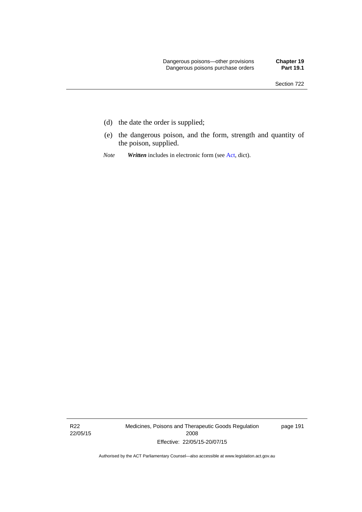- (d) the date the order is supplied;
- (e) the dangerous poison, and the form, strength and quantity of the poison, supplied.
- *Note Written* includes in electronic form (see [Act,](http://www.legislation.act.gov.au/a/2008-26/default.asp) dict).

R22 22/05/15 Medicines, Poisons and Therapeutic Goods Regulation 2008 Effective: 22/05/15-20/07/15

page 191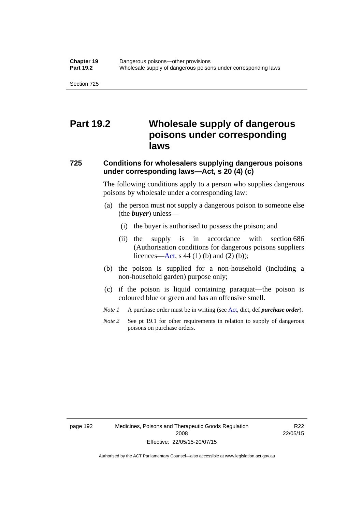## **Part 19.2 Wholesale supply of dangerous poisons under corresponding laws**

## **725 Conditions for wholesalers supplying dangerous poisons under corresponding laws—Act, s 20 (4) (c)**

The following conditions apply to a person who supplies dangerous poisons by wholesale under a corresponding law:

- (a) the person must not supply a dangerous poison to someone else (the *buyer*) unless—
	- (i) the buyer is authorised to possess the poison; and
	- (ii) the supply is in accordance with section 686 (Authorisation conditions for dangerous poisons suppliers licences—[Act,](http://www.legislation.act.gov.au/a/2008-26/default.asp) s 44 (1) (b) and (2) (b));
- (b) the poison is supplied for a non-household (including a non-household garden) purpose only;
- (c) if the poison is liquid containing paraquat—the poison is coloured blue or green and has an offensive smell.
- *Note 1* A purchase order must be in writing (see [Act,](http://www.legislation.act.gov.au/a/2008-26/default.asp) dict, def *purchase order*).
- *Note* 2 See pt 19.1 for other requirements in relation to supply of dangerous poisons on purchase orders.

R22 22/05/15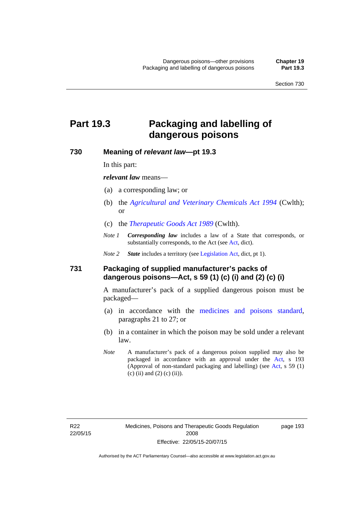# **Part 19.3 Packaging and labelling of dangerous poisons**

#### **730 Meaning of** *relevant law***—pt 19.3**

In this part:

*relevant law* means—

- (a) a corresponding law; or
- (b) the *[Agricultural and Veterinary Chemicals Act 1994](http://www.comlaw.gov.au/Series/C2004A04712)* (Cwlth); or
- (c) the *[Therapeutic Goods Act 1989](http://www.comlaw.gov.au/Series/C2004A03952)* (Cwlth).
- *Note 1 Corresponding law* includes a law of a State that corresponds, or substantially corresponds, to the [Act](http://www.legislation.act.gov.au/a/2008-26/default.asp) (see Act, dict).

*Note 2 State* includes a territory (see [Legislation Act,](http://www.legislation.act.gov.au/a/2001-14) dict, pt 1).

#### **731 Packaging of supplied manufacturer's packs of dangerous poisons—Act, s 59 (1) (c) (i) and (2) (c) (i)**

A manufacturer's pack of a supplied dangerous poison must be packaged—

- (a) in accordance with the [medicines and poisons standard](http://www.comlaw.gov.au/Series/F2012L01200), paragraphs 21 to 27; or
- (b) in a container in which the poison may be sold under a relevant law.
- *Note* A manufacturer's pack of a dangerous poison supplied may also be packaged in accordance with an approval under the [Act,](http://www.legislation.act.gov.au/a/2008-26/default.asp) s 193 (Approval of non-standard packaging and labelling) (see [Act](http://www.legislation.act.gov.au/a/2008-26/default.asp), s 59 (1) (c) (ii) and (2) (c) (ii)).

page 193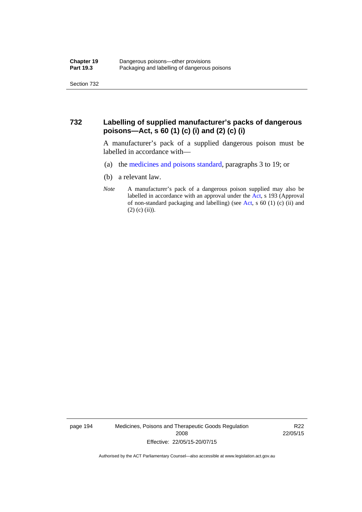#### **732 Labelling of supplied manufacturer's packs of dangerous poisons—Act, s 60 (1) (c) (i) and (2) (c) (i)**

A manufacturer's pack of a supplied dangerous poison must be labelled in accordance with—

- (a) the [medicines and poisons standard](http://www.comlaw.gov.au/Series/F2012L01200), paragraphs 3 to 19; or
- (b) a relevant law.
- *Note* A manufacturer's pack of a dangerous poison supplied may also be labelled in accordance with an approval under the [Act](http://www.legislation.act.gov.au/a/2008-26/default.asp), s 193 (Approval of non-standard packaging and labelling) (see [Act,](http://www.legislation.act.gov.au/a/2008-26/default.asp) s 60 (1) (c) (ii) and  $(2)$  (c) (ii)).

page 194 Medicines, Poisons and Therapeutic Goods Regulation 2008 Effective: 22/05/15-20/07/15

R22 22/05/15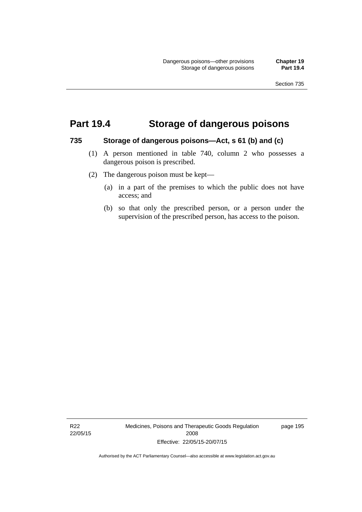### **Part 19.4 Storage of dangerous poisons**

#### **735 Storage of dangerous poisons—Act, s 61 (b) and (c)**

- (1) A person mentioned in table 740, column 2 who possesses a dangerous poison is prescribed.
- (2) The dangerous poison must be kept—
	- (a) in a part of the premises to which the public does not have access; and
	- (b) so that only the prescribed person, or a person under the supervision of the prescribed person, has access to the poison.

R22 22/05/15 Medicines, Poisons and Therapeutic Goods Regulation 2008 Effective: 22/05/15-20/07/15

page 195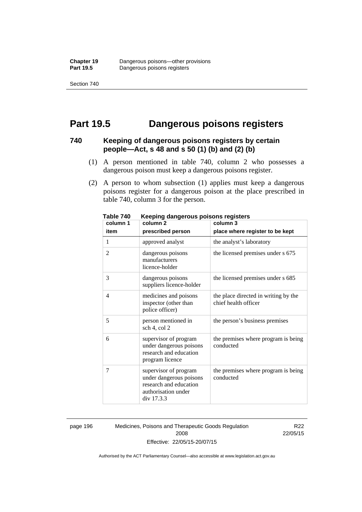Section 740

### **Part 19.5 Dangerous poisons registers**

#### **740 Keeping of dangerous poisons registers by certain people—Act, s 48 and s 50 (1) (b) and (2) (b)**

- (1) A person mentioned in table 740, column 2 who possesses a dangerous poison must keep a dangerous poisons register.
- (2) A person to whom subsection (1) applies must keep a dangerous poisons register for a dangerous poison at the place prescribed in table 740, column 3 for the person.

| 1 ANIC 140<br>column 1 | <u>Reepiriy dariyerous poisons registers</u><br>column <sub>2</sub>                                             | column 3                                                     |
|------------------------|-----------------------------------------------------------------------------------------------------------------|--------------------------------------------------------------|
| item                   | prescribed person                                                                                               | place where register to be kept                              |
| 1                      | approved analyst                                                                                                | the analyst's laboratory                                     |
| $\overline{2}$         | dangerous poisons<br>manufacturers<br>licence-holder                                                            | the licensed premises under s 675                            |
| 3                      | dangerous poisons<br>suppliers licence-holder                                                                   | the licensed premises under s 685                            |
| 4                      | medicines and poisons<br>inspector (other than<br>police officer)                                               | the place directed in writing by the<br>chief health officer |
| 5                      | person mentioned in<br>sch 4, col 2                                                                             | the person's business premises                               |
| 6                      | supervisor of program<br>under dangerous poisons<br>research and education<br>program licence                   | the premises where program is being<br>conducted             |
| 7                      | supervisor of program<br>under dangerous poisons<br>research and education<br>authorisation under<br>div 17.3.3 | the premises where program is being<br>conducted             |

**Table 740 Keeping dangerous poisons registers** 

page 196 Medicines, Poisons and Therapeutic Goods Regulation 2008 Effective: 22/05/15-20/07/15

R22 22/05/15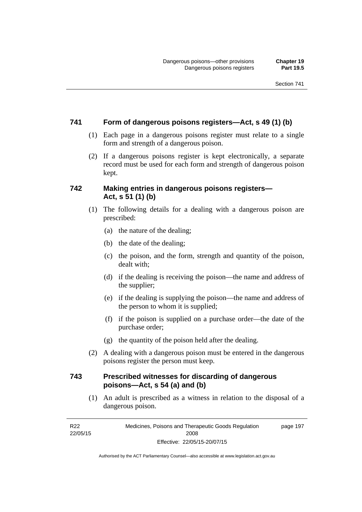#### **741 Form of dangerous poisons registers—Act, s 49 (1) (b)**

- (1) Each page in a dangerous poisons register must relate to a single form and strength of a dangerous poison.
- (2) If a dangerous poisons register is kept electronically, a separate record must be used for each form and strength of dangerous poison kept.

#### **742 Making entries in dangerous poisons registers— Act, s 51 (1) (b)**

- (1) The following details for a dealing with a dangerous poison are prescribed:
	- (a) the nature of the dealing;
	- (b) the date of the dealing;
	- (c) the poison, and the form, strength and quantity of the poison, dealt with;
	- (d) if the dealing is receiving the poison—the name and address of the supplier;
	- (e) if the dealing is supplying the poison—the name and address of the person to whom it is supplied;
	- (f) if the poison is supplied on a purchase order—the date of the purchase order;
	- (g) the quantity of the poison held after the dealing.
- (2) A dealing with a dangerous poison must be entered in the dangerous poisons register the person must keep.

#### **743 Prescribed witnesses for discarding of dangerous poisons—Act, s 54 (a) and (b)**

 (1) An adult is prescribed as a witness in relation to the disposal of a dangerous poison.

R22 22/05/15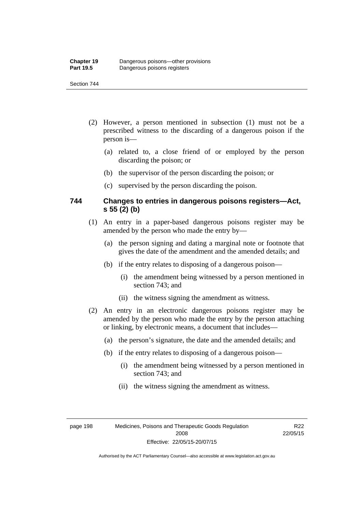#### Section 744

- (2) However, a person mentioned in subsection (1) must not be a prescribed witness to the discarding of a dangerous poison if the person is—
	- (a) related to, a close friend of or employed by the person discarding the poison; or
	- (b) the supervisor of the person discarding the poison; or
	- (c) supervised by the person discarding the poison.

#### **744 Changes to entries in dangerous poisons registers—Act, s 55 (2) (b)**

- (1) An entry in a paper-based dangerous poisons register may be amended by the person who made the entry by—
	- (a) the person signing and dating a marginal note or footnote that gives the date of the amendment and the amended details; and
	- (b) if the entry relates to disposing of a dangerous poison—
		- (i) the amendment being witnessed by a person mentioned in section 743; and
		- (ii) the witness signing the amendment as witness.
- (2) An entry in an electronic dangerous poisons register may be amended by the person who made the entry by the person attaching or linking, by electronic means, a document that includes—
	- (a) the person's signature, the date and the amended details; and
	- (b) if the entry relates to disposing of a dangerous poison—
		- (i) the amendment being witnessed by a person mentioned in section 743; and
		- (ii) the witness signing the amendment as witness.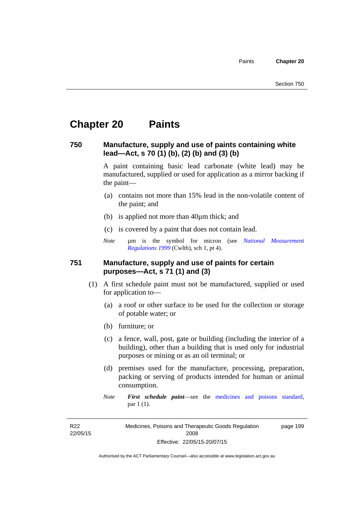# **Chapter 20 Paints**

#### **750 Manufacture, supply and use of paints containing white lead—Act, s 70 (1) (b), (2) (b) and (3) (b)**

A paint containing basic lead carbonate (white lead) may be manufactured, supplied or used for application as a mirror backing if the paint—

- (a) contains not more than 15% lead in the non-volatile content of the paint; and
- (b) is applied not more than 40µm thick; and
- (c) is covered by a paint that does not contain lead.
- *Note* um is the symbol for micron (see *National Measurement [Regulations 1999](http://www.comlaw.gov.au/Series/F1999B00110)* (Cwlth), sch 1, pt 4).

#### **751 Manufacture, supply and use of paints for certain purposes—Act, s 71 (1) and (3)**

- (1) A first schedule paint must not be manufactured, supplied or used for application to—
	- (a) a roof or other surface to be used for the collection or storage of potable water; or
	- (b) furniture; or
	- (c) a fence, wall, post, gate or building (including the interior of a building), other than a building that is used only for industrial purposes or mining or as an oil terminal; or
	- (d) premises used for the manufacture, processing, preparation, packing or serving of products intended for human or animal consumption.
	- *Note First schedule paint*—see the [medicines and poisons standard,](http://www.comlaw.gov.au/Series/F2012L01200) par 1 (1).

R22 22/05/15 Medicines, Poisons and Therapeutic Goods Regulation 2008 Effective: 22/05/15-20/07/15 page 199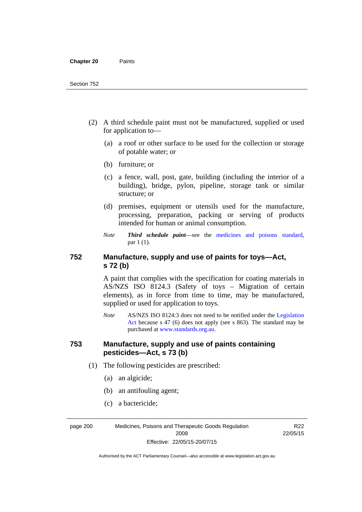- (2) A third schedule paint must not be manufactured, supplied or used for application to—
	- (a) a roof or other surface to be used for the collection or storage of potable water; or
	- (b) furniture; or
	- (c) a fence, wall, post, gate, building (including the interior of a building), bridge, pylon, pipeline, storage tank or similar structure; or
	- (d) premises, equipment or utensils used for the manufacture, processing, preparation, packing or serving of products intended for human or animal consumption.
	- *Note Third schedule paint*—see the [medicines and poisons standard,](http://www.comlaw.gov.au/Series/F2012L01200) par 1 (1).

### **752 Manufacture, supply and use of paints for toys—Act, s 72 (b)**

A paint that complies with the specification for coating materials in AS/NZS ISO 8124.3 (Safety of toys – Migration of certain elements), as in force from time to time, may be manufactured, supplied or used for application to toys.

*Note* AS/NZS ISO 8124:3 does not need to be notified under the [Legislation](http://www.legislation.act.gov.au/a/2001-14)  [Act](http://www.legislation.act.gov.au/a/2001-14) because s 47 (6) does not apply (see s 863). The standard may be purchased at [www.standards.org.au.](http://www.standards.org.au/)

#### **753 Manufacture, supply and use of paints containing pesticides—Act, s 73 (b)**

- (1) The following pesticides are prescribed:
	- (a) an algicide;
	- (b) an antifouling agent;
	- (c) a bactericide;

page 200 Medicines, Poisons and Therapeutic Goods Regulation 2008 Effective: 22/05/15-20/07/15

R<sub>22</sub> 22/05/15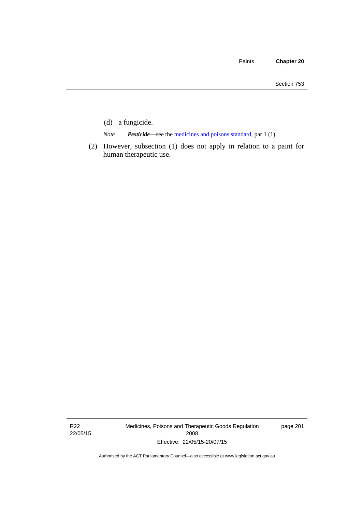- (d) a fungicide.
- *Note Pesticide*—see the [medicines and poisons standard,](http://www.comlaw.gov.au/Series/F2012L01200) par 1 (1).
- (2) However, subsection (1) does not apply in relation to a paint for human therapeutic use.

R22 22/05/15 Medicines, Poisons and Therapeutic Goods Regulation 2008 Effective: 22/05/15-20/07/15

page 201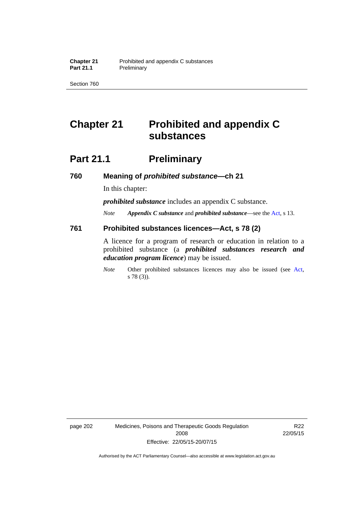Section 760

# **Chapter 21 Prohibited and appendix C substances**

# **Part 21.1 Preliminary**

**760 Meaning of** *prohibited substance***—ch 21** 

In this chapter:

*prohibited substance* includes an appendix C substance.

*Note Appendix C substance* and *prohibited substance*—see the [Act,](http://www.legislation.act.gov.au/a/2008-26/default.asp) s 13.

#### **761 Prohibited substances licences—Act, s 78 (2)**

A licence for a program of research or education in relation to a prohibited substance (a *prohibited substances research and education program licence*) may be issued.

*Note* Other prohibited substances licences may also be issued (see [Act,](http://www.legislation.act.gov.au/a/2008-26/default.asp) s 78 (3)).

page 202 Medicines, Poisons and Therapeutic Goods Regulation 2008 Effective: 22/05/15-20/07/15

R22 22/05/15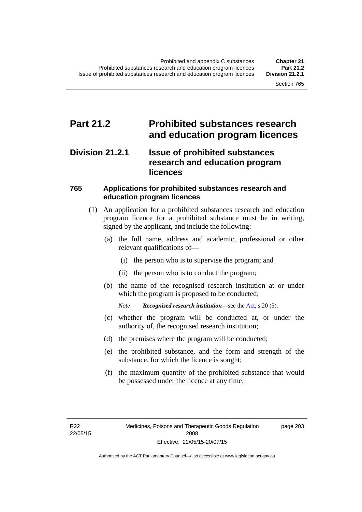### **Part 21.2 Prohibited substances research and education program licences**

### **Division 21.2.1 Issue of prohibited substances research and education program licences**

### **765 Applications for prohibited substances research and education program licences**

- (1) An application for a prohibited substances research and education program licence for a prohibited substance must be in writing, signed by the applicant, and include the following:
	- (a) the full name, address and academic, professional or other relevant qualifications of—
		- (i) the person who is to supervise the program; and
		- (ii) the person who is to conduct the program;
	- (b) the name of the recognised research institution at or under which the program is proposed to be conducted;
		- *Note Recognised research institution*—see the [Act](http://www.legislation.act.gov.au/a/2008-26/default.asp), s 20 (5).
	- (c) whether the program will be conducted at, or under the authority of, the recognised research institution;
	- (d) the premises where the program will be conducted;
	- (e) the prohibited substance, and the form and strength of the substance, for which the licence is sought;
	- (f) the maximum quantity of the prohibited substance that would be possessed under the licence at any time;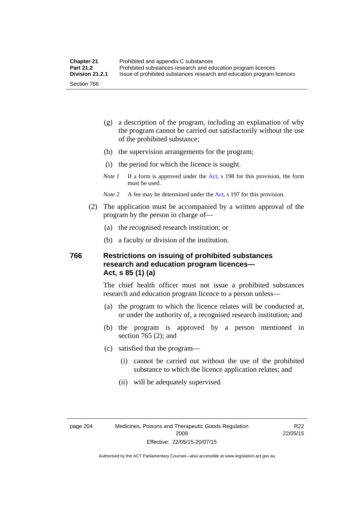- (g) a description of the program, including an explanation of why the program cannot be carried out satisfactorily without the use of the prohibited substance;
- (h) the supervision arrangements for the program;
- (i) the period for which the licence is sought.
- *Note 1* If a form is approved under the [Act](http://www.legislation.act.gov.au/a/2008-26/default.asp), s 198 for this provision, the form must be used.
- *Note 2* A fee may be determined under the [Act,](http://www.legislation.act.gov.au/a/2008-26/default.asp) s 197 for this provision.
- (2) The application must be accompanied by a written approval of the program by the person in charge of—
	- (a) the recognised research institution; or
	- (b) a faculty or division of the institution.

#### **766 Restrictions on issuing of prohibited substances research and education program licences— Act, s 85 (1) (a)**

The chief health officer must not issue a prohibited substances research and education program licence to a person unless—

- (a) the program to which the licence relates will be conducted at, or under the authority of, a recognised research institution; and
- (b) the program is approved by a person mentioned in section 765 (2); and
- (c) satisfied that the program—
	- (i) cannot be carried out without the use of the prohibited substance to which the licence application relates; and
	- (ii) will be adequately supervised.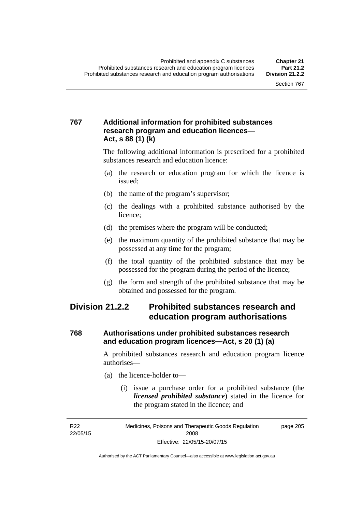### **767 Additional information for prohibited substances research program and education licences— Act, s 88 (1) (k)**

The following additional information is prescribed for a prohibited substances research and education licence:

- (a) the research or education program for which the licence is issued;
- (b) the name of the program's supervisor;
- (c) the dealings with a prohibited substance authorised by the licence;
- (d) the premises where the program will be conducted;
- (e) the maximum quantity of the prohibited substance that may be possessed at any time for the program;
- (f) the total quantity of the prohibited substance that may be possessed for the program during the period of the licence;
- (g) the form and strength of the prohibited substance that may be obtained and possessed for the program.

### **Division 21.2.2 Prohibited substances research and education program authorisations**

### **768 Authorisations under prohibited substances research and education program licences—Act, s 20 (1) (a)**

A prohibited substances research and education program licence authorises—

- (a) the licence-holder to—
	- (i) issue a purchase order for a prohibited substance (the *licensed prohibited substance*) stated in the licence for the program stated in the licence; and

R22 22/05/15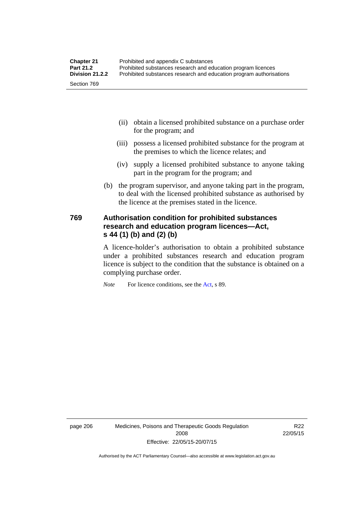- (ii) obtain a licensed prohibited substance on a purchase order for the program; and
- (iii) possess a licensed prohibited substance for the program at the premises to which the licence relates; and
- (iv) supply a licensed prohibited substance to anyone taking part in the program for the program; and
- (b) the program supervisor, and anyone taking part in the program, to deal with the licensed prohibited substance as authorised by the licence at the premises stated in the licence.

### **769 Authorisation condition for prohibited substances research and education program licences—Act, s 44 (1) (b) and (2) (b)**

A licence-holder's authorisation to obtain a prohibited substance under a prohibited substances research and education program licence is subject to the condition that the substance is obtained on a complying purchase order.

*Note* For licence conditions, see the [Act](http://www.legislation.act.gov.au/a/2008-26/default.asp), s 89.

page 206 Medicines, Poisons and Therapeutic Goods Regulation 2008 Effective: 22/05/15-20/07/15

R22 22/05/15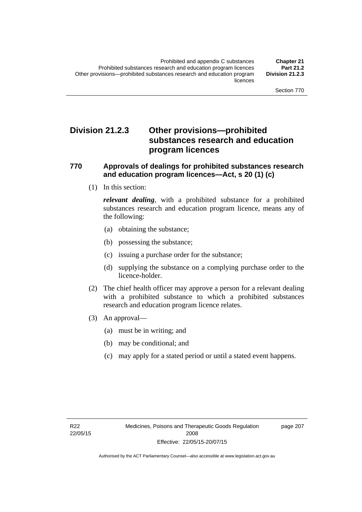### **Division 21.2.3 Other provisions—prohibited substances research and education program licences**

#### **770 Approvals of dealings for prohibited substances research and education program licences—Act, s 20 (1) (c)**

(1) In this section:

*relevant dealing*, with a prohibited substance for a prohibited substances research and education program licence, means any of the following:

- (a) obtaining the substance;
- (b) possessing the substance;
- (c) issuing a purchase order for the substance;
- (d) supplying the substance on a complying purchase order to the licence-holder.
- (2) The chief health officer may approve a person for a relevant dealing with a prohibited substance to which a prohibited substances research and education program licence relates.
- (3) An approval—
	- (a) must be in writing; and
	- (b) may be conditional; and
	- (c) may apply for a stated period or until a stated event happens.

page 207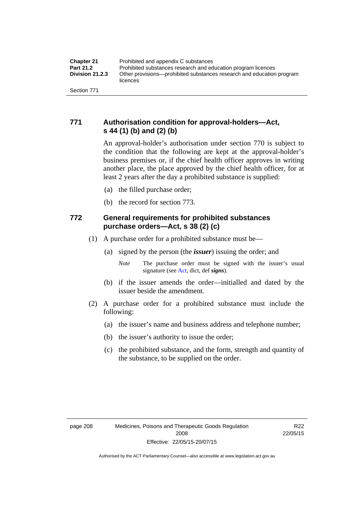### **771 Authorisation condition for approval-holders—Act, s 44 (1) (b) and (2) (b)**

An approval-holder's authorisation under section 770 is subject to the condition that the following are kept at the approval-holder's business premises or, if the chief health officer approves in writing another place, the place approved by the chief health officer, for at least 2 years after the day a prohibited substance is supplied:

- (a) the filled purchase order;
- (b) the record for section 773.

### **772 General requirements for prohibited substances purchase orders—Act, s 38 (2) (c)**

- (1) A purchase order for a prohibited substance must be—
	- (a) signed by the person (the *issuer*) issuing the order; and
		- *Note* The purchase order must be signed with the issuer's usual signature (see [Act](http://www.legislation.act.gov.au/a/2008-26/default.asp), dict, def *signs*).
	- (b) if the issuer amends the order—initialled and dated by the issuer beside the amendment.
- (2) A purchase order for a prohibited substance must include the following:
	- (a) the issuer's name and business address and telephone number;
	- (b) the issuer's authority to issue the order;
	- (c) the prohibited substance, and the form, strength and quantity of the substance, to be supplied on the order.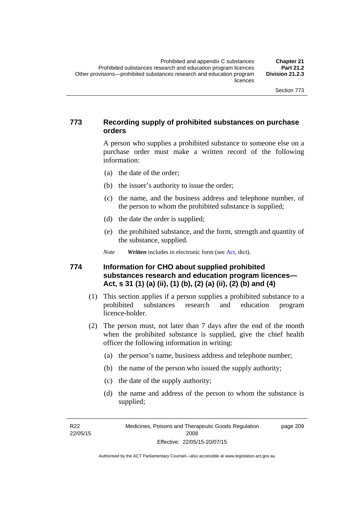### **773 Recording supply of prohibited substances on purchase orders**

A person who supplies a prohibited substance to someone else on a purchase order must make a written record of the following information:

- (a) the date of the order;
- (b) the issuer's authority to issue the order;
- (c) the name, and the business address and telephone number, of the person to whom the prohibited substance is supplied;
- (d) the date the order is supplied;
- (e) the prohibited substance, and the form, strength and quantity of the substance, supplied.
- *Note Written* includes in electronic form (see [Act,](http://www.legislation.act.gov.au/a/2008-26/default.asp) dict).

#### **774 Information for CHO about supplied prohibited substances research and education program licences— Act, s 31 (1) (a) (ii), (1) (b), (2) (a) (ii), (2) (b) and (4)**

- (1) This section applies if a person supplies a prohibited substance to a prohibited substances research and education program licence-holder.
- (2) The person must, not later than 7 days after the end of the month when the prohibited substance is supplied, give the chief health officer the following information in writing:
	- (a) the person's name, business address and telephone number;
	- (b) the name of the person who issued the supply authority;
	- (c) the date of the supply authority;
	- (d) the name and address of the person to whom the substance is supplied;

R22 22/05/15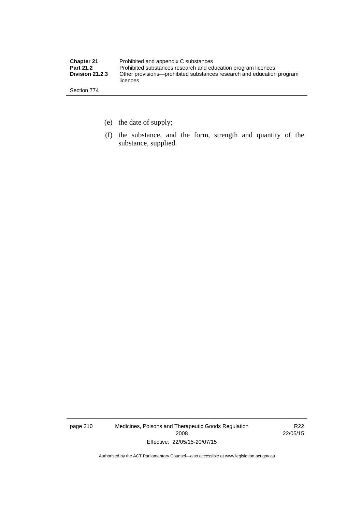| <b>Chapter 21</b> | Prohibited and appendix C substances                                              |
|-------------------|-----------------------------------------------------------------------------------|
| <b>Part 21.2</b>  | Prohibited substances research and education program licences                     |
| Division 21.2.3   | Other provisions—prohibited substances research and education program<br>licences |
| Section 774       |                                                                                   |

- (e) the date of supply;
- (f) the substance, and the form, strength and quantity of the substance, supplied.

page 210 Medicines, Poisons and Therapeutic Goods Regulation 2008 Effective: 22/05/15-20/07/15

R22 22/05/15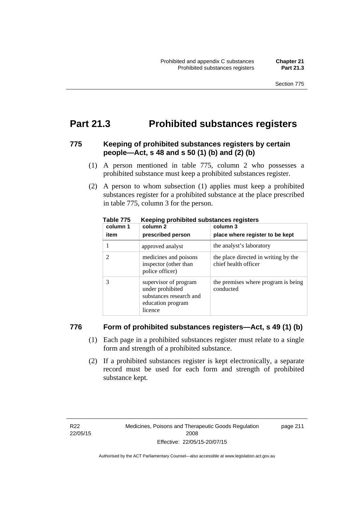## **Part 21.3 Prohibited substances registers**

#### **775 Keeping of prohibited substances registers by certain people—Act, s 48 and s 50 (1) (b) and (2) (b)**

- (1) A person mentioned in table 775, column 2 who possesses a prohibited substance must keep a prohibited substances register.
- (2) A person to whom subsection (1) applies must keep a prohibited substances register for a prohibited substance at the place prescribed in table 775, column 3 for the person.

| column 1<br>item | --<br>column 2<br>prescribed person                                                                  | column 3<br>place where register to be kept                  |
|------------------|------------------------------------------------------------------------------------------------------|--------------------------------------------------------------|
|                  | approved analyst                                                                                     | the analyst's laboratory                                     |
|                  | medicines and poisons<br>inspector (other than<br>police officer)                                    | the place directed in writing by the<br>chief health officer |
| 3                | supervisor of program<br>under prohibited<br>substances research and<br>education program<br>licence | the premises where program is being<br>conducted             |

**Table 775 Keeping prohibited substances registers** 

#### **776 Form of prohibited substances registers—Act, s 49 (1) (b)**

- (1) Each page in a prohibited substances register must relate to a single form and strength of a prohibited substance.
- (2) If a prohibited substances register is kept electronically, a separate record must be used for each form and strength of prohibited substance kept.

page 211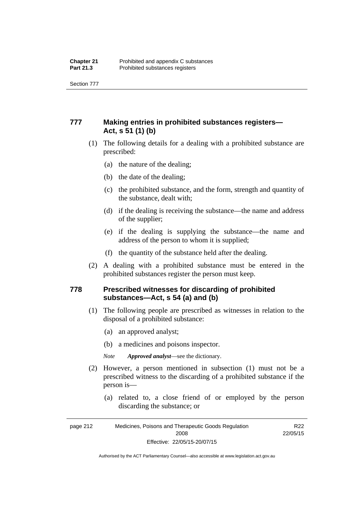Section 777

### **777 Making entries in prohibited substances registers— Act, s 51 (1) (b)**

- (1) The following details for a dealing with a prohibited substance are prescribed:
	- (a) the nature of the dealing;
	- (b) the date of the dealing;
	- (c) the prohibited substance, and the form, strength and quantity of the substance, dealt with;
	- (d) if the dealing is receiving the substance—the name and address of the supplier;
	- (e) if the dealing is supplying the substance—the name and address of the person to whom it is supplied;
	- (f) the quantity of the substance held after the dealing.
- (2) A dealing with a prohibited substance must be entered in the prohibited substances register the person must keep.

#### **778 Prescribed witnesses for discarding of prohibited substances—Act, s 54 (a) and (b)**

- (1) The following people are prescribed as witnesses in relation to the disposal of a prohibited substance:
	- (a) an approved analyst;
	- (b) a medicines and poisons inspector.

*Note Approved analyst*—see the dictionary.

- (2) However, a person mentioned in subsection (1) must not be a prescribed witness to the discarding of a prohibited substance if the person is—
	- (a) related to, a close friend of or employed by the person discarding the substance; or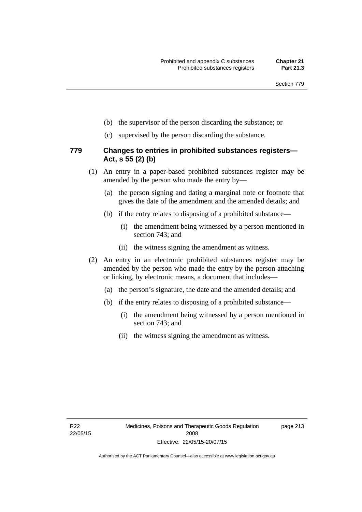- (b) the supervisor of the person discarding the substance; or
- (c) supervised by the person discarding the substance.

#### **779 Changes to entries in prohibited substances registers— Act, s 55 (2) (b)**

- (1) An entry in a paper-based prohibited substances register may be amended by the person who made the entry by—
	- (a) the person signing and dating a marginal note or footnote that gives the date of the amendment and the amended details; and
	- (b) if the entry relates to disposing of a prohibited substance—
		- (i) the amendment being witnessed by a person mentioned in section 743; and
		- (ii) the witness signing the amendment as witness.
- (2) An entry in an electronic prohibited substances register may be amended by the person who made the entry by the person attaching or linking, by electronic means, a document that includes—
	- (a) the person's signature, the date and the amended details; and
	- (b) if the entry relates to disposing of a prohibited substance—
		- (i) the amendment being witnessed by a person mentioned in section 743; and
		- (ii) the witness signing the amendment as witness.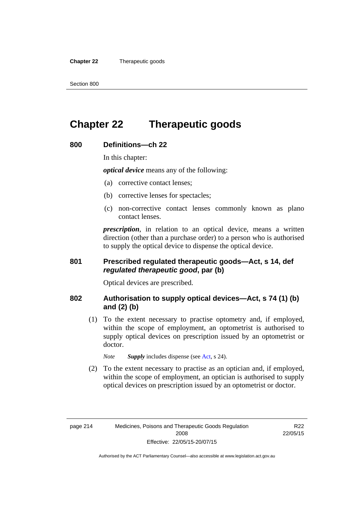**Chapter 22** Therapeutic goods

# **Chapter 22 Therapeutic goods**

### **800 Definitions—ch 22**

In this chapter:

*optical device* means any of the following:

- (a) corrective contact lenses;
- (b) corrective lenses for spectacles;
- (c) non-corrective contact lenses commonly known as plano contact lenses.

*prescription*, in relation to an optical device, means a written direction (other than a purchase order) to a person who is authorised to supply the optical device to dispense the optical device.

#### **801 Prescribed regulated therapeutic goods—Act, s 14, def**  *regulated therapeutic good***, par (b)**

Optical devices are prescribed.

#### **802 Authorisation to supply optical devices—Act, s 74 (1) (b) and (2) (b)**

 (1) To the extent necessary to practise optometry and, if employed, within the scope of employment, an optometrist is authorised to supply optical devices on prescription issued by an optometrist or doctor.

*Note Supply* includes dispense (see [Act,](http://www.legislation.act.gov.au/a/2008-26/default.asp) s 24).

 (2) To the extent necessary to practise as an optician and, if employed, within the scope of employment, an optician is authorised to supply optical devices on prescription issued by an optometrist or doctor.

R22 22/05/15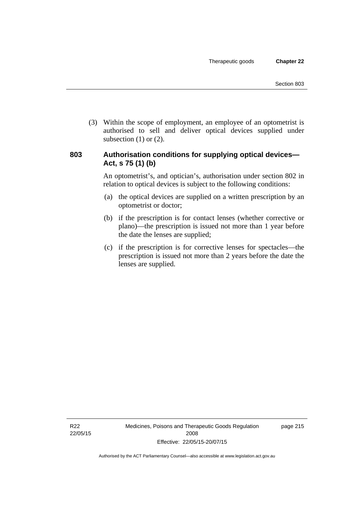(3) Within the scope of employment, an employee of an optometrist is authorised to sell and deliver optical devices supplied under subsection  $(1)$  or  $(2)$ .

#### **803 Authorisation conditions for supplying optical devices— Act, s 75 (1) (b)**

An optometrist's, and optician's, authorisation under section 802 in relation to optical devices is subject to the following conditions:

- (a) the optical devices are supplied on a written prescription by an optometrist or doctor;
- (b) if the prescription is for contact lenses (whether corrective or plano)—the prescription is issued not more than 1 year before the date the lenses are supplied;
- (c) if the prescription is for corrective lenses for spectacles—the prescription is issued not more than 2 years before the date the lenses are supplied.

page 215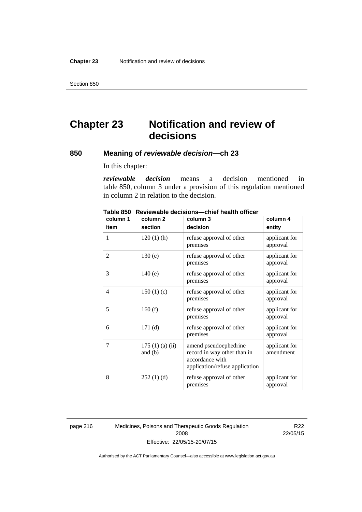# **Chapter 23 Notification and review of decisions**

#### **850 Meaning of** *reviewable decision—***ch 23**

In this chapter:

*reviewable decision* means a decision mentioned in table 850, column 3 under a provision of this regulation mentioned in column 2 in relation to the decision.

| column 1       | column <sub>2</sub>        | column 3                                                                                                  | column 4                   |
|----------------|----------------------------|-----------------------------------------------------------------------------------------------------------|----------------------------|
| item           | section                    | decision                                                                                                  | entity                     |
| 1              | $120(1)$ (h)               | refuse approval of other<br>premises                                                                      | applicant for<br>approval  |
| 2              | 130(e)                     | refuse approval of other<br>premises                                                                      | applicant for<br>approval  |
| 3              | 140(e)                     | refuse approval of other<br>premises                                                                      | applicant for<br>approval  |
| $\overline{4}$ | 150 $(1)(c)$               | refuse approval of other<br>premises                                                                      | applicant for<br>approval  |
| 5              | 160(f)                     | refuse approval of other<br>premises                                                                      | applicant for<br>approval  |
| 6              | 171(d)                     | refuse approval of other<br>premises                                                                      | applicant for<br>approval  |
| 7              | 175(1)(a)(ii)<br>and $(b)$ | amend pseudoephedrine<br>record in way other than in<br>accordance with<br>application/refuse application | applicant for<br>amendment |
| 8              | 252(1)(d)                  | refuse approval of other<br>premises                                                                      | applicant for<br>approval  |

**Table 850 Reviewable decisions—chief health officer** 

page 216 Medicines, Poisons and Therapeutic Goods Regulation 2008 Effective: 22/05/15-20/07/15

R22 22/05/15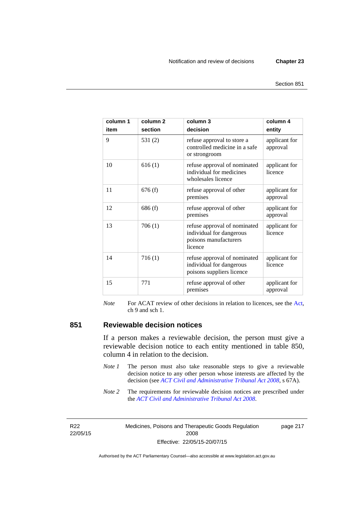| column 1<br>item | column <sub>2</sub><br>section | column 3<br>decision                                                                         | column 4<br>entity        |
|------------------|--------------------------------|----------------------------------------------------------------------------------------------|---------------------------|
| 9                | 531(2)                         | refuse approval to store a<br>controlled medicine in a safe<br>or strongroom                 | applicant for<br>approval |
| 10               | 616(1)                         | refuse approval of nominated<br>individual for medicines<br>wholesales licence               | applicant for<br>licence  |
| 11               | 676(f)                         | refuse approval of other<br>premises                                                         | applicant for<br>approval |
| 12               | 686(f)                         | refuse approval of other<br>premises                                                         | applicant for<br>approval |
| 13               | 706(1)                         | refuse approval of nominated<br>individual for dangerous<br>poisons manufacturers<br>licence | applicant for<br>licence  |
| 14               | 716(1)                         | refuse approval of nominated<br>individual for dangerous<br>poisons suppliers licence        | applicant for<br>licence  |
| 15               | 771                            | refuse approval of other<br>premises                                                         | applicant for<br>approval |

*Note* For ACAT review of other decisions in relation to licences, see the [Act,](http://www.legislation.act.gov.au/a/2008-26/default.asp) ch 9 and sch 1.

#### **851 Reviewable decision notices**

If a person makes a reviewable decision, the person must give a reviewable decision notice to each entity mentioned in table 850, column 4 in relation to the decision.

- *Note 1* The person must also take reasonable steps to give a reviewable decision notice to any other person whose interests are affected by the decision (see *[ACT Civil and Administrative Tribunal Act 2008](http://www.legislation.act.gov.au/a/2008-35)*, s 67A).
- *Note* 2 The requirements for reviewable decision notices are prescribed under the *[ACT Civil and Administrative Tribunal Act 2008](http://www.legislation.act.gov.au/a/2008-35)*.

R22 22/05/15 Medicines, Poisons and Therapeutic Goods Regulation 2008 Effective: 22/05/15-20/07/15

page 217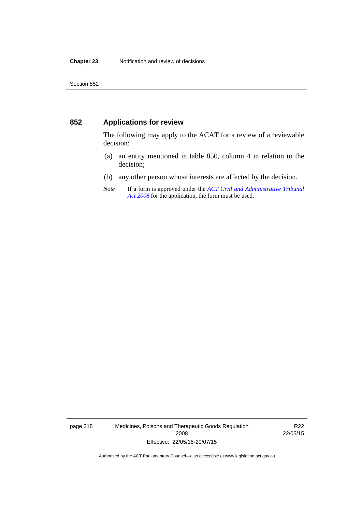#### **852 Applications for review**

The following may apply to the ACAT for a review of a reviewable decision:

- (a) an entity mentioned in table 850, column 4 in relation to the decision;
- (b) any other person whose interests are affected by the decision.
- *Note* If a form is approved under the *[ACT Civil and Administrative Tribunal](http://www.legislation.act.gov.au/a/2008-35)  [Act 2008](http://www.legislation.act.gov.au/a/2008-35)* for the application, the form must be used.

page 218 Medicines, Poisons and Therapeutic Goods Regulation 2008 Effective: 22/05/15-20/07/15

R22 22/05/15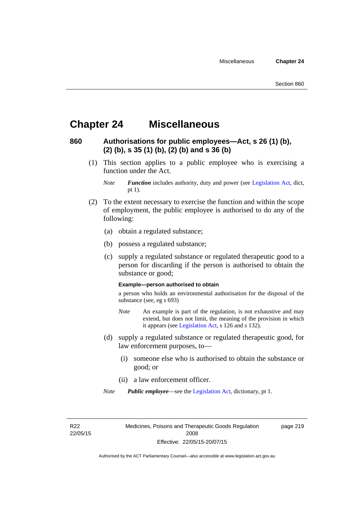### **Chapter 24 Miscellaneous**

### **860 Authorisations for public employees—Act, s 26 (1) (b), (2) (b), s 35 (1) (b), (2) (b) and s 36 (b)**

 (1) This section applies to a public employee who is exercising a function under the Act.

- (2) To the extent necessary to exercise the function and within the scope of employment, the public employee is authorised to do any of the following:
	- (a) obtain a regulated substance;
	- (b) possess a regulated substance;
	- (c) supply a regulated substance or regulated therapeutic good to a person for discarding if the person is authorised to obtain the substance or good;

#### **Example—person authorised to obtain**

a person who holds an environmental authorisation for the disposal of the substance (see, eg s 693)

- *Note* An example is part of the regulation, is not exhaustive and may extend, but does not limit, the meaning of the provision in which it appears (see [Legislation Act,](http://www.legislation.act.gov.au/a/2001-14) s 126 and s 132).
- (d) supply a regulated substance or regulated therapeutic good, for law enforcement purposes, to—
	- (i) someone else who is authorised to obtain the substance or good; or
	- (ii) a law enforcement officer.
- *Note Public employee*—see the [Legislation Act,](http://www.legislation.act.gov.au/a/2001-14) dictionary, pt 1.

R22 22/05/15 Medicines, Poisons and Therapeutic Goods Regulation 2008 Effective: 22/05/15-20/07/15

page 219

*Note Function* includes authority, duty and power (see [Legislation Act](http://www.legislation.act.gov.au/a/2001-14), dict, pt 1).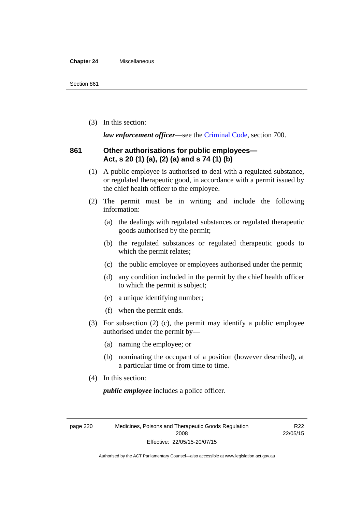#### **Chapter 24** Miscellaneous

(3) In this section:

*law enforcement officer*—see the [Criminal Code,](http://www.legislation.act.gov.au/a/2002-51) section 700.

#### **861 Other authorisations for public employees— Act, s 20 (1) (a), (2) (a) and s 74 (1) (b)**

- (1) A public employee is authorised to deal with a regulated substance, or regulated therapeutic good, in accordance with a permit issued by the chief health officer to the employee.
- (2) The permit must be in writing and include the following information:
	- (a) the dealings with regulated substances or regulated therapeutic goods authorised by the permit;
	- (b) the regulated substances or regulated therapeutic goods to which the permit relates;
	- (c) the public employee or employees authorised under the permit;
	- (d) any condition included in the permit by the chief health officer to which the permit is subject;
	- (e) a unique identifying number;
	- (f) when the permit ends.
- (3) For subsection (2) (c), the permit may identify a public employee authorised under the permit by—
	- (a) naming the employee; or
	- (b) nominating the occupant of a position (however described), at a particular time or from time to time.
- (4) In this section:

*public employee* includes a police officer.

page 220 Medicines, Poisons and Therapeutic Goods Regulation 2008 Effective: 22/05/15-20/07/15

R22 22/05/15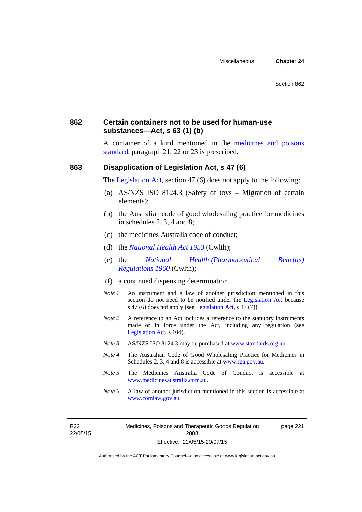#### **862 Certain containers not to be used for human-use substances—Act, s 63 (1) (b)**

A container of a kind mentioned in the [medicines and poisons](http://www.comlaw.gov.au/Series/F2012L01200)  [standard,](http://www.comlaw.gov.au/Series/F2012L01200) paragraph 21, 22 or 23 is prescribed.

#### **863 Disapplication of Legislation Act, s 47 (6)**

The [Legislation Act](http://www.legislation.act.gov.au/a/2001-14), section 47 (6) does not apply to the following:

- (a) AS/NZS ISO 8124.3 (Safety of toys Migration of certain elements);
- (b) the Australian code of good wholesaling practice for medicines in schedules 2, 3, 4 and 8;
- (c) the medicines Australia code of conduct;
- (d) the *[National Health Act 1953](http://www.comlaw.gov.au/Series/C1953A00095)* (Cwlth);
- (e) the *[National Health \(Pharmaceutical Benefits\)](http://www.comlaw.gov.au/Series/F1996B02844)  [Regulations 1960](http://www.comlaw.gov.au/Series/F1996B02844)* (Cwlth);
- (f) a continued dispensing determination.
- *Note 1* An instrument and a law of another jurisdiction mentioned in this section do not need to be notified under the [Legislation Act](http://www.legislation.act.gov.au/a/2001-14) because s 47 (6) does not apply (see [Legislation Act](http://www.legislation.act.gov.au/a/2001-14), s 47 (7)).
- *Note 2* A reference to an Act includes a reference to the statutory instruments made or in force under the Act, including any regulation (see [Legislation Act,](http://www.legislation.act.gov.au/a/2001-14) s 104).
- *Note 3* AS/NZS ISO 8124.3 may be purchased at [www.standards.org.au.](http://www.standards.org.au/)
- *Note 4* The Australian Code of Good Wholesaling Practice for Medicines in Schedules 2, 3, 4 and 8 is accessible at [www.tga.gov.au.](http://www.tga.gov.au/)
- *Note 5* The Medicines Australia Code of Conduct is accessible at [www.medicinesaustralia.com.au](http://www.medicinesaustralia.com.au/).
- *Note* 6 A law of another jurisdiction mentioned in this section is accessible at [www.comlaw.gov.au](http://www.comlaw.gov.au/).

R22 22/05/15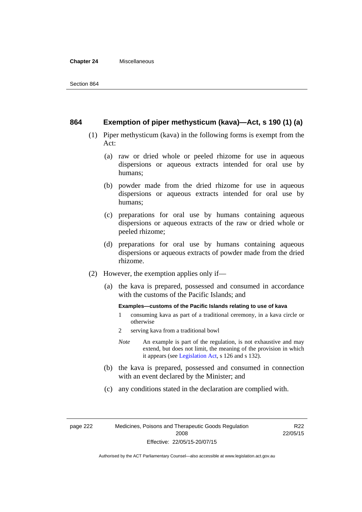#### **Chapter 24** Miscellaneous

#### **864 Exemption of piper methysticum (kava)—Act, s 190 (1) (a)**

- (1) Piper methysticum (kava) in the following forms is exempt from the Act:
	- (a) raw or dried whole or peeled rhizome for use in aqueous dispersions or aqueous extracts intended for oral use by humans;
	- (b) powder made from the dried rhizome for use in aqueous dispersions or aqueous extracts intended for oral use by humans;
	- (c) preparations for oral use by humans containing aqueous dispersions or aqueous extracts of the raw or dried whole or peeled rhizome;
	- (d) preparations for oral use by humans containing aqueous dispersions or aqueous extracts of powder made from the dried rhizome.
- (2) However, the exemption applies only if—
	- (a) the kava is prepared, possessed and consumed in accordance with the customs of the Pacific Islands; and

#### **Examples—customs of the Pacific Islands relating to use of kava**

- 1 consuming kava as part of a traditional ceremony, in a kava circle or otherwise
- 2 serving kava from a traditional bowl
- *Note* An example is part of the regulation, is not exhaustive and may extend, but does not limit, the meaning of the provision in which it appears (see [Legislation Act,](http://www.legislation.act.gov.au/a/2001-14) s 126 and s 132).
- (b) the kava is prepared, possessed and consumed in connection with an event declared by the Minister; and
- (c) any conditions stated in the declaration are complied with.

page 222 Medicines, Poisons and Therapeutic Goods Regulation 2008 Effective: 22/05/15-20/07/15

R22 22/05/15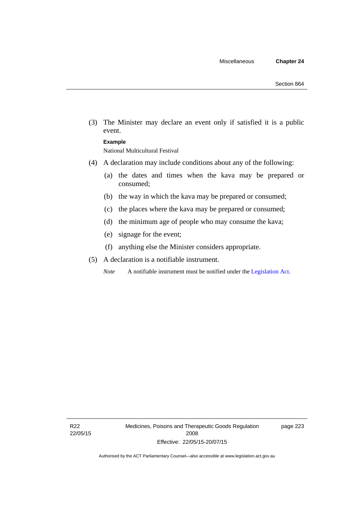(3) The Minister may declare an event only if satisfied it is a public event.

#### **Example**

National Multicultural Festival

- (4) A declaration may include conditions about any of the following:
	- (a) the dates and times when the kava may be prepared or consumed;
	- (b) the way in which the kava may be prepared or consumed;
	- (c) the places where the kava may be prepared or consumed;
	- (d) the minimum age of people who may consume the kava;
	- (e) signage for the event;
	- (f) anything else the Minister considers appropriate.
- (5) A declaration is a notifiable instrument.

*Note* A notifiable instrument must be notified under the [Legislation Act](http://www.legislation.act.gov.au/a/2001-14).

page 223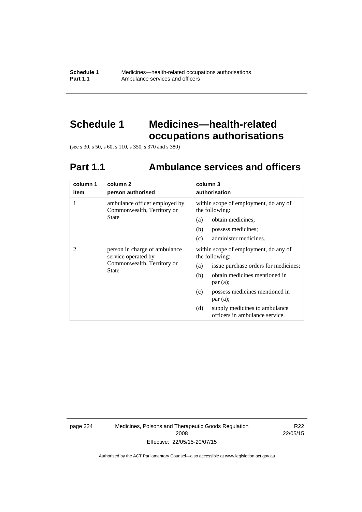**Schedule 1** Medicines—health-related occupations authorisations<br>**Part 1.1** Ambulance services and officers Ambulance services and officers

# **Schedule 1 Medicines—health-related occupations authorisations**

(see s 30, s 50, s 60, s 110, s 350, s 370 and s 380)

# **Part 1.1 Ambulance services and officers**

| column 1<br>item | column 2<br>person authorised                                                                      | column 3<br>authorisation                                                                                                                                                                                                                                                               |
|------------------|----------------------------------------------------------------------------------------------------|-----------------------------------------------------------------------------------------------------------------------------------------------------------------------------------------------------------------------------------------------------------------------------------------|
| 1                | ambulance officer employed by<br>Commonwealth, Territory or<br>State                               | within scope of employment, do any of<br>the following:<br>obtain medicines;<br>(a)<br>(b)<br>possess medicines;<br>administer medicines.<br>(c)                                                                                                                                        |
| 2                | person in charge of ambulance<br>service operated by<br>Commonwealth, Territory or<br><b>State</b> | within scope of employment, do any of<br>the following:<br>issue purchase orders for medicines;<br>(a)<br>obtain medicines mentioned in<br>(b)<br>par(a);<br>possess medicines mentioned in<br>(c)<br>par(a);<br>(d)<br>supply medicines to ambulance<br>officers in ambulance service. |

page 224 Medicines, Poisons and Therapeutic Goods Regulation 2008 Effective: 22/05/15-20/07/15

R22 22/05/15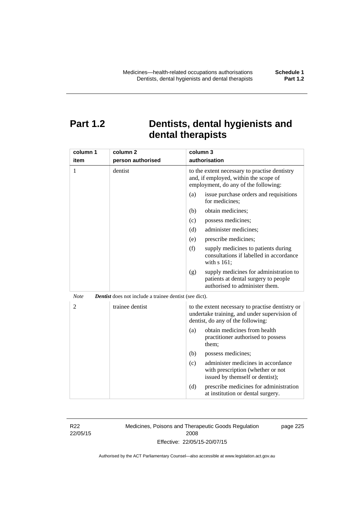## **Part 1.2 Dentists, dental hygienists and dental therapists**

| column 1       | column <sub>2</sub>                                           | column 3                                                                                                                              |
|----------------|---------------------------------------------------------------|---------------------------------------------------------------------------------------------------------------------------------------|
| item           | person authorised                                             | authorisation                                                                                                                         |
| 1              | dentist                                                       | to the extent necessary to practise dentistry<br>and, if employed, within the scope of<br>employment, do any of the following:        |
|                |                                                               | (a)<br>issue purchase orders and requisitions<br>for medicines;                                                                       |
|                |                                                               | obtain medicines;<br>(b)                                                                                                              |
|                |                                                               | (c)<br>possess medicines;                                                                                                             |
|                |                                                               | administer medicines;<br>(d)                                                                                                          |
|                |                                                               | prescribe medicines;<br>(e)                                                                                                           |
|                |                                                               | (f)<br>supply medicines to patients during<br>consultations if labelled in accordance<br>with s 161;                                  |
|                |                                                               | supply medicines for administration to<br>(g)<br>patients at dental surgery to people<br>authorised to administer them.               |
| <b>Note</b>    | <b>Dentist</b> does not include a trainee dentist (see dict). |                                                                                                                                       |
| $\overline{2}$ | trainee dentist                                               | to the extent necessary to practise dentistry or<br>undertake training, and under supervision of<br>dentist, do any of the following: |
|                |                                                               | obtain medicines from health<br>(a)<br>practitioner authorised to possess<br>them:                                                    |
|                |                                                               | (b)<br>possess medicines;                                                                                                             |
|                |                                                               | administer medicines in accordance<br>(c)<br>with prescription (whether or not<br>issued by themself or dentist);                     |
|                |                                                               | (d)<br>prescribe medicines for administration<br>at institution or dental surgery.                                                    |

R22 22/05/15 Medicines, Poisons and Therapeutic Goods Regulation 2008 Effective: 22/05/15-20/07/15

page 225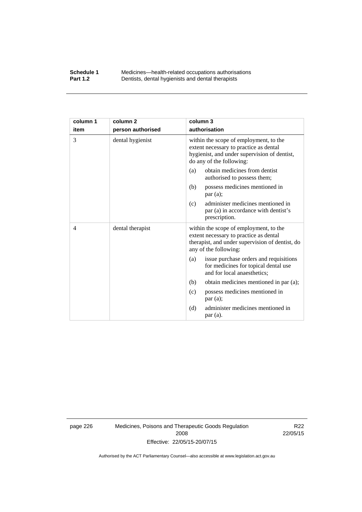#### **Schedule 1** Medicines—health-related occupations authorisations<br>**Part 1.2** Dentists, dental hygienists and dental therapists **Part 1.2** Dentists, dental hygienists and dental therapists

| column 1 | column <sub>2</sub> | column 3                                                                                                                                                     |
|----------|---------------------|--------------------------------------------------------------------------------------------------------------------------------------------------------------|
| item     | person authorised   | authorisation                                                                                                                                                |
| 3        | dental hygienist    | within the scope of employment, to the<br>extent necessary to practice as dental<br>hygienist, and under supervision of dentist,<br>do any of the following: |
|          |                     | obtain medicines from dentist<br>(a)<br>authorised to possess them;                                                                                          |
|          |                     | possess medicines mentioned in<br>(b)<br>par(a);                                                                                                             |
|          |                     | administer medicines mentioned in<br>(c)<br>par (a) in accordance with dentist's<br>prescription.                                                            |
| 4        | dental therapist    | within the scope of employment, to the<br>extent necessary to practice as dental<br>therapist, and under supervision of dentist, do<br>any of the following: |
|          |                     | issue purchase orders and requisitions<br>(a)<br>for medicines for topical dental use<br>and for local anaesthetics;                                         |
|          |                     | obtain medicines mentioned in par (a);<br>(b)                                                                                                                |
|          |                     | possess medicines mentioned in<br>(c)<br>par(a);                                                                                                             |
|          |                     | administer medicines mentioned in<br>(d)<br>par (a).                                                                                                         |

page 226 Medicines, Poisons and Therapeutic Goods Regulation 2008 Effective: 22/05/15-20/07/15

R22 22/05/15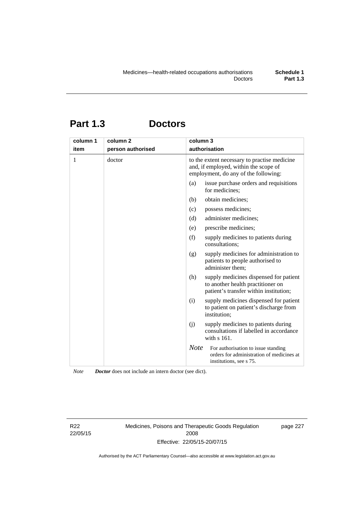# **Part 1.3 Doctors**

| column 1 | column <sub>2</sub> | column 3                                                                                                                      |
|----------|---------------------|-------------------------------------------------------------------------------------------------------------------------------|
| item     | person authorised   | authorisation                                                                                                                 |
| 1        | doctor              | to the extent necessary to practise medicine<br>and, if employed, within the scope of<br>employment, do any of the following: |
|          |                     | (a)<br>issue purchase orders and requisitions<br>for medicines;                                                               |
|          |                     | obtain medicines;<br>(b)                                                                                                      |
|          |                     | possess medicines;<br>(c)                                                                                                     |
|          |                     | administer medicines;<br>(d)                                                                                                  |
|          |                     | prescribe medicines;<br>(e)                                                                                                   |
|          |                     | (f)<br>supply medicines to patients during<br>consultations;                                                                  |
|          |                     | (g)<br>supply medicines for administration to<br>patients to people authorised to<br>administer them;                         |
|          |                     | supply medicines dispensed for patient<br>(h)<br>to another health practitioner on<br>patient's transfer within institution;  |
|          |                     | (i)<br>supply medicines dispensed for patient<br>to patient on patient's discharge from<br>institution;                       |
|          |                     | (i)<br>supply medicines to patients during<br>consultations if labelled in accordance<br>with s 161.                          |
|          |                     | <b>Note</b><br>For authorisation to issue standing<br>orders for administration of medicines at<br>institutions, see s 75.    |

*Note Doctor* does not include an intern doctor (see dict).

R22 22/05/15 Medicines, Poisons and Therapeutic Goods Regulation 2008 Effective: 22/05/15-20/07/15

page 227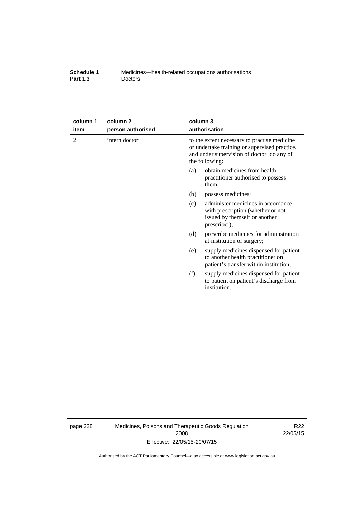| Schedule 1      | Medicines—health-related occupations authorisations |
|-----------------|-----------------------------------------------------|
| <b>Part 1.3</b> | <b>Doctors</b>                                      |

| column 1 | column <sub>2</sub> | column 3                                                                                                                                                      |
|----------|---------------------|---------------------------------------------------------------------------------------------------------------------------------------------------------------|
| item     | person authorised   | authorisation                                                                                                                                                 |
| 2        | intern doctor       | to the extent necessary to practise medicine<br>or undertake training or supervised practice,<br>and under supervision of doctor, do any of<br>the following: |
|          |                     | obtain medicines from health<br>(a)<br>practitioner authorised to possess<br>them:                                                                            |
|          |                     | (b)<br>possess medicines;                                                                                                                                     |
|          |                     | administer medicines in accordance<br>(c)<br>with prescription (whether or not<br>issued by themself or another<br>prescriber);                               |
|          |                     | (d)<br>prescribe medicines for administration<br>at institution or surgery;                                                                                   |
|          |                     | supply medicines dispensed for patient<br>(e)<br>to another health practitioner on<br>patient's transfer within institution;                                  |
|          |                     | (f)<br>supply medicines dispensed for patient<br>to patient on patient's discharge from<br>institution.                                                       |

page 228 Medicines, Poisons and Therapeutic Goods Regulation 2008 Effective: 22/05/15-20/07/15

R22 22/05/15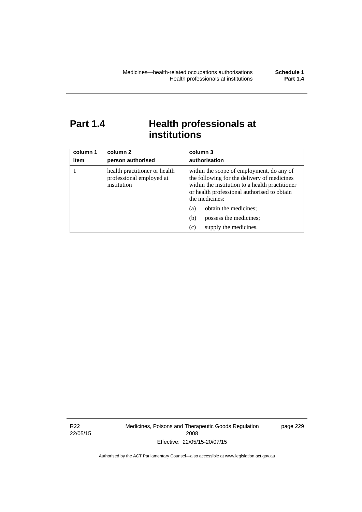# Part 1.4 **Health professionals at institutions**

| column 1<br>item | column 2<br>person authorised                                            | column 3<br>authorisation                                                                                                                                                                                    |  |
|------------------|--------------------------------------------------------------------------|--------------------------------------------------------------------------------------------------------------------------------------------------------------------------------------------------------------|--|
|                  | health practitioner or health<br>professional employed at<br>institution | within the scope of employment, do any of<br>the following for the delivery of medicines<br>within the institution to a health practitioner<br>or health professional authorised to obtain<br>the medicines: |  |
|                  |                                                                          | obtain the medicines;<br>(a)                                                                                                                                                                                 |  |
|                  |                                                                          | (b)<br>possess the medicines;                                                                                                                                                                                |  |
|                  |                                                                          | supply the medicines.<br>(c)                                                                                                                                                                                 |  |

R22 22/05/15 Medicines, Poisons and Therapeutic Goods Regulation 2008 Effective: 22/05/15-20/07/15

page 229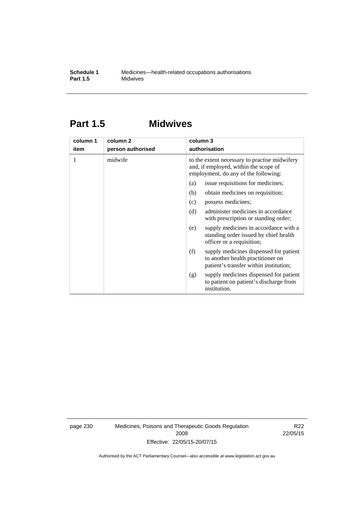## **Part 1.5 Midwives**

| column 1 | column 2          | column 3                                                                                                                       |  |  |
|----------|-------------------|--------------------------------------------------------------------------------------------------------------------------------|--|--|
| item     | person authorised | authorisation                                                                                                                  |  |  |
| 1        | midwife           | to the extent necessary to practise midwifery<br>and, if employed, within the scope of<br>employment, do any of the following: |  |  |
|          |                   | issue requisitions for medicines;<br>(a)                                                                                       |  |  |
|          |                   | (b)<br>obtain medicines on requisition;                                                                                        |  |  |
|          |                   | possess medicines;<br>(c)                                                                                                      |  |  |
|          |                   | administer medicines in accordance<br>(d)<br>with prescription or standing order;                                              |  |  |
|          |                   | supply medicines in accordance with a<br>(e)<br>standing order issued by chief health<br>officer or a requisition;             |  |  |
|          |                   | (f)<br>supply medicines dispensed for patient<br>to another health practitioner on<br>patient's transfer within institution;   |  |  |
|          |                   | supply medicines dispensed for patient<br>(g)<br>to patient on patient's discharge from<br>institution.                        |  |  |

page 230 Medicines, Poisons and Therapeutic Goods Regulation 2008 Effective: 22/05/15-20/07/15

R22 22/05/15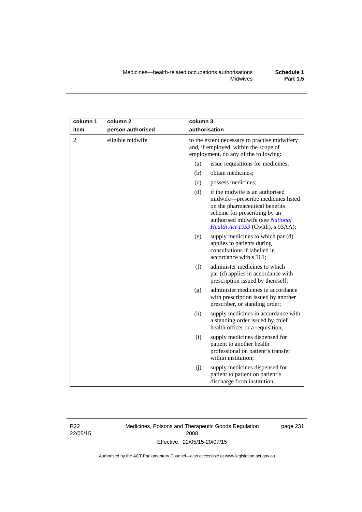| column 1       | column <sub>2</sub> | column 3                                                                                                                                                                                                                |
|----------------|---------------------|-------------------------------------------------------------------------------------------------------------------------------------------------------------------------------------------------------------------------|
| item           | person authorised   | authorisation                                                                                                                                                                                                           |
| $\overline{2}$ | eligible midwife    | to the extent necessary to practise midwifery<br>and, if employed, within the scope of<br>employment, do any of the following:                                                                                          |
|                |                     | issue requisitions for medicines;<br>(a)                                                                                                                                                                                |
|                |                     | (b)<br>obtain medicines;                                                                                                                                                                                                |
|                |                     | (c)<br>possess medicines;                                                                                                                                                                                               |
|                |                     | if the midwife is an authorised<br>(d)<br>midwife-prescribe medicines listed<br>on the pharmaceutical benefits<br>scheme for prescribing by an<br>authorised midwife (see National<br>Health Act 1953 (Cwlth), s 93AA); |
|                |                     | (e)<br>supply medicines to which par (d)<br>applies to patients during<br>consultations if labelled in<br>accordance with s 161;                                                                                        |
|                |                     | (f)<br>administer medicines to which<br>par (d) applies in accordance with<br>prescription issued by themself;                                                                                                          |
|                |                     | administer medicines in accordance<br>(g)<br>with prescription issued by another<br>prescriber, or standing order;                                                                                                      |
|                |                     | (h)<br>supply medicines in accordance with<br>a standing order issued by chief<br>health officer or a requisition;                                                                                                      |
|                |                     | (i)<br>supply medicines dispensed for<br>patient to another health<br>professional on patient's transfer<br>within institution;                                                                                         |
|                |                     | (j)<br>supply medicines dispensed for<br>patient to patient on patient's<br>discharge from institution.                                                                                                                 |

R22 22/05/15 Medicines, Poisons and Therapeutic Goods Regulation 2008 Effective: 22/05/15-20/07/15

page 231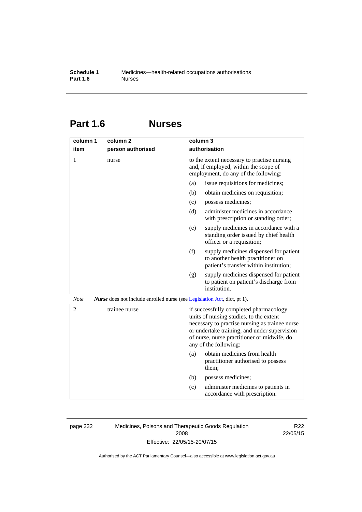# **Part 1.6 Nurses**

| column 1       | column <sub>2</sub>                                                             | column 3                                                                                                                                                                                                                                                    |
|----------------|---------------------------------------------------------------------------------|-------------------------------------------------------------------------------------------------------------------------------------------------------------------------------------------------------------------------------------------------------------|
| item           | person authorised                                                               | authorisation                                                                                                                                                                                                                                               |
| 1              | nurse                                                                           | to the extent necessary to practise nursing<br>and, if employed, within the scope of<br>employment, do any of the following:                                                                                                                                |
|                |                                                                                 | issue requisitions for medicines;<br>(a)                                                                                                                                                                                                                    |
|                |                                                                                 | (b)<br>obtain medicines on requisition;                                                                                                                                                                                                                     |
|                |                                                                                 | (c)<br>possess medicines;                                                                                                                                                                                                                                   |
|                |                                                                                 | administer medicines in accordance<br>(d)<br>with prescription or standing order;                                                                                                                                                                           |
|                |                                                                                 | supply medicines in accordance with a<br>(e)<br>standing order issued by chief health<br>officer or a requisition;                                                                                                                                          |
|                |                                                                                 | (f)<br>supply medicines dispensed for patient<br>to another health practitioner on<br>patient's transfer within institution;                                                                                                                                |
|                |                                                                                 | supply medicines dispensed for patient<br>(g)<br>to patient on patient's discharge from<br>institution.                                                                                                                                                     |
| <b>Note</b>    | <i>Nurse</i> does not include enrolled nurse (see Legislation Act, dict, pt 1). |                                                                                                                                                                                                                                                             |
| $\overline{2}$ | trainee nurse                                                                   | if successfully completed pharmacology<br>units of nursing studies, to the extent<br>necessary to practise nursing as trainee nurse<br>or undertake training, and under supervision<br>of nurse, nurse practitioner or midwife, do<br>any of the following: |
|                |                                                                                 | obtain medicines from health<br>(a)<br>practitioner authorised to possess<br>them;                                                                                                                                                                          |
|                |                                                                                 | (b)<br>possess medicines;                                                                                                                                                                                                                                   |
|                |                                                                                 | administer medicines to patients in<br>(c)<br>accordance with prescription.                                                                                                                                                                                 |

page 232 Medicines, Poisons and Therapeutic Goods Regulation 2008 Effective: 22/05/15-20/07/15

R22 22/05/15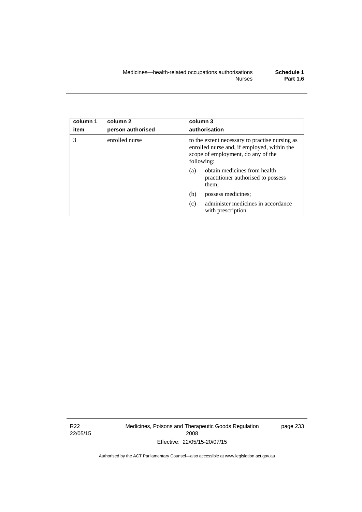| column 1<br>item | column 2<br>person authorised | column 3<br>authorisation                                                                                                                         |
|------------------|-------------------------------|---------------------------------------------------------------------------------------------------------------------------------------------------|
| 3                | enrolled nurse                | to the extent necessary to practise nursing as<br>enrolled nurse and, if employed, within the<br>scope of employment, do any of the<br>following: |
|                  |                               | obtain medicines from health<br>(a)<br>practitioner authorised to possess<br>them;                                                                |
|                  |                               | (b)<br>possess medicines;                                                                                                                         |
|                  |                               | administer medicines in accordance<br>(c)<br>with prescription.                                                                                   |

R22 22/05/15 Medicines, Poisons and Therapeutic Goods Regulation 2008 Effective: 22/05/15-20/07/15

page 233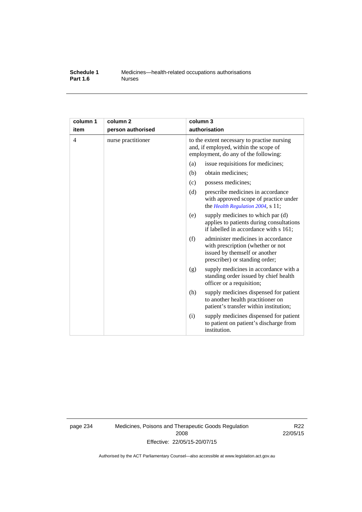#### **Schedule 1** Medicines—health-related occupations authorisations<br>**Part 1.6** Murses **Part 1.6**

| column 1<br>item | column <sub>2</sub><br>person authorised | column 3<br>authorisation                                                                                                                         |  |  |
|------------------|------------------------------------------|---------------------------------------------------------------------------------------------------------------------------------------------------|--|--|
| 4                | nurse practitioner                       | to the extent necessary to practise nursing<br>and, if employed, within the scope of<br>employment, do any of the following:                      |  |  |
|                  |                                          | (a)<br>issue requisitions for medicines;                                                                                                          |  |  |
|                  |                                          | (b)<br>obtain medicines;                                                                                                                          |  |  |
|                  |                                          | possess medicines;<br>(c)                                                                                                                         |  |  |
|                  |                                          | (d)<br>prescribe medicines in accordance<br>with approved scope of practice under<br>the Health Regulation 2004, s 11;                            |  |  |
|                  |                                          | supply medicines to which par (d)<br>(e)<br>applies to patients during consultations<br>if labelled in accordance with s 161;                     |  |  |
|                  |                                          | (f)<br>administer medicines in accordance<br>with prescription (whether or not<br>issued by themself or another<br>prescriber) or standing order; |  |  |
|                  |                                          | supply medicines in accordance with a<br>(g)<br>standing order issued by chief health<br>officer or a requisition;                                |  |  |
|                  |                                          | supply medicines dispensed for patient<br>(h)<br>to another health practitioner on<br>patient's transfer within institution;                      |  |  |
|                  |                                          | supply medicines dispensed for patient<br>(i)<br>to patient on patient's discharge from<br>institution.                                           |  |  |

page 234 Medicines, Poisons and Therapeutic Goods Regulation 2008 Effective: 22/05/15-20/07/15

R22 22/05/15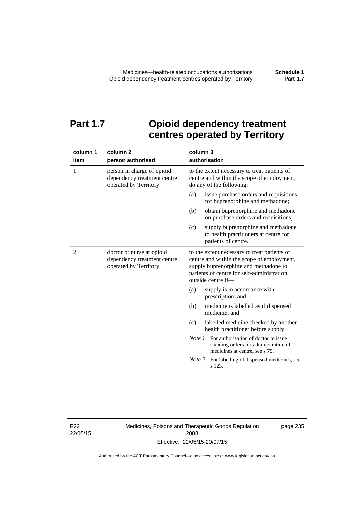# **Part 1.7 Opioid dependency treatment centres operated by Territory**

| column 1       | column <sub>2</sub>                                                                | column 3                                                                                                                                                                                                |
|----------------|------------------------------------------------------------------------------------|---------------------------------------------------------------------------------------------------------------------------------------------------------------------------------------------------------|
| item           | person authorised                                                                  | authorisation                                                                                                                                                                                           |
| 1              | person in charge of opioid<br>dependency treatment centre<br>operated by Territory | to the extent necessary to treat patients of<br>centre and within the scope of employment,<br>do any of the following:                                                                                  |
|                |                                                                                    | issue purchase orders and requisitions<br>(a)<br>for buprenorphine and methadone;                                                                                                                       |
|                |                                                                                    | obtain buprenorphine and methadone<br>(b)<br>on purchase orders and requisitions;                                                                                                                       |
|                |                                                                                    | supply buprenorphine and methadone<br>(c)<br>to health practitioners at centre for<br>patients of centre.                                                                                               |
| $\overline{2}$ | doctor or nurse at opioid<br>dependency treatment centre<br>operated by Territory  | to the extent necessary to treat patients of<br>centre and within the scope of employment,<br>supply buprenorphine and methadone to<br>patients of centre for self-administration<br>outside centre if- |
|                |                                                                                    | supply is in accordance with<br>(a)<br>prescription; and                                                                                                                                                |
|                |                                                                                    | (b)<br>medicine is labelled as if dispensed<br>medicine; and                                                                                                                                            |
|                |                                                                                    | (c)<br>labelled medicine checked by another<br>health practitioner before supply.                                                                                                                       |
|                |                                                                                    | <i>Note 1</i> For authorisation of doctor to issue<br>standing orders for administration of<br>medicines at centre, see s 75.                                                                           |
|                |                                                                                    | Note 2<br>For labelling of dispensed medicines, see<br>s 123.                                                                                                                                           |

R22 22/05/15 Medicines, Poisons and Therapeutic Goods Regulation 2008 Effective: 22/05/15-20/07/15

page 235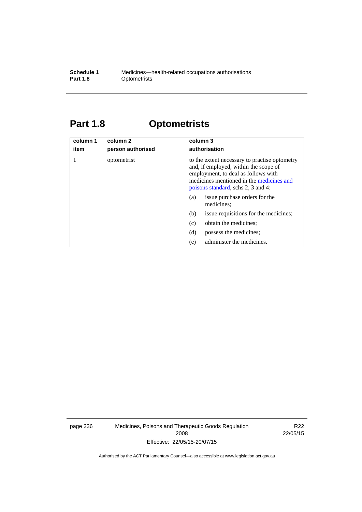#### **Schedule 1** Medicines—health-related occupations authorisations<br>**Part 1.8** Optometrists **Optometrists**

# **Part 1.8 Optometrists**

| column 1<br>item | column 2<br>person authorised | column 3<br>authorisation                                                                                                                                                                                                                               |
|------------------|-------------------------------|---------------------------------------------------------------------------------------------------------------------------------------------------------------------------------------------------------------------------------------------------------|
|                  | optometrist                   | to the extent necessary to practise optometry<br>and, if employed, within the scope of<br>employment, to deal as follows with<br>medicines mentioned in the medicines and<br>poisons standard, schs 2, 3 and 4:<br>issue purchase orders for the<br>(a) |
|                  |                               | medicines;                                                                                                                                                                                                                                              |
|                  |                               | (b)<br>issue requisitions for the medicines;                                                                                                                                                                                                            |
|                  |                               | obtain the medicines;<br>(c)                                                                                                                                                                                                                            |
|                  |                               | (d)<br>possess the medicines:                                                                                                                                                                                                                           |
|                  |                               | administer the medicines.<br>(e)                                                                                                                                                                                                                        |

page 236 Medicines, Poisons and Therapeutic Goods Regulation 2008 Effective: 22/05/15-20/07/15

R22 22/05/15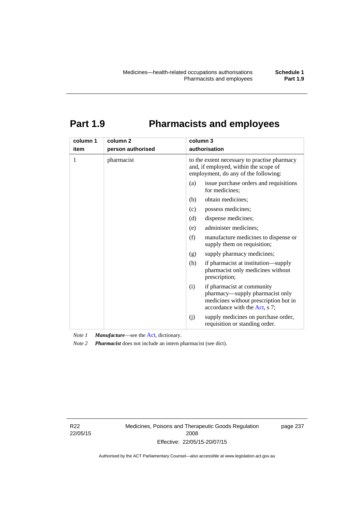# **Part 1.9 Pharmacists and employees**

| column 1<br>item | column <sub>2</sub><br>person authorised | column 3<br>authorisation                                                                                                     |                                                                                                                                         |  |
|------------------|------------------------------------------|-------------------------------------------------------------------------------------------------------------------------------|-----------------------------------------------------------------------------------------------------------------------------------------|--|
| 1                | pharmacist                               | to the extent necessary to practise pharmacy<br>and, if employed, within the scope of<br>employment, do any of the following: |                                                                                                                                         |  |
|                  |                                          | (a)                                                                                                                           | issue purchase orders and requisitions<br>for medicines;                                                                                |  |
|                  |                                          | (b)                                                                                                                           | obtain medicines;                                                                                                                       |  |
|                  |                                          | (c)                                                                                                                           | possess medicines;                                                                                                                      |  |
|                  |                                          | (d)                                                                                                                           | dispense medicines;                                                                                                                     |  |
|                  |                                          | (e)                                                                                                                           | administer medicines;                                                                                                                   |  |
|                  |                                          | (f)                                                                                                                           | manufacture medicines to dispense or<br>supply them on requisition;                                                                     |  |
|                  |                                          | (g)                                                                                                                           | supply pharmacy medicines;                                                                                                              |  |
|                  |                                          | (h)                                                                                                                           | if pharmacist at institution—supply<br>pharmacist only medicines without<br>prescription;                                               |  |
|                  |                                          | (i)                                                                                                                           | if pharmacist at community<br>pharmacy—supply pharmacist only<br>medicines without prescription but in<br>accordance with the Act, s 7; |  |
|                  |                                          | (j)                                                                                                                           | supply medicines on purchase order,<br>requisition or standing order.                                                                   |  |

*Note 1 Manufacture*—see the [Act,](http://www.legislation.act.gov.au/a/2008-26/default.asp) dictionary.

*Note 2 Pharmacist* does not include an intern pharmacist (see dict).

R22 22/05/15 Medicines, Poisons and Therapeutic Goods Regulation 2008 Effective: 22/05/15-20/07/15

page 237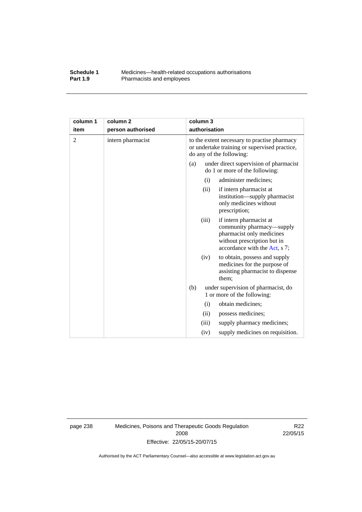#### **Schedule 1** Medicines—health-related occupations authorisations<br>**Part 1.9** Pharmacists and employees Pharmacists and employees

| column 1       | column <sub>2</sub> |                                                                                                                           | column 3      |                                                                                                                                                   |
|----------------|---------------------|---------------------------------------------------------------------------------------------------------------------------|---------------|---------------------------------------------------------------------------------------------------------------------------------------------------|
| item           | person authorised   |                                                                                                                           | authorisation |                                                                                                                                                   |
| $\overline{2}$ | intern pharmacist   | to the extent necessary to practise pharmacy<br>or undertake training or supervised practice,<br>do any of the following: |               |                                                                                                                                                   |
|                |                     | (a)                                                                                                                       |               | under direct supervision of pharmacist<br>do 1 or more of the following:                                                                          |
|                |                     |                                                                                                                           | (i)           | administer medicines;                                                                                                                             |
|                |                     |                                                                                                                           | (ii)          | if intern pharmacist at<br>institution—supply pharmacist<br>only medicines without<br>prescription;                                               |
|                |                     |                                                                                                                           | (iii)         | if intern pharmacist at<br>community pharmacy—supply<br>pharmacist only medicines<br>without prescription but in<br>accordance with the Act, s 7; |
|                |                     |                                                                                                                           | (iv)          | to obtain, possess and supply<br>medicines for the purpose of<br>assisting pharmacist to dispense<br>them;                                        |
|                |                     | (b)                                                                                                                       |               | under supervision of pharmacist, do<br>1 or more of the following:                                                                                |
|                |                     |                                                                                                                           | (i)           | obtain medicines;                                                                                                                                 |
|                |                     |                                                                                                                           | (ii)          | possess medicines;                                                                                                                                |
|                |                     |                                                                                                                           | (iii)         | supply pharmacy medicines;                                                                                                                        |
|                |                     |                                                                                                                           | (iv)          | supply medicines on requisition.                                                                                                                  |

page 238 Medicines, Poisons and Therapeutic Goods Regulation 2008 Effective: 22/05/15-20/07/15

R22 22/05/15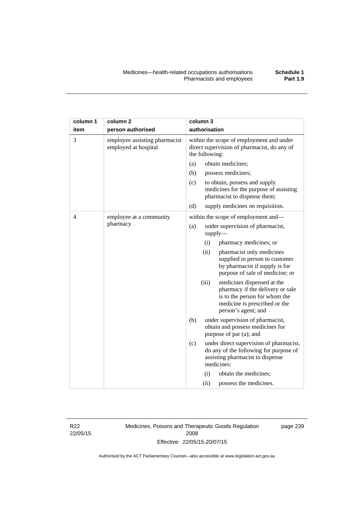| column 1       | column <sub>2</sub>                                   | column 3                                                                                                  |                                            |                                                                                                                                                         |
|----------------|-------------------------------------------------------|-----------------------------------------------------------------------------------------------------------|--------------------------------------------|---------------------------------------------------------------------------------------------------------------------------------------------------------|
| item           | person authorised                                     | authorisation                                                                                             |                                            |                                                                                                                                                         |
| 3              | employee assisting pharmacist<br>employed at hospital | within the scope of employment and under<br>direct supervision of pharmacist, do any of<br>the following: |                                            |                                                                                                                                                         |
|                |                                                       | (a)                                                                                                       |                                            | obtain medicines;                                                                                                                                       |
|                |                                                       | (b)                                                                                                       |                                            | possess medicines;                                                                                                                                      |
|                |                                                       | (c)                                                                                                       |                                            | to obtain, possess and supply<br>medicines for the purpose of assisting<br>pharmacist to dispense them;                                                 |
|                |                                                       | (d)                                                                                                       |                                            | supply medicines on requisition.                                                                                                                        |
| $\overline{4}$ | employee at a community                               |                                                                                                           |                                            | within the scope of employment and-                                                                                                                     |
|                | pharmacy                                              | (a)                                                                                                       | under supervision of pharmacist,<br>supply |                                                                                                                                                         |
|                |                                                       |                                                                                                           | (i)                                        | pharmacy medicines; or                                                                                                                                  |
|                |                                                       |                                                                                                           | (ii)                                       | pharmacist only medicines<br>supplied in person to customer<br>by pharmacist if supply is for<br>purpose of sale of medicine; or                        |
|                |                                                       |                                                                                                           | (iii)                                      | medicines dispensed at the<br>pharmacy if the delivery or sale<br>is to the person for whom the<br>medicine is prescribed or the<br>person's agent; and |
|                |                                                       | (b)                                                                                                       |                                            | under supervision of pharmacist,<br>obtain and possess medicines for<br>purpose of par (a); and                                                         |
|                |                                                       | (c)                                                                                                       |                                            | under direct supervision of pharmacist,<br>do any of the following for purpose of<br>assisting pharmacist to dispense<br>medicines:                     |
|                |                                                       |                                                                                                           | (i)                                        | obtain the medicines;                                                                                                                                   |
|                |                                                       |                                                                                                           | (ii)                                       | possess the medicines.                                                                                                                                  |

R22 22/05/15 Medicines, Poisons and Therapeutic Goods Regulation 2008 Effective: 22/05/15-20/07/15

page 239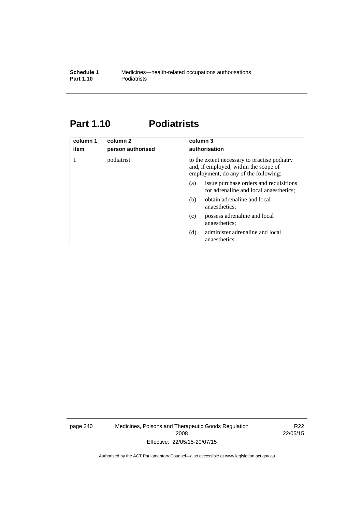### **Part 1.10 Podiatrists**

| column 1<br>item | column 2<br>person authorised | column 3<br>authorisation                                                                                                     |  |
|------------------|-------------------------------|-------------------------------------------------------------------------------------------------------------------------------|--|
|                  | podiatrist                    | to the extent necessary to practise podiatry<br>and, if employed, within the scope of<br>employment, do any of the following: |  |
|                  |                               | issue purchase orders and requisitions<br>(a)<br>for adrenaline and local anaesthetics;                                       |  |
|                  |                               | obtain adrenaline and local<br>(b)<br>anaesthetics:                                                                           |  |
|                  |                               | possess adrenaline and local<br>(c)<br>anaesthetics;                                                                          |  |
|                  |                               | administer adrenaline and local<br>(d)<br>anaesthetics.                                                                       |  |

page 240 Medicines, Poisons and Therapeutic Goods Regulation 2008 Effective: 22/05/15-20/07/15

R22 22/05/15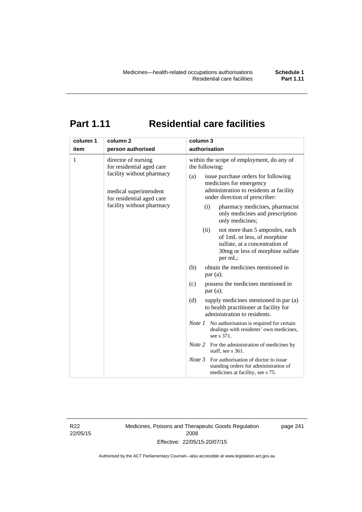# **Part 1.11 Residential care facilities**

| column 1 | column <sub>2</sub>                                                                                                                                               | column 3                                                                                                                                                                                                                                                                                                                                                                                                                                                                                                                          |  |  |
|----------|-------------------------------------------------------------------------------------------------------------------------------------------------------------------|-----------------------------------------------------------------------------------------------------------------------------------------------------------------------------------------------------------------------------------------------------------------------------------------------------------------------------------------------------------------------------------------------------------------------------------------------------------------------------------------------------------------------------------|--|--|
| item     | person authorised                                                                                                                                                 | authorisation                                                                                                                                                                                                                                                                                                                                                                                                                                                                                                                     |  |  |
| 1        | director of nursing<br>for residential aged care<br>facility without pharmacy<br>medical superintendent<br>for residential aged care<br>facility without pharmacy | within the scope of employment, do any of<br>the following:<br>issue purchase orders for following<br>(a)<br>medicines for emergency<br>administration to residents at facility<br>under direction of prescriber:<br>pharmacy medicines, pharmacist<br>(i)<br>only medicines and prescription<br>only medicines;<br>(ii)<br>not more than 5 ampoules, each<br>of 1mL or less, of morphine<br>sulfate, at a concentration of<br>30mg or less of morphine sulfate<br>per mL;<br>obtain the medicines mentioned in<br>(b)<br>par(a); |  |  |
|          |                                                                                                                                                                   | possess the medicines mentioned in<br>(c)                                                                                                                                                                                                                                                                                                                                                                                                                                                                                         |  |  |
|          |                                                                                                                                                                   | par(a);                                                                                                                                                                                                                                                                                                                                                                                                                                                                                                                           |  |  |
|          |                                                                                                                                                                   | (d)<br>supply medicines mentioned in par (a)<br>to health practitioner at facility for<br>administration to residents.                                                                                                                                                                                                                                                                                                                                                                                                            |  |  |
|          |                                                                                                                                                                   | <i>Note 1</i> No authorisation is required for certain<br>dealings with residents' own medicines,<br>see s 371.                                                                                                                                                                                                                                                                                                                                                                                                                   |  |  |
|          |                                                                                                                                                                   | <i>Note</i> 2 For the administration of medicines by<br>staff, see s 361.                                                                                                                                                                                                                                                                                                                                                                                                                                                         |  |  |
|          |                                                                                                                                                                   | Note 3<br>For authorisation of doctor to issue<br>standing orders for administration of<br>medicines at facility, see s 75.                                                                                                                                                                                                                                                                                                                                                                                                       |  |  |

R22 22/05/15 Medicines, Poisons and Therapeutic Goods Regulation 2008 Effective: 22/05/15-20/07/15

page 241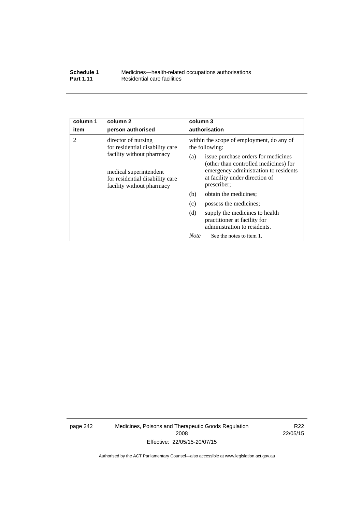| Schedule 1       | Medicines—health-related occupations authorisations |
|------------------|-----------------------------------------------------|
| <b>Part 1.11</b> | Residential care facilities                         |

| column 1<br>item                                                                                                    | column <sub>2</sub><br>person authorised                                                                                                                                      | column 3<br>authorisation                                                                             |  |
|---------------------------------------------------------------------------------------------------------------------|-------------------------------------------------------------------------------------------------------------------------------------------------------------------------------|-------------------------------------------------------------------------------------------------------|--|
| $\overline{2}$                                                                                                      | director of nursing                                                                                                                                                           | within the scope of employment, do any of                                                             |  |
|                                                                                                                     | for residential disability care                                                                                                                                               | the following:                                                                                        |  |
| facility without pharmacy<br>medical superintendent<br>for residential disability care<br>facility without pharmacy | issue purchase orders for medicines<br>(a)<br>(other than controlled medicines) for<br>emergency administration to residents<br>at facility under direction of<br>prescriber; |                                                                                                       |  |
|                                                                                                                     |                                                                                                                                                                               | obtain the medicines;<br>(b)                                                                          |  |
|                                                                                                                     |                                                                                                                                                                               | (c)<br>possess the medicines;                                                                         |  |
|                                                                                                                     |                                                                                                                                                                               | (d)<br>supply the medicines to health<br>practitioner at facility for<br>administration to residents. |  |
|                                                                                                                     |                                                                                                                                                                               | <b>Note</b><br>See the notes to item 1.                                                               |  |

page 242 Medicines, Poisons and Therapeutic Goods Regulation 2008 Effective: 22/05/15-20/07/15

R22 22/05/15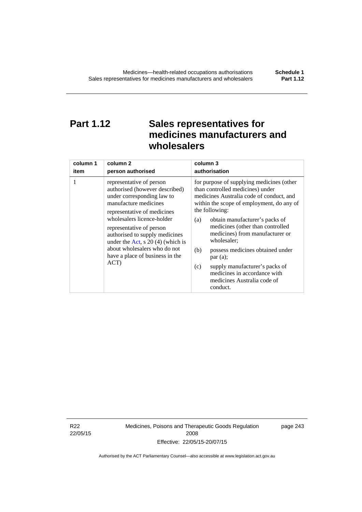# **Part 1.12 Sales representatives for medicines manufacturers and wholesalers**

| column 1 | column 2                                                                                                                                                                                                                                                                                                                                                      | column 3                                                                                                                                                                                                                                                                                                                                                                                                                                                                                          |  |
|----------|---------------------------------------------------------------------------------------------------------------------------------------------------------------------------------------------------------------------------------------------------------------------------------------------------------------------------------------------------------------|---------------------------------------------------------------------------------------------------------------------------------------------------------------------------------------------------------------------------------------------------------------------------------------------------------------------------------------------------------------------------------------------------------------------------------------------------------------------------------------------------|--|
| item     | person authorised                                                                                                                                                                                                                                                                                                                                             | authorisation                                                                                                                                                                                                                                                                                                                                                                                                                                                                                     |  |
| 1        | representative of person<br>authorised (however described)<br>under corresponding law to<br>manufacture medicines<br>representative of medicines<br>wholesalers licence-holder<br>representative of person<br>authorised to supply medicines<br>under the Act, s $20(4)$ (which is<br>about wholesalers who do not<br>have a place of business in the<br>ACT) | for purpose of supplying medicines (other<br>than controlled medicines) under<br>medicines Australia code of conduct, and<br>within the scope of employment, do any of<br>the following:<br>obtain manufacturer's packs of<br>(a)<br>medicines (other than controlled<br>medicines) from manufacturer or<br>wholesaler;<br>(b)<br>possess medicines obtained under<br>par(a);<br>supply manufacturer's packs of<br>(c)<br>medicines in accordance with<br>medicines Australia code of<br>conduct. |  |

R22 22/05/15 Medicines, Poisons and Therapeutic Goods Regulation 2008 Effective: 22/05/15-20/07/15

page 243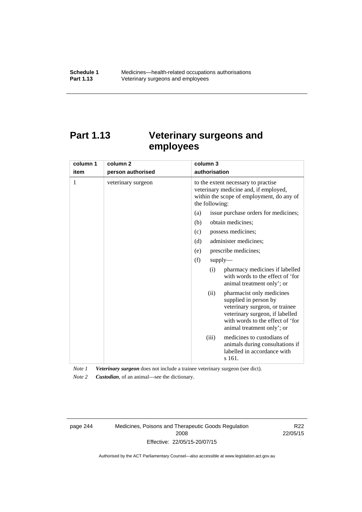# **Part 1.13 Veterinary surgeons and employees**

| column 1 | column <sub>2</sub> | column 3                                                                                                                                                                                          |  |
|----------|---------------------|---------------------------------------------------------------------------------------------------------------------------------------------------------------------------------------------------|--|
| item     | person authorised   | authorisation                                                                                                                                                                                     |  |
| 1        | veterinary surgeon  | to the extent necessary to practise<br>veterinary medicine and, if employed,<br>within the scope of employment, do any of<br>the following:                                                       |  |
|          |                     | issue purchase orders for medicines;<br>(a)                                                                                                                                                       |  |
|          |                     | (b)<br>obtain medicines;                                                                                                                                                                          |  |
|          |                     | possess medicines;<br>(c)                                                                                                                                                                         |  |
|          |                     | administer medicines;<br>(d)                                                                                                                                                                      |  |
|          |                     | prescribe medicines;<br>(e)                                                                                                                                                                       |  |
|          |                     | (f)<br>supply                                                                                                                                                                                     |  |
|          |                     | pharmacy medicines if labelled<br>(i)<br>with words to the effect of 'for<br>animal treatment only'; or                                                                                           |  |
|          |                     | pharmacist only medicines<br>(ii)<br>supplied in person by<br>veterinary surgeon, or trainee<br>veterinary surgeon, if labelled<br>with words to the effect of 'for<br>animal treatment only'; or |  |
|          |                     | medicines to custodians of<br>(iii)<br>animals during consultations if<br>labelled in accordance with<br>s 161.                                                                                   |  |

*Note 1 Veterinary surgeon* does not include a trainee veterinary surgeon (see dict).

*Note 2 Custodian*, of an animal—see the dictionary.

page 244 Medicines, Poisons and Therapeutic Goods Regulation 2008 Effective: 22/05/15-20/07/15

R22 22/05/15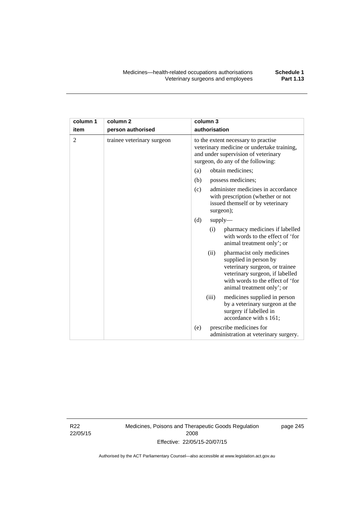| column 1       | column <sub>2</sub>        | column 3                                                                                                                                                                                          |  |  |
|----------------|----------------------------|---------------------------------------------------------------------------------------------------------------------------------------------------------------------------------------------------|--|--|
| item           | person authorised          | authorisation                                                                                                                                                                                     |  |  |
| $\overline{2}$ | trainee veterinary surgeon | to the extent necessary to practise<br>veterinary medicine or undertake training,<br>and under supervision of veterinary<br>surgeon, do any of the following:                                     |  |  |
|                |                            | obtain medicines;<br>(a)                                                                                                                                                                          |  |  |
|                |                            | (b)<br>possess medicines;                                                                                                                                                                         |  |  |
|                |                            | administer medicines in accordance<br>(c)<br>with prescription (whether or not<br>issued themself or by veterinary<br>surgeon);                                                                   |  |  |
|                |                            | (d)<br>supply                                                                                                                                                                                     |  |  |
|                |                            | pharmacy medicines if labelled<br>(i)<br>with words to the effect of 'for<br>animal treatment only'; or                                                                                           |  |  |
|                |                            | (ii)<br>pharmacist only medicines<br>supplied in person by<br>veterinary surgeon, or trainee<br>veterinary surgeon, if labelled<br>with words to the effect of 'for<br>animal treatment only'; or |  |  |
|                |                            | (iii)<br>medicines supplied in person<br>by a veterinary surgeon at the<br>surgery if labelled in<br>accordance with s 161;                                                                       |  |  |
|                |                            | prescribe medicines for<br>(e)<br>administration at veterinary surgery.                                                                                                                           |  |  |

R22 22/05/15 Medicines, Poisons and Therapeutic Goods Regulation 2008 Effective: 22/05/15-20/07/15

page 245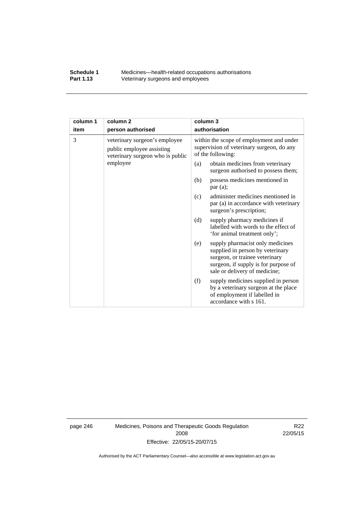#### **Schedule 1** Medicines—health-related occupations authorisations<br>**Part 1.13** Veterinary surgeons and employees Veterinary surgeons and employees

| column 1 | column <sub>2</sub>                                                                            | column 3                                                                                                                                                                               |  |
|----------|------------------------------------------------------------------------------------------------|----------------------------------------------------------------------------------------------------------------------------------------------------------------------------------------|--|
| item     | person authorised                                                                              | authorisation                                                                                                                                                                          |  |
| 3        | veterinary surgeon's employee<br>public employee assisting<br>veterinary surgeon who is public | within the scope of employment and under<br>supervision of veterinary surgeon, do any<br>of the following:                                                                             |  |
|          | employee                                                                                       | obtain medicines from veterinary<br>(a)<br>surgeon authorised to possess them;                                                                                                         |  |
|          |                                                                                                | possess medicines mentioned in<br>(b)<br>par(a);                                                                                                                                       |  |
|          |                                                                                                | administer medicines mentioned in<br>(c)<br>par (a) in accordance with veterinary<br>surgeon's prescription;                                                                           |  |
|          |                                                                                                | (d)<br>supply pharmacy medicines if<br>labelled with words to the effect of<br>'for animal treatment only';                                                                            |  |
|          |                                                                                                | supply pharmacist only medicines<br>(e)<br>supplied in person by veterinary<br>surgeon, or trainee veterinary<br>surgeon, if supply is for purpose of<br>sale or delivery of medicine; |  |
|          |                                                                                                | supply medicines supplied in person<br>(f)<br>by a veterinary surgeon at the place<br>of employment if labelled in<br>accordance with s 161.                                           |  |

page 246 Medicines, Poisons and Therapeutic Goods Regulation 2008 Effective: 22/05/15-20/07/15

R22 22/05/15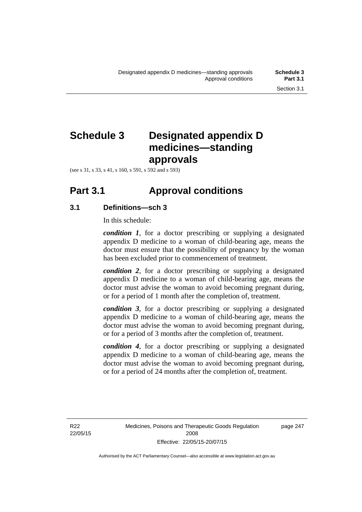# **Schedule 3 Designated appendix D medicines—standing approvals**

(see s 31, s 33, s 41, s 160, s 591, s 592 and s 593)

# **Part 3.1 Approval conditions**

#### **3.1 Definitions—sch 3**

In this schedule:

*condition 1*, for a doctor prescribing or supplying a designated appendix D medicine to a woman of child-bearing age, means the doctor must ensure that the possibility of pregnancy by the woman has been excluded prior to commencement of treatment.

*condition 2*, for a doctor prescribing or supplying a designated appendix D medicine to a woman of child-bearing age, means the doctor must advise the woman to avoid becoming pregnant during, or for a period of 1 month after the completion of, treatment.

*condition 3*, for a doctor prescribing or supplying a designated appendix D medicine to a woman of child-bearing age, means the doctor must advise the woman to avoid becoming pregnant during, or for a period of 3 months after the completion of, treatment.

*condition 4*, for a doctor prescribing or supplying a designated appendix D medicine to a woman of child-bearing age, means the doctor must advise the woman to avoid becoming pregnant during, or for a period of 24 months after the completion of, treatment.

R22 22/05/15 page 247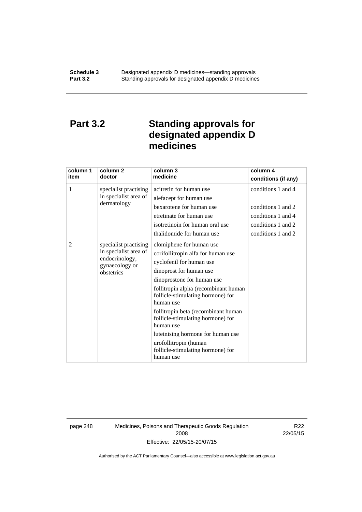### **Part 3.2 Standing approvals for designated appendix D medicines**

| column 1<br>item | column <sub>2</sub><br>doctor                                                                    | column 3<br>medicine                                                                                                                                                                                                                                                                                                                                                                                                                                   | column 4<br>conditions (if any)                                                                            |
|------------------|--------------------------------------------------------------------------------------------------|--------------------------------------------------------------------------------------------------------------------------------------------------------------------------------------------------------------------------------------------------------------------------------------------------------------------------------------------------------------------------------------------------------------------------------------------------------|------------------------------------------------------------------------------------------------------------|
| 1                | specialist practising<br>in specialist area of<br>dermatology                                    | acitretin for human use<br>alefacept for human use<br>bexarotene for human use<br>etretinate for human use<br>isotretinoin for human oral use<br>thalidomide for human use                                                                                                                                                                                                                                                                             | conditions 1 and 4<br>conditions 1 and 2<br>conditions 1 and 4<br>conditions 1 and 2<br>conditions 1 and 2 |
| 2                | specialist practising<br>in specialist area of<br>endocrinology,<br>gynaecology or<br>obstetrics | clomiphene for human use<br>corifollitropin alfa for human use<br>cyclofenil for human use<br>dinoprost for human use<br>dinoprostone for human use<br>follitropin alpha (recombinant human<br>follicle-stimulating hormone) for<br>human use<br>follitropin beta (recombinant human<br>follicle-stimulating hormone) for<br>human use<br>luteinising hormone for human use<br>urofollitropin (human<br>follicle-stimulating hormone) for<br>human use |                                                                                                            |

page 248 Medicines, Poisons and Therapeutic Goods Regulation 2008 Effective: 22/05/15-20/07/15

R22 22/05/15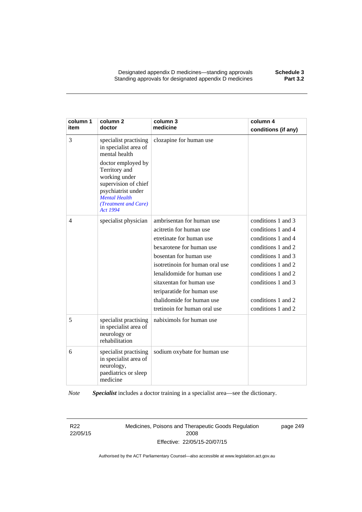Designated appendix D medicines—standing approvals **Schedule 3** Standing approvals for designated appendix D medicines

| column 1<br>item | column <sub>2</sub><br>doctor                                                                                                                                  | column 3<br>medicine            | column 4<br>conditions (if any) |
|------------------|----------------------------------------------------------------------------------------------------------------------------------------------------------------|---------------------------------|---------------------------------|
| 3                | specialist practising<br>in specialist area of<br>mental health                                                                                                | clozapine for human use         |                                 |
|                  | doctor employed by<br>Territory and<br>working under<br>supervision of chief<br>psychiatrist under<br><b>Mental Health</b><br>(Treatment and Care)<br>Act 1994 |                                 |                                 |
| 4                | specialist physician                                                                                                                                           | ambrisentan for human use       | conditions 1 and 3              |
|                  |                                                                                                                                                                | acitretin for human use         | conditions 1 and 4              |
|                  |                                                                                                                                                                | etretinate for human use        | conditions 1 and 4              |
|                  |                                                                                                                                                                | bexarotene for human use        | conditions 1 and 2              |
|                  |                                                                                                                                                                | bosentan for human use          | conditions 1 and 3              |
|                  |                                                                                                                                                                | isotretinoin for human oral use | conditions 1 and 2              |
|                  |                                                                                                                                                                | lenalidomide for human use      | conditions 1 and 2              |
|                  |                                                                                                                                                                | sitaxentan for human use        | conditions 1 and 3              |
|                  |                                                                                                                                                                | teriparatide for human use      |                                 |
|                  |                                                                                                                                                                | thalidomide for human use       | conditions 1 and 2              |
|                  |                                                                                                                                                                | tretinoin for human oral use    | conditions 1 and 2              |
| 5                | specialist practising<br>in specialist area of<br>neurology or<br>rehabilitation                                                                               | nabiximols for human use        |                                 |
| 6                | specialist practising<br>in specialist area of<br>neurology,<br>paediatrics or sleep<br>medicine                                                               | sodium oxybate for human use    |                                 |

*Note Specialist* includes a doctor training in a specialist area—see the dictionary.

R22 22/05/15 Medicines, Poisons and Therapeutic Goods Regulation 2008 Effective: 22/05/15-20/07/15

page 249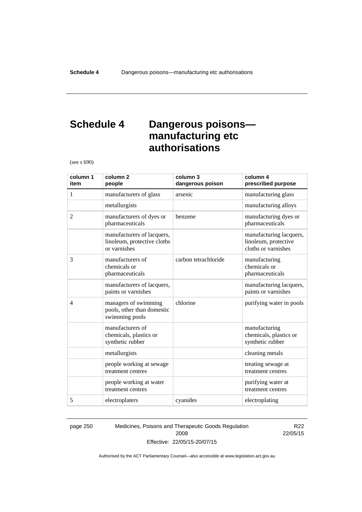### **Schedule 4 Dangerous poisons manufacturing etc authorisations**

(see s 690)

| column 1<br>item | column <sub>2</sub><br>people                                             | column 3<br>dangerous poison | column 4<br>prescribed purpose                                         |
|------------------|---------------------------------------------------------------------------|------------------------------|------------------------------------------------------------------------|
| 1                | manufacturers of glass                                                    | arsenic                      | manufacturing glass                                                    |
|                  | metallurgists                                                             |                              | manufacturing alloys                                                   |
| $\overline{2}$   | manufacturers of dyes or<br>pharmaceuticals                               | benzene                      | manufacturing dyes or<br>pharmaceuticals                               |
|                  | manufacturers of lacquers,<br>linoleum, protective cloths<br>or varnishes |                              | manufacturing lacquers,<br>linoleum, protective<br>cloths or varnishes |
| 3                | manufacturers of<br>chemicals or<br>pharmaceuticals                       | carbon tetrachloride         | manufacturing<br>chemicals or<br>pharmaceuticals                       |
|                  | manufacturers of lacquers,<br>paints or varnishes                         |                              | manufacturing lacquers,<br>paints or varnishes                         |
| $\overline{4}$   | managers of swimming<br>pools, other than domestic<br>swimming pools      | chlorine                     | purifying water in pools                                               |
|                  | manufacturers of<br>chemicals, plastics or<br>synthetic rubber            |                              | manufacturing<br>chemicals, plastics or<br>synthetic rubber            |
|                  | metallurgists                                                             |                              | cleaning metals                                                        |
|                  | people working at sewage<br>treatment centres                             |                              | treating sewage at<br>treatment centres                                |
|                  | people working at water<br>treatment centres                              |                              | purifying water at<br>treatment centres                                |
| 5                | electroplaters                                                            | cyanides                     | electroplating                                                         |

page 250 Medicines, Poisons and Therapeutic Goods Regulation 2008 Effective: 22/05/15-20/07/15

R22 22/05/15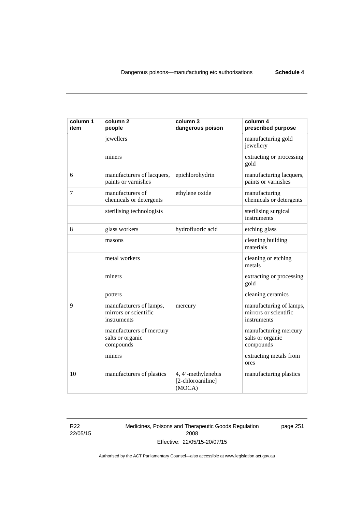| column 1<br>item | column <sub>2</sub><br>people                                   | column 3<br>dangerous poison                      | column 4<br>prescribed purpose                                  |
|------------------|-----------------------------------------------------------------|---------------------------------------------------|-----------------------------------------------------------------|
|                  | jewellers                                                       |                                                   | manufacturing gold<br>jewellery                                 |
|                  | miners                                                          |                                                   | extracting or processing<br>gold                                |
| 6                | manufacturers of lacquers,<br>paints or varnishes               | epichlorohydrin                                   | manufacturing lacquers,<br>paints or varnishes                  |
| 7                | manufacturers of<br>chemicals or detergents                     | ethylene oxide                                    | manufacturing<br>chemicals or detergents                        |
|                  | sterilising technologists                                       |                                                   | sterilising surgical<br>instruments                             |
| 8                | glass workers                                                   | hydrofluoric acid                                 | etching glass                                                   |
|                  | masons                                                          |                                                   | cleaning building<br>materials                                  |
|                  | metal workers                                                   |                                                   | cleaning or etching<br>metals                                   |
|                  | miners                                                          |                                                   | extracting or processing<br>gold                                |
|                  | potters                                                         |                                                   | cleaning ceramics                                               |
| 9                | manufacturers of lamps,<br>mirrors or scientific<br>instruments | mercury                                           | manufacturing of lamps,<br>mirrors or scientific<br>instruments |
|                  | manufacturers of mercury<br>salts or organic<br>compounds       |                                                   | manufacturing mercury<br>salts or organic<br>compounds          |
|                  | miners                                                          |                                                   | extracting metals from<br>ores                                  |
| 10               | manufacturers of plastics                                       | 4, 4'-methylenebis<br>[2-chloroaniline]<br>(MOCA) | manufacturing plastics                                          |

R22 22/05/15 Medicines, Poisons and Therapeutic Goods Regulation 2008 Effective: 22/05/15-20/07/15

page 251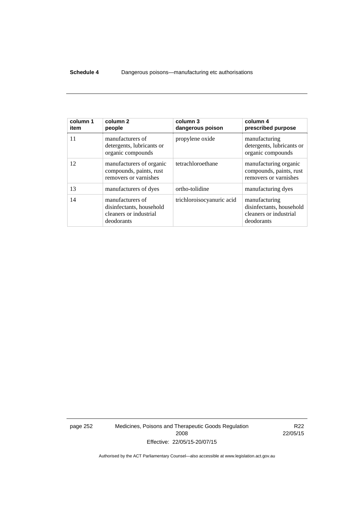#### **Schedule 4** Dangerous poisons—manufacturing etc authorisations

| column 1<br>item | column 2<br>people                                                                   | column 3<br>dangerous poison | column 4<br>prescribed purpose                                                    |
|------------------|--------------------------------------------------------------------------------------|------------------------------|-----------------------------------------------------------------------------------|
| 11               | manufacturers of<br>detergents, lubricants or<br>organic compounds                   | propylene oxide              | manufacturing<br>detergents, lubricants or<br>organic compounds                   |
| 12               | manufacturers of organic<br>compounds, paints, rust<br>removers or varnishes         | tetrachloroethane            | manufacturing organic<br>compounds, paints, rust<br>removers or varnishes         |
| 13               | manufacturers of dyes                                                                | ortho-tolidine               | manufacturing dyes                                                                |
| 14               | manufacturers of<br>disinfectants, household<br>cleaners or industrial<br>deodorants | trichloroisocyanuric acid    | manufacturing<br>disinfectants, household<br>cleaners or industrial<br>deodorants |

page 252 Medicines, Poisons and Therapeutic Goods Regulation 2008 Effective: 22/05/15-20/07/15

R22 22/05/15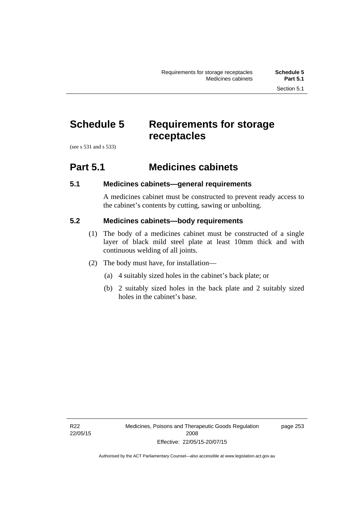# **Schedule 5 Requirements for storage receptacles**

(see s 531 and s 533)

#### **Part 5.1 Medicines cabinets**

#### **5.1 Medicines cabinets—general requirements**

A medicines cabinet must be constructed to prevent ready access to the cabinet's contents by cutting, sawing or unbolting.

#### **5.2 Medicines cabinets—body requirements**

- (1) The body of a medicines cabinet must be constructed of a single layer of black mild steel plate at least 10mm thick and with continuous welding of all joints.
- (2) The body must have, for installation—
	- (a) 4 suitably sized holes in the cabinet's back plate; or
	- (b) 2 suitably sized holes in the back plate and 2 suitably sized holes in the cabinet's base.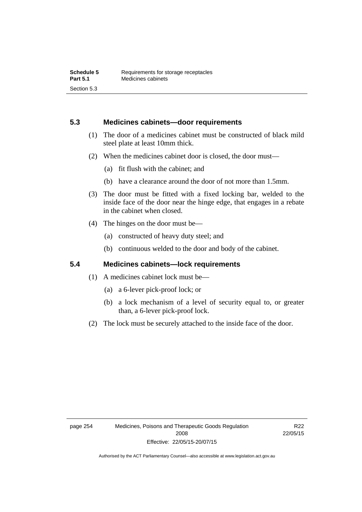#### **5.3 Medicines cabinets—door requirements**

- (1) The door of a medicines cabinet must be constructed of black mild steel plate at least 10mm thick.
- (2) When the medicines cabinet door is closed, the door must—
	- (a) fit flush with the cabinet; and
	- (b) have a clearance around the door of not more than 1.5mm.
- (3) The door must be fitted with a fixed locking bar, welded to the inside face of the door near the hinge edge, that engages in a rebate in the cabinet when closed.
- (4) The hinges on the door must be—
	- (a) constructed of heavy duty steel; and
	- (b) continuous welded to the door and body of the cabinet.

#### **5.4 Medicines cabinets—lock requirements**

- (1) A medicines cabinet lock must be—
	- (a) a 6-lever pick-proof lock; or
	- (b) a lock mechanism of a level of security equal to, or greater than, a 6-lever pick-proof lock.
- (2) The lock must be securely attached to the inside face of the door.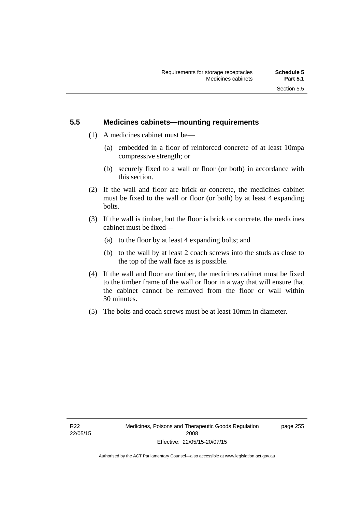#### **5.5 Medicines cabinets—mounting requirements**

- (1) A medicines cabinet must be—
	- (a) embedded in a floor of reinforced concrete of at least 10mpa compressive strength; or
	- (b) securely fixed to a wall or floor (or both) in accordance with this section.
- (2) If the wall and floor are brick or concrete, the medicines cabinet must be fixed to the wall or floor (or both) by at least 4 expanding bolts.
- (3) If the wall is timber, but the floor is brick or concrete, the medicines cabinet must be fixed—
	- (a) to the floor by at least 4 expanding bolts; and
	- (b) to the wall by at least 2 coach screws into the studs as close to the top of the wall face as is possible.
- (4) If the wall and floor are timber, the medicines cabinet must be fixed to the timber frame of the wall or floor in a way that will ensure that the cabinet cannot be removed from the floor or wall within 30 minutes.
- (5) The bolts and coach screws must be at least 10mm in diameter.

page 255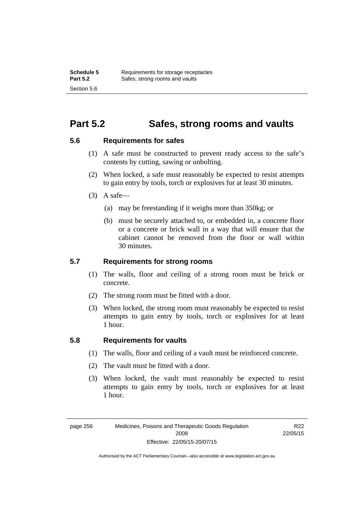#### **Part 5.2 Safes, strong rooms and vaults**

#### **5.6 Requirements for safes**

- (1) A safe must be constructed to prevent ready access to the safe's contents by cutting, sawing or unbolting.
- (2) When locked, a safe must reasonably be expected to resist attempts to gain entry by tools, torch or explosives for at least 30 minutes.
- $(3)$  A safe-
	- (a) may be freestanding if it weighs more than 350kg; or
	- (b) must be securely attached to, or embedded in, a concrete floor or a concrete or brick wall in a way that will ensure that the cabinet cannot be removed from the floor or wall within 30 minutes.

#### **5.7 Requirements for strong rooms**

- (1) The walls, floor and ceiling of a strong room must be brick or concrete.
- (2) The strong room must be fitted with a door.
- (3) When locked, the strong room must reasonably be expected to resist attempts to gain entry by tools, torch or explosives for at least 1 hour.

#### **5.8 Requirements for vaults**

- (1) The walls, floor and ceiling of a vault must be reinforced concrete.
- (2) The vault must be fitted with a door.
- (3) When locked, the vault must reasonably be expected to resist attempts to gain entry by tools, torch or explosives for at least 1 hour.

page 256 Medicines, Poisons and Therapeutic Goods Regulation 2008 Effective: 22/05/15-20/07/15

R22 22/05/15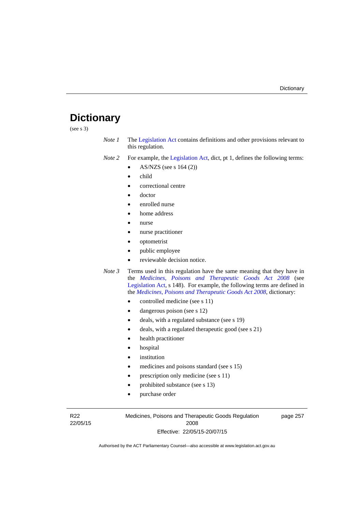### **Dictionary**

(see s 3)

- *Note 1* The [Legislation Act](http://www.legislation.act.gov.au/a/2001-14) contains definitions and other provisions relevant to this regulation.
- *Note 2* For example, the [Legislation Act,](http://www.legislation.act.gov.au/a/2001-14) dict, pt 1, defines the following terms:
	- AS/NZS (see s 164 (2))
	- child
	- correctional centre
	- doctor
	- enrolled nurse
	- home address
	- nurse
	- nurse practitioner
	- optometrist
	- public employee
	- reviewable decision notice.
- *Note 3* Terms used in this regulation have the same meaning that they have in the *[Medicines, Poisons and Therapeutic Goods Act 2008](http://www.legislation.act.gov.au/a/2008-26)* (see [Legislation Act,](http://www.legislation.act.gov.au/a/2001-14) s 148). For example, the following terms are defined in the *[Medicines, Poisons and Therapeutic Goods Act 2008](http://www.legislation.act.gov.au/a/2008-26)*, dictionary:
	- controlled medicine (see s 11)
	- dangerous poison (see s 12)
	- deals, with a regulated substance (see s 19)
	- deals, with a regulated therapeutic good (see s 21)
	- health practitioner
	- hospital
	- institution
	- medicines and poisons standard (see s 15)
	- prescription only medicine (see s 11)
	- prohibited substance (see s 13)
	- purchase order

R22 22/05/15 Medicines, Poisons and Therapeutic Goods Regulation 2008 Effective: 22/05/15-20/07/15

page 257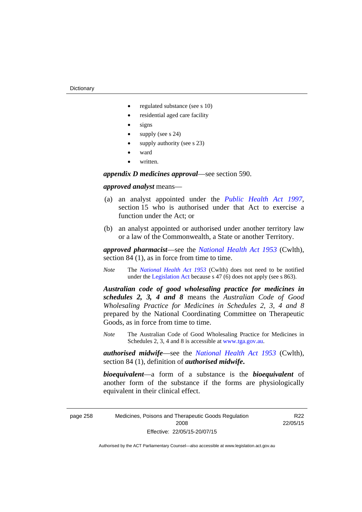- regulated substance (see s 10)
- residential aged care facility
- signs
- supply (see s 24)
- supply authority (see s 23)
- ward
- written.

*appendix D medicines approval*—see section 590.

#### *approved analyst* means—

- (a) an analyst appointed under the *[Public Health Act 1997](http://www.legislation.act.gov.au/a/1997-69)*, section 15 who is authorised under that Act to exercise a function under the Act; or
- (b) an analyst appointed or authorised under another territory law or a law of the Commonwealth, a State or another Territory.

*approved pharmacist*––see the *[National Health Act 1953](http://www.comlaw.gov.au/Series/C1953A00095)* (Cwlth), section 84 (1), as in force from time to time.

*Note* The *[National Health Act 1953](http://www.comlaw.gov.au/Series/C1953A00095)* (Cwlth) does not need to be notified under the [Legislation Act](http://www.legislation.act.gov.au/a/2001-14) because s 47 (6) does not apply (see s 863).

*Australian code of good wholesaling practice for medicines in schedules 2, 3, 4 and 8* means the *Australian Code of Good Wholesaling Practice for Medicines in Schedules 2, 3, 4 and 8* prepared by the National Coordinating Committee on Therapeutic Goods, as in force from time to time.

*Note* The Australian Code of Good Wholesaling Practice for Medicines in Schedules 2, 3, 4 and 8 is accessible at [www.tga.gov.au.](http://www.tga.gov.au/)

*authorised midwife*—see the *[National Health Act 1953](http://www.comlaw.gov.au/Series/C1953A00095)* (Cwlth), section 84 (1), definition of *authorised midwife***.**

*bioequivalent*—a form of a substance is the *bioequivalent* of another form of the substance if the forms are physiologically equivalent in their clinical effect.

page 258 Medicines, Poisons and Therapeutic Goods Regulation 2008 Effective: 22/05/15-20/07/15

R22 22/05/15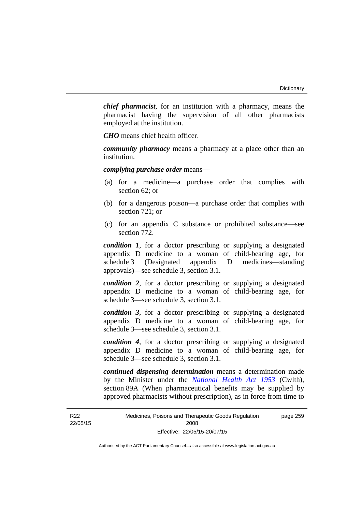*chief pharmacist*, for an institution with a pharmacy, means the pharmacist having the supervision of all other pharmacists employed at the institution.

*CHO* means chief health officer.

*community pharmacy* means a pharmacy at a place other than an institution.

*complying purchase order* means—

- (a) for a medicine—a purchase order that complies with section 62; or
- (b) for a dangerous poison—a purchase order that complies with section 721; or
- (c) for an appendix C substance or prohibited substance—see section 772.

*condition 1*, for a doctor prescribing or supplying a designated appendix D medicine to a woman of child-bearing age, for schedule 3 (Designated appendix D medicines—standing approvals)—see schedule 3, section 3.1.

*condition 2*, for a doctor prescribing or supplying a designated appendix D medicine to a woman of child-bearing age, for schedule 3—see schedule 3, section 3.1.

*condition 3*, for a doctor prescribing or supplying a designated appendix D medicine to a woman of child-bearing age, for schedule 3—see schedule 3, section 3.1.

*condition 4*, for a doctor prescribing or supplying a designated appendix D medicine to a woman of child-bearing age, for schedule 3—see schedule 3, section 3.1.

*continued dispensing determination* means a determination made by the Minister under the *[National Health Act 1953](http://www.comlaw.gov.au/Series/C1953A00095)* (Cwlth), section 89A (When pharmaceutical benefits may be supplied by approved pharmacists without prescription), as in force from time to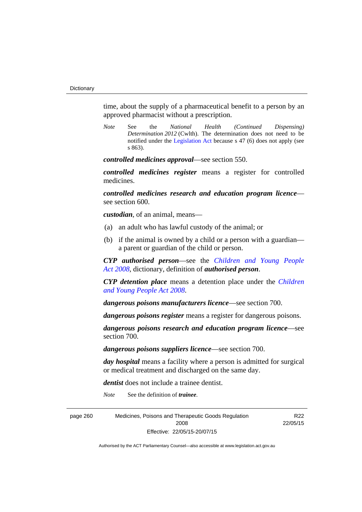time, about the supply of a pharmaceutical benefit to a person by an approved pharmacist without a prescription.

*Note* See the *National Health (Continued Dispensing) Determination 2012* (Cwlth). The determination does not need to be notified under the [Legislation Act](http://www.legislation.act.gov.au/a/2001-14) because s 47 (6) does not apply (see s 863).

*controlled medicines approval*—see section 550.

*controlled medicines register* means a register for controlled medicines.

*controlled medicines research and education program licence* see section 600.

*custodian*, of an animal, means—

- (a) an adult who has lawful custody of the animal; or
- (b) if the animal is owned by a child or a person with a guardian a parent or guardian of the child or person.

*CYP authorised person*—see the *[Children and Young People](http://www.legislation.act.gov.au/a/2008-19)  [Act 2008](http://www.legislation.act.gov.au/a/2008-19)*, dictionary, definition of *authorised person*.

*CYP detention place* means a detention place under the *[Children](http://www.legislation.act.gov.au/a/2008-19)  [and Young People Act 2008](http://www.legislation.act.gov.au/a/2008-19)*.

*dangerous poisons manufacturers licence*—see section 700.

*dangerous poisons register* means a register for dangerous poisons.

*dangerous poisons research and education program licence*—see section 700.

*dangerous poisons suppliers licence*—see section 700.

*day hospital* means a facility where a person is admitted for surgical or medical treatment and discharged on the same day.

> R22 22/05/15

*dentist* does not include a trainee dentist.

*Note* See the definition of *trainee*.

page 260 Medicines, Poisons and Therapeutic Goods Regulation 2008 Effective: 22/05/15-20/07/15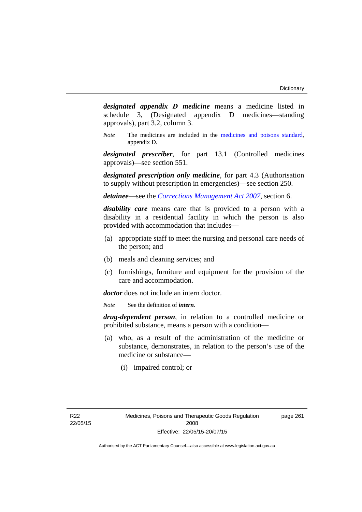*designated appendix D medicine* means a medicine listed in schedule 3, (Designated appendix D medicines—standing approvals), part 3.2, column 3.

*Note* The medicines are included in the [medicines and poisons standard,](http://www.comlaw.gov.au/Series/F2012L01200) appendix D.

*designated prescriber*, for part 13.1 (Controlled medicines approvals)—see section 551.

*designated prescription only medicine*, for part 4.3 (Authorisation to supply without prescription in emergencies)—see section 250.

*detainee*—see the *[Corrections Management Act 2007](http://www.legislation.act.gov.au/a/2007-15)*, section 6.

*disability care* means care that is provided to a person with a disability in a residential facility in which the person is also provided with accommodation that includes—

- (a) appropriate staff to meet the nursing and personal care needs of the person; and
- (b) meals and cleaning services; and
- (c) furnishings, furniture and equipment for the provision of the care and accommodation.

*doctor* does not include an intern doctor.

*Note* See the definition of *intern*.

*drug-dependent person*, in relation to a controlled medicine or prohibited substance, means a person with a condition—

- (a) who, as a result of the administration of the medicine or substance, demonstrates, in relation to the person's use of the medicine or substance—
	- (i) impaired control; or

page 261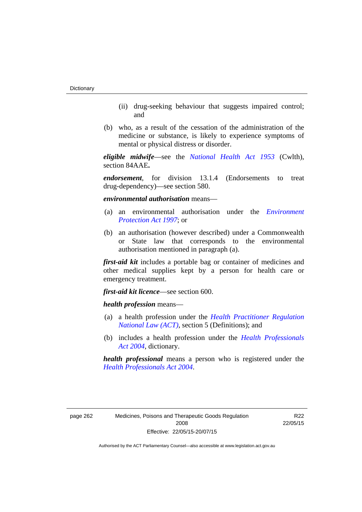- (ii) drug-seeking behaviour that suggests impaired control; and
- (b) who, as a result of the cessation of the administration of the medicine or substance, is likely to experience symptoms of mental or physical distress or disorder.

*eligible midwife*—see the *[National Health Act 1953](http://www.comlaw.gov.au/Series/C1953A00095)* (Cwlth), section 84AAE**.**

*endorsement*, for division 13.1.4 (Endorsements to treat drug-dependency)—see section 580.

*environmental authorisation* means—

- (a) an environmental authorisation under the *[Environment](http://www.legislation.act.gov.au/a/1997-92)  [Protection Act 1997](http://www.legislation.act.gov.au/a/1997-92)*; or
- (b) an authorisation (however described) under a Commonwealth or State law that corresponds to the environmental authorisation mentioned in paragraph (a).

*first-aid kit* includes a portable bag or container of medicines and other medical supplies kept by a person for health care or emergency treatment.

*first-aid kit licence*—see section 600.

*health profession* means—

- (a) a health profession under the *[Health Practitioner Regulation](http://www.legislation.act.gov.au/a/db_39269/default.asp)  [National Law \(ACT\)](http://www.legislation.act.gov.au/a/db_39269/default.asp)*, section 5 (Definitions); and
- (b) includes a health profession under the *[Health Professionals](http://www.legislation.act.gov.au/a/2004-38)  [Act 2004](http://www.legislation.act.gov.au/a/2004-38)*, dictionary.

*health professional* means a person who is registered under the *[Health Professionals Act 2004](http://www.legislation.act.gov.au/a/2004-38)*.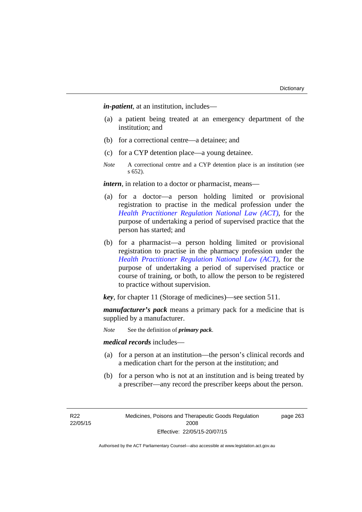*in-patient*, at an institution, includes—

- (a) a patient being treated at an emergency department of the institution; and
- (b) for a correctional centre—a detainee; and
- (c) for a CYP detention place—a young detainee.
- *Note* A correctional centre and a CYP detention place is an institution (see s 652).

*intern*, in relation to a doctor or pharmacist, means—

- (a) for a doctor—a person holding limited or provisional registration to practise in the medical profession under the *[Health Practitioner Regulation National Law \(ACT\)](http://www.legislation.act.gov.au/a/db_39269/default.asp)*, for the purpose of undertaking a period of supervised practice that the person has started; and
- (b) for a pharmacist—a person holding limited or provisional registration to practise in the pharmacy profession under the *[Health Practitioner Regulation National Law \(ACT\)](http://www.legislation.act.gov.au/a/db_39269/default.asp)*, for the purpose of undertaking a period of supervised practice or course of training, or both, to allow the person to be registered to practice without supervision.

*key*, for chapter 11 (Storage of medicines)—see section 511.

*manufacturer's pack* means a primary pack for a medicine that is supplied by a manufacturer.

*Note* See the definition of *primary pack*.

*medical records* includes—

- (a) for a person at an institution—the person's clinical records and a medication chart for the person at the institution; and
- (b) for a person who is not at an institution and is being treated by a prescriber—any record the prescriber keeps about the person.

R22 22/05/15 Medicines, Poisons and Therapeutic Goods Regulation 2008 Effective: 22/05/15-20/07/15

page 263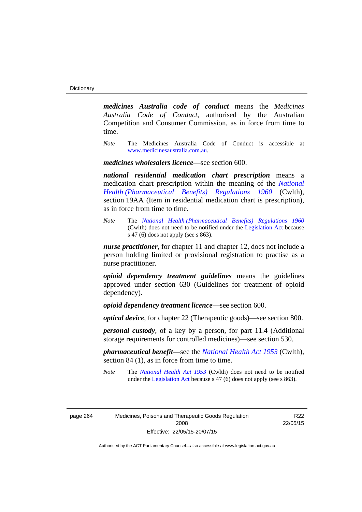*medicines Australia code of conduct* means the *Medicines Australia Code of Conduct*, authorised by the Australian Competition and Consumer Commission, as in force from time to time.

*Note* The Medicines Australia Code of Conduct is accessible at [www.medicinesaustralia.com.au](http://www.medicinesaustralia.com.au/).

*medicines wholesalers licence*—see section 600.

*national residential medication chart prescription* means a medication chart prescription within the meaning of the *[National](http://www.comlaw.gov.au/Series/F1996B02844)  [Health \(Pharmaceutical Benefits\) Regulations 1960](http://www.comlaw.gov.au/Series/F1996B02844)* (Cwlth), section 19AA (Item in residential medication chart is prescription), as in force from time to time.

*Note* The *[National Health \(Pharmaceutical Benefits\) Regulations 1960](http://www.comlaw.gov.au/Series/F1996B02844)* (Cwlth) does not need to be notified under the [Legislation Act](http://www.legislation.act.gov.au/a/2001-14) because s 47 (6) does not apply (see s 863).

*nurse practitioner*, for chapter 11 and chapter 12, does not include a person holding limited or provisional registration to practise as a nurse practitioner.

*opioid dependency treatment guidelines* means the guidelines approved under section 630 (Guidelines for treatment of opioid dependency).

*opioid dependency treatment licence*—see section 600.

*optical device*, for chapter 22 (Therapeutic goods)—see section 800.

*personal custody*, of a key by a person, for part 11.4 (Additional storage requirements for controlled medicines)—see section 530.

*pharmaceutical benefit*—see the *[National Health Act 1953](http://www.comlaw.gov.au/Series/C1953A00095)* (Cwlth), section 84 (1), as in force from time to time.

*Note* The *[National Health Act 1953](http://www.comlaw.gov.au/Series/C1953A00095)* (Cwlth) does not need to be notified under the [Legislation Act](http://www.legislation.act.gov.au/a/2001-14) because s 47 (6) does not apply (see s 863).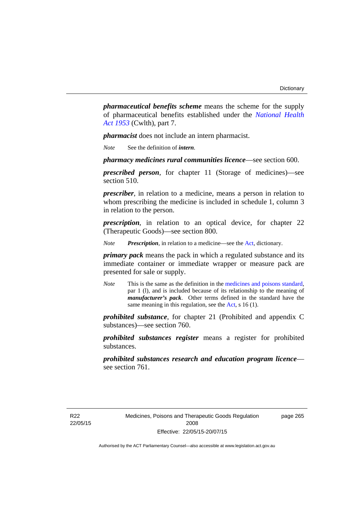*pharmaceutical benefits scheme* means the scheme for the supply of pharmaceutical benefits established under the *[National Health](http://www.comlaw.gov.au/Series/C1953A00095)  [Act 1953](http://www.comlaw.gov.au/Series/C1953A00095)* (Cwlth), part 7.

*pharmacist* does not include an intern pharmacist.

*Note* See the definition of *intern*.

*pharmacy medicines rural communities licence*—see section 600.

*prescribed person*, for chapter 11 (Storage of medicines)—see section 510.

*prescriber*, in relation to a medicine, means a person in relation to whom prescribing the medicine is included in schedule 1, column 3 in relation to the person.

*prescription*, in relation to an optical device, for chapter 22 (Therapeutic Goods)—see section 800.

*Note Prescription*, in relation to a medicine—see the [Act](http://www.legislation.act.gov.au/a/2008-26/default.asp), dictionary.

*primary pack* means the pack in which a regulated substance and its immediate container or immediate wrapper or measure pack are presented for sale or supply.

*Note* This is the same as the definition in the [medicines and poisons standard,](http://www.comlaw.gov.au/Series/F2012L01200) par 1 (l), and is included because of its relationship to the meaning of *manufacturer's pack*. Other terms defined in the standard have the same meaning in this regulation, see the [Act](http://www.legislation.act.gov.au/a/2008-26/default.asp), s 16 (1).

*prohibited substance*, for chapter 21 (Prohibited and appendix C substances)—see section 760.

*prohibited substances register* means a register for prohibited substances.

*prohibited substances research and education program licence* see section 761.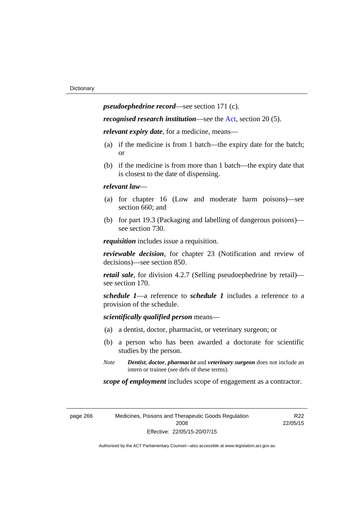*pseudoephedrine record*—see section 171 (c).

*recognised research institution*—see the [Act](http://www.legislation.act.gov.au/a/2008-26/default.asp), section 20 (5).

*relevant expiry date*, for a medicine, means—

- (a) if the medicine is from 1 batch—the expiry date for the batch; or
- (b) if the medicine is from more than 1 batch—the expiry date that is closest to the date of dispensing.

# *relevant law*—

- (a) for chapter 16 (Low and moderate harm poisons)—see section 660; and
- (b) for part 19.3 (Packaging and labelling of dangerous poisons) see section 730.

*requisition* includes issue a requisition.

*reviewable decision*, for chapter 23 (Notification and review of decisions)—see section 850.

*retail sale*, for division 4.2.7 (Selling pseudoephedrine by retail) see section 170.

*schedule 1*—a reference to *schedule 1* includes a reference to a provision of the schedule.

*scientifically qualified person* means—

- (a) a dentist, doctor, pharmacist, or veterinary surgeon; or
- (b) a person who has been awarded a doctorate for scientific studies by the person.
- *Note Dentist*, *doctor*, *pharmacist* and *veterinary surgeon* does not include an intern or trainee (see defs of these terms).

*scope of employment* includes scope of engagement as a contractor.

| page 266 |  |  |
|----------|--|--|
|----------|--|--|

266 Medicines, Poisons and Therapeutic Goods Regulation 2008 Effective: 22/05/15-20/07/15

R22 22/05/15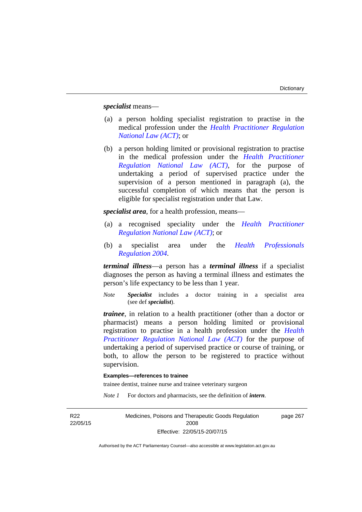*specialist* means—

- (a) a person holding specialist registration to practise in the medical profession under the *[Health Practitioner Regulation](http://www.legislation.act.gov.au/a/db_39269/default.asp)  [National Law \(ACT\)](http://www.legislation.act.gov.au/a/db_39269/default.asp)*; or
- (b) a person holding limited or provisional registration to practise in the medical profession under the *[Health Practitioner](http://www.legislation.act.gov.au/a/db_39269/default.asp)  [Regulation National Law \(ACT\)](http://www.legislation.act.gov.au/a/db_39269/default.asp)*, for the purpose of undertaking a period of supervised practice under the supervision of a person mentioned in paragraph (a), the successful completion of which means that the person is eligible for specialist registration under that Law.

*specialist area*, for a health profession, means—

- (a) a recognised speciality under the *[Health Practitioner](http://www.legislation.act.gov.au/a/db_39269/default.asp)  [Regulation National Law \(ACT\)](http://www.legislation.act.gov.au/a/db_39269/default.asp)*; or
- (b) a specialist area under the *[Health Professionals](http://www.legislation.act.gov.au/sl/2004-41)  [Regulation 2004](http://www.legislation.act.gov.au/sl/2004-41)*.

*terminal illness*—a person has a *terminal illness* if a specialist diagnoses the person as having a terminal illness and estimates the person's life expectancy to be less than 1 year.

*Note Specialist* includes a doctor training in a specialist area (see def *specialist*).

*trainee*, in relation to a health practitioner (other than a doctor or pharmacist) means a person holding limited or provisional registration to practise in a health profession under the *[Health](http://www.legislation.act.gov.au/a/db_39269/default.asp)  [Practitioner Regulation National Law \(ACT\)](http://www.legislation.act.gov.au/a/db_39269/default.asp)* for the purpose of undertaking a period of supervised practice or course of training, or both, to allow the person to be registered to practice without supervision.

# **Examples—references to trainee**

trainee dentist, trainee nurse and trainee veterinary surgeon

*Note 1* For doctors and pharmacists, see the definition of *intern*.

R22 22/05/15 Medicines, Poisons and Therapeutic Goods Regulation 2008 Effective: 22/05/15-20/07/15 page 267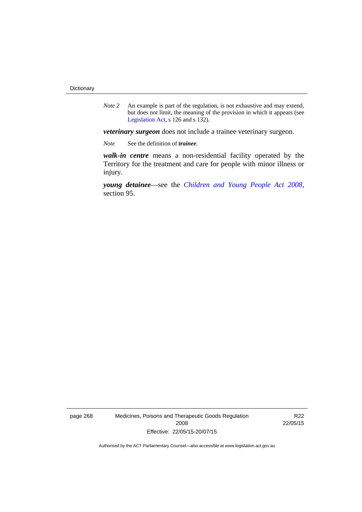*Note 2* An example is part of the regulation, is not exhaustive and may extend, but does not limit, the meaning of the provision in which it appears (see [Legislation Act,](http://www.legislation.act.gov.au/a/2001-14) s 126 and s 132).

*veterinary surgeon* does not include a trainee veterinary surgeon.

*Note* See the definition of *trainee*.

*walk-in centre* means a non-residential facility operated by the Territory for the treatment and care for people with minor illness or injury.

*young detainee*—see the *[Children and Young People Act 2008](http://www.legislation.act.gov.au/a/2008-19)*, section 95.

page 268 Medicines, Poisons and Therapeutic Goods Regulation 2008 Effective: 22/05/15-20/07/15

R22 22/05/15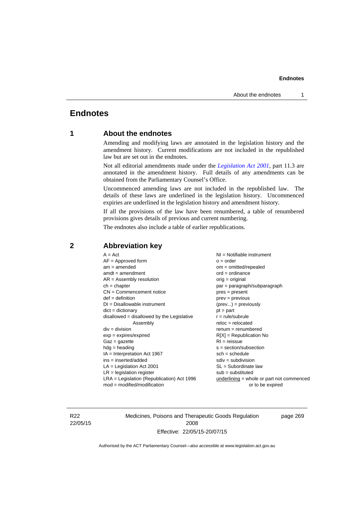# **Endnotes**

# **1 About the endnotes**

Amending and modifying laws are annotated in the legislation history and the amendment history. Current modifications are not included in the republished law but are set out in the endnotes.

Not all editorial amendments made under the *[Legislation Act 2001](http://www.legislation.act.gov.au/a/2001-14)*, part 11.3 are annotated in the amendment history. Full details of any amendments can be obtained from the Parliamentary Counsel's Office.

Uncommenced amending laws are not included in the republished law. The details of these laws are underlined in the legislation history. Uncommenced expiries are underlined in the legislation history and amendment history.

If all the provisions of the law have been renumbered, a table of renumbered provisions gives details of previous and current numbering.

The endnotes also include a table of earlier republications.

| $A = Act$<br>$AF =$ Approved form<br>$am = amended$<br>$amdt = amendment$<br>$AR = Assembly resolution$<br>$ch = chapter$<br>$CN =$ Commencement notice<br>$def = definition$<br>$DI = Disallowable instrument$<br>$dict = dictionary$<br>disallowed = disallowed by the Legislative<br>Assembly<br>$div = division$<br>$exp = expires/expired$<br>$Gaz = gazette$<br>$hdg = heading$<br>$IA = Interpretation Act 1967$<br>$ins = inserted/added$<br>$LA =$ Legislation Act 2001<br>$LR =$ legislation register | NI = Notifiable instrument<br>$o = order$<br>$om = omitted/report$<br>$ord = ordinance$<br>$orig = original$<br>par = paragraph/subparagraph<br>$pres = present$<br>$prev = previous$<br>$(\text{prev}) = \text{previously}$<br>$pt = part$<br>$r = rule/subrule$<br>$reloc = relocated$<br>$remum = renumbered$<br>$R[X]$ = Republication No<br>$RI = reissue$<br>$s = section/subsection$<br>$sch = schedule$<br>$sdiv = subdivision$<br>$SL = Subordinate$ law<br>$sub =$ substituted |
|-----------------------------------------------------------------------------------------------------------------------------------------------------------------------------------------------------------------------------------------------------------------------------------------------------------------------------------------------------------------------------------------------------------------------------------------------------------------------------------------------------------------|------------------------------------------------------------------------------------------------------------------------------------------------------------------------------------------------------------------------------------------------------------------------------------------------------------------------------------------------------------------------------------------------------------------------------------------------------------------------------------------|
|                                                                                                                                                                                                                                                                                                                                                                                                                                                                                                                 |                                                                                                                                                                                                                                                                                                                                                                                                                                                                                          |
| $LRA =$ Legislation (Republication) Act 1996<br>$mod = modified/modification$                                                                                                                                                                                                                                                                                                                                                                                                                                   | $underlining = whole or part not commenced$<br>or to be expired                                                                                                                                                                                                                                                                                                                                                                                                                          |
|                                                                                                                                                                                                                                                                                                                                                                                                                                                                                                                 |                                                                                                                                                                                                                                                                                                                                                                                                                                                                                          |

# **2 Abbreviation key**

R22 22/05/15 Medicines, Poisons and Therapeutic Goods Regulation 2008 Effective: 22/05/15-20/07/15

page 269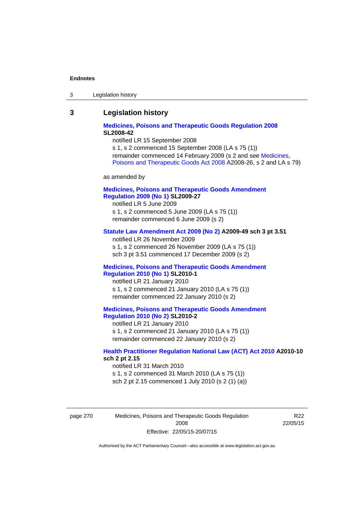| Legislation history<br>-3 |
|---------------------------|
|---------------------------|

# **3 Legislation history**

# **[Medicines, Poisons and Therapeutic Goods Regulation 2008](http://www.legislation.act.gov.au/sl/2008-42) SL2008-42**

notified LR 15 September 2008

s 1, s 2 commenced 15 September 2008 (LA s 75 (1)) remainder commenced 14 February 2009 (s 2 and see [Medicines,](http://www.legislation.act.gov.au/a/2008-26)  [Poisons and Therapeutic Goods Act 2008](http://www.legislation.act.gov.au/a/2008-26) A2008-26, s 2 and LA s 79)

as amended by

# **[Medicines, Poisons and Therapeutic Goods Amendment](http://www.legislation.act.gov.au/sl/2009-27)  [Regulation 2009 \(No 1\)](http://www.legislation.act.gov.au/sl/2009-27) SL2009-27**

notified LR 5 June 2009 s 1, s 2 commenced 5 June 2009 (LA s 75 (1)) remainder commenced 6 June 2009 (s 2)

# **[Statute Law Amendment Act 2009 \(No 2\)](http://www.legislation.act.gov.au/a/2009-49) A2009-49 sch 3 pt 3.51**

notified LR 26 November 2009 s 1, s 2 commenced 26 November 2009 (LA s 75 (1)) sch 3 pt 3.51 commenced 17 December 2009 (s 2)

# **[Medicines, Poisons and Therapeutic Goods Amendment](http://www.legislation.act.gov.au/sl/2010-1)  [Regulation 2010 \(No 1\)](http://www.legislation.act.gov.au/sl/2010-1) SL2010-1**

notified LR 21 January 2010 s 1, s 2 commenced 21 January 2010 (LA s 75 (1)) remainder commenced 22 January 2010 (s 2)

# **[Medicines, Poisons and Therapeutic Goods Amendment](http://www.legislation.act.gov.au/sl/2010-2)  [Regulation 2010 \(No 2\)](http://www.legislation.act.gov.au/sl/2010-2) SL2010-2**

notified LR 21 January 2010 s 1, s 2 commenced 21 January 2010 (LA s 75 (1)) remainder commenced 22 January 2010 (s 2)

# **[Health Practitioner Regulation National Law \(ACT\) Act 2010](http://www.legislation.act.gov.au/a/2010-10) A2010-10 sch 2 pt 2.15**

notified LR 31 March 2010 s 1, s 2 commenced 31 March 2010 (LA s 75 (1)) sch 2 pt 2.15 commenced 1 July 2010 (s 2 (1) (a))

page 270 Medicines, Poisons and Therapeutic Goods Regulation 2008 Effective: 22/05/15-20/07/15

R22 22/05/15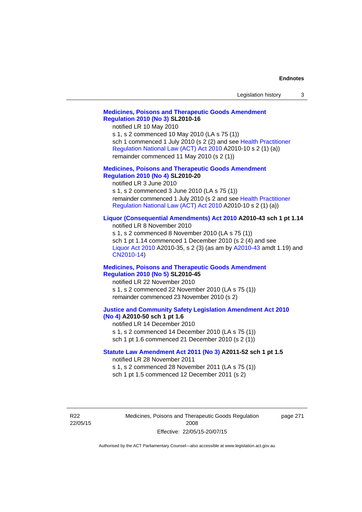| Legislation history |  |
|---------------------|--|
|---------------------|--|

# **[Medicines, Poisons and Therapeutic Goods Amendment](http://www.legislation.act.gov.au/sl/2010-16)  [Regulation 2010 \(No 3\)](http://www.legislation.act.gov.au/sl/2010-16) SL2010-16**

notified LR 10 May 2010

s 1, s 2 commenced 10 May 2010 (LA s 75 (1)) sch 1 commenced 1 July 2010 (s 2 (2) and see [Health Practitioner](http://www.legislation.act.gov.au/a/2010-10)  [Regulation National Law \(ACT\) Act 2010](http://www.legislation.act.gov.au/a/2010-10) A2010-10 s 2 (1) (a)) remainder commenced 11 May 2010 (s 2 (1))

# **[Medicines, Poisons and Therapeutic Goods Amendment](http://www.legislation.act.gov.au/sl/2010-20)  [Regulation 2010 \(No 4\)](http://www.legislation.act.gov.au/sl/2010-20) SL2010-20**

notified LR 3 June 2010 s 1, s 2 commenced 3 June 2010 (LA s 75 (1)) remainder commenced 1 July 2010 (s 2 and see [Health Practitioner](http://www.legislation.act.gov.au/a/2010-10)  [Regulation National Law \(ACT\) Act 2010](http://www.legislation.act.gov.au/a/2010-10) A2010-10 s 2 (1) (a))

# **[Liquor \(Consequential Amendments\) Act 2010](http://www.legislation.act.gov.au/a/2010-43) A2010-43 sch 1 pt 1.14**

notified LR 8 November 2010 s 1, s 2 commenced 8 November 2010 (LA s 75 (1)) sch 1 pt 1.14 commenced 1 December 2010 (s 2 (4) and see [Liquor Act 2010](http://www.legislation.act.gov.au/a/2010-35) A2010-35, s 2 (3) (as am by [A2010-43](http://www.legislation.act.gov.au/a/2010-43) amdt 1.19) and [CN2010-14](http://www.legislation.act.gov.au/cn/2010-14/default.asp))

# **[Medicines, Poisons and Therapeutic Goods Amendment](http://www.legislation.act.gov.au/sl/2010-45)  [Regulation 2010 \(No 5\)](http://www.legislation.act.gov.au/sl/2010-45) SL2010-45**

notified LR 22 November 2010 s 1, s 2 commenced 22 November 2010 (LA s 75 (1)) remainder commenced 23 November 2010 (s 2)

## **[Justice and Community Safety Legislation Amendment Act 2010](http://www.legislation.act.gov.au/a/2010-50)  [\(No 4\)](http://www.legislation.act.gov.au/a/2010-50) A2010-50 sch 1 pt 1.6**

notified LR 14 December 2010 s 1, s 2 commenced 14 December 2010 (LA s 75 (1)) sch 1 pt 1.6 commenced 21 December 2010 (s 2 (1))

# **[Statute Law Amendment Act 2011 \(No 3\)](http://www.legislation.act.gov.au/a/2011-52) A2011-52 sch 1 pt 1.5**  notified LR 28 November 2011

s 1, s 2 commenced 28 November 2011 (LA s 75 (1))

sch 1 pt 1.5 commenced 12 December 2011 (s 2)

R22 22/05/15 Medicines, Poisons and Therapeutic Goods Regulation 2008 Effective: 22/05/15-20/07/15

page 271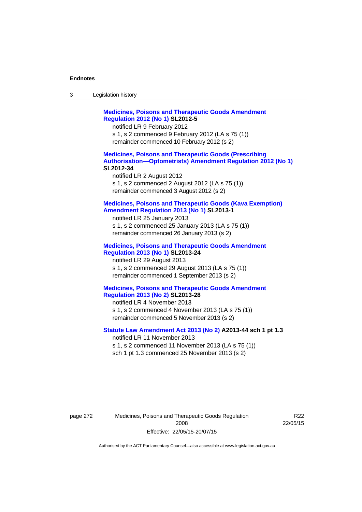| -3 | Legislation history |  |
|----|---------------------|--|
|----|---------------------|--|

**[Medicines, Poisons and Therapeutic Goods Amendment](http://www.legislation.act.gov.au/sl/2012-5)  [Regulation 2012 \(No 1\)](http://www.legislation.act.gov.au/sl/2012-5) SL2012-5**  notified LR 9 February 2012 s 1, s 2 commenced 9 February 2012 (LA s 75 (1)) remainder commenced 10 February 2012 (s 2) **[Medicines, Poisons and Therapeutic Goods \(Prescribing](http://www.legislation.act.gov.au/sl/2012-34)  [Authorisation—Optometrists\) Amendment Regulation 2012 \(No 1\)](http://www.legislation.act.gov.au/sl/2012-34) SL2012-34**  notified LR 2 August 2012 s 1, s 2 commenced 2 August 2012 (LA s 75 (1)) remainder commenced 3 August 2012 (s 2) **[Medicines, Poisons and Therapeutic Goods \(Kava Exemption\)](http://www.legislation.act.gov.au/sl/2013-1/default.asp)  [Amendment Regulation 2013 \(No 1\)](http://www.legislation.act.gov.au/sl/2013-1/default.asp) SL2013-1**  notified LR 25 January 2013 s 1, s 2 commenced 25 January 2013 (LA s 75 (1)) remainder commenced 26 January 2013 (s 2) **[Medicines, Poisons and Therapeutic Goods Amendment](http://www.legislation.act.gov.au/sl/2013-24/default.asp)  [Regulation 2013 \(No 1\)](http://www.legislation.act.gov.au/sl/2013-24/default.asp) SL2013-24**  notified LR 29 August 2013 s 1, s 2 commenced 29 August 2013 (LA s 75 (1)) remainder commenced 1 September 2013 (s 2) **[Medicines, Poisons and Therapeutic Goods Amendment](http://www.legislation.act.gov.au/sl/2013-28)  [Regulation 2013 \(No 2\)](http://www.legislation.act.gov.au/sl/2013-28) SL2013-28**  notified LR 4 November 2013 s 1, s 2 commenced 4 November 2013 (LA s 75 (1)) remainder commenced 5 November 2013 (s 2) **[Statute Law Amendment Act 2013 \(No 2\)](http://www.legislation.act.gov.au/a/2013-44) A2013-44 sch 1 pt 1.3**  notified LR 11 November 2013 s 1, s 2 commenced 11 November 2013 (LA s 75 (1)) sch 1 pt 1.3 commenced 25 November 2013 (s 2)

page 272 Medicines, Poisons and Therapeutic Goods Regulation 2008 Effective: 22/05/15-20/07/15

R22 22/05/15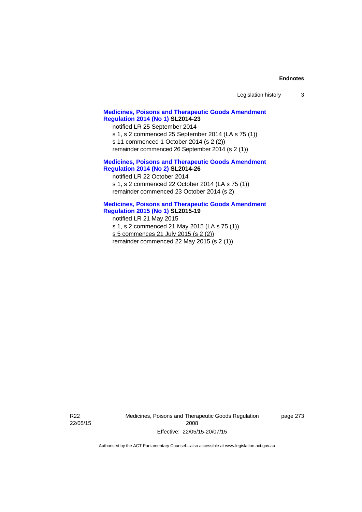| Legislation history |  |
|---------------------|--|
|---------------------|--|

# **[Medicines, Poisons and Therapeutic Goods Amendment](http://www.legislation.act.gov.au/sl/2014-23)  [Regulation 2014 \(No 1\)](http://www.legislation.act.gov.au/sl/2014-23) SL2014-23**

notified LR 25 September 2014

s 1, s 2 commenced 25 September 2014 (LA s 75 (1))

s 11 commenced 1 October 2014 (s 2 (2))

remainder commenced 26 September 2014 (s 2 (1))

# **[Medicines, Poisons and Therapeutic Goods Amendment](http://www.legislation.act.gov.au/sl/2014-26)  [Regulation 2014 \(No 2\)](http://www.legislation.act.gov.au/sl/2014-26) SL2014-26**

notified LR 22 October 2014 s 1, s 2 commenced 22 October 2014 (LA s 75 (1)) remainder commenced 23 October 2014 (s 2)

# **[Medicines, Poisons and Therapeutic Goods Amendment](http://www.legislation.act.gov.au/sl/2015-19)  [Regulation 2015 \(No 1\)](http://www.legislation.act.gov.au/sl/2015-19) SL2015-19**

notified LR 21 May 2015

s 1, s 2 commenced 21 May 2015 (LA s 75 (1))

s 5 commences 21 July 2015 (s 2 (2))

remainder commenced 22 May 2015 (s 2 (1))

R22 22/05/15 Medicines, Poisons and Therapeutic Goods Regulation 2008 Effective: 22/05/15-20/07/15

page 273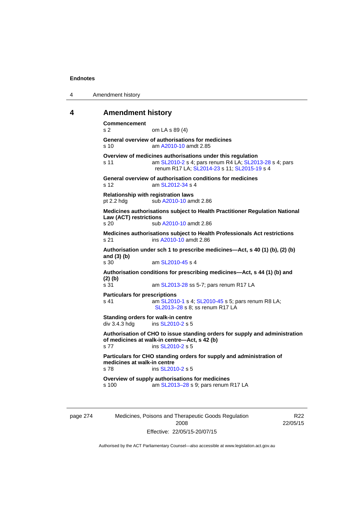| 4 | Amendment history |
|---|-------------------|
|---|-------------------|

# **4 Amendment history**

**Commencement**  s 2 om LA s 89 (4) **General overview of authorisations for medicines**  s 10 am [A2010-10](http://www.legislation.act.gov.au/a/2010-10) amdt 2.85 **Overview of medicines authorisations under this regulation**  s 11 am [SL2010-2](http://www.legislation.act.gov.au/sl/2010-2) s 4; pars renum R4 LA; [SL2013-28](http://www.legislation.act.gov.au/sl/2013-28) s 4; pars renum R17 LA; [SL2014-23](http://www.legislation.act.gov.au/sl/2014-23) s 11; [SL2015-19](http://www.legislation.act.gov.au/sl/2015-19) s 4 **General overview of authorisation conditions for medicines**  s 12 am [SL2012-34](http://www.legislation.act.gov.au/sl/2012-34) s 4 **Relationship with registration laws**  pt 2.2 hdg sub [A2010-10](http://www.legislation.act.gov.au/a/2010-10) amdt 2.86 **Medicines authorisations subject to Health Practitioner Regulation National Law (ACT) restrictions**  sub [A2010-10](http://www.legislation.act.gov.au/a/2010-10) amdt 2.86 **Medicines authorisations subject to Health Professionals Act restrictions**  s 21 ins [A2010-10](http://www.legislation.act.gov.au/a/2010-10) amdt 2.86 **Authorisation under sch 1 to prescribe medicines—Act, s 40 (1) (b), (2) (b) and (3) (b)**  s 30 am [SL2010-45](http://www.legislation.act.gov.au/sl/2010-45) s 4 **Authorisation conditions for prescribing medicines—Act, s 44 (1) (b) and (2) (b)**  s 31 am [SL2013-28](http://www.legislation.act.gov.au/sl/2013-28) ss 5-7; pars renum R17 LA **Particulars for prescriptions**  s 41 **am [SL2010-1](http://www.legislation.act.gov.au/sl/2010-1) s 4; [SL2010-45](http://www.legislation.act.gov.au/sl/2010-45) s 5; pars renum R8 LA;** [SL2013–28](http://www.legislation.act.gov.au/sl/2013-28) s 8; ss renum R17 LA **Standing orders for walk-in centre**   $div 3.4.3$  hdg ins  $SL2010-2$  s 5 **Authorisation of CHO to issue standing orders for supply and administration of medicines at walk-in centre—Act, s 42 (b)**  s 77 ins [SL2010-2](http://www.legislation.act.gov.au/sl/2010-2) s 5 **Particulars for CHO standing orders for supply and administration of medicines at walk-in centre**  s 78 ins [SL2010-2](http://www.legislation.act.gov.au/sl/2010-2) s 5 **Overview of supply authorisations for medicines**  s 100 am [SL2013–28](http://www.legislation.act.gov.au/sl/2013-28) s 9; pars renum R17 LA

| page 27- |  |
|----------|--|
|          |  |

274 Medicines, Poisons and Therapeutic Goods Regulation 2008 Effective: 22/05/15-20/07/15

R22 22/05/15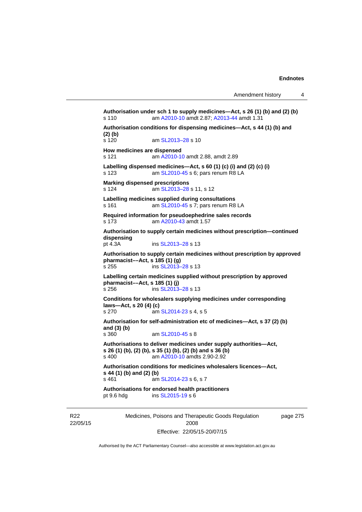```
Authorisation under sch 1 to supply medicines—Act, s 26 (1) (b) and (2) (b) 
s 110 am A2010-10 amdt 2.87; A2013-44 amdt 1.31 
Authorisation conditions for dispensing medicines—Act, s 44 (1) (b) and 
(2) (b) 
s 120 am SL2013-28 s 10
How medicines are dispensed 
s 121 am A2010-10 amdt 2.88, amdt 2.89 
Labelling dispensed medicines—Act, s 60 (1) (c) (i) and (2) (c) (i) 
s 123 am SL2010-45 s 6; pars renum R8 LA 
Marking dispensed prescriptions 
s 124  SL2013–28 s 11, s 12
Labelling medicines supplied during consultations 
s 161  SL2010-45 s 7; pars renum R8 LA
Required information for pseudoephedrine sales records 
s 173 am A2010-43 amdt 1.57
Authorisation to supply certain medicines without prescription—continued 
dispensing 
                  SL2013–28 s 13
Authorisation to supply certain medicines without prescription by approved 
pharmacist––Act, s 185 (1) (g) 
SL2013–28 s 13
Labelling certain medicines supplied without prescription by approved 
pharmacist––Act, s 185 (1) (j) 
s 256 ins SL2013–28 s 13 
Conditions for wholesalers supplying medicines under corresponding 
laws—Act, s 20 (4) (c) 
SL2014-23 s 4, s 5
Authorisation for self-administration etc of medicines—Act, s 37 (2) (b) 
and (3) (b) 
s 360 am SL2010-45 s 8 
Authorisations to deliver medicines under supply authorities—Act, 
s 26 (1) (b), (2) (b), s 35 (1) (b), (2) (b) and s 36 (b)<br>s 400 am A2010-10 amdts 2.90-2.92
                 A2010-10 amdts 2.90-2.92
Authorisation conditions for medicines wholesalers licences—Act, 
s 44 (1) (b) and (2) (b) 
s 461  SL2014-23 s 6, s 7
Authorisations for endorsed health practitioners 
pt 9.6 hdg ins SL2015-19 s 6
```
R22 22/05/15 Medicines, Poisons and Therapeutic Goods Regulation 2008 Effective: 22/05/15-20/07/15

page 275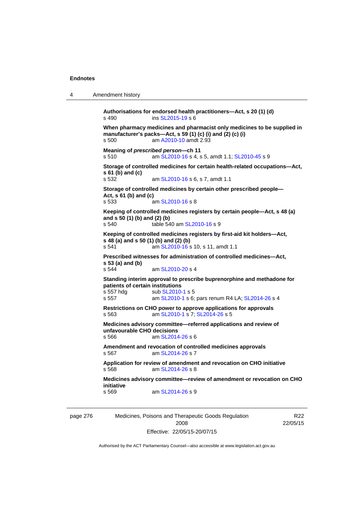```
4 Amendment history
```

```
Authorisations for endorsed health practitioners—Act, s 20 (1) (d) 
s 490 ins SL2015-19 s 6 
When pharmacy medicines and pharmacist only medicines to be supplied in 
manufacturer's packs—Act, s 59 (1) (c) (i) and (2) (c) (i) 
s 500 am A2010-10 amdt 2.93
Meaning of prescribed person—ch 11 
s 510 am SL2010-16 s 4, s 5, amdt 1.1; SL2010-45 s 9 
Storage of controlled medicines for certain health-related occupations—Act, 
s 61 (b) and (c) 
s 532  SL2010-16 s 6, s 7, amdt 1.1
Storage of controlled medicines by certain other prescribed people—
Act, s 61 (b) and (c) 
s 533 am SL2010-16 s 8 
Keeping of controlled medicines registers by certain people—Act, s 48 (a) 
and s 50 (1) (b) and (2) (b) 
 SL2010-16 s 9
Keeping of controlled medicines registers by first-aid kit holders—Act, 
s 48 (a) and s 50 (1) (b) and (2) (b) 
s 541 am SL2010-16 s 10, s 11, amdt 1.1 
Prescribed witnesses for administration of controlled medicines—Act, 
s 53 (a) and (b) 
s 544 am SL2010-20 s 4 
Standing interim approval to prescribe buprenorphine and methadone for 
patients of certain institutions 
SL2010-1 s 5
s 557 am SL2010-1 s 6; pars renum R4 LA; SL2014-26 s 4 
Restrictions on CHO power to approve applications for approvals 
s 563 am SL2010-1 s 7; SL2014-26 s 5 
Medicines advisory committee—referred applications and review of 
unfavourable CHO decisions 
s 566 am SL2014-26 s 6 
Amendment and revocation of controlled medicines approvals 
s 567 am SL2014-26 s 7 
Application for review of amendment and revocation on CHO initiative 
s 568 am SL2014-26 s 8 
Medicines advisory committee—review of amendment or revocation on CHO 
initiative 
s 569 am SL2014-26 s 9
```
page 276 Medicines, Poisons and Therapeutic Goods Regulation 2008 Effective: 22/05/15-20/07/15

R22 22/05/15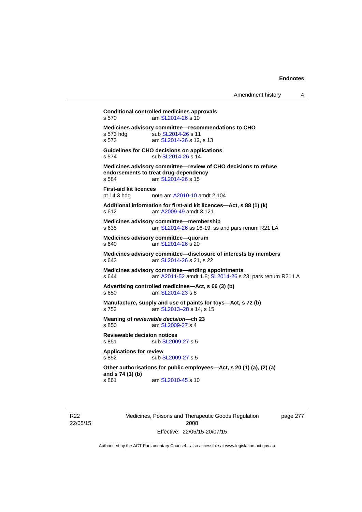**Conditional controlled medicines approvals**  s 570 am [SL2014-26](http://www.legislation.act.gov.au/sl/2014-26) s 10 **Medicines advisory committee—recommendations to CHO**  sub [SL2014-26](http://www.legislation.act.gov.au/sl/2014-26) s 11 s 573 am [SL2014-26](http://www.legislation.act.gov.au/sl/2014-26) s 12, s 13 **Guidelines for CHO decisions on applications**  s 574 sub [SL2014-26](http://www.legislation.act.gov.au/sl/2014-26) s 14 **Medicines advisory committee—review of CHO decisions to refuse endorsements to treat drug-dependency**  s 584 am [SL2014-26](http://www.legislation.act.gov.au/sl/2014-26) s 15 **First-aid kit licences**  pt 14.3 hdg note am [A2010-10](http://www.legislation.act.gov.au/a/2010-10) amdt 2.104 **Additional information for first-aid kit licences—Act, s 88 (1) (k)**  s 612 am [A2009-49](http://www.legislation.act.gov.au/a/2009-49) amdt 3.121 **Medicines advisory committee—membership**  s 635 am [SL2014-26](http://www.legislation.act.gov.au/sl/2014-26) ss 16-19; ss and pars renum R21 LA **Medicines advisory committee—quorum**  s 640 am [SL2014-26](http://www.legislation.act.gov.au/sl/2014-26) s 20 **Medicines advisory committee—disclosure of interests by members**  s 643 am [SL2014-26](http://www.legislation.act.gov.au/sl/2014-26) s 21, s 22 **Medicines advisory committee—ending appointments**  s 644 am [A2011-52](http://www.legislation.act.gov.au/a/2011-52) amdt 1.8; [SL2014-26](http://www.legislation.act.gov.au/sl/2014-26) s 23; pars renum R21 LA **Advertising controlled medicines—Act, s 66 (3) (b)**  s 650 am [SL2014-23](http://www.legislation.act.gov.au/sl/2014-23) s 8 **Manufacture, supply and use of paints for toys—Act, s 72 (b)**  s 752 am [SL2013–28](http://www.legislation.act.gov.au/sl/2013-28) s 14, s 15 **Meaning of** *reviewable decision—***ch 23**  s 850 am [SL2009-27](http://www.legislation.act.gov.au/sl/2009-27) s 4 **Reviewable decision notices**  s 851 sub [SL2009-27](http://www.legislation.act.gov.au/sl/2009-27) s 5 **Applications for review**  s 852 sub [SL2009-27](http://www.legislation.act.gov.au/sl/2009-27) s 5 **Other authorisations for public employees—Act, s 20 (1) (a), (2) (a) and s 74 (1) (b)**  s 861 am [SL2010-45](http://www.legislation.act.gov.au/sl/2010-45) s 10

R22 22/05/15 Medicines, Poisons and Therapeutic Goods Regulation 2008 Effective: 22/05/15-20/07/15

page 277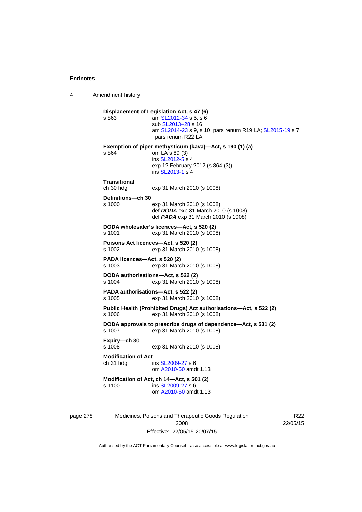4 Amendment history

| s 863                                   | Displacement of Legislation Act, s 47 (6)<br>am SL2012-34 s 5, s 6<br>sub SL2013–28 s 16<br>am SL2014-23 s 9, s 10; pars renum R19 LA; SL2015-19 s 7;<br>pars renum R22 LA |
|-----------------------------------------|----------------------------------------------------------------------------------------------------------------------------------------------------------------------------|
| s 864                                   | Exemption of piper methysticum (kava)-Act, s 190 (1) (a)<br>om LA s 89 (3)<br>ins SL2012-5 s 4<br>exp 12 February 2012 (s 864 (3))<br>ins SL2013-1 s 4                     |
| Transitional<br>ch 30 hdg               | exp 31 March 2010 (s 1008)                                                                                                                                                 |
| Definitions-ch 30<br>s 1000             | exp 31 March 2010 (s 1008)<br>def DODA exp 31 March 2010 (s 1008)<br>def <b>PADA</b> exp 31 March 2010 (s 1008)                                                            |
| s 1001                                  | DODA wholesaler's licences-Act, s 520 (2)<br>exp 31 March 2010 (s 1008)                                                                                                    |
| s 1002                                  | Poisons Act licences-Act, s 520 (2)<br>exp 31 March 2010 (s 1008)                                                                                                          |
| PADA licences—Act, s 520 (2)<br>s 1003  | exp 31 March 2010 (s 1008)                                                                                                                                                 |
| s 1004                                  | DODA authorisations-Act, s 522 (2)<br>exp 31 March 2010 (s 1008)                                                                                                           |
| s 1005                                  | PADA authorisations-Act, s 522 (2)<br>exp 31 March 2010 (s 1008)                                                                                                           |
| s 1006                                  | Public Health (Prohibited Drugs) Act authorisations-Act, s 522 (2)<br>exp 31 March 2010 (s 1008)                                                                           |
| s 1007                                  | DODA approvals to prescribe drugs of dependence-Act, s 531 (2)<br>exp 31 March 2010 (s 1008)                                                                               |
| Expiry—ch 30<br>s 1008                  | exp 31 March 2010 (s 1008)                                                                                                                                                 |
| <b>Modification of Act</b><br>ch 31 hdg | ins SL2009-27 s 6<br>om A2010-50 amdt 1.13                                                                                                                                 |
| s 1100                                  | Modification of Act, ch 14-Act, s 501 (2)<br>ins SL2009-27 s 6<br>om A2010-50 amdt 1.13                                                                                    |

page 278 Medicines, Poisons and Therapeutic Goods Regulation 2008 Effective: 22/05/15-20/07/15

R22 22/05/15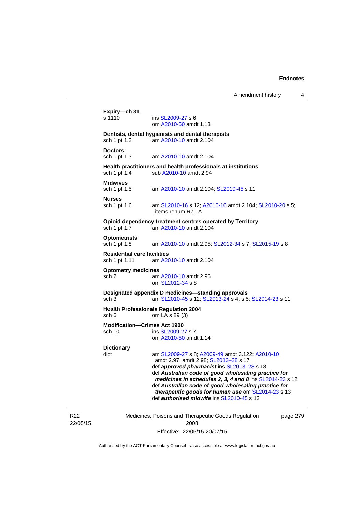# **Expiry—ch 31**

ins [SL2009-27](http://www.legislation.act.gov.au/sl/2009-27) s 6 om [A2010-50](http://www.legislation.act.gov.au/a/2010-50) amdt 1.13

#### **Dentists, dental hygienists and dental therapists**

sch 1 pt 1.2 am [A2010-10](http://www.legislation.act.gov.au/a/2010-10) amdt 2.104

**Doctors** 

sch 1 pt 1.3 am [A2010-10](http://www.legislation.act.gov.au/a/2010-10) amdt 2.104

#### **Health practitioners and health professionals at institutions**  sch 1 pt 1.4 sub [A2010-10](http://www.legislation.act.gov.au/a/2010-10) amdt 2.94

#### **Midwives**

sch 1 pt 1.5 am [A2010-10](http://www.legislation.act.gov.au/a/2010-10) amdt 2.104; [SL2010-45](http://www.legislation.act.gov.au/sl/2010-45) s 11

#### **Nurses**

sch 1 pt 1.6 am [SL2010-16](http://www.legislation.act.gov.au/sl/2010-16) s 12; [A2010-10](http://www.legislation.act.gov.au/a/2010-10) amdt 2.104; [SL2010-20](http://www.legislation.act.gov.au/sl/2010-20) s 5; items renum R7 LA

**Opioid dependency treatment centres operated by Territory**  sch 1 pt 1.7 am [A2010-10](http://www.legislation.act.gov.au/a/2010-10) amdt 2.104

# **Optometrists**

am [A2010-10](http://www.legislation.act.gov.au/a/2010-10) amdt 2.95; [SL2012-34](http://www.legislation.act.gov.au/sl/2012-34) s 7; [SL2015-19](http://www.legislation.act.gov.au/sl/2015-19) s 8

#### **Residential care facilities**

sch 1 pt 1.11 am [A2010-10](http://www.legislation.act.gov.au/a/2010-10) amdt 2.104

#### **Optometry medicines**

sch 2 am [A2010-10](http://www.legislation.act.gov.au/a/2010-10) amdt 2.96 om [SL2012-34](http://www.legislation.act.gov.au/sl/2012-34) s 8

#### **Designated appendix D medicines—standing approvals**  sch 3 am [SL2010-45](http://www.legislation.act.gov.au/sl/2010-45) s 12; [SL2013-24](http://www.legislation.act.gov.au/sl/2013-24/default.asp) s 4, s 5; [SL2014-23](http://www.legislation.act.gov.au/sl/2014-23/default.asp) s 11

# **Health Professionals Regulation 2004**

sch 6 om LA s 89 (3)

#### **Modification—Crimes Act 1900**  sch 10 ins SL 2009-27 s 7

om [A2010-50](http://www.legislation.act.gov.au/a/2010-50) amdt 1.14

### **Dictionary**

dict am [SL2009-27](http://www.legislation.act.gov.au/sl/2009-27) s 8; [A2009-49](http://www.legislation.act.gov.au/a/2009-49) amdt 3.122; [A2010-10](http://www.legislation.act.gov.au/a/2010-10) amdt 2.97, amdt 2.98; [SL2013–28](http://www.legislation.act.gov.au/sl/2013-28) s 17 def *approved pharmacist* ins [SL2013–28](http://www.legislation.act.gov.au/sl/2013-28) s 18 def *Australian code of good wholesaling practice for medicines in schedules 2, 3, 4 and 8* ins [SL2014-23](http://www.legislation.act.gov.au/sl/2014-23) s 12 def *Australian code of good wholesaling practice for therapeutic goods for human use* om [SL2014-23](http://www.legislation.act.gov.au/sl/2014-23) s 13 def *authorised midwife* ins [SL2010-45](http://www.legislation.act.gov.au/sl/2010-45) s 13

R22 22/05/15 Medicines, Poisons and Therapeutic Goods Regulation 2008 Effective: 22/05/15-20/07/15 page 279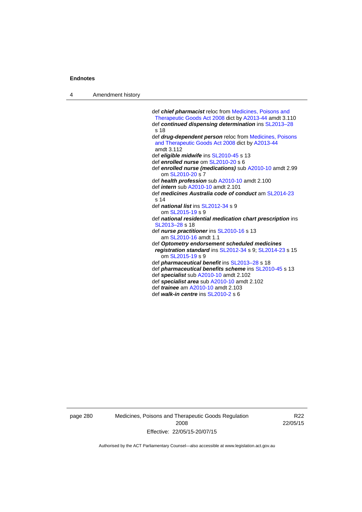4 Amendment history

 def *chief pharmacist* reloc from [Medicines, Poisons and](http://www.legislation.act.gov.au/a/2008-26/default.asp)  [Therapeutic Goods Act 2008](http://www.legislation.act.gov.au/a/2008-26/default.asp) dict by [A2013-44](http://www.legislation.act.gov.au/a/2013-44) amdt 3.110 def *continued dispensing determination* ins [SL2013–28](http://www.legislation.act.gov.au/sl/2013-28) s 18 def *drug-dependent person* reloc from [Medicines, Poisons](http://www.legislation.act.gov.au/a/2008-26/default.asp)  [and Therapeutic Goods Act 2008](http://www.legislation.act.gov.au/a/2008-26/default.asp) dict by [A2013-44](http://www.legislation.act.gov.au/a/2013-44) amdt 3.112 def *eligible midwife* ins [SL2010-45](http://www.legislation.act.gov.au/sl/2010-45) s 13 def *enrolled nurse* om [SL2010-20](http://www.legislation.act.gov.au/sl/2010-20) s 6 def *enrolled nurse (medications)* sub [A2010-10](http://www.legislation.act.gov.au/a/2010-10) amdt 2.99 om [SL2010-20](http://www.legislation.act.gov.au/sl/2010-20) s 7 def *health profession* sub [A2010-10](http://www.legislation.act.gov.au/a/2010-10) amdt 2.100 def *intern* sub [A2010-10](http://www.legislation.act.gov.au/a/2010-10) amdt 2.101 def *medicines Australia code of conduct* am [SL2014-23](http://www.legislation.act.gov.au/sl/2014-23) s 14 def *national list* ins [SL2012-34](http://www.legislation.act.gov.au/sl/2012-34) s 9 om [SL2015-19](http://www.legislation.act.gov.au/sl/2015-19) s 9 def *national residential medication chart prescription* ins [SL2013–28](http://www.legislation.act.gov.au/sl/2013-28) s 18 def *nurse practitioner* ins [SL2010-16](http://www.legislation.act.gov.au/sl/2010-16) s 13 am [SL2010-16](http://www.legislation.act.gov.au/sl/2010-16) amdt 1.1 def *Optometry endorsement scheduled medicines registration standard* ins [SL2012-34](http://www.legislation.act.gov.au/sl/2012-34) s 9; [SL2014-23](http://www.legislation.act.gov.au/sl/2014-23) s 15 om [SL2015-19](http://www.legislation.act.gov.au/sl/2015-19) s 9 def *pharmaceutical benefit* ins [SL2013–28](http://www.legislation.act.gov.au/sl/2013-28) s 18 def *pharmaceutical benefits scheme* ins [SL2010-45](http://www.legislation.act.gov.au/sl/2010-45) s 13 def *specialist* sub [A2010-10](http://www.legislation.act.gov.au/a/2010-10) amdt 2.102 def *specialist area* sub [A2010-10](http://www.legislation.act.gov.au/a/2010-10) amdt 2.102 def *trainee* am [A2010-10](http://www.legislation.act.gov.au/a/2010-10) amdt 2.103 def *walk-in centre* ins [SL2010-2](http://www.legislation.act.gov.au/sl/2010-2) s 6

page 280 Medicines, Poisons and Therapeutic Goods Regulation 2008 Effective: 22/05/15-20/07/15

R22 22/05/15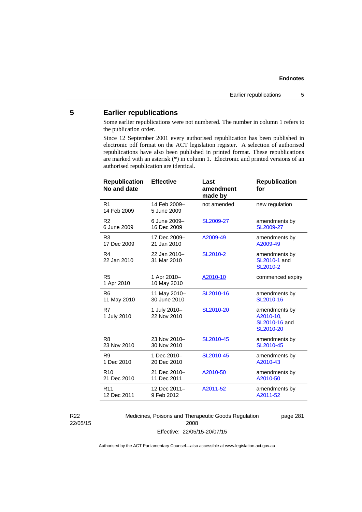# **5 Earlier republications**

Some earlier republications were not numbered. The number in column 1 refers to the publication order.

Since 12 September 2001 every authorised republication has been published in electronic pdf format on the ACT legislation register. A selection of authorised republications have also been published in printed format. These republications are marked with an asterisk (\*) in column 1. Electronic and printed versions of an authorised republication are identical.

| 14 Feb 2009-<br>R <sub>1</sub><br>not amended<br>new regulation<br>14 Feb 2009<br>5 June 2009<br>6 June 2009-<br>SL2009-27<br>R <sub>2</sub><br>amendments by<br>6 June 2009<br>16 Dec 2009<br>SL2009-27<br>17 Dec 2009-<br>amendments by<br>R <sub>3</sub><br>A2009-49<br>A2009-49<br>17 Dec 2009<br>21 Jan 2010<br>R4<br>22 Jan 2010-<br>SL2010-2<br>amendments by<br>SL2010-1 and<br>22 Jan 2010<br>31 Mar 2010<br>SL2010-2<br>R <sub>5</sub><br>1 Apr 2010-<br>A2010-10<br>commenced expiry<br>10 May 2010<br>1 Apr 2010<br>11 May 2010-<br>SL2010-16<br>R6<br>amendments by<br>30 June 2010<br>11 May 2010<br>SL2010-16<br>R7<br>SL2010-20<br>1 July 2010-<br>amendments by<br>22 Nov 2010<br>A2010-10,<br>1 July 2010<br>SL2010-16 and<br>SL2010-20<br>R <sub>8</sub><br>23 Nov 2010-<br>SL2010-45<br>amendments by<br>23 Nov 2010<br>30 Nov 2010<br>SL2010-45<br>R <sub>9</sub><br>1 Dec 2010-<br>SL2010-45<br>amendments by<br>1 Dec 2010<br>A2010-43<br>20 Dec 2010<br>R <sub>10</sub><br>21 Dec 2010-<br>A2010-50<br>amendments by<br>21 Dec 2010<br>A2010-50<br>11 Dec 2011<br>12 Dec 2011-<br>A2011-52<br>R <sub>11</sub><br>amendments by<br>12 Dec 2011<br>9 Feb 2012<br>A2011-52 | <b>Republication</b><br>No and date | <b>Effective</b> | Last<br>amendment<br>made by | <b>Republication</b><br>for |
|-------------------------------------------------------------------------------------------------------------------------------------------------------------------------------------------------------------------------------------------------------------------------------------------------------------------------------------------------------------------------------------------------------------------------------------------------------------------------------------------------------------------------------------------------------------------------------------------------------------------------------------------------------------------------------------------------------------------------------------------------------------------------------------------------------------------------------------------------------------------------------------------------------------------------------------------------------------------------------------------------------------------------------------------------------------------------------------------------------------------------------------------------------------------------------------------------|-------------------------------------|------------------|------------------------------|-----------------------------|
|                                                                                                                                                                                                                                                                                                                                                                                                                                                                                                                                                                                                                                                                                                                                                                                                                                                                                                                                                                                                                                                                                                                                                                                                 |                                     |                  |                              |                             |
|                                                                                                                                                                                                                                                                                                                                                                                                                                                                                                                                                                                                                                                                                                                                                                                                                                                                                                                                                                                                                                                                                                                                                                                                 |                                     |                  |                              |                             |
|                                                                                                                                                                                                                                                                                                                                                                                                                                                                                                                                                                                                                                                                                                                                                                                                                                                                                                                                                                                                                                                                                                                                                                                                 |                                     |                  |                              |                             |
|                                                                                                                                                                                                                                                                                                                                                                                                                                                                                                                                                                                                                                                                                                                                                                                                                                                                                                                                                                                                                                                                                                                                                                                                 |                                     |                  |                              |                             |
|                                                                                                                                                                                                                                                                                                                                                                                                                                                                                                                                                                                                                                                                                                                                                                                                                                                                                                                                                                                                                                                                                                                                                                                                 |                                     |                  |                              |                             |
|                                                                                                                                                                                                                                                                                                                                                                                                                                                                                                                                                                                                                                                                                                                                                                                                                                                                                                                                                                                                                                                                                                                                                                                                 |                                     |                  |                              |                             |
|                                                                                                                                                                                                                                                                                                                                                                                                                                                                                                                                                                                                                                                                                                                                                                                                                                                                                                                                                                                                                                                                                                                                                                                                 |                                     |                  |                              |                             |
|                                                                                                                                                                                                                                                                                                                                                                                                                                                                                                                                                                                                                                                                                                                                                                                                                                                                                                                                                                                                                                                                                                                                                                                                 |                                     |                  |                              |                             |
|                                                                                                                                                                                                                                                                                                                                                                                                                                                                                                                                                                                                                                                                                                                                                                                                                                                                                                                                                                                                                                                                                                                                                                                                 |                                     |                  |                              |                             |
|                                                                                                                                                                                                                                                                                                                                                                                                                                                                                                                                                                                                                                                                                                                                                                                                                                                                                                                                                                                                                                                                                                                                                                                                 |                                     |                  |                              |                             |
|                                                                                                                                                                                                                                                                                                                                                                                                                                                                                                                                                                                                                                                                                                                                                                                                                                                                                                                                                                                                                                                                                                                                                                                                 |                                     |                  |                              |                             |

R22 22/05/15 Medicines, Poisons and Therapeutic Goods Regulation 2008 Effective: 22/05/15-20/07/15

page 281